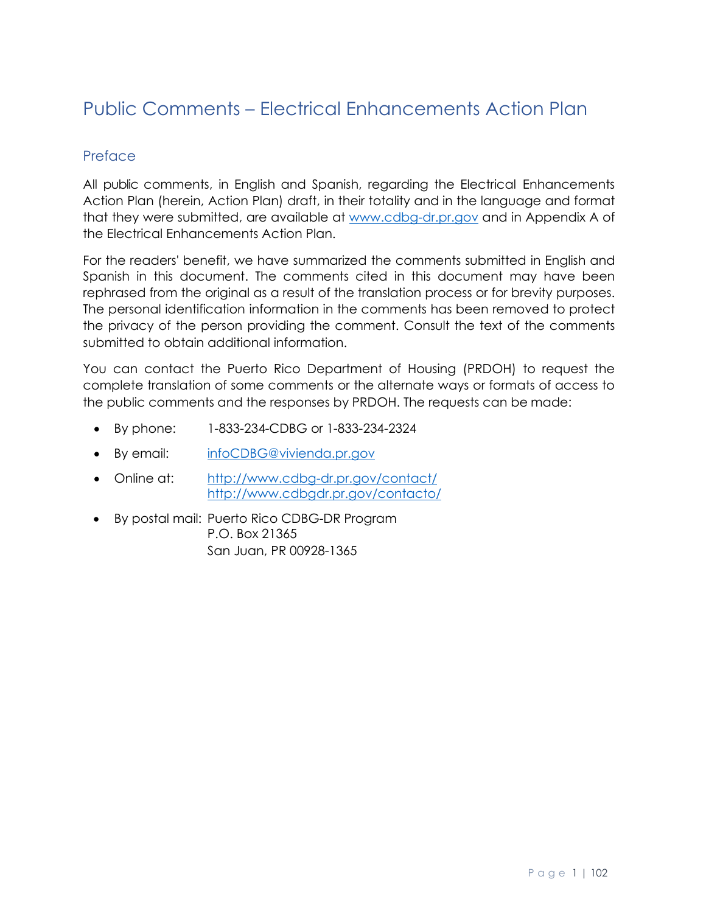# <span id="page-0-0"></span>Public Comments – Electrical Enhancements Action Plan

# <span id="page-0-1"></span>Preface

All public comments, in English and Spanish, regarding the Electrical Enhancements Action Plan (herein, Action Plan) draft, in their totality and in the language and format that they were submitted, are available at [www.cdbg-dr.pr.gov](http://www.cdbg-dr.pr.gov/) and in Appendix A of the Electrical Enhancements Action Plan.

For the readers' benefit, we have summarized the comments submitted in English and Spanish in this document. The comments cited in this document may have been rephrased from the original as a result of the translation process or for brevity purposes. The personal identification information in the comments has been removed to protect the privacy of the person providing the comment. Consult the text of the comments submitted to obtain additional information.

You can contact the Puerto Rico Department of Housing (PRDOH) to request the complete translation of some comments or the alternate ways or formats of access to the public comments and the responses by PRDOH. The requests can be made:

- By phone: 1-833-234-CDBG or 1-833-234-2324
- By email: [infoCDBG@vivienda.pr.gov](mailto:infoCDBG@vivienda.pr.gov)
- Online at: <http://www.cdbg-dr.pr.gov/contact/> <http://www.cdbgdr.pr.gov/contacto/>
- By postal mail: Puerto Rico CDBG-DR Program P.O. Box 21365 San Juan, PR 00928-1365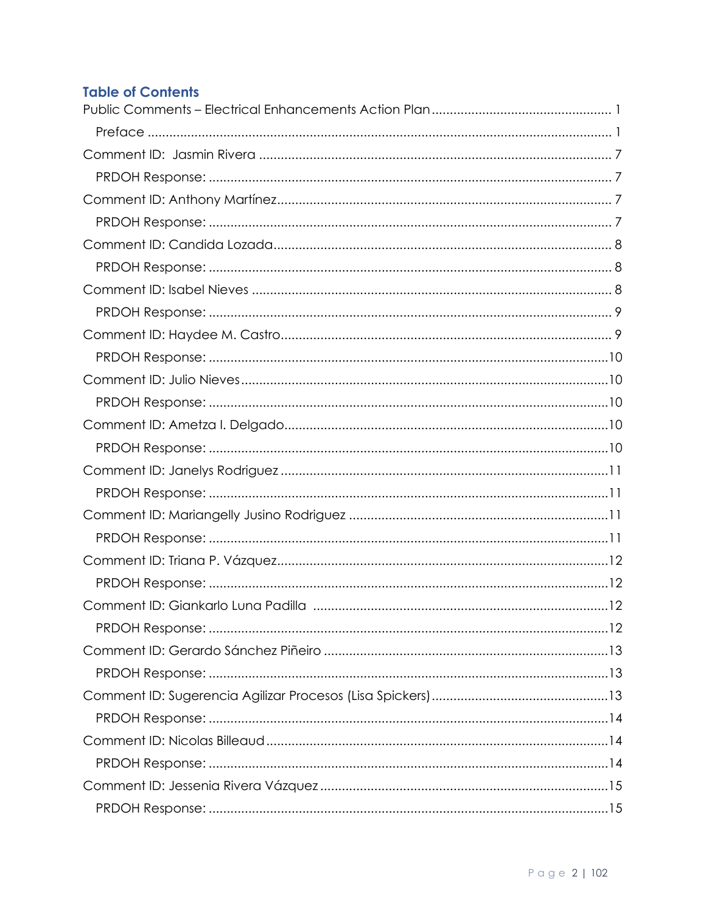# **Table of Contents**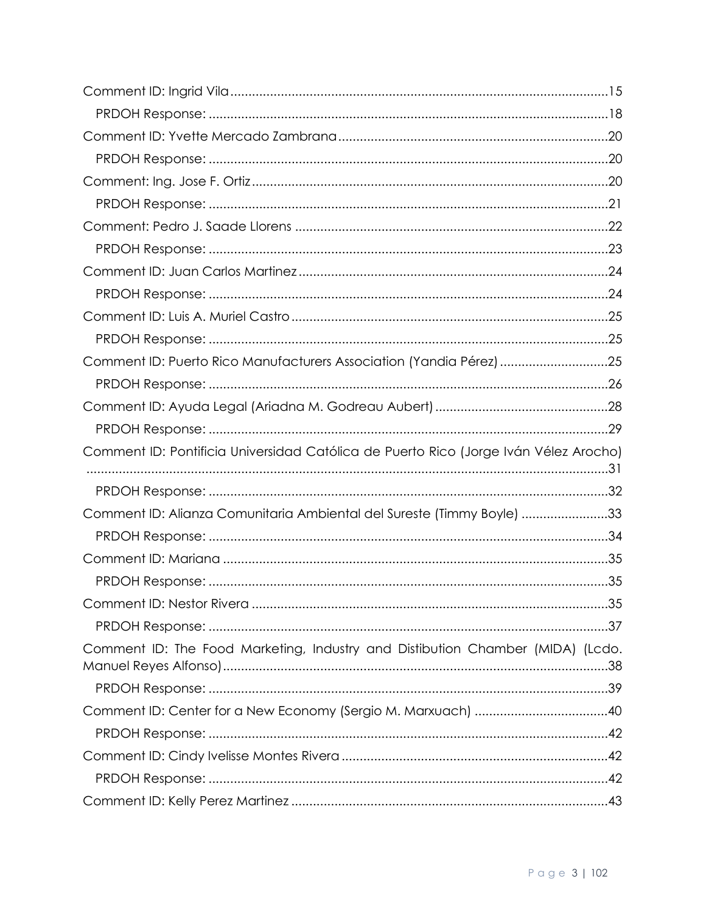| Comment ID: Puerto Rico Manufacturers Association (Yandia Pérez) 25                  |  |
|--------------------------------------------------------------------------------------|--|
|                                                                                      |  |
|                                                                                      |  |
|                                                                                      |  |
| Comment ID: Pontificia Universidad Católica de Puerto Rico (Jorge Iván Vélez Arocho) |  |
|                                                                                      |  |
| Comment ID: Alianza Comunitaria Ambiental del Sureste (Timmy Boyle) 33               |  |
|                                                                                      |  |
|                                                                                      |  |
|                                                                                      |  |
|                                                                                      |  |
|                                                                                      |  |
| Comment ID: The Food Marketing, Industry and Distibution Chamber (MIDA) (Lcdo.       |  |
|                                                                                      |  |
|                                                                                      |  |
|                                                                                      |  |
|                                                                                      |  |
|                                                                                      |  |
|                                                                                      |  |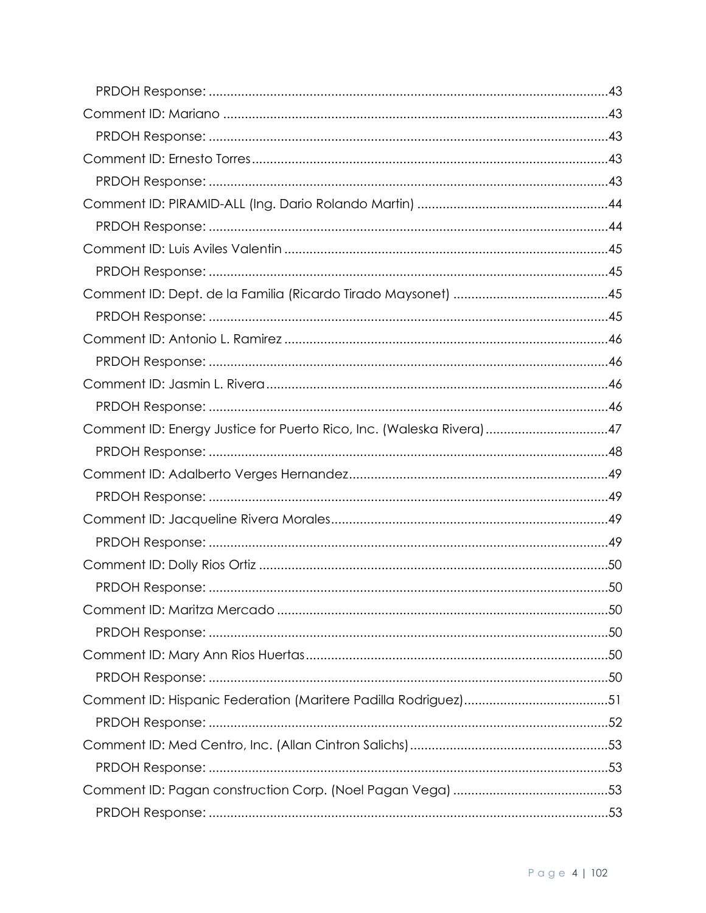| Comment ID: Energy Justice for Puerto Rico, Inc. (Waleska Rivera) 47 |  |
|----------------------------------------------------------------------|--|
|                                                                      |  |
|                                                                      |  |
|                                                                      |  |
|                                                                      |  |
|                                                                      |  |
|                                                                      |  |
|                                                                      |  |
|                                                                      |  |
|                                                                      |  |
|                                                                      |  |
|                                                                      |  |
|                                                                      |  |
|                                                                      |  |
|                                                                      |  |
|                                                                      |  |
|                                                                      |  |
|                                                                      |  |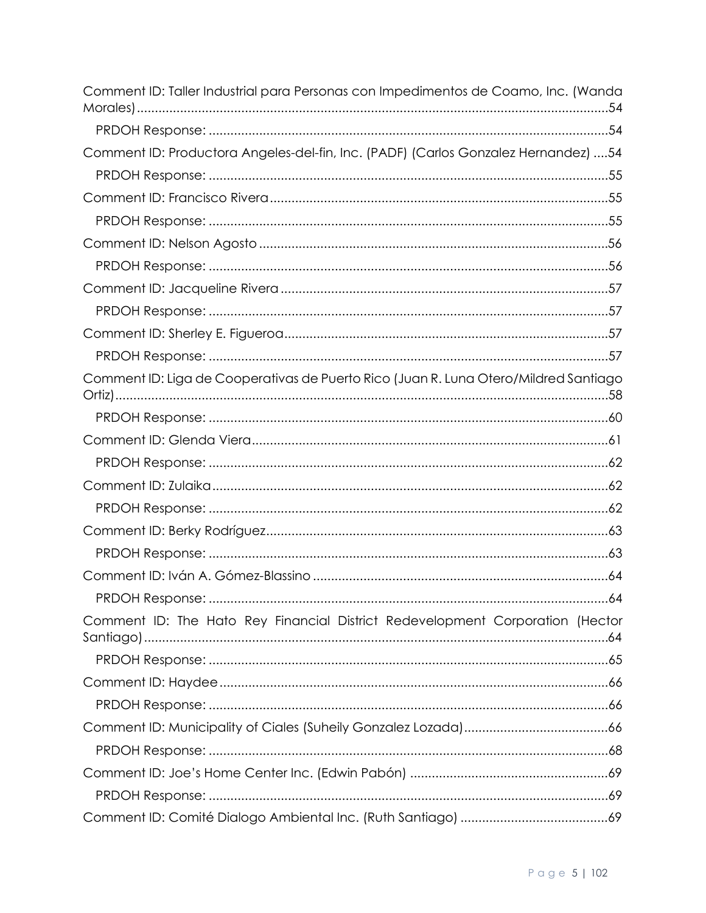| Comment ID: Taller Industrial para Personas con Impedimentos de Coamo, Inc. (Wanda   |
|--------------------------------------------------------------------------------------|
|                                                                                      |
| Comment ID: Productora Angeles-del-fin, Inc. (PADF) (Carlos Gonzalez Hernandez) 54   |
|                                                                                      |
|                                                                                      |
|                                                                                      |
|                                                                                      |
|                                                                                      |
|                                                                                      |
|                                                                                      |
|                                                                                      |
|                                                                                      |
| Comment ID: Liga de Cooperativas de Puerto Rico (Juan R. Luna Otero/Mildred Santiago |
|                                                                                      |
|                                                                                      |
|                                                                                      |
|                                                                                      |
|                                                                                      |
|                                                                                      |
|                                                                                      |
|                                                                                      |
|                                                                                      |
| Comment ID: The Hato Rey Financial District Redevelopment Corporation (Hector        |
|                                                                                      |
|                                                                                      |
|                                                                                      |
|                                                                                      |
|                                                                                      |
|                                                                                      |
|                                                                                      |
|                                                                                      |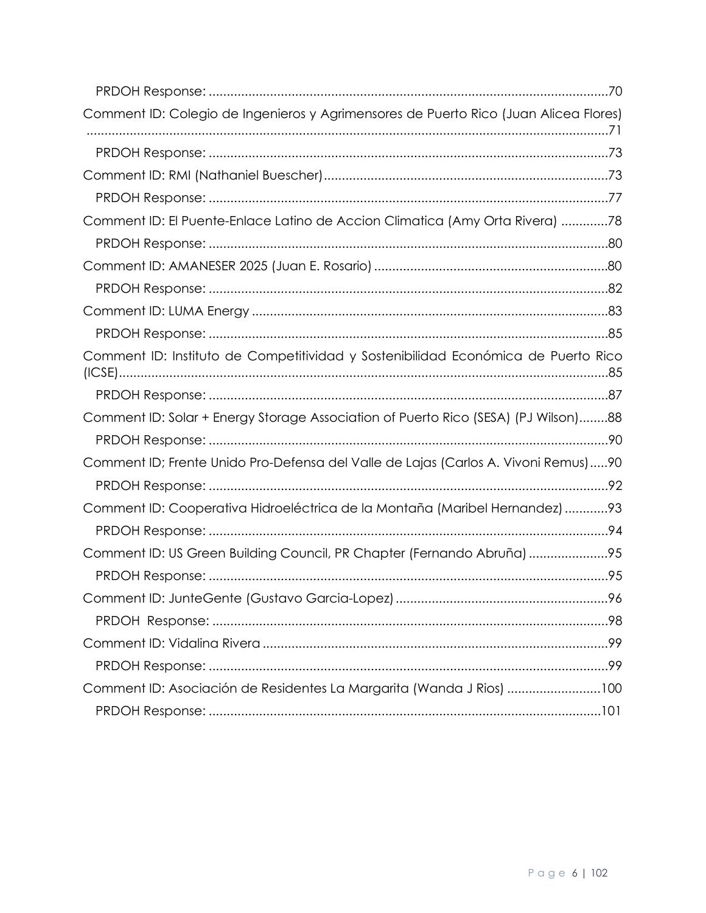| Comment ID: Colegio de Ingenieros y Agrimensores de Puerto Rico (Juan Alicea Flores) |  |
|--------------------------------------------------------------------------------------|--|
|                                                                                      |  |
|                                                                                      |  |
|                                                                                      |  |
| Comment ID: El Puente-Enlace Latino de Accion Climatica (Amy Orta Rivera) 78         |  |
|                                                                                      |  |
|                                                                                      |  |
|                                                                                      |  |
|                                                                                      |  |
|                                                                                      |  |
| Comment ID: Instituto de Competitividad y Sostenibilidad Económica de Puerto Rico    |  |
|                                                                                      |  |
| Comment ID: Solar + Energy Storage Association of Puerto Rico (SESA) (PJ Wilson)88   |  |
|                                                                                      |  |
| Comment ID; Frente Unido Pro-Defensa del Valle de Lajas (Carlos A. Vivoni Remus)90   |  |
|                                                                                      |  |
| Comment ID: Cooperativa Hidroeléctrica de la Montaña (Maribel Hernandez) 93          |  |
|                                                                                      |  |
| Comment ID: US Green Building Council, PR Chapter (Fernando Abruña) 95               |  |
|                                                                                      |  |
|                                                                                      |  |
|                                                                                      |  |
|                                                                                      |  |
|                                                                                      |  |
| Comment ID: Asociación de Residentes La Margarita (Wanda J Rios) 100                 |  |
|                                                                                      |  |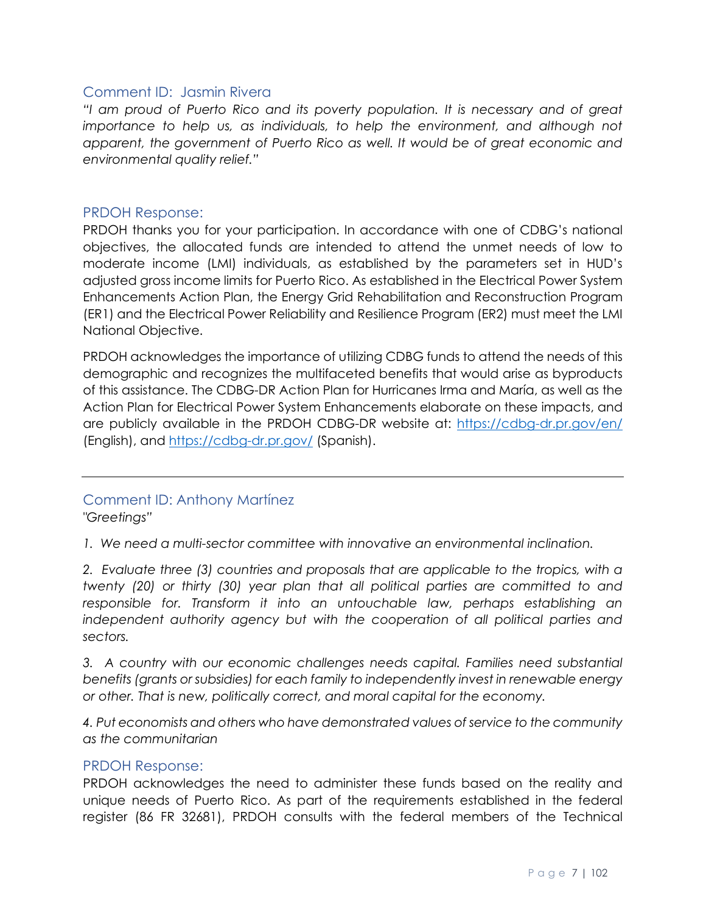#### <span id="page-6-0"></span>Comment ID: Jasmin Rivera

*"I am proud of Puerto Rico and its poverty population. It is necessary and of great importance to help us, as individuals, to help the environment, and although not apparent, the government of Puerto Rico as well. It would be of great economic and environmental quality relief."*

#### <span id="page-6-1"></span>PRDOH Response:

PRDOH thanks you for your participation. In accordance with one of CDBG's national objectives, the allocated funds are intended to attend the unmet needs of low to moderate income (LMI) individuals, as established by the parameters set in HUD's adjusted gross income limits for Puerto Rico. As established in the Electrical Power System Enhancements Action Plan, the Energy Grid Rehabilitation and Reconstruction Program (ER1) and the Electrical Power Reliability and Resilience Program (ER2) must meet the LMI National Objective.

PRDOH acknowledges the importance of utilizing CDBG funds to attend the needs of this demographic and recognizes the multifaceted benefits that would arise as byproducts of this assistance. The CDBG-DR Action Plan for Hurricanes Irma and María, as well as the Action Plan for Electrical Power System Enhancements elaborate on these impacts, and are publicly available in the PRDOH CDBG-DR website at:<https://cdbg-dr.pr.gov/en/> (English), and<https://cdbg-dr.pr.gov/> (Spanish).

## <span id="page-6-2"></span>Comment ID: Anthony Martínez

*"Greetings"* 

*1. We need a multi-sector committee with innovative an environmental inclination.*

*2. Evaluate three (3) countries and proposals that are applicable to the tropics, with a twenty (20) or thirty (30) year plan that all political parties are committed to and responsible for. Transform it into an untouchable law, perhaps establishing an independent authority agency but with the cooperation of all political parties and sectors.* 

3. A country with our economic challenges needs capital. Families need substantial *benefits (grants or subsidies) for each family to independently invest in renewable energy or other. That is new, politically correct, and moral capital for the economy.*

*4. Put economists and others who have demonstrated values of service to the community as the communitarian*

#### <span id="page-6-3"></span>PRDOH Response:

PRDOH acknowledges the need to administer these funds based on the reality and unique needs of Puerto Rico. As part of the requirements established in the federal register (86 FR 32681), PRDOH consults with the federal members of the Technical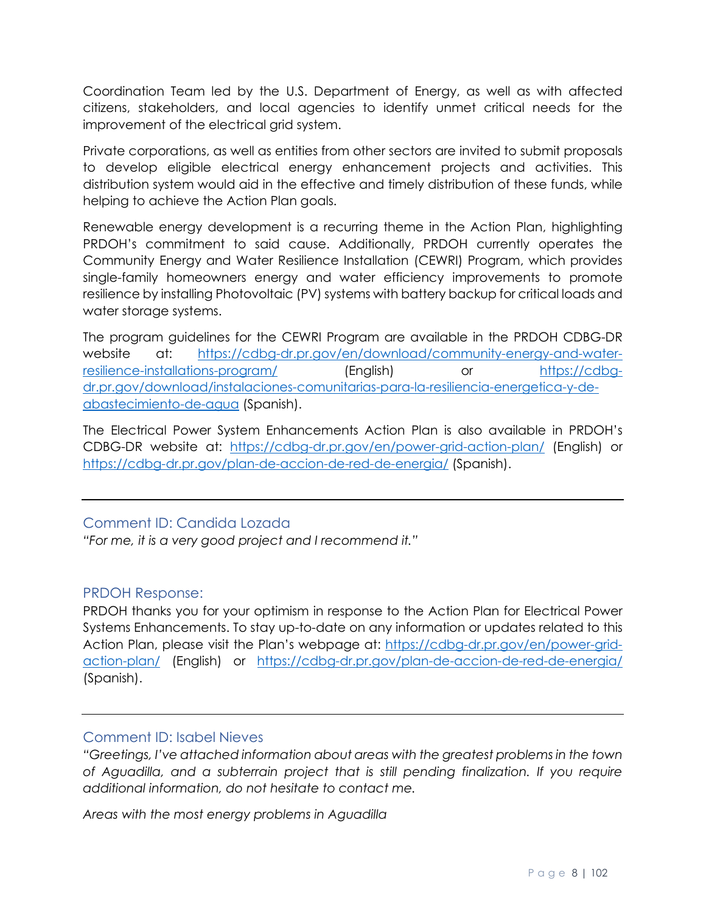Coordination Team led by the U.S. Department of Energy, as well as with affected citizens, stakeholders, and local agencies to identify unmet critical needs for the improvement of the electrical grid system.

Private corporations, as well as entities from other sectors are invited to submit proposals to develop eligible electrical energy enhancement projects and activities. This distribution system would aid in the effective and timely distribution of these funds, while helping to achieve the Action Plan goals.

Renewable energy development is a recurring theme in the Action Plan, highlighting PRDOH's commitment to said cause. Additionally, PRDOH currently operates the Community Energy and Water Resilience Installation (CEWRI) Program, which provides single-family homeowners energy and water efficiency improvements to promote resilience by installing Photovoltaic (PV) systems with battery backup for critical loads and water storage systems.

The program guidelines for the CEWRI Program are available in the PRDOH CDBG-DR website at: [https://cdbg-dr.pr.gov/en/download/community-energy-and-water](https://cdbg-dr.pr.gov/en/download/community-energy-and-water-resilience-installations-program/)[resilience-installations-program/](https://cdbg-dr.pr.gov/en/download/community-energy-and-water-resilience-installations-program/) (English) or [https://cdbg](https://cdbg-dr.pr.gov/download/instalaciones-comunitarias-para-la-resiliencia-energetica-y-de-abastecimiento-de-agua)[dr.pr.gov/download/instalaciones-comunitarias-para-la-resiliencia-energetica-y-de](https://cdbg-dr.pr.gov/download/instalaciones-comunitarias-para-la-resiliencia-energetica-y-de-abastecimiento-de-agua)[abastecimiento-de-agua](https://cdbg-dr.pr.gov/download/instalaciones-comunitarias-para-la-resiliencia-energetica-y-de-abastecimiento-de-agua) (Spanish).

The Electrical Power System Enhancements Action Plan is also available in PRDOH's CDBG-DR website at: <https://cdbg-dr.pr.gov/en/power-grid-action-plan/> (English) or <https://cdbg-dr.pr.gov/plan-de-accion-de-red-de-energia/> (Spanish).

## <span id="page-7-0"></span>Comment ID: Candida Lozada

*"For me, it is a very good project and I recommend it."*

## <span id="page-7-1"></span>PRDOH Response:

PRDOH thanks you for your optimism in response to the Action Plan for Electrical Power Systems Enhancements. To stay up-to-date on any information or updates related to this Action Plan, please visit the Plan's webpage at: [https://cdbg-dr.pr.gov/en/power-grid](https://cdbg-dr.pr.gov/en/power-grid-action-plan/)[action-plan/](https://cdbg-dr.pr.gov/en/power-grid-action-plan/) (English) or <https://cdbg-dr.pr.gov/plan-de-accion-de-red-de-energia/> (Spanish).

## <span id="page-7-2"></span>Comment ID: Isabel Nieves

*"Greetings, I've attached information about areas with the greatest problems in the town of Aguadilla, and a subterrain project that is still pending finalization. If you require additional information, do not hesitate to contact me.*

*Areas with the most energy problems in Aguadilla*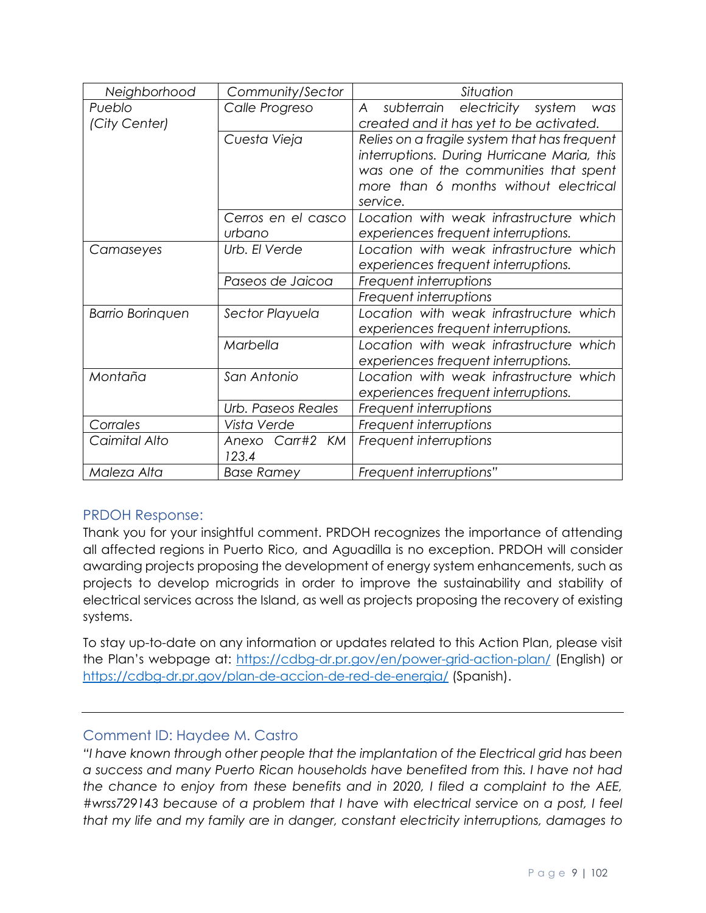| Neighborhood                               | Community/Sector                    | Situation                                                                                                                                                                                                                            |  |  |
|--------------------------------------------|-------------------------------------|--------------------------------------------------------------------------------------------------------------------------------------------------------------------------------------------------------------------------------------|--|--|
| Pueblo                                     | Calle Progreso                      | subterrain electricity<br>A<br>system<br>was                                                                                                                                                                                         |  |  |
| (City Center)                              |                                     | created and it has yet to be activated.<br>Relies on a fragile system that has frequent<br>interruptions. During Hurricane Maria, this<br>was one of the communities that spent<br>more than 6 months without electrical<br>service. |  |  |
|                                            | Cuesta Vieja                        |                                                                                                                                                                                                                                      |  |  |
|                                            |                                     |                                                                                                                                                                                                                                      |  |  |
|                                            |                                     |                                                                                                                                                                                                                                      |  |  |
|                                            |                                     |                                                                                                                                                                                                                                      |  |  |
|                                            |                                     |                                                                                                                                                                                                                                      |  |  |
|                                            | Cerros en el casco                  | Location with weak infrastructure which                                                                                                                                                                                              |  |  |
|                                            | urbano                              | experiences frequent interruptions.                                                                                                                                                                                                  |  |  |
| Camaseyes                                  | Urb. El Verde                       | Location with weak infrastructure which                                                                                                                                                                                              |  |  |
|                                            |                                     | experiences frequent interruptions.                                                                                                                                                                                                  |  |  |
|                                            | Paseos de Jaicoa                    | Frequent interruptions<br>Frequent interruptions                                                                                                                                                                                     |  |  |
|                                            |                                     |                                                                                                                                                                                                                                      |  |  |
| <b>Barrio Boringuen</b><br>Sector Playuela |                                     | Location with weak infrastructure which                                                                                                                                                                                              |  |  |
|                                            |                                     | experiences frequent interruptions.                                                                                                                                                                                                  |  |  |
|                                            | Marbella                            | Location with weak infrastructure which                                                                                                                                                                                              |  |  |
|                                            |                                     | experiences frequent interruptions.                                                                                                                                                                                                  |  |  |
| Montaña                                    | San Antonio                         | Location with weak infrastructure which                                                                                                                                                                                              |  |  |
|                                            | experiences frequent interruptions. |                                                                                                                                                                                                                                      |  |  |
|                                            | Urb. Paseos Reales                  | Frequent interruptions                                                                                                                                                                                                               |  |  |
| Corrales                                   | Vista Verde                         | Frequent interruptions                                                                                                                                                                                                               |  |  |
| Caimital Alto                              | Anexo Carr#2 KM                     | Frequent interruptions                                                                                                                                                                                                               |  |  |
|                                            | 123.4                               |                                                                                                                                                                                                                                      |  |  |
| Maleza Alta                                | <b>Base Ramey</b>                   | Frequent interruptions"                                                                                                                                                                                                              |  |  |

## <span id="page-8-0"></span>PRDOH Response:

Thank you for your insightful comment. PRDOH recognizes the importance of attending all affected regions in Puerto Rico, and Aguadilla is no exception. PRDOH will consider awarding projects proposing the development of energy system enhancements, such as projects to develop microgrids in order to improve the sustainability and stability of electrical services across the Island, as well as projects proposing the recovery of existing systems.

To stay up-to-date on any information or updates related to this Action Plan, please visit the Plan's webpage at:<https://cdbg-dr.pr.gov/en/power-grid-action-plan/> (English) or <https://cdbg-dr.pr.gov/plan-de-accion-de-red-de-energia/> (Spanish).

## <span id="page-8-1"></span>Comment ID: Haydee M. Castro

*"I have known through other people that the implantation of the Electrical grid has been a success and many Puerto Rican households have benefited from this. I have not had the chance to enjoy from these benefits and in 2020, I filed a complaint to the AEE, #wrss729143 because of a problem that I have with electrical service on a post, I feel that my life and my family are in danger, constant electricity interruptions, damages to*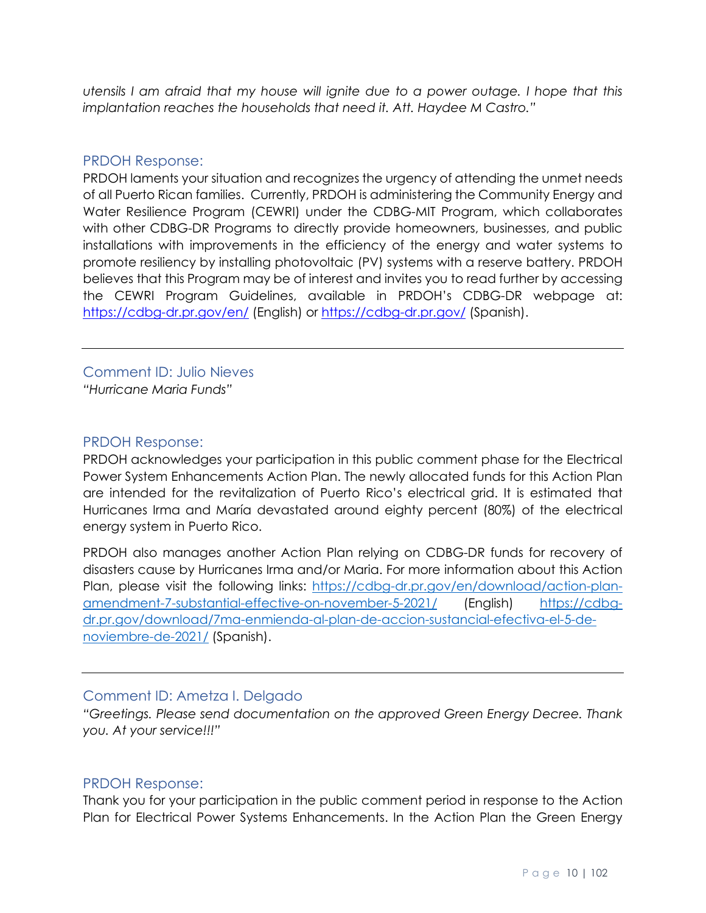*utensils I am afraid that my house will ignite due to a power outage. I hope that this implantation reaches the households that need it. Att. Haydee M Castro."* 

#### <span id="page-9-0"></span>PRDOH Response:

PRDOH laments your situation and recognizes the urgency of attending the unmet needs of all Puerto Rican families. Currently, PRDOH is administering the Community Energy and Water Resilience Program (CEWRI) under the CDBG-MIT Program, which collaborates with other CDBG-DR Programs to directly provide homeowners, businesses, and public installations with improvements in the efficiency of the energy and water systems to promote resiliency by installing photovoltaic (PV) systems with a reserve battery. PRDOH believes that this Program may be of interest and invites you to read further by accessing the CEWRI Program Guidelines, available in PRDOH's CDBG-DR webpage at: <https://cdbg-dr.pr.gov/en/> (English) or <https://cdbg-dr.pr.gov/> (Spanish).

<span id="page-9-1"></span>Comment ID: Julio Nieves *"Hurricane Maria Funds"*

#### <span id="page-9-2"></span>PRDOH Response:

PRDOH acknowledges your participation in this public comment phase for the Electrical Power System Enhancements Action Plan. The newly allocated funds for this Action Plan are intended for the revitalization of Puerto Rico's electrical grid. It is estimated that Hurricanes Irma and María devastated around eighty percent (80%) of the electrical energy system in Puerto Rico.

PRDOH also manages another Action Plan relying on CDBG-DR funds for recovery of disasters cause by Hurricanes Irma and/or Maria. For more information about this Action Plan, please visit the following links: [https://cdbg-dr.pr.gov/en/download/action-plan](https://cdbg-dr.pr.gov/en/download/action-plan-amendment-7-substantial-effective-on-november-5-2021/)[amendment-7-substantial-effective-on-november-5-2021/](https://cdbg-dr.pr.gov/en/download/action-plan-amendment-7-substantial-effective-on-november-5-2021/) (English) [https://cdbg](https://cdbg-dr.pr.gov/download/7ma-enmienda-al-plan-de-accion-sustancial-efectiva-el-5-de-noviembre-de-2021/)[dr.pr.gov/download/7ma-enmienda-al-plan-de-accion-sustancial-efectiva-el-5-de](https://cdbg-dr.pr.gov/download/7ma-enmienda-al-plan-de-accion-sustancial-efectiva-el-5-de-noviembre-de-2021/)[noviembre-de-2021/](https://cdbg-dr.pr.gov/download/7ma-enmienda-al-plan-de-accion-sustancial-efectiva-el-5-de-noviembre-de-2021/) (Spanish).

## <span id="page-9-3"></span>Comment ID: Ametza I. Delgado

*"Greetings. Please send documentation on the approved Green Energy Decree. Thank you. At your service!!!"*

#### <span id="page-9-4"></span>PRDOH Response:

Thank you for your participation in the public comment period in response to the Action Plan for Electrical Power Systems Enhancements. In the Action Plan the Green Energy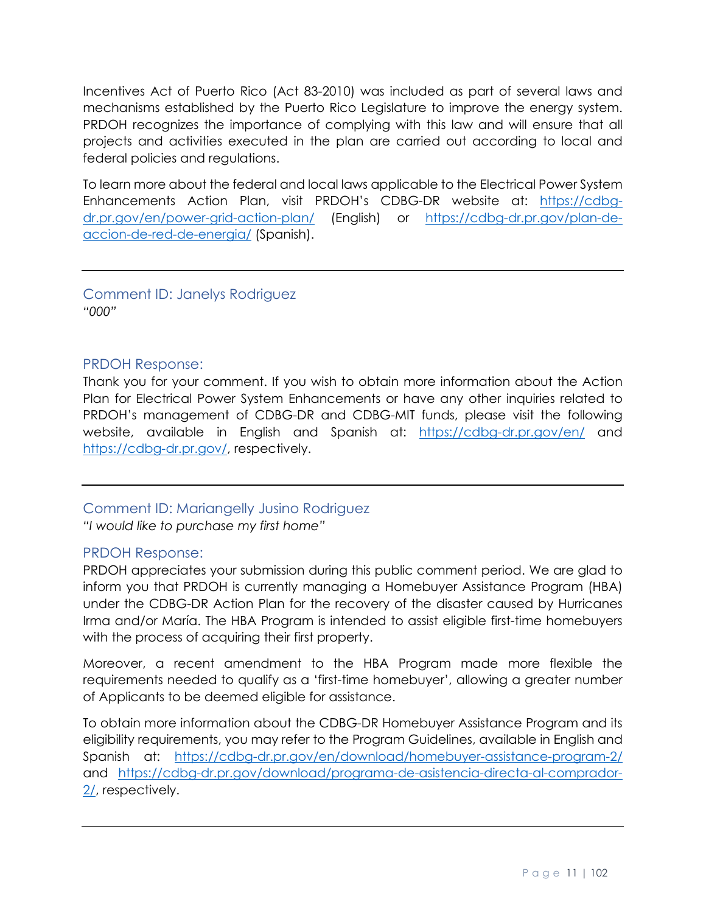Incentives Act of Puerto Rico (Act 83-2010) was included as part of several laws and mechanisms established by the Puerto Rico Legislature to improve the energy system. PRDOH recognizes the importance of complying with this law and will ensure that all projects and activities executed in the plan are carried out according to local and federal policies and regulations.

To learn more about the federal and local laws applicable to the Electrical Power System Enhancements Action Plan, visit PRDOH's CDBG-DR website at: [https://cdbg](https://cdbg-dr.pr.gov/en/power-grid-action-plan/)[dr.pr.gov/en/power-grid-action-plan/](https://cdbg-dr.pr.gov/en/power-grid-action-plan/) (English) or [https://cdbg-dr.pr.gov/plan-de](https://cdbg-dr.pr.gov/plan-de-accion-de-red-de-energia/)[accion-de-red-de-energia/](https://cdbg-dr.pr.gov/plan-de-accion-de-red-de-energia/) (Spanish).

<span id="page-10-0"></span>Comment ID: Janelys Rodriguez *"000"*

## <span id="page-10-1"></span>PRDOH Response:

Thank you for your comment. If you wish to obtain more information about the Action Plan for Electrical Power System Enhancements or have any other inquiries related to PRDOH's management of CDBG-DR and CDBG-MIT funds, please visit the following website, available in English and Spanish at: <https://cdbg-dr.pr.gov/en/> and [https://cdbg-dr.pr.gov/,](https://cdbg-dr.pr.gov/) respectively.

# <span id="page-10-2"></span>Comment ID: Mariangelly Jusino Rodriguez

*"I would like to purchase my first home"* 

## <span id="page-10-3"></span>PRDOH Response:

PRDOH appreciates your submission during this public comment period. We are glad to inform you that PRDOH is currently managing a Homebuyer Assistance Program (HBA) under the CDBG-DR Action Plan for the recovery of the disaster caused by Hurricanes Irma and/or María. The HBA Program is intended to assist eligible first-time homebuyers with the process of acquiring their first property.

Moreover, a recent amendment to the HBA Program made more flexible the requirements needed to qualify as a 'first-time homebuyer', allowing a greater number of Applicants to be deemed eligible for assistance.

To obtain more information about the CDBG-DR Homebuyer Assistance Program and its eligibility requirements, you may refer to the Program Guidelines, available in English and Spanish at: <https://cdbg-dr.pr.gov/en/download/homebuyer-assistance-program-2/> and [https://cdbg-dr.pr.gov/download/programa-de-asistencia-directa-al-comprador-](https://cdbg-dr.pr.gov/download/programa-de-asistencia-directa-al-comprador-2/)[2/,](https://cdbg-dr.pr.gov/download/programa-de-asistencia-directa-al-comprador-2/) respectively.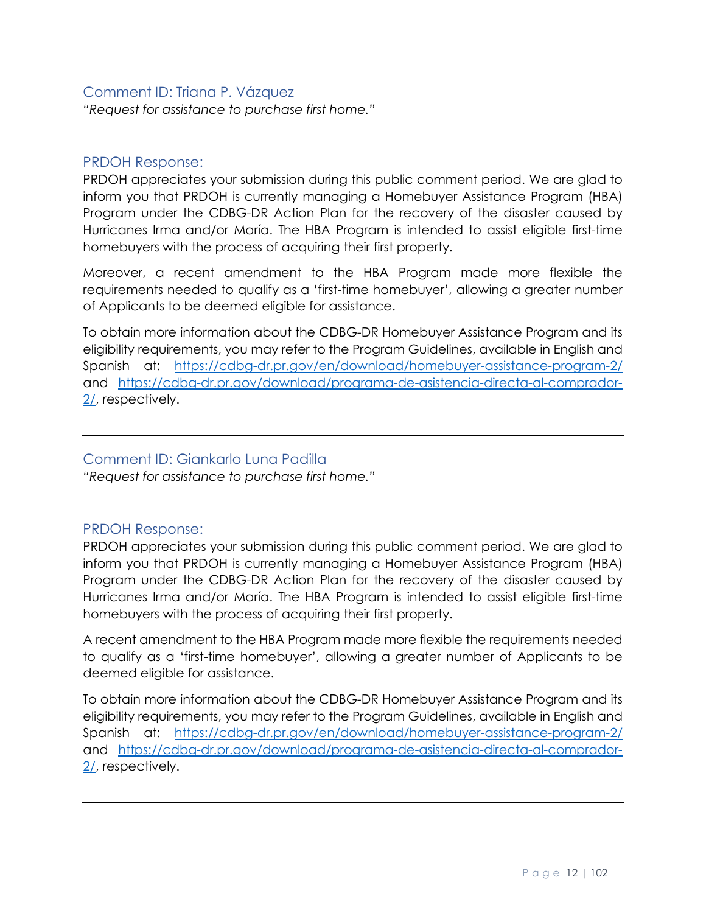## <span id="page-11-0"></span>Comment ID: Triana P. Vázquez

*"Request for assistance to purchase first home."*

#### <span id="page-11-1"></span>PRDOH Response:

PRDOH appreciates your submission during this public comment period. We are glad to inform you that PRDOH is currently managing a Homebuyer Assistance Program (HBA) Program under the CDBG-DR Action Plan for the recovery of the disaster caused by Hurricanes Irma and/or María. The HBA Program is intended to assist eligible first-time homebuyers with the process of acquiring their first property.

Moreover, a recent amendment to the HBA Program made more flexible the requirements needed to qualify as a 'first-time homebuyer', allowing a greater number of Applicants to be deemed eligible for assistance.

To obtain more information about the CDBG-DR Homebuyer Assistance Program and its eligibility requirements, you may refer to the Program Guidelines, available in English and Spanish at: <https://cdbg-dr.pr.gov/en/download/homebuyer-assistance-program-2/> and [https://cdbg-dr.pr.gov/download/programa-de-asistencia-directa-al-comprador-](https://cdbg-dr.pr.gov/download/programa-de-asistencia-directa-al-comprador-2/)[2/,](https://cdbg-dr.pr.gov/download/programa-de-asistencia-directa-al-comprador-2/) respectively.

#### <span id="page-11-2"></span>Comment ID: Giankarlo Luna Padilla

*"Request for assistance to purchase first home."*

## <span id="page-11-3"></span>PRDOH Response:

PRDOH appreciates your submission during this public comment period. We are glad to inform you that PRDOH is currently managing a Homebuyer Assistance Program (HBA) Program under the CDBG-DR Action Plan for the recovery of the disaster caused by Hurricanes Irma and/or María. The HBA Program is intended to assist eligible first-time homebuyers with the process of acquiring their first property.

A recent amendment to the HBA Program made more flexible the requirements needed to qualify as a 'first-time homebuyer', allowing a greater number of Applicants to be deemed eligible for assistance.

To obtain more information about the CDBG-DR Homebuyer Assistance Program and its eligibility requirements, you may refer to the Program Guidelines, available in English and Spanish at: <https://cdbg-dr.pr.gov/en/download/homebuyer-assistance-program-2/> and [https://cdbg-dr.pr.gov/download/programa-de-asistencia-directa-al-comprador-](https://cdbg-dr.pr.gov/download/programa-de-asistencia-directa-al-comprador-2/)[2/,](https://cdbg-dr.pr.gov/download/programa-de-asistencia-directa-al-comprador-2/) respectively.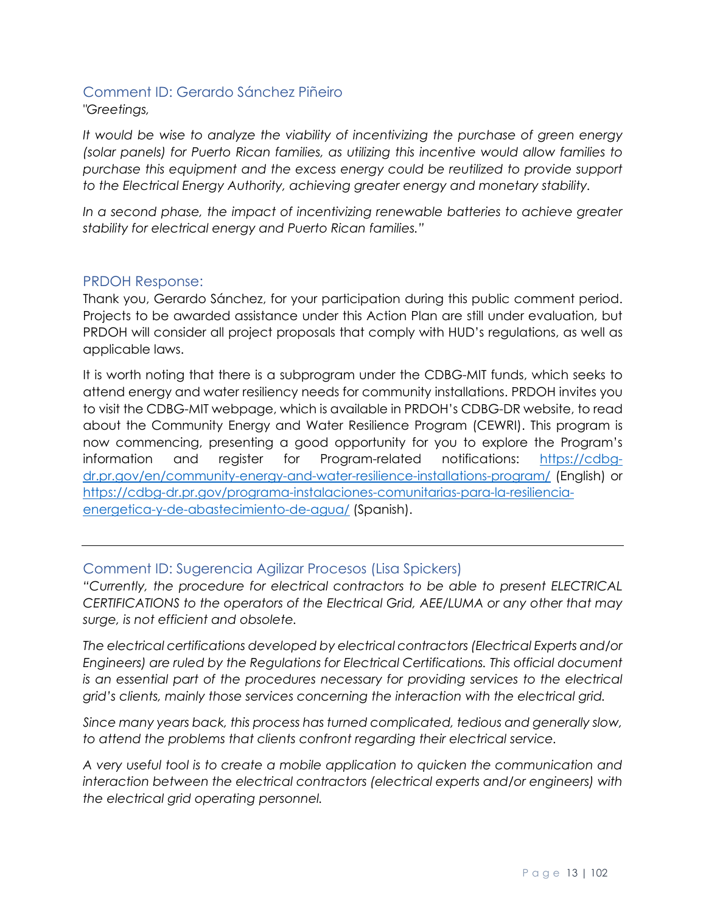#### <span id="page-12-0"></span>Comment ID: Gerardo Sánchez Piñeiro *"Greetings,*

*It would be wise to analyze the viability of incentivizing the purchase of green energy (solar panels) for Puerto Rican families, as utilizing this incentive would allow families to purchase this equipment and the excess energy could be reutilized to provide support to the Electrical Energy Authority, achieving greater energy and monetary stability.*

*In a second phase, the impact of incentivizing renewable batteries to achieve greater stability for electrical energy and Puerto Rican families."*

## <span id="page-12-1"></span>PRDOH Response:

Thank you, Gerardo Sánchez, for your participation during this public comment period. Projects to be awarded assistance under this Action Plan are still under evaluation, but PRDOH will consider all project proposals that comply with HUD's regulations, as well as applicable laws.

It is worth noting that there is a subprogram under the CDBG-MIT funds, which seeks to attend energy and water resiliency needs for community installations. PRDOH invites you to visit the CDBG-MIT webpage, which is available in PRDOH's CDBG-DR website, to read about the Community Energy and Water Resilience Program (CEWRI). This program is now commencing, presenting a good opportunity for you to explore the Program's information and register for Program-related notifications: [https://cdbg](https://cdbg-dr.pr.gov/en/community-energy-and-water-resilience-installations-program/)[dr.pr.gov/en/community-energy-and-water-resilience-installations-program/](https://cdbg-dr.pr.gov/en/community-energy-and-water-resilience-installations-program/) (English) or [https://cdbg-dr.pr.gov/programa-instalaciones-comunitarias-para-la-resiliencia](https://cdbg-dr.pr.gov/programa-instalaciones-comunitarias-para-la-resiliencia-energetica-y-de-abastecimiento-de-agua/)[energetica-y-de-abastecimiento-de-agua/](https://cdbg-dr.pr.gov/programa-instalaciones-comunitarias-para-la-resiliencia-energetica-y-de-abastecimiento-de-agua/) (Spanish).

## <span id="page-12-2"></span>Comment ID: Sugerencia Agilizar Procesos (Lisa Spickers)

*"Currently, the procedure for electrical contractors to be able to present ELECTRICAL CERTIFICATIONS to the operators of the Electrical Grid, AEE/LUMA or any other that may surge, is not efficient and obsolete.*

*The electrical certifications developed by electrical contractors (Electrical Experts and/or Engineers) are ruled by the Regulations for Electrical Certifications. This official document is an essential part of the procedures necessary for providing services to the electrical grid's clients, mainly those services concerning the interaction with the electrical grid.* 

*Since many years back, this process has turned complicated, tedious and generally slow, to attend the problems that clients confront regarding their electrical service.*

*A very useful tool is to create a mobile application to quicken the communication and interaction between the electrical contractors (electrical experts and/or engineers) with the electrical grid operating personnel.*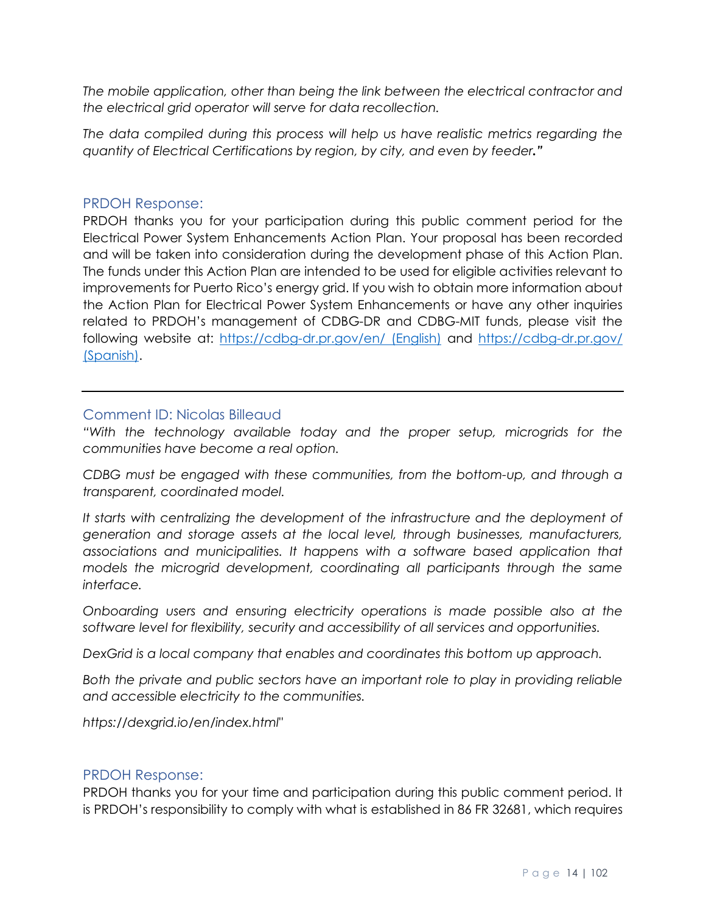*The mobile application, other than being the link between the electrical contractor and the electrical grid operator will serve for data recollection.* 

*The data compiled during this process will help us have realistic metrics regarding the quantity of Electrical Certifications by region, by city, and even by feeder."*

#### <span id="page-13-0"></span>PRDOH Response:

PRDOH thanks you for your participation during this public comment period for the Electrical Power System Enhancements Action Plan. Your proposal has been recorded and will be taken into consideration during the development phase of this Action Plan. The funds under this Action Plan are intended to be used for eligible activities relevant to improvements for Puerto Rico's energy grid. If you wish to obtain more information about the Action Plan for Electrical Power System Enhancements or have any other inquiries related to PRDOH's management of CDBG-DR and CDBG-MIT funds, please visit the following website at:<https://cdbg-dr.pr.gov/en/> (English) and <https://cdbg-dr.pr.gov/> (Spanish).

#### <span id="page-13-1"></span>Comment ID: Nicolas Billeaud

*"With the technology available today and the proper setup, microgrids for the communities have become a real option.*

*CDBG must be engaged with these communities, from the bottom-up, and through a transparent, coordinated model.*

It starts with centralizing the development of the infrastructure and the deployment of *generation and storage assets at the local level, through businesses, manufacturers,*  associations and municipalities. It happens with a software based application that *models the microgrid development, coordinating all participants through the same interface.* 

*Onboarding users and ensuring electricity operations is made possible also at the software level for flexibility, security and accessibility of all services and opportunities.*

*DexGrid is a local company that enables and coordinates this bottom up approach.*

*Both the private and public sectors have an important role to play in providing reliable and accessible electricity to the communities.*

*https://dexgrid.io/en/index.html"*

#### <span id="page-13-2"></span>PRDOH Response:

PRDOH thanks you for your time and participation during this public comment period. It is PRDOH's responsibility to comply with what is established in 86 FR 32681, which requires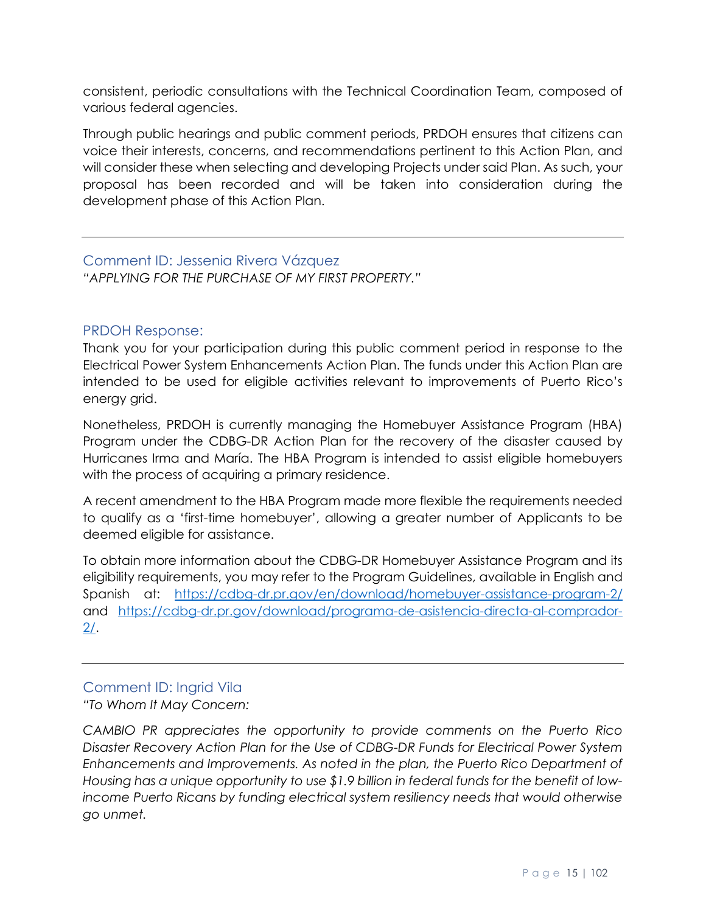consistent, periodic consultations with the Technical Coordination Team, composed of various federal agencies.

Through public hearings and public comment periods, PRDOH ensures that citizens can voice their interests, concerns, and recommendations pertinent to this Action Plan, and will consider these when selecting and developing Projects under said Plan. As such, your proposal has been recorded and will be taken into consideration during the development phase of this Action Plan.

#### <span id="page-14-0"></span>Comment ID: Jessenia Rivera Vázquez *"APPLYING FOR THE PURCHASE OF MY FIRST PROPERTY."*

## <span id="page-14-1"></span>PRDOH Response:

Thank you for your participation during this public comment period in response to the Electrical Power System Enhancements Action Plan. The funds under this Action Plan are intended to be used for eligible activities relevant to improvements of Puerto Rico's energy grid.

Nonetheless, PRDOH is currently managing the Homebuyer Assistance Program (HBA) Program under the CDBG-DR Action Plan for the recovery of the disaster caused by Hurricanes Irma and María. The HBA Program is intended to assist eligible homebuyers with the process of acquiring a primary residence.

A recent amendment to the HBA Program made more flexible the requirements needed to qualify as a 'first-time homebuyer', allowing a greater number of Applicants to be deemed eligible for assistance.

To obtain more information about the CDBG-DR Homebuyer Assistance Program and its eligibility requirements, you may refer to the Program Guidelines, available in English and Spanish at: <https://cdbg-dr.pr.gov/en/download/homebuyer-assistance-program-2/> and [https://cdbg-dr.pr.gov/download/programa-de-asistencia-directa-al-comprador-](https://cdbg-dr.pr.gov/download/programa-de-asistencia-directa-al-comprador-2/)[2/.](https://cdbg-dr.pr.gov/download/programa-de-asistencia-directa-al-comprador-2/)

# <span id="page-14-2"></span>Comment ID: Ingrid Vila

*"To Whom It May Concern:*

*CAMBIO PR appreciates the opportunity to provide comments on the Puerto Rico Disaster Recovery Action Plan for the Use of CDBG-DR Funds for Electrical Power System Enhancements and Improvements. As noted in the plan, the Puerto Rico Department of Housing has a unique opportunity to use \$1.9 billion in federal funds for the benefit of lowincome Puerto Ricans by funding electrical system resiliency needs that would otherwise go unmet.*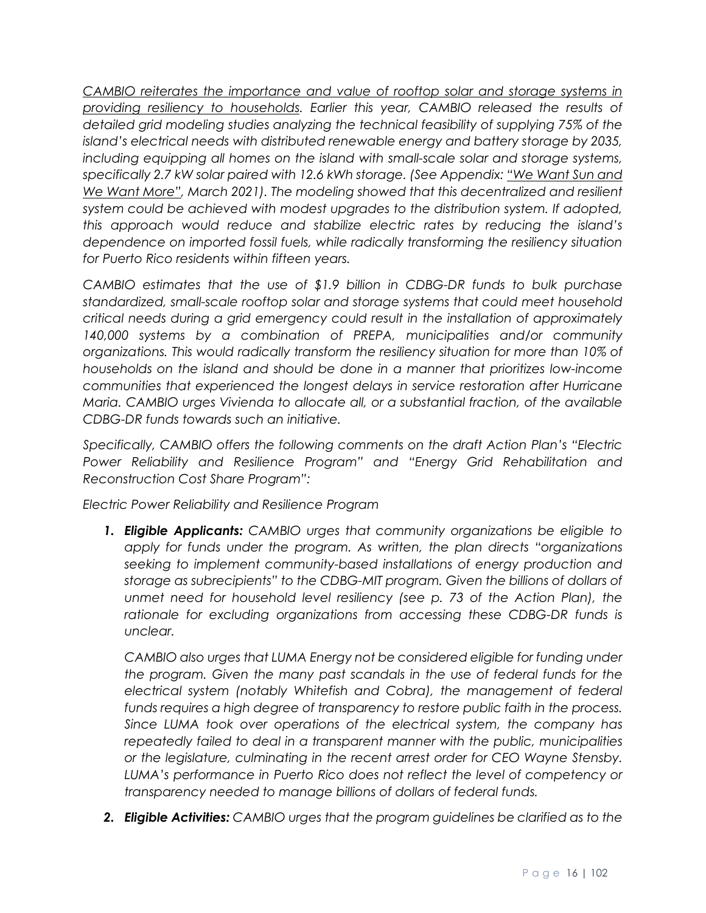*CAMBIO reiterates the importance and value of rooftop solar and storage systems in providing resiliency to households. Earlier this year, CAMBIO released the results of detailed grid modeling studies analyzing the technical feasibility of supplying 75% of the island's electrical needs with distributed renewable energy and battery storage by 2035, including equipping all homes on the island with small-scale solar and storage systems, specifically 2.7 kW solar paired with 12.6 kWh storage. (See Appendix: "We Want Sun and We Want More", March 2021). The modeling showed that this decentralized and resilient system could be achieved with modest upgrades to the distribution system. If adopted, this approach would reduce and stabilize electric rates by reducing the island's dependence on imported fossil fuels, while radically transforming the resiliency situation for Puerto Rico residents within fifteen years.*

*CAMBIO estimates that the use of \$1.9 billion in CDBG-DR funds to bulk purchase standardized, small-scale rooftop solar and storage systems that could meet household critical needs during a grid emergency could result in the installation of approximately 140,000 systems by a combination of PREPA, municipalities and/or community organizations. This would radically transform the resiliency situation for more than 10% of households on the island and should be done in a manner that prioritizes low-income communities that experienced the longest delays in service restoration after Hurricane Maria. CAMBIO urges Vivienda to allocate all, or a substantial fraction, of the available CDBG-DR funds towards such an initiative.*

*Specifically, CAMBIO offers the following comments on the draft Action Plan's "Electric Power Reliability and Resilience Program" and "Energy Grid Rehabilitation and Reconstruction Cost Share Program":*

*Electric Power Reliability and Resilience Program*

*1. Eligible Applicants: CAMBIO urges that community organizations be eligible to apply for funds under the program. As written, the plan directs "organizations seeking to implement community-based installations of energy production and storage as subrecipients" to the CDBG-MIT program. Given the billions of dollars of unmet need for household level resiliency (see p. 73 of the Action Plan), the*  rationale for excluding organizations from accessing these CDBG-DR funds is *unclear.*

*CAMBIO also urges that LUMA Energy not be considered eligible for funding under the program. Given the many past scandals in the use of federal funds for the electrical system (notably Whitefish and Cobra), the management of federal funds requires a high degree of transparency to restore public faith in the process. Since LUMA took over operations of the electrical system, the company has repeatedly failed to deal in a transparent manner with the public, municipalities or the legislature, culminating in the recent arrest order for CEO Wayne Stensby.*  LUMA's performance in Puerto Rico does not reflect the level of competency or *transparency needed to manage billions of dollars of federal funds.*

*2. Eligible Activities: CAMBIO urges that the program guidelines be clarified as to the*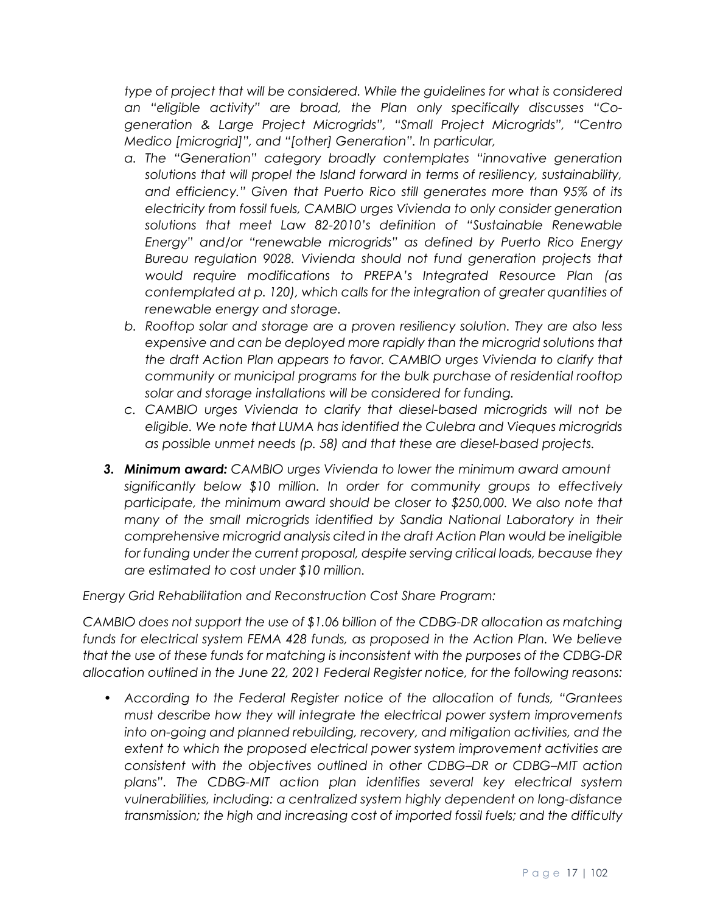*type of project that will be considered. While the guidelines for what is considered an "eligible activity" are broad, the Plan only specifically discusses "Cogeneration & Large Project Microgrids", "Small Project Microgrids", "Centro Medico [microgrid]", and "[other] Generation". In particular,*

- *a. The "Generation" category broadly contemplates "innovative generation solutions that will propel the Island forward in terms of resiliency, sustainability, and efficiency." Given that Puerto Rico still generates more than 95% of its electricity from fossil fuels, CAMBIO urges Vivienda to only consider generation solutions that meet Law 82-2010's definition of "Sustainable Renewable Energy" and/or "renewable microgrids" as defined by Puerto Rico Energy Bureau regulation 9028. Vivienda should not fund generation projects that would require modifications to PREPA's Integrated Resource Plan (as contemplated at p. 120), which calls for the integration of greater quantities of renewable energy and storage.*
- *b. Rooftop solar and storage are a proven resiliency solution. They are also less expensive and can be deployed more rapidly than the microgrid solutions that the draft Action Plan appears to favor. CAMBIO urges Vivienda to clarify that community or municipal programs for the bulk purchase of residential rooftop solar and storage installations will be considered for funding.*
- *c. CAMBIO urges Vivienda to clarify that diesel-based microgrids will not be eligible. We note that LUMA has identified the Culebra and Vieques microgrids as possible unmet needs (p. 58) and that these are diesel-based projects.*
- *3. Minimum award: CAMBIO urges Vivienda to lower the minimum award amount significantly below \$10 million. In order for community groups to effectively participate, the minimum award should be closer to \$250,000. We also note that many of the small microgrids identified by Sandia National Laboratory in their comprehensive microgrid analysis cited in the draft Action Plan would be ineligible for funding under the current proposal, despite serving critical loads, because they are estimated to cost under \$10 million.*

*Energy Grid Rehabilitation and Reconstruction Cost Share Program:*

*CAMBIO does not support the use of \$1.06 billion of the CDBG-DR allocation as matching funds for electrical system FEMA 428 funds, as proposed in the Action Plan. We believe that the use of these funds for matching is inconsistent with the purposes of the CDBG-DR allocation outlined in the June 22, 2021 Federal Register notice, for the following reasons:*

• *According to the Federal Register notice of the allocation of funds, "Grantees must describe how they will integrate the electrical power system improvements into on-going and planned rebuilding, recovery, and mitigation activities, and the extent to which the proposed electrical power system improvement activities are consistent with the objectives outlined in other CDBG–DR or CDBG–MIT action plans". The CDBG-MIT action plan identifies several key electrical system vulnerabilities, including: a centralized system highly dependent on long-distance transmission; the high and increasing cost of imported fossil fuels; and the difficulty*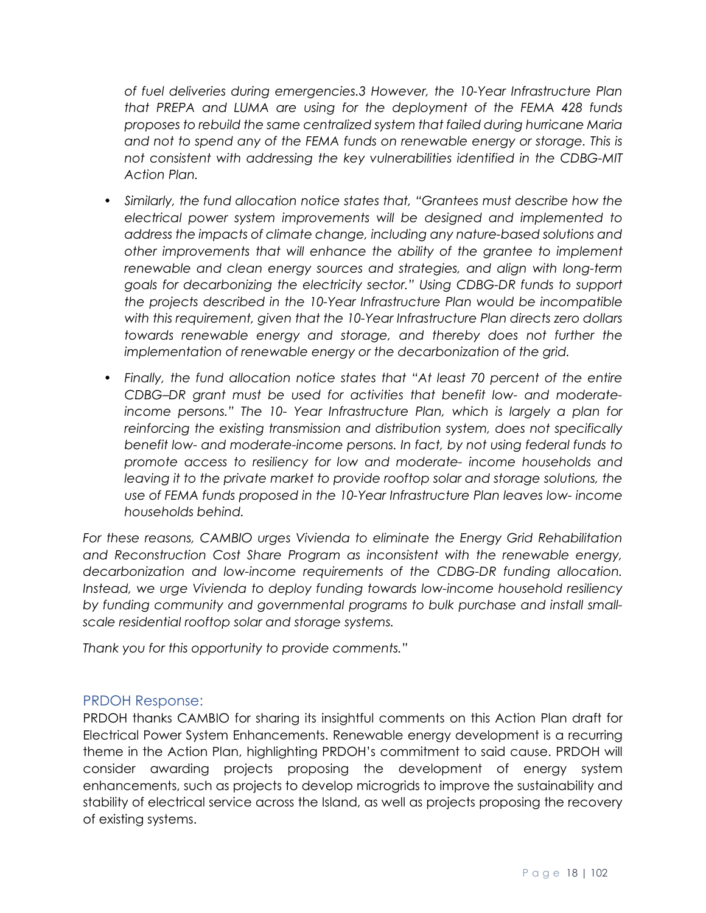*of fuel deliveries during emergencies.3 However, the 10-Year Infrastructure Plan that PREPA and LUMA are using for the deployment of the FEMA 428 funds proposes to rebuild the same centralized system that failed during hurricane Maria and not to spend any of the FEMA funds on renewable energy or storage. This is not consistent with addressing the key vulnerabilities identified in the CDBG-MIT Action Plan.*

- *Similarly, the fund allocation notice states that, "Grantees must describe how the electrical power system improvements will be designed and implemented to address the impacts of climate change, including any nature-based solutions and other improvements that will enhance the ability of the grantee to implement renewable and clean energy sources and strategies, and align with long-term goals for decarbonizing the electricity sector." Using CDBG-DR funds to support the projects described in the 10-Year Infrastructure Plan would be incompatible with this requirement, given that the 10-Year Infrastructure Plan directs zero dollars towards renewable energy and storage, and thereby does not further the implementation of renewable energy or the decarbonization of the grid.*
- *Finally, the fund allocation notice states that "At least 70 percent of the entire CDBG–DR grant must be used for activities that benefit low- and moderateincome persons." The 10- Year Infrastructure Plan, which is largely a plan for reinforcing the existing transmission and distribution system, does not specifically benefit low- and moderate-income persons. In fact, by not using federal funds to promote access to resiliency for low and moderate- income households and leaving it to the private market to provide rooftop solar and storage solutions, the use of FEMA funds proposed in the 10-Year Infrastructure Plan leaves low- income households behind.*

*For these reasons, CAMBIO urges Vivienda to eliminate the Energy Grid Rehabilitation and Reconstruction Cost Share Program as inconsistent with the renewable energy, decarbonization and low-income requirements of the CDBG-DR funding allocation. Instead, we urge Vivienda to deploy funding towards low-income household resiliency by funding community and governmental programs to bulk purchase and install smallscale residential rooftop solar and storage systems.*

*Thank you for this opportunity to provide comments."*

## <span id="page-17-0"></span>PRDOH Response:

PRDOH thanks CAMBIO for sharing its insightful comments on this Action Plan draft for Electrical Power System Enhancements. Renewable energy development is a recurring theme in the Action Plan, highlighting PRDOH's commitment to said cause. PRDOH will consider awarding projects proposing the development of energy system enhancements, such as projects to develop microgrids to improve the sustainability and stability of electrical service across the Island, as well as projects proposing the recovery of existing systems.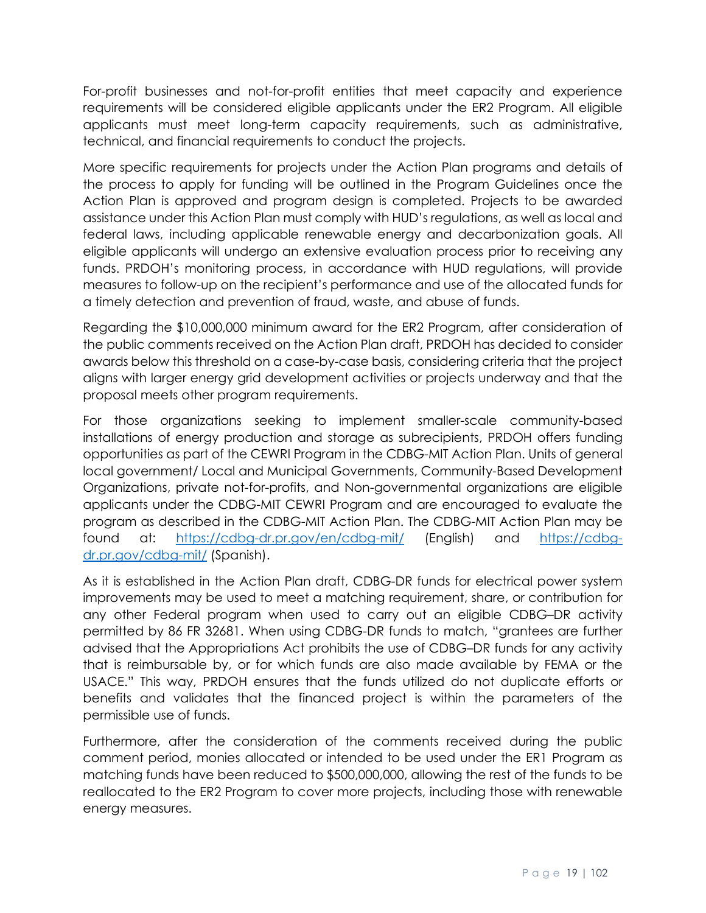For-profit businesses and not-for-profit entities that meet capacity and experience requirements will be considered eligible applicants under the ER2 Program. All eligible applicants must meet long-term capacity requirements, such as administrative, technical, and financial requirements to conduct the projects.

More specific requirements for projects under the Action Plan programs and details of the process to apply for funding will be outlined in the Program Guidelines once the Action Plan is approved and program design is completed. Projects to be awarded assistance under this Action Plan must comply with HUD's regulations, as well as local and federal laws, including applicable renewable energy and decarbonization goals. All eligible applicants will undergo an extensive evaluation process prior to receiving any funds. PRDOH's monitoring process, in accordance with HUD regulations, will provide measures to follow-up on the recipient's performance and use of the allocated funds for a timely detection and prevention of fraud, waste, and abuse of funds.

Regarding the \$10,000,000 minimum award for the ER2 Program, after consideration of the public comments received on the Action Plan draft, PRDOH has decided to consider awards below this threshold on a case-by-case basis, considering criteria that the project aligns with larger energy grid development activities or projects underway and that the proposal meets other program requirements.

For those organizations seeking to implement smaller-scale community-based installations of energy production and storage as subrecipients, PRDOH offers funding opportunities as part of the CEWRI Program in the CDBG-MIT Action Plan. Units of general local government/ Local and Municipal Governments, Community-Based Development Organizations, private not-for-profits, and Non-governmental organizations are eligible applicants under the CDBG-MIT CEWRI Program and are encouraged to evaluate the program as described in the CDBG-MIT Action Plan. The CDBG-MIT Action Plan may be found at: <https://cdbg-dr.pr.gov/en/cdbg-mit/> (English) and [https://cdbg](https://cdbg-dr.pr.gov/cdbg-mit/)[dr.pr.gov/cdbg-mit/](https://cdbg-dr.pr.gov/cdbg-mit/) (Spanish).

As it is established in the Action Plan draft, CDBG-DR funds for electrical power system improvements may be used to meet a matching requirement, share, or contribution for any other Federal program when used to carry out an eligible CDBG–DR activity permitted by 86 FR 32681. When using CDBG-DR funds to match, "grantees are further advised that the Appropriations Act prohibits the use of CDBG–DR funds for any activity that is reimbursable by, or for which funds are also made available by FEMA or the USACE." This way, PRDOH ensures that the funds utilized do not duplicate efforts or benefits and validates that the financed project is within the parameters of the permissible use of funds.

Furthermore, after the consideration of the comments received during the public comment period, monies allocated or intended to be used under the ER1 Program as matching funds have been reduced to \$500,000,000, allowing the rest of the funds to be reallocated to the ER2 Program to cover more projects, including those with renewable energy measures.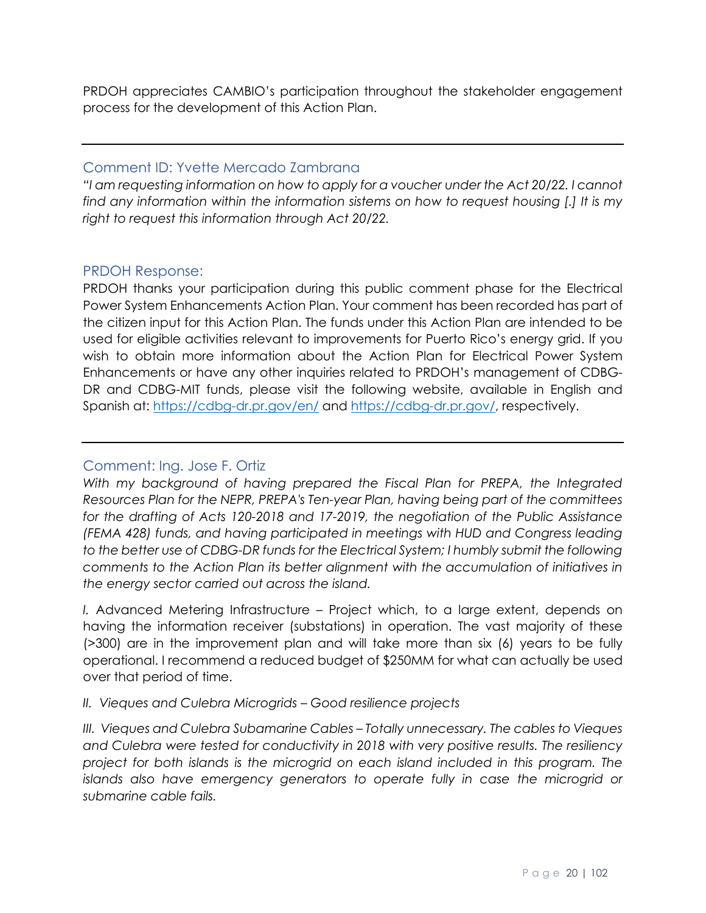PRDOH appreciates CAMBIO's participation throughout the stakeholder engagement process for the development of this Action Plan.

#### <span id="page-19-0"></span>Comment ID: Yvette Mercado Zambrana

*"I am requesting information on how to apply for a voucher under the Act 20/22. I cannot find any information within the information sistems on how to request housing [.] It is my right to request this information through Act 20/22.*

#### <span id="page-19-1"></span>PRDOH Response:

PRDOH thanks your participation during this public comment phase for the Electrical Power System Enhancements Action Plan. Your comment has been recorded has part of the citizen input for this Action Plan. The funds under this Action Plan are intended to be used for eligible activities relevant to improvements for Puerto Rico's energy grid. If you wish to obtain more information about the Action Plan for Electrical Power System Enhancements or have any other inquiries related to PRDOH's management of CDBG-DR and CDBG-MIT funds, please visit the following website, available in English and Spanish at:<https://cdbg-dr.pr.gov/en/> and [https://cdbg-dr.pr.gov/,](https://cdbg-dr.pr.gov/) respectively.

## <span id="page-19-2"></span>Comment: Ing. Jose F. Ortiz

*With my background of having prepared the Fiscal Plan for PREPA, the Integrated Resources Plan for the NEPR, PREPA's Ten-year Plan, having being part of the committees for the drafting of Acts 120-2018 and 17-2019, the negotiation of the Public Assistance (FEMA 428) funds, and having participated in meetings with HUD and Congress leading to the better use of CDBG-DR funds for the Electrical System; I humbly submit the following comments to the Action Plan its better alignment with the accumulation of initiatives in the energy sector carried out across the island.*

*I.* Advanced Metering Infrastructure – Project which, to a large extent, depends on having the information receiver (substations) in operation. The vast majority of these (>300) are in the improvement plan and will take more than six (6) years to be fully operational. I recommend a reduced budget of \$250MM for what can actually be used over that period of time.

#### *II. Vieques and Culebra Microgrids – Good resilience projects*

*III. Vieques and Culebra Subamarine Cables – Totally unnecessary. The cables to Vieques and Culebra were tested for conductivity in 2018 with very positive results. The resiliency project for both islands is the microgrid on each island included in this program. The islands also have emergency generators to operate fully in case the microgrid or submarine cable fails.*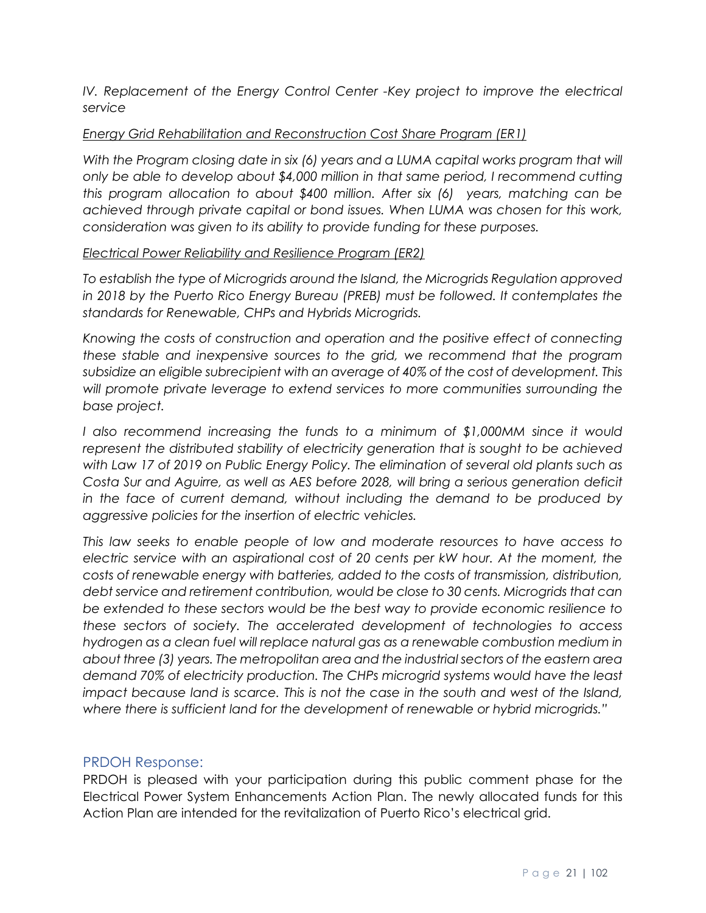*IV. Replacement of the Energy Control Center -Key project to improve the electrical service* 

#### *Energy Grid Rehabilitation and Reconstruction Cost Share Program (ER1)*

*With the Program closing date in six (6) years and a LUMA capital works program that will only be able to develop about \$4,000 million in that same period, I recommend cutting this program allocation to about \$400 million. After six (6) years, matching can be achieved through private capital or bond issues. When LUMA was chosen for this work, consideration was given to its ability to provide funding for these purposes.*

#### *Electrical Power Reliability and Resilience Program (ER2)*

*To establish the type of Microgrids around the Island, the Microgrids Regulation approved*  in 2018 by the Puerto Rico Energy Bureau (PREB) must be followed. It contemplates the *standards for Renewable, CHPs and Hybrids Microgrids.*

*Knowing the costs of construction and operation and the positive effect of connecting these stable and inexpensive sources to the grid, we recommend that the program subsidize an eligible subrecipient with an average of 40% of the cost of development. This will promote private leverage to extend services to more communities surrounding the base project.*

*I also recommend increasing the funds to a minimum of \$1,000MM since it would represent the distributed stability of electricity generation that is sought to be achieved with Law 17 of 2019 on Public Energy Policy. The elimination of several old plants such as Costa Sur and Aguirre, as well as AES before 2028, will bring a serious generation deficit in the face of current demand, without including the demand to be produced by aggressive policies for the insertion of electric vehicles.*

*This law seeks to enable people of low and moderate resources to have access to electric service with an aspirational cost of 20 cents per kW hour. At the moment, the costs of renewable energy with batteries, added to the costs of transmission, distribution, debt service and retirement contribution, would be close to 30 cents. Microgrids that can be extended to these sectors would be the best way to provide economic resilience to these sectors of society. The accelerated development of technologies to access hydrogen as a clean fuel will replace natural gas as a renewable combustion medium in about three (3) years. The metropolitan area and the industrial sectors of the eastern area demand 70% of electricity production. The CHPs microgrid systems would have the least impact because land is scarce. This is not the case in the south and west of the Island, where there is sufficient land for the development of renewable or hybrid microgrids."*

#### <span id="page-20-0"></span>PRDOH Response:

PRDOH is pleased with your participation during this public comment phase for the Electrical Power System Enhancements Action Plan. The newly allocated funds for this Action Plan are intended for the revitalization of Puerto Rico's electrical grid.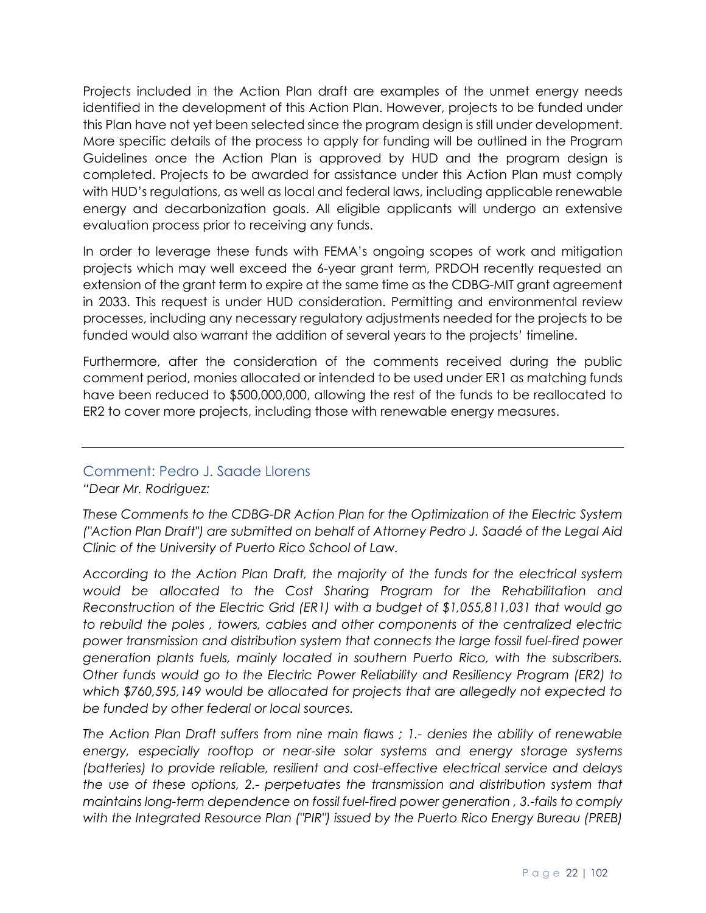Projects included in the Action Plan draft are examples of the unmet energy needs identified in the development of this Action Plan. However, projects to be funded under this Plan have not yet been selected since the program design is still under development. More specific details of the process to apply for funding will be outlined in the Program Guidelines once the Action Plan is approved by HUD and the program design is completed. Projects to be awarded for assistance under this Action Plan must comply with HUD's regulations, as well as local and federal laws, including applicable renewable energy and decarbonization goals. All eligible applicants will undergo an extensive evaluation process prior to receiving any funds.

In order to leverage these funds with FEMA's ongoing scopes of work and mitigation projects which may well exceed the 6-year grant term, PRDOH recently requested an extension of the grant term to expire at the same time as the CDBG-MIT grant agreement in 2033. This request is under HUD consideration. Permitting and environmental review processes, including any necessary regulatory adjustments needed for the projects to be funded would also warrant the addition of several years to the projects' timeline.

Furthermore, after the consideration of the comments received during the public comment period, monies allocated or intended to be used under ER1 as matching funds have been reduced to \$500,000,000, allowing the rest of the funds to be reallocated to ER2 to cover more projects, including those with renewable energy measures.

# <span id="page-21-0"></span>Comment: Pedro J. Saade Llorens

*"Dear Mr. Rodriguez:*

*These Comments to the CDBG-DR Action Plan for the Optimization of the Electric System ("Action Plan Draft") are submitted on behalf of Attorney Pedro J. Saadé of the Legal Aid Clinic of the University of Puerto Rico School of Law.*

*According to the Action Plan Draft, the majority of the funds for the electrical system would be allocated to the Cost Sharing Program for the Rehabilitation and Reconstruction of the Electric Grid (ER1) with a budget of \$1,055,811,031 that would go to rebuild the poles , towers, cables and other components of the centralized electric power transmission and distribution system that connects the large fossil fuel-fired power generation plants fuels, mainly located in southern Puerto Rico, with the subscribers. Other funds would go to the Electric Power Reliability and Resiliency Program (ER2) to which \$760,595,149 would be allocated for projects that are allegedly not expected to be funded by other federal or local sources.*

*The Action Plan Draft suffers from nine main flaws ; 1.- denies the ability of renewable energy, especially rooftop or near-site solar systems and energy storage systems (batteries) to provide reliable, resilient and cost-effective electrical service and delays the use of these options, 2.- perpetuates the transmission and distribution system that maintains long-term dependence on fossil fuel-fired power generation , 3.-fails to comply with the Integrated Resource Plan ("PIR") issued by the Puerto Rico Energy Bureau (PREB)*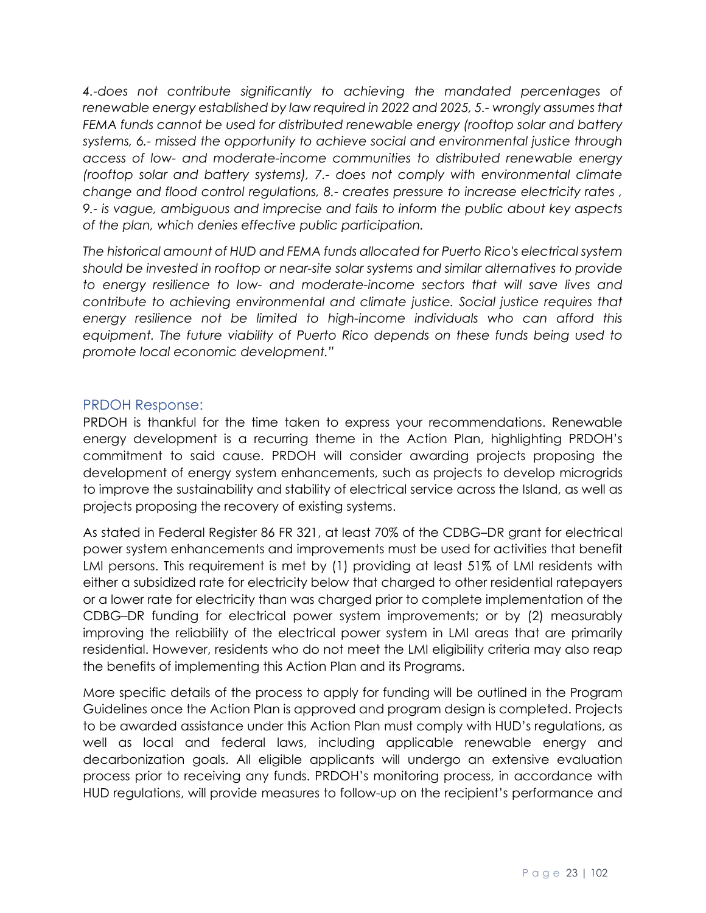*4.-does not contribute significantly to achieving the mandated percentages of renewable energy established by law required in 2022 and 2025, 5.- wrongly assumes that FEMA funds cannot be used for distributed renewable energy (rooftop solar and battery systems, 6.- missed the opportunity to achieve social and environmental justice through access of low- and moderate-income communities to distributed renewable energy (rooftop solar and battery systems), 7.- does not comply with environmental climate change and flood control regulations, 8.- creates pressure to increase electricity rates , 9.- is vague, ambiguous and imprecise and fails to inform the public about key aspects of the plan, which denies effective public participation.*

*The historical amount of HUD and FEMA funds allocated for Puerto Rico's electrical system should be invested in rooftop or near-site solar systems and similar alternatives to provide to energy resilience to low- and moderate-income sectors that will save lives and contribute to achieving environmental and climate justice. Social justice requires that energy resilience not be limited to high-income individuals who can afford this equipment. The future viability of Puerto Rico depends on these funds being used to promote local economic development."*

#### <span id="page-22-0"></span>PRDOH Response:

PRDOH is thankful for the time taken to express your recommendations. Renewable energy development is a recurring theme in the Action Plan, highlighting PRDOH's commitment to said cause. PRDOH will consider awarding projects proposing the development of energy system enhancements, such as projects to develop microgrids to improve the sustainability and stability of electrical service across the Island, as well as projects proposing the recovery of existing systems.

As stated in Federal Register 86 FR 321, at least 70% of the CDBG–DR grant for electrical power system enhancements and improvements must be used for activities that benefit LMI persons. This requirement is met by (1) providing at least 51% of LMI residents with either a subsidized rate for electricity below that charged to other residential ratepayers or a lower rate for electricity than was charged prior to complete implementation of the CDBG–DR funding for electrical power system improvements; or by (2) measurably improving the reliability of the electrical power system in LMI areas that are primarily residential. However, residents who do not meet the LMI eligibility criteria may also reap the benefits of implementing this Action Plan and its Programs.

More specific details of the process to apply for funding will be outlined in the Program Guidelines once the Action Plan is approved and program design is completed. Projects to be awarded assistance under this Action Plan must comply with HUD's regulations, as well as local and federal laws, including applicable renewable energy and decarbonization goals. All eligible applicants will undergo an extensive evaluation process prior to receiving any funds. PRDOH's monitoring process, in accordance with HUD regulations, will provide measures to follow-up on the recipient's performance and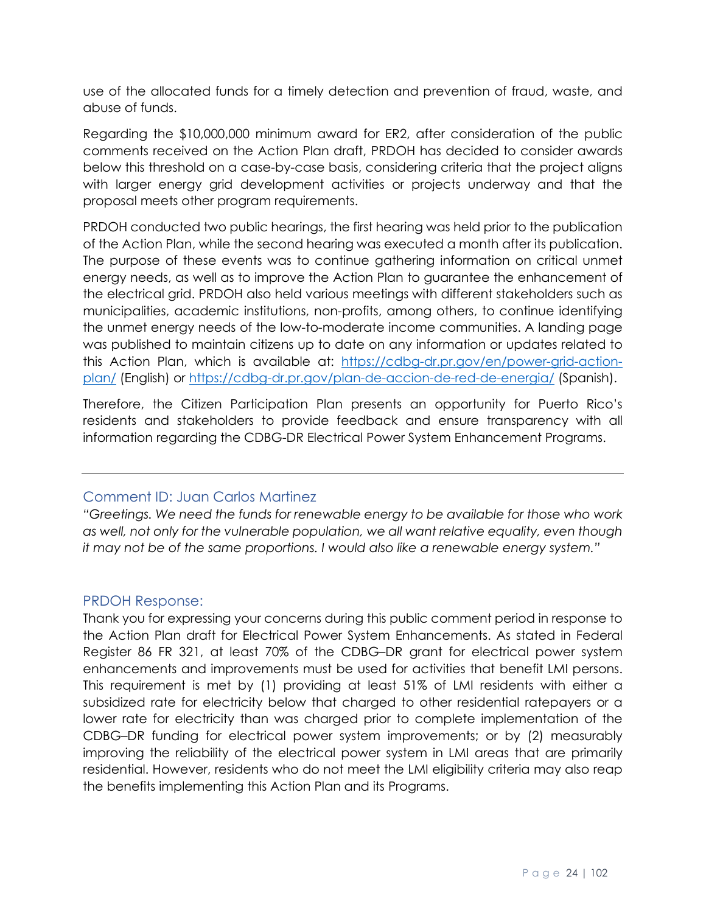use of the allocated funds for a timely detection and prevention of fraud, waste, and abuse of funds.

Regarding the \$10,000,000 minimum award for ER2, after consideration of the public comments received on the Action Plan draft, PRDOH has decided to consider awards below this threshold on a case-by-case basis, considering criteria that the project aligns with larger energy grid development activities or projects underway and that the proposal meets other program requirements.

PRDOH conducted two public hearings, the first hearing was held prior to the publication of the Action Plan, while the second hearing was executed a month after its publication. The purpose of these events was to continue gathering information on critical unmet energy needs, as well as to improve the Action Plan to guarantee the enhancement of the electrical grid. PRDOH also held various meetings with different stakeholders such as municipalities, academic institutions, non-profits, among others, to continue identifying the unmet energy needs of the low-to-moderate income communities. A landing page was published to maintain citizens up to date on any information or updates related to this Action Plan, which is available at: [https://cdbg-dr.pr.gov/en/power-grid-action](https://cdbg-dr.pr.gov/en/power-grid-action-plan/)[plan/](https://cdbg-dr.pr.gov/en/power-grid-action-plan/) (English) or<https://cdbg-dr.pr.gov/plan-de-accion-de-red-de-energia/> (Spanish).

Therefore, the Citizen Participation Plan presents an opportunity for Puerto Rico's residents and stakeholders to provide feedback and ensure transparency with all information regarding the CDBG-DR Electrical Power System Enhancement Programs.

#### <span id="page-23-0"></span>Comment ID: Juan Carlos Martinez

*"Greetings. We need the funds for renewable energy to be available for those who work as well, not only for the vulnerable population, we all want relative equality, even though it may not be of the same proportions. I would also like a renewable energy system."*

#### <span id="page-23-1"></span>PRDOH Response:

Thank you for expressing your concerns during this public comment period in response to the Action Plan draft for Electrical Power System Enhancements. As stated in Federal Register 86 FR 321, at least 70% of the CDBG–DR grant for electrical power system enhancements and improvements must be used for activities that benefit LMI persons. This requirement is met by (1) providing at least 51% of LMI residents with either a subsidized rate for electricity below that charged to other residential ratepayers or a lower rate for electricity than was charged prior to complete implementation of the CDBG–DR funding for electrical power system improvements; or by (2) measurably improving the reliability of the electrical power system in LMI areas that are primarily residential. However, residents who do not meet the LMI eligibility criteria may also reap the benefits implementing this Action Plan and its Programs.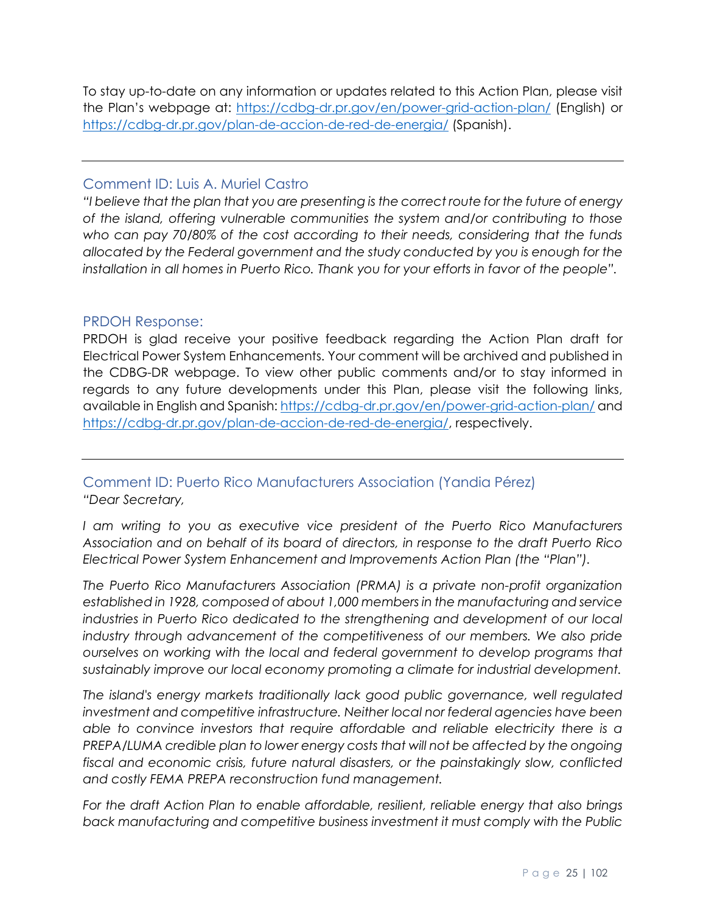To stay up-to-date on any information or updates related to this Action Plan, please visit the Plan's webpage at:<https://cdbg-dr.pr.gov/en/power-grid-action-plan/> (English) or <https://cdbg-dr.pr.gov/plan-de-accion-de-red-de-energia/> (Spanish).

## <span id="page-24-0"></span>Comment ID: Luis A. Muriel Castro

*"I believe that the plan that you are presenting is the correct route for the future of energy of the island, offering vulnerable communities the system and/or contributing to those who can pay 70/80% of the cost according to their needs, considering that the funds allocated by the Federal government and the study conducted by you is enough for the installation in all homes in Puerto Rico. Thank you for your efforts in favor of the people".*

## <span id="page-24-1"></span>PRDOH Response:

PRDOH is glad receive your positive feedback regarding the Action Plan draft for Electrical Power System Enhancements. Your comment will be archived and published in the CDBG-DR webpage. To view other public comments and/or to stay informed in regards to any future developments under this Plan, please visit the following links, available in English and Spanish:<https://cdbg-dr.pr.gov/en/power-grid-action-plan/> and [https://cdbg-dr.pr.gov/plan-de-accion-de-red-de-energia/,](https://cdbg-dr.pr.gov/plan-de-accion-de-red-de-energia/) respectively.

# <span id="page-24-2"></span>Comment ID: Puerto Rico Manufacturers Association (Yandia Pérez) *"Dear Secretary,*

I am writing to you as executive vice president of the Puerto Rico Manufacturers *Association and on behalf of its board of directors, in response to the draft Puerto Rico Electrical Power System Enhancement and Improvements Action Plan (the "Plan").*

*The Puerto Rico Manufacturers Association (PRMA) is a private non-profit organization established in 1928, composed of about 1,000 members in the manufacturing and service*  industries in Puerto Rico dedicated to the strengthening and development of our local *industry through advancement of the competitiveness of our members. We also pride ourselves on working with the local and federal government to develop programs that sustainably improve our local economy promoting a climate for industrial development.* 

*The island's energy markets traditionally lack good public governance, well regulated investment and competitive infrastructure. Neither local nor federal agencies have been able to convince investors that require affordable and reliable electricity there is a PREPA/LUMA credible plan to lower energy costs that will not be affected by the ongoing fiscal and economic crisis, future natural disasters, or the painstakingly slow, conflicted and costly FEMA PREPA reconstruction fund management.*

*For the draft Action Plan to enable affordable, resilient, reliable energy that also brings back manufacturing and competitive business investment it must comply with the Public*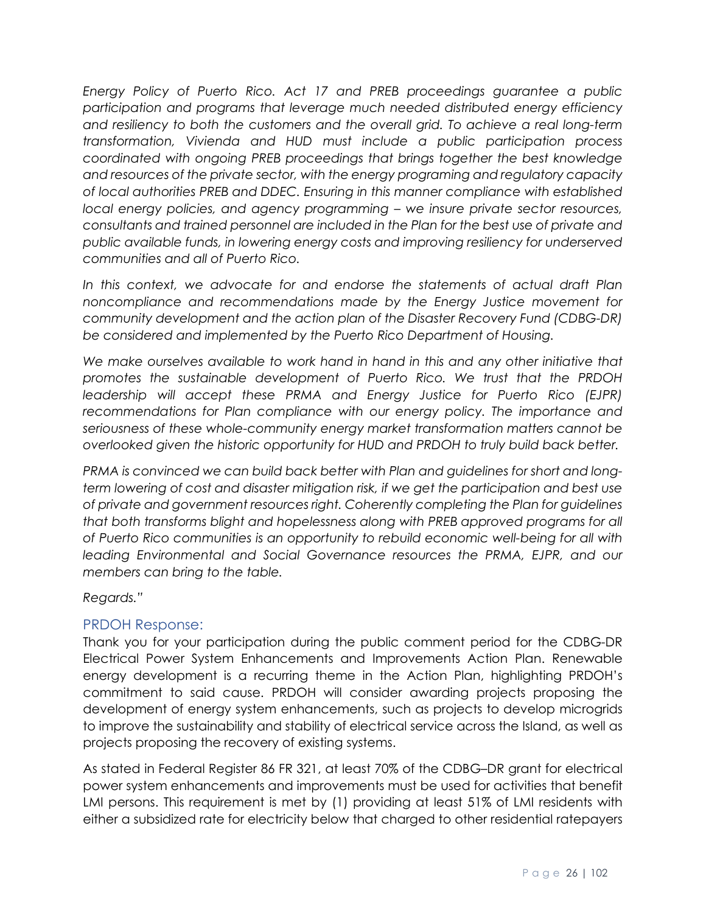*Energy Policy of Puerto Rico. Act 17 and PREB proceedings guarantee a public participation and programs that leverage much needed distributed energy efficiency and resiliency to both the customers and the overall grid. To achieve a real long-term transformation, Vivienda and HUD must include a public participation process coordinated with ongoing PREB proceedings that brings together the best knowledge and resources of the private sector, with the energy programing and regulatory capacity of local authorities PREB and DDEC. Ensuring in this manner compliance with established local energy policies, and agency programming – we insure private sector resources, consultants and trained personnel are included in the Plan for the best use of private and public available funds, in lowering energy costs and improving resiliency for underserved communities and all of Puerto Rico.*

In this context, we advocate for and endorse the statements of actual draft Plan *noncompliance and recommendations made by the Energy Justice movement for community development and the action plan of the Disaster Recovery Fund (CDBG-DR) be considered and implemented by the Puerto Rico Department of Housing.*

*We make ourselves available to work hand in hand in this and any other initiative that promotes the sustainable development of Puerto Rico. We trust that the PRDOH leadership will accept these PRMA and Energy Justice for Puerto Rico (EJPR)*  recommendations for Plan compliance with our energy policy. The importance and *seriousness of these whole-community energy market transformation matters cannot be overlooked given the historic opportunity for HUD and PRDOH to truly build back better.* 

*PRMA is convinced we can build back better with Plan and guidelines for short and longterm lowering of cost and disaster mitigation risk, if we get the participation and best use of private and government resources right. Coherently completing the Plan for guidelines that both transforms blight and hopelessness along with PREB approved programs for all of Puerto Rico communities is an opportunity to rebuild economic well-being for all with leading Environmental and Social Governance resources the PRMA, EJPR, and our members can bring to the table.*

*Regards."*

# <span id="page-25-0"></span>PRDOH Response:

Thank you for your participation during the public comment period for the CDBG-DR Electrical Power System Enhancements and Improvements Action Plan. Renewable energy development is a recurring theme in the Action Plan, highlighting PRDOH's commitment to said cause. PRDOH will consider awarding projects proposing the development of energy system enhancements, such as projects to develop microgrids to improve the sustainability and stability of electrical service across the Island, as well as projects proposing the recovery of existing systems.

As stated in Federal Register 86 FR 321, at least 70% of the CDBG–DR grant for electrical power system enhancements and improvements must be used for activities that benefit LMI persons. This requirement is met by (1) providing at least 51% of LMI residents with either a subsidized rate for electricity below that charged to other residential ratepayers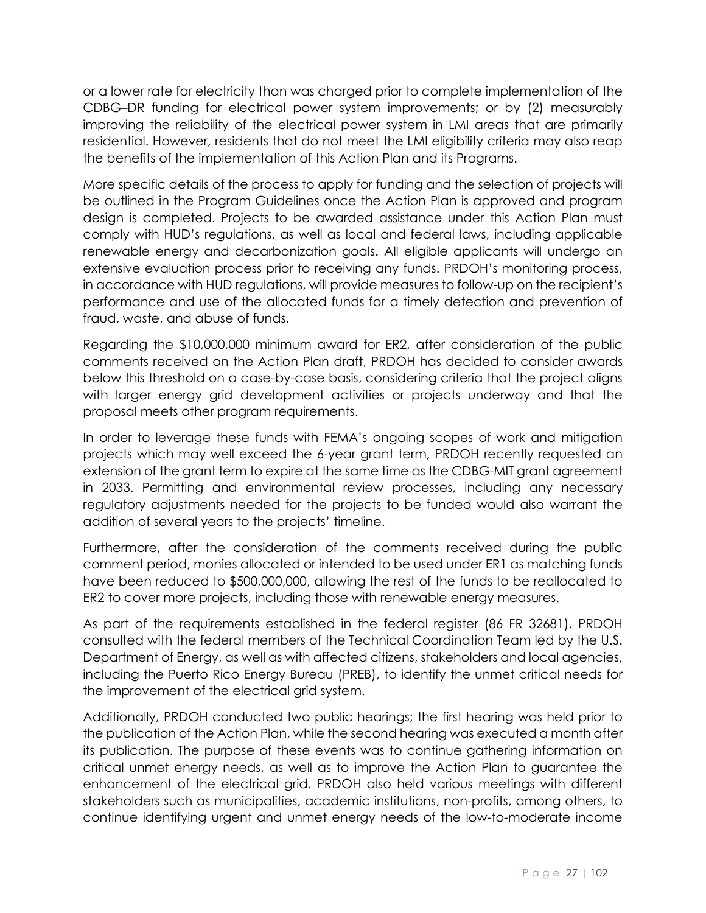or a lower rate for electricity than was charged prior to complete implementation of the CDBG–DR funding for electrical power system improvements; or by (2) measurably improving the reliability of the electrical power system in LMI areas that are primarily residential. However, residents that do not meet the LMI eligibility criteria may also reap the benefits of the implementation of this Action Plan and its Programs.

More specific details of the process to apply for funding and the selection of projects will be outlined in the Program Guidelines once the Action Plan is approved and program design is completed. Projects to be awarded assistance under this Action Plan must comply with HUD's regulations, as well as local and federal laws, including applicable renewable energy and decarbonization goals. All eligible applicants will undergo an extensive evaluation process prior to receiving any funds. PRDOH's monitoring process, in accordance with HUD regulations, will provide measures to follow-up on the recipient's performance and use of the allocated funds for a timely detection and prevention of fraud, waste, and abuse of funds.

Regarding the \$10,000,000 minimum award for ER2, after consideration of the public comments received on the Action Plan draft, PRDOH has decided to consider awards below this threshold on a case-by-case basis, considering criteria that the project aligns with larger energy grid development activities or projects underway and that the proposal meets other program requirements.

In order to leverage these funds with FEMA's ongoing scopes of work and mitigation projects which may well exceed the 6-year grant term, PRDOH recently requested an extension of the grant term to expire at the same time as the CDBG-MIT grant agreement in 2033. Permitting and environmental review processes, including any necessary regulatory adjustments needed for the projects to be funded would also warrant the addition of several years to the projects' timeline.

Furthermore, after the consideration of the comments received during the public comment period, monies allocated or intended to be used under ER1 as matching funds have been reduced to \$500,000,000, allowing the rest of the funds to be reallocated to ER2 to cover more projects, including those with renewable energy measures.

As part of the requirements established in the federal register (86 FR 32681), PRDOH consulted with the federal members of the Technical Coordination Team led by the U.S. Department of Energy, as well as with affected citizens, stakeholders and local agencies, including the Puerto Rico Energy Bureau (PREB), to identify the unmet critical needs for the improvement of the electrical grid system.

Additionally, PRDOH conducted two public hearings; the first hearing was held prior to the publication of the Action Plan, while the second hearing was executed a month after its publication. The purpose of these events was to continue gathering information on critical unmet energy needs, as well as to improve the Action Plan to guarantee the enhancement of the electrical grid. PRDOH also held various meetings with different stakeholders such as municipalities, academic institutions, non-profits, among others, to continue identifying urgent and unmet energy needs of the low-to-moderate income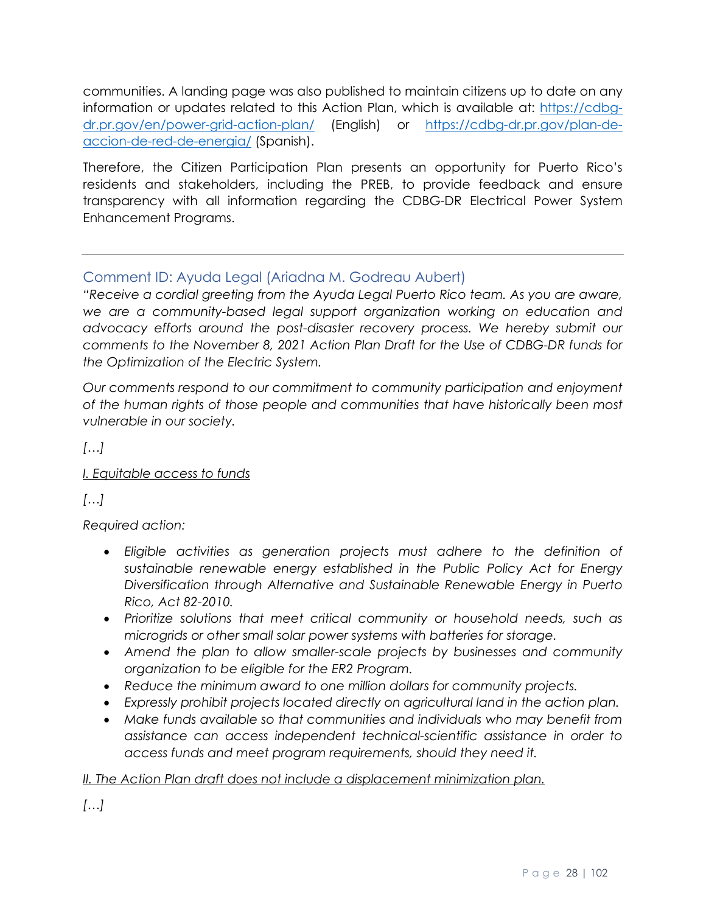communities. A landing page was also published to maintain citizens up to date on any information or updates related to this Action Plan, which is available at: [https://cdbg](https://cdbg-dr.pr.gov/en/power-grid-action-plan/)[dr.pr.gov/en/power-grid-action-plan/](https://cdbg-dr.pr.gov/en/power-grid-action-plan/) (English) or [https://cdbg-dr.pr.gov/plan-de](https://cdbg-dr.pr.gov/plan-de-accion-de-red-de-energia/)[accion-de-red-de-energia/](https://cdbg-dr.pr.gov/plan-de-accion-de-red-de-energia/) (Spanish).

Therefore, the Citizen Participation Plan presents an opportunity for Puerto Rico's residents and stakeholders, including the PREB, to provide feedback and ensure transparency with all information regarding the CDBG-DR Electrical Power System Enhancement Programs.

# <span id="page-27-0"></span>Comment ID: Ayuda Legal (Ariadna M. Godreau Aubert)

*"Receive a cordial greeting from the Ayuda Legal Puerto Rico team. As you are aware, we are a community-based legal support organization working on education and advocacy efforts around the post-disaster recovery process. We hereby submit our comments to the November 8, 2021 Action Plan Draft for the Use of CDBG-DR funds for the Optimization of the Electric System.*

*Our comments respond to our commitment to community participation and enjoyment of the human rights of those people and communities that have historically been most vulnerable in our society.*

*[…]*

# *I. Equitable access to funds*

*[…]*

*Required action:* 

- *Eligible activities as generation projects must adhere to the definition of sustainable renewable energy established in the Public Policy Act for Energy Diversification through Alternative and Sustainable Renewable Energy in Puerto Rico, Act 82-2010.*
- *Prioritize solutions that meet critical community or household needs, such as microgrids or other small solar power systems with batteries for storage.*
- *Amend the plan to allow smaller-scale projects by businesses and community organization to be eligible for the ER2 Program.*
- *Reduce the minimum award to one million dollars for community projects.*
- *Expressly prohibit projects located directly on agricultural land in the action plan.*
- Make funds available so that communities and individuals who may benefit from *assistance can access independent technical-scientific assistance in order to access funds and meet program requirements, should they need it.*

# *II. The Action Plan draft does not include a displacement minimization plan.*

*[…]*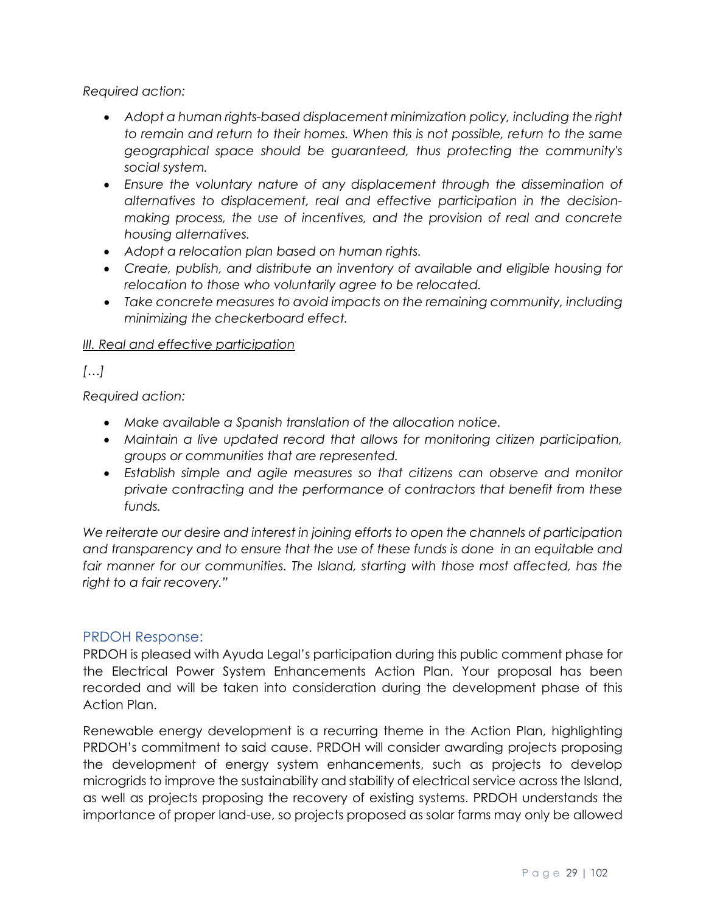## *Required action:*

- Adopt a human rights-based displacement minimization policy, including the right *to remain and return to their homes. When this is not possible, return to the same geographical space should be guaranteed, thus protecting the community's social system.*
- *Ensure the voluntary nature of any displacement through the dissemination of alternatives to displacement, real and effective participation in the decisionmaking process, the use of incentives, and the provision of real and concrete housing alternatives.*
- *Adopt a relocation plan based on human rights.*
- *Create, publish, and distribute an inventory of available and eligible housing for relocation to those who voluntarily agree to be relocated.*
- *Take concrete measures to avoid impacts on the remaining community, including minimizing the checkerboard effect.*

#### *III. Real and effective participation*

# *[…]*

*Required action:* 

- *Make available a Spanish translation of the allocation notice.*
- *Maintain a live updated record that allows for monitoring citizen participation, groups or communities that are represented.*
- *Establish simple and agile measures so that citizens can observe and monitor private contracting and the performance of contractors that benefit from these funds.*

*We reiterate our desire and interest in joining efforts to open the channels of participation and transparency and to ensure that the use of these funds is done in an equitable and*  fair manner for our communities. The Island, starting with those most affected, has the *right to a fair recovery."*

## <span id="page-28-0"></span>PRDOH Response:

PRDOH is pleased with Ayuda Legal's participation during this public comment phase for the Electrical Power System Enhancements Action Plan. Your proposal has been recorded and will be taken into consideration during the development phase of this Action Plan.

Renewable energy development is a recurring theme in the Action Plan, highlighting PRDOH's commitment to said cause. PRDOH will consider awarding projects proposing the development of energy system enhancements, such as projects to develop microgrids to improve the sustainability and stability of electrical service across the Island, as well as projects proposing the recovery of existing systems. PRDOH understands the importance of proper land-use, so projects proposed as solar farms may only be allowed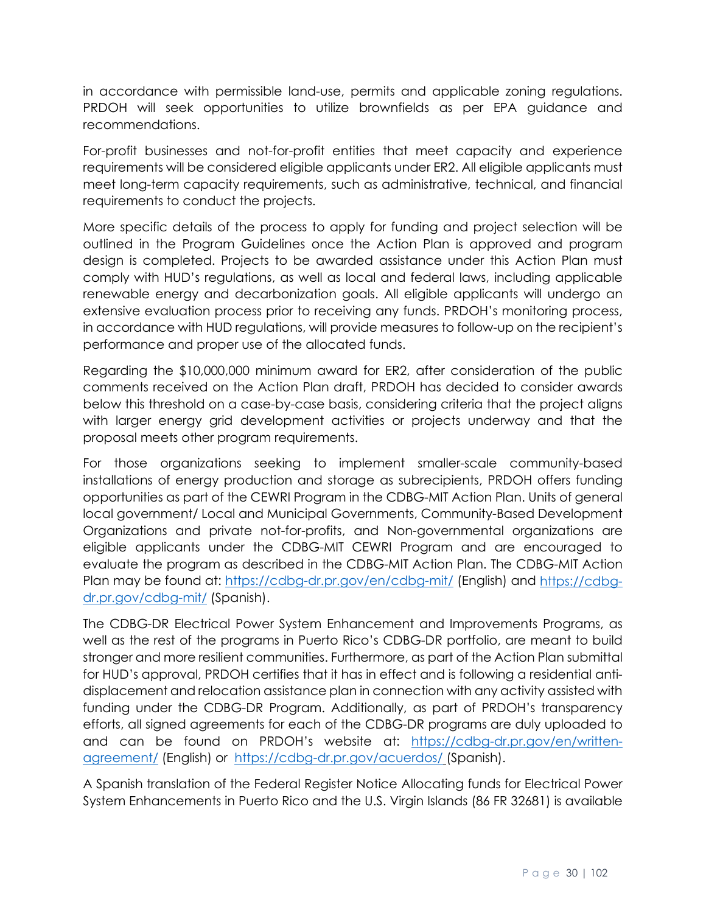in accordance with permissible land-use, permits and applicable zoning regulations. PRDOH will seek opportunities to utilize brownfields as per EPA guidance and recommendations.

For-profit businesses and not-for-profit entities that meet capacity and experience requirements will be considered eligible applicants under ER2. All eligible applicants must meet long-term capacity requirements, such as administrative, technical, and financial requirements to conduct the projects.

More specific details of the process to apply for funding and project selection will be outlined in the Program Guidelines once the Action Plan is approved and program design is completed. Projects to be awarded assistance under this Action Plan must comply with HUD's regulations, as well as local and federal laws, including applicable renewable energy and decarbonization goals. All eligible applicants will undergo an extensive evaluation process prior to receiving any funds. PRDOH's monitoring process, in accordance with HUD regulations, will provide measures to follow-up on the recipient's performance and proper use of the allocated funds.

Regarding the \$10,000,000 minimum award for ER2, after consideration of the public comments received on the Action Plan draft, PRDOH has decided to consider awards below this threshold on a case-by-case basis, considering criteria that the project aligns with larger energy grid development activities or projects underway and that the proposal meets other program requirements.

For those organizations seeking to implement smaller-scale community-based installations of energy production and storage as subrecipients, PRDOH offers funding opportunities as part of the CEWRI Program in the CDBG-MIT Action Plan. Units of general local government/ Local and Municipal Governments, Community-Based Development Organizations and private not-for-profits, and Non-governmental organizations are eligible applicants under the CDBG-MIT CEWRI Program and are encouraged to evaluate the program as described in the CDBG-MIT Action Plan. The CDBG-MIT Action Plan may be found at:<https://cdbg-dr.pr.gov/en/cdbg-mit/> (English) and [https://cdbg](https://cdbg-dr.pr.gov/cdbg-mit/)[dr.pr.gov/cdbg-mit/](https://cdbg-dr.pr.gov/cdbg-mit/) (Spanish).

The CDBG-DR Electrical Power System Enhancement and Improvements Programs, as well as the rest of the programs in Puerto Rico's CDBG-DR portfolio, are meant to build stronger and more resilient communities. Furthermore, as part of the Action Plan submittal for HUD's approval, PRDOH certifies that it has in effect and is following a residential antidisplacement and relocation assistance plan in connection with any activity assisted with funding under the CDBG-DR Program. Additionally, as part of PRDOH's transparency efforts, all signed agreements for each of the CDBG-DR programs are duly uploaded to and can be found on PRDOH's website at: [https://cdbg-dr.pr.gov/en/written](https://cdbg-dr.pr.gov/en/written-agreement/)[agreement/](https://cdbg-dr.pr.gov/en/written-agreement/) (English) or <https://cdbg-dr.pr.gov/acuerdos/> (Spanish).

A Spanish translation of the Federal Register Notice Allocating funds for Electrical Power System Enhancements in Puerto Rico and the U.S. Virgin Islands (86 FR 32681) is available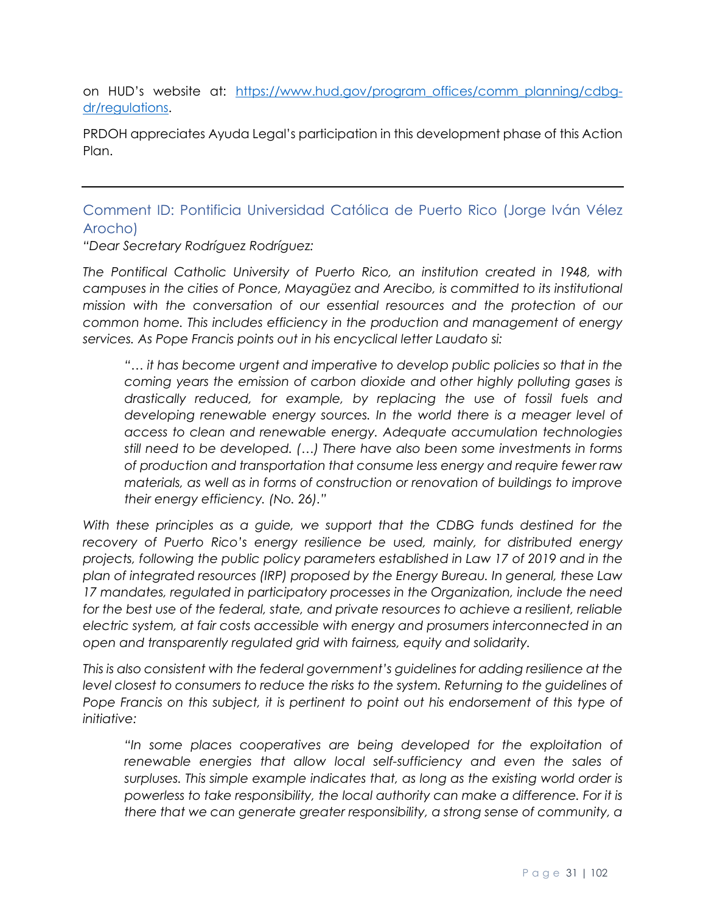on HUD's website at: [https://www.hud.gov/program\\_offices/comm\\_planning/cdbg](https://www.hud.gov/program_offices/comm_planning/cdbg-dr/regulations)[dr/regulations.](https://www.hud.gov/program_offices/comm_planning/cdbg-dr/regulations)

PRDOH appreciates Ayuda Legal's participation in this development phase of this Action Plan.

# <span id="page-30-0"></span>Comment ID: Pontificia Universidad Católica de Puerto Rico (Jorge Iván Vélez Arocho)

*"Dear Secretary Rodríguez Rodríguez:* 

*The Pontifical Catholic University of Puerto Rico, an institution created in 1948, with campuses in the cities of Ponce, Mayagüez and Arecibo, is committed to its institutional mission with the conversation of our essential resources and the protection of our common home. This includes efficiency in the production and management of energy services. As Pope Francis points out in his encyclical letter Laudato si:* 

*"… it has become urgent and imperative to develop public policies so that in the coming years the emission of carbon dioxide and other highly polluting gases is drastically reduced, for example, by replacing the use of fossil fuels and developing renewable energy sources. In the world there is a meager level of access to clean and renewable energy. Adequate accumulation technologies still need to be developed. (…) There have also been some investments in forms of production and transportation that consume less energy and require fewer raw materials, as well as in forms of construction or renovation of buildings to improve their energy efficiency. (No. 26)."*

*With these principles as a guide, we support that the CDBG funds destined for the recovery of Puerto Rico's energy resilience be used, mainly, for distributed energy projects, following the public policy parameters established in Law 17 of 2019 and in the plan of integrated resources (IRP) proposed by the Energy Bureau. In general, these Law 17 mandates, regulated in participatory processes in the Organization, include the need for the best use of the federal, state, and private resources to achieve a resilient, reliable electric system, at fair costs accessible with energy and prosumers interconnected in an open and transparently regulated grid with fairness, equity and solidarity.* 

*This is also consistent with the federal government's guidelines for adding resilience at the*  level closest to consumers to reduce the risks to the system. Returning to the quidelines of Pope Francis on this subject, it is pertinent to point out his endorsement of this type of *initiative:*

*"In some places cooperatives are being developed for the exploitation of*  renewable energies that allow local self-sufficiency and even the sales of *surpluses. This simple example indicates that, as long as the existing world order is powerless to take responsibility, the local authority can make a difference. For it is there that we can generate greater responsibility, a strong sense of community, a*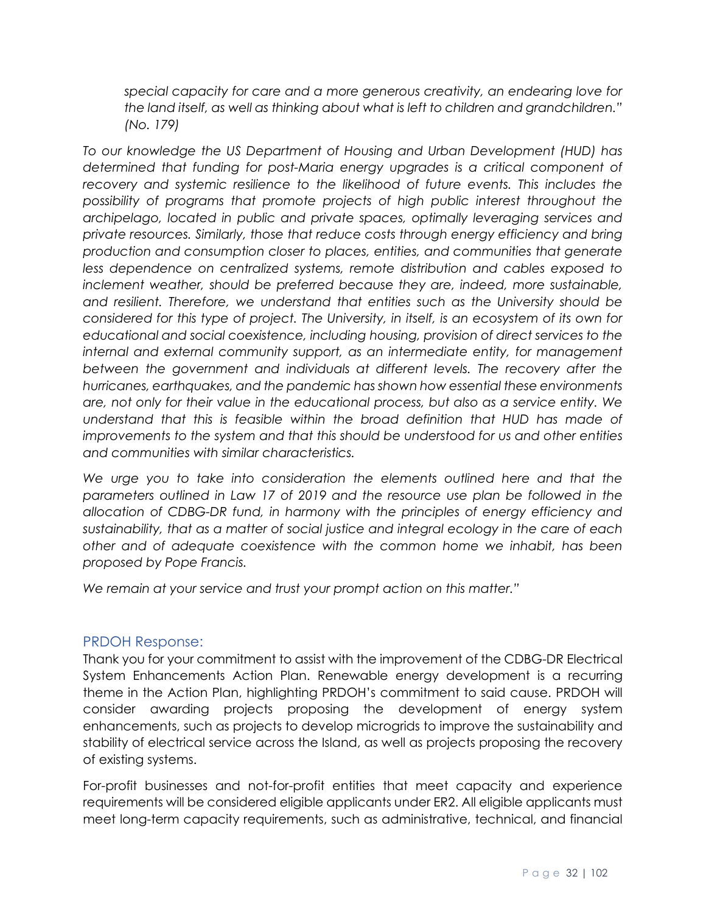*special capacity for care and a more generous creativity, an endearing love for the land itself, as well as thinking about what is left to children and grandchildren." (No. 179)* 

*To our knowledge the US Department of Housing and Urban Development (HUD) has determined that funding for post-Maria energy upgrades is a critical component of*  recovery and systemic resilience to the likelihood of future events. This includes the *possibility of programs that promote projects of high public interest throughout the archipelago, located in public and private spaces, optimally leveraging services and private resources. Similarly, those that reduce costs through energy efficiency and bring production and consumption closer to places, entities, and communities that generate less dependence on centralized systems, remote distribution and cables exposed to inclement weather, should be preferred because they are, indeed, more sustainable, and resilient. Therefore, we understand that entities such as the University should be considered for this type of project. The University, in itself, is an ecosystem of its own for educational and social coexistence, including housing, provision of direct services to the internal and external community support, as an intermediate entity, for management between the government and individuals at different levels. The recovery after the hurricanes, earthquakes, and the pandemic has shown how essential these environments are, not only for their value in the educational process, but also as a service entity. We understand that this is feasible within the broad definition that HUD has made of improvements to the system and that this should be understood for us and other entities and communities with similar characteristics.* 

*We urge you to take into consideration the elements outlined here and that the parameters outlined in Law 17 of 2019 and the resource use plan be followed in the allocation of CDBG-DR fund, in harmony with the principles of energy efficiency and sustainability, that as a matter of social justice and integral ecology in the care of each other and of adequate coexistence with the common home we inhabit, has been proposed by Pope Francis.* 

*We remain at your service and trust your prompt action on this matter."*

## <span id="page-31-0"></span>PRDOH Response:

Thank you for your commitment to assist with the improvement of the CDBG-DR Electrical System Enhancements Action Plan. Renewable energy development is a recurring theme in the Action Plan, highlighting PRDOH's commitment to said cause. PRDOH will consider awarding projects proposing the development of energy system enhancements, such as projects to develop microgrids to improve the sustainability and stability of electrical service across the Island, as well as projects proposing the recovery of existing systems.

For-profit businesses and not-for-profit entities that meet capacity and experience requirements will be considered eligible applicants under ER2. All eligible applicants must meet long-term capacity requirements, such as administrative, technical, and financial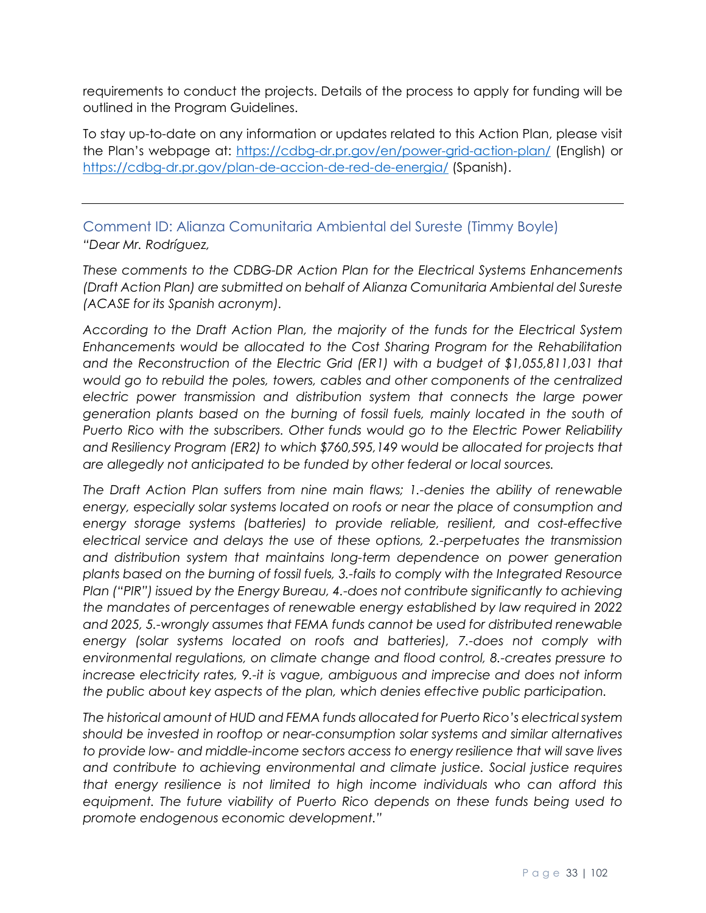requirements to conduct the projects. Details of the process to apply for funding will be outlined in the Program Guidelines.

To stay up-to-date on any information or updates related to this Action Plan, please visit the Plan's webpage at:<https://cdbg-dr.pr.gov/en/power-grid-action-plan/> (English) or <https://cdbg-dr.pr.gov/plan-de-accion-de-red-de-energia/> (Spanish).

<span id="page-32-0"></span>Comment ID: Alianza Comunitaria Ambiental del Sureste (Timmy Boyle) *"Dear Mr. Rodríguez,*

*These comments to the CDBG-DR Action Plan for the Electrical Systems Enhancements (Draft Action Plan) are submitted on behalf of Alianza Comunitaria Ambiental del Sureste (ACASE for its Spanish acronym).*

*According to the Draft Action Plan, the majority of the funds for the Electrical System Enhancements would be allocated to the Cost Sharing Program for the Rehabilitation and the Reconstruction of the Electric Grid (ER1) with a budget of \$1,055,811,031 that would go to rebuild the poles, towers, cables and other components of the centralized electric power transmission and distribution system that connects the large power generation plants based on the burning of fossil fuels, mainly located in the south of Puerto Rico with the subscribers. Other funds would go to the Electric Power Reliability and Resiliency Program (ER2) to which \$760,595,149 would be allocated for projects that are allegedly not anticipated to be funded by other federal or local sources.*

*The Draft Action Plan suffers from nine main flaws; 1.-denies the ability of renewable energy, especially solar systems located on roofs or near the place of consumption and energy storage systems (batteries) to provide reliable, resilient, and cost-effective electrical service and delays the use of these options, 2.-perpetuates the transmission*  and distribution system that maintains long-term dependence on power generation *plants based on the burning of fossil fuels, 3.-fails to comply with the Integrated Resource Plan ("PIR") issued by the Energy Bureau, 4.-does not contribute significantly to achieving the mandates of percentages of renewable energy established by law required in 2022 and 2025, 5.-wrongly assumes that FEMA funds cannot be used for distributed renewable energy (solar systems located on roofs and batteries), 7.-does not comply with environmental regulations, on climate change and flood control, 8.-creates pressure to increase electricity rates, 9.-it is vague, ambiguous and imprecise and does not inform the public about key aspects of the plan, which denies effective public participation.*

*The historical amount of HUD and FEMA funds allocated for Puerto Rico's electrical system should be invested in rooftop or near-consumption solar systems and similar alternatives to provide low- and middle-income sectors access to energy resilience that will save lives and contribute to achieving environmental and climate justice. Social justice requires that energy resilience is not limited to high income individuals who can afford this equipment. The future viability of Puerto Rico depends on these funds being used to promote endogenous economic development."*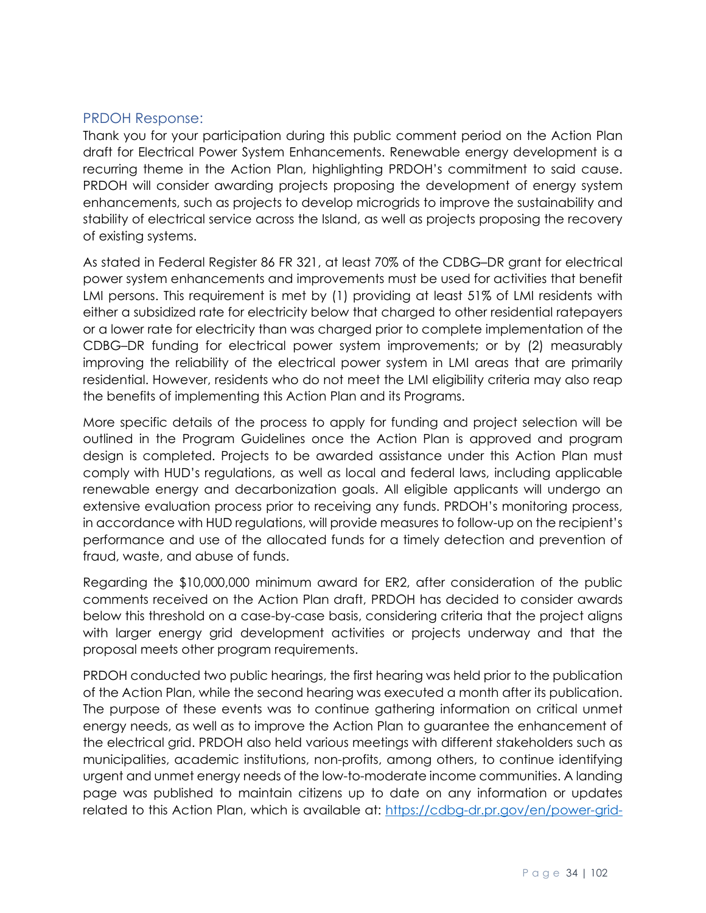## <span id="page-33-0"></span>PRDOH Response:

Thank you for your participation during this public comment period on the Action Plan draft for Electrical Power System Enhancements. Renewable energy development is a recurring theme in the Action Plan, highlighting PRDOH's commitment to said cause. PRDOH will consider awarding projects proposing the development of energy system enhancements, such as projects to develop microgrids to improve the sustainability and stability of electrical service across the Island, as well as projects proposing the recovery of existing systems.

As stated in Federal Register 86 FR 321, at least 70% of the CDBG–DR grant for electrical power system enhancements and improvements must be used for activities that benefit LMI persons. This requirement is met by (1) providing at least 51% of LMI residents with either a subsidized rate for electricity below that charged to other residential ratepayers or a lower rate for electricity than was charged prior to complete implementation of the CDBG–DR funding for electrical power system improvements; or by (2) measurably improving the reliability of the electrical power system in LMI areas that are primarily residential. However, residents who do not meet the LMI eligibility criteria may also reap the benefits of implementing this Action Plan and its Programs.

More specific details of the process to apply for funding and project selection will be outlined in the Program Guidelines once the Action Plan is approved and program design is completed. Projects to be awarded assistance under this Action Plan must comply with HUD's regulations, as well as local and federal laws, including applicable renewable energy and decarbonization goals. All eligible applicants will undergo an extensive evaluation process prior to receiving any funds. PRDOH's monitoring process, in accordance with HUD regulations, will provide measures to follow-up on the recipient's performance and use of the allocated funds for a timely detection and prevention of fraud, waste, and abuse of funds.

Regarding the \$10,000,000 minimum award for ER2, after consideration of the public comments received on the Action Plan draft, PRDOH has decided to consider awards below this threshold on a case-by-case basis, considering criteria that the project aligns with larger energy grid development activities or projects underway and that the proposal meets other program requirements.

PRDOH conducted two public hearings, the first hearing was held prior to the publication of the Action Plan, while the second hearing was executed a month after its publication. The purpose of these events was to continue gathering information on critical unmet energy needs, as well as to improve the Action Plan to guarantee the enhancement of the electrical grid. PRDOH also held various meetings with different stakeholders such as municipalities, academic institutions, non-profits, among others, to continue identifying urgent and unmet energy needs of the low-to-moderate income communities. A landing page was published to maintain citizens up to date on any information or updates related to this Action Plan, which is available at: [https://cdbg-dr.pr.gov/en/power-grid-](https://cdbg-dr.pr.gov/en/power-grid-action-plan/)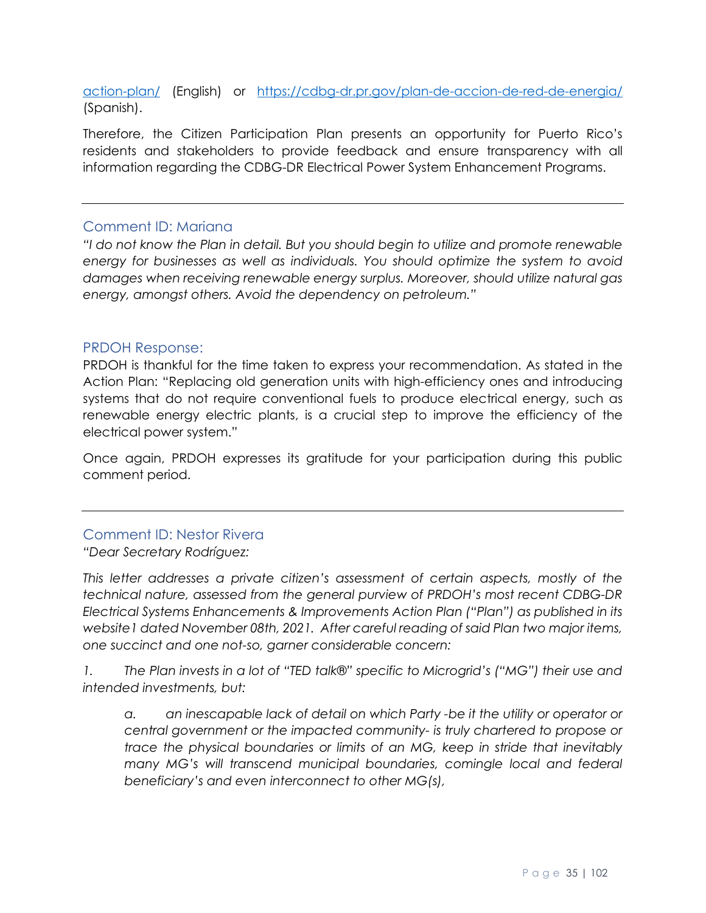[action-plan/](https://cdbg-dr.pr.gov/en/power-grid-action-plan/) (English) or <https://cdbg-dr.pr.gov/plan-de-accion-de-red-de-energia/> (Spanish).

Therefore, the Citizen Participation Plan presents an opportunity for Puerto Rico's residents and stakeholders to provide feedback and ensure transparency with all information regarding the CDBG-DR Electrical Power System Enhancement Programs.

#### <span id="page-34-0"></span>Comment ID: Mariana

*"I do not know the Plan in detail. But you should begin to utilize and promote renewable energy for businesses as well as individuals. You should optimize the system to avoid damages when receiving renewable energy surplus. Moreover, should utilize natural gas energy, amongst others. Avoid the dependency on petroleum."*

#### <span id="page-34-1"></span>PRDOH Response:

PRDOH is thankful for the time taken to express your recommendation. As stated in the Action Plan: "Replacing old generation units with high-efficiency ones and introducing systems that do not require conventional fuels to produce electrical energy, such as renewable energy electric plants, is a crucial step to improve the efficiency of the electrical power system."

Once again, PRDOH expresses its gratitude for your participation during this public comment period.

## <span id="page-34-2"></span>Comment ID: Nestor Rivera

*"Dear Secretary Rodríguez:* 

*This letter addresses a private citizen's assessment of certain aspects, mostly of the technical nature, assessed from the general purview of PRDOH's most recent CDBG-DR Electrical Systems Enhancements & Improvements Action Plan ("Plan") as published in its website1 dated November 08th, 2021. After careful reading of said Plan two major items, one succinct and one not-so, garner considerable concern:* 

*1. The Plan invests in a lot of "TED talk®" specific to Microgrid's ("MG") their use and intended investments, but:*

*a. an inescapable lack of detail on which Party -be it the utility or operator or central government or the impacted community- is truly chartered to propose or trace the physical boundaries or limits of an MG, keep in stride that inevitably many MG's will transcend municipal boundaries, comingle local and federal beneficiary's and even interconnect to other MG(s),*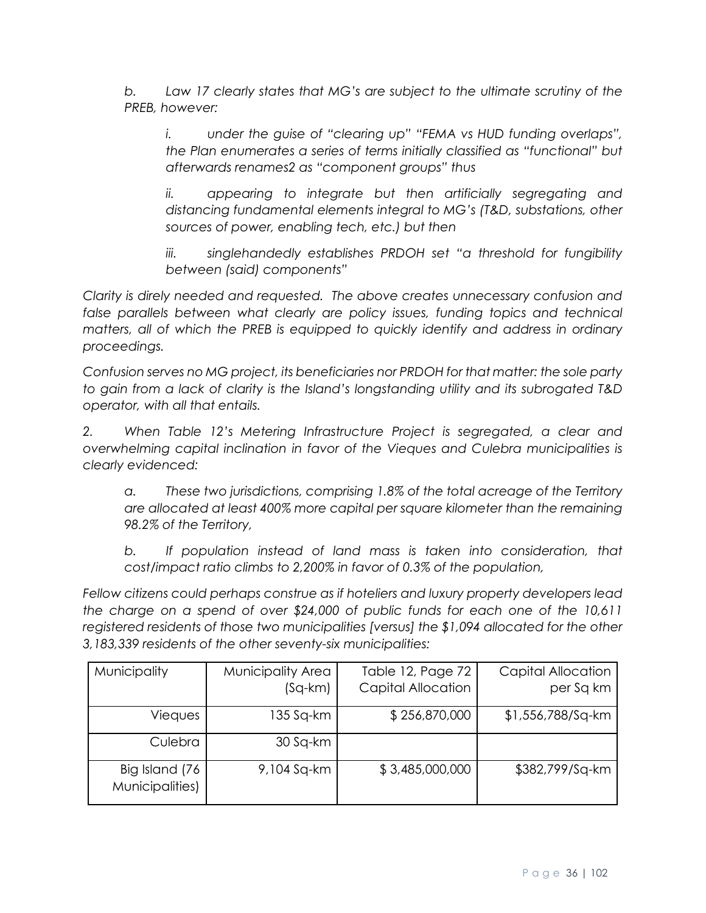*b. Law 17 clearly states that MG's are subject to the ultimate scrutiny of the PREB, however:*

*i. under the guise of "clearing up" "FEMA vs HUD funding overlaps", the Plan enumerates a series of terms initially classified as "functional" but afterwards renames2 as "component groups" thus*

*ii. appearing to integrate but then artificially segregating and distancing fundamental elements integral to MG's (T&D, substations, other sources of power, enabling tech, etc.) but then*

*iii. singlehandedly establishes PRDOH set "a threshold for fungibility between (said) components"*

*Clarity is direly needed and requested. The above creates unnecessary confusion and*  false parallels between what clearly are policy issues, funding topics and technical *matters, all of which the PREB is equipped to quickly identify and address in ordinary proceedings.* 

*Confusion serves no MG project, its beneficiaries nor PRDOH for that matter: the sole party to gain from a lack of clarity is the Island's longstanding utility and its subrogated T&D operator, with all that entails.*

*2. When Table 12's Metering Infrastructure Project is segregated, a clear and overwhelming capital inclination in favor of the Vieques and Culebra municipalities is clearly evidenced:*

*a. These two jurisdictions, comprising 1.8% of the total acreage of the Territory are allocated at least 400% more capital per square kilometer than the remaining 98.2% of the Territory,*

*b. If population instead of land mass is taken into consideration, that cost/impact ratio climbs to 2,200% in favor of 0.3% of the population,*

*Fellow citizens could perhaps construe as if hoteliers and luxury property developers lead the charge on a spend of over \$24,000 of public funds for each one of the 10,611 registered residents of those two municipalities [versus] the \$1,094 allocated for the other 3,183,339 residents of the other seventy-six municipalities:* 

| Municipality                      | Municipality Area<br>$(Sq-km)$ | Table 12, Page 72<br><b>Capital Allocation</b> | <b>Capital Allocation</b><br>per Sq km |
|-----------------------------------|--------------------------------|------------------------------------------------|----------------------------------------|
| <b>Vieques</b>                    | 135 Sq-km                      | \$256,870,000                                  | \$1,556,788/Sq-km                      |
| Culebra                           | 30 Sq-km                       |                                                |                                        |
| Big Island (76<br>Municipalities) | 9,104 Sq-km                    | \$3,485,000,000                                | \$382,799/Sq-km                        |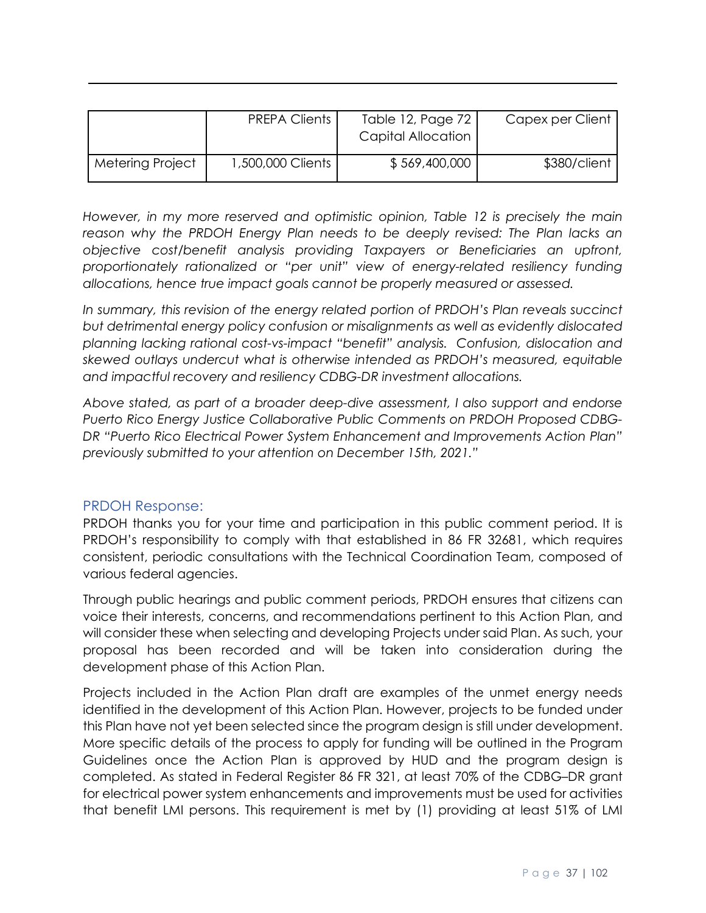|                  | <b>PREPA Clients I</b> | Table 12, Page 72<br>Capital Allocation | Capex per Client |
|------------------|------------------------|-----------------------------------------|------------------|
| Metering Project | 1,500,000 Clients      | \$569,400,000                           | \$380/client     |

*However, in my more reserved and optimistic opinion, Table 12 is precisely the main*  reason why the PRDOH Energy Plan needs to be deeply revised: The Plan lacks an *objective cost/benefit analysis providing Taxpayers or Beneficiaries an upfront, proportionately rationalized or "per unit" view of energy-related resiliency funding allocations, hence true impact goals cannot be properly measured or assessed.* 

*In summary, this revision of the energy related portion of PRDOH's Plan reveals succinct but detrimental energy policy confusion or misalignments as well as evidently dislocated planning lacking rational cost-vs-impact "benefit" analysis. Confusion, dislocation and skewed outlays undercut what is otherwise intended as PRDOH's measured, equitable and impactful recovery and resiliency CDBG-DR investment allocations.* 

*Above stated, as part of a broader deep-dive assessment, I also support and endorse Puerto Rico Energy Justice Collaborative Public Comments on PRDOH Proposed CDBG-DR "Puerto Rico Electrical Power System Enhancement and Improvements Action Plan" previously submitted to your attention on December 15th, 2021."*

#### PRDOH Response:

PRDOH thanks you for your time and participation in this public comment period. It is PRDOH's responsibility to comply with that established in 86 FR 32681, which requires consistent, periodic consultations with the Technical Coordination Team, composed of various federal agencies.

Through public hearings and public comment periods, PRDOH ensures that citizens can voice their interests, concerns, and recommendations pertinent to this Action Plan, and will consider these when selecting and developing Projects under said Plan. As such, your proposal has been recorded and will be taken into consideration during the development phase of this Action Plan.

Projects included in the Action Plan draft are examples of the unmet energy needs identified in the development of this Action Plan. However, projects to be funded under this Plan have not yet been selected since the program design is still under development. More specific details of the process to apply for funding will be outlined in the Program Guidelines once the Action Plan is approved by HUD and the program design is completed. As stated in Federal Register 86 FR 321, at least 70% of the CDBG–DR grant for electrical power system enhancements and improvements must be used for activities that benefit LMI persons. This requirement is met by (1) providing at least 51% of LMI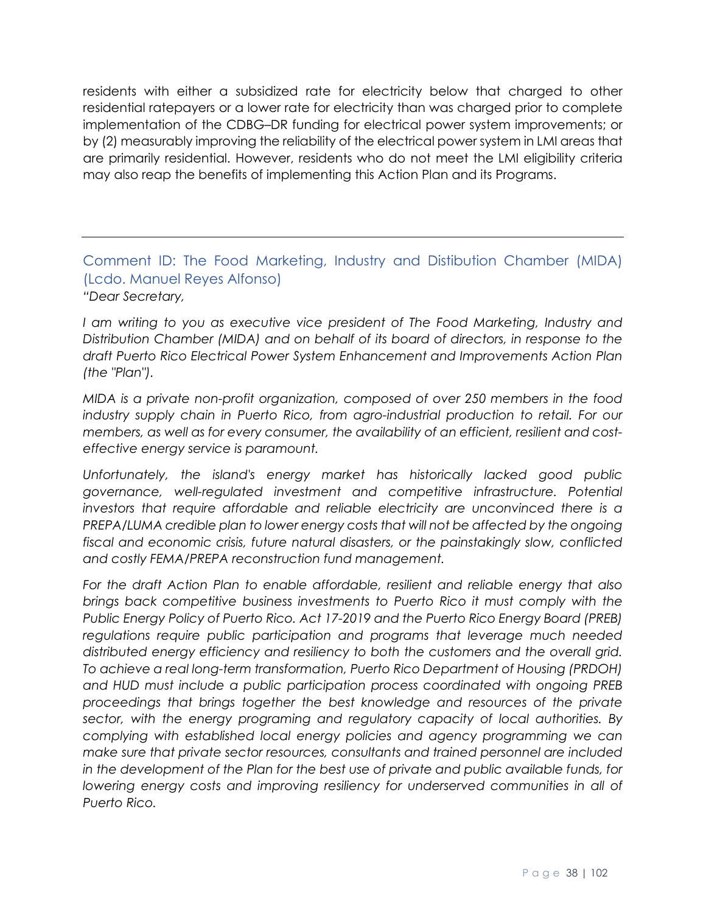residents with either a subsidized rate for electricity below that charged to other residential ratepayers or a lower rate for electricity than was charged prior to complete implementation of the CDBG–DR funding for electrical power system improvements; or by (2) measurably improving the reliability of the electrical power system in LMI areas that are primarily residential. However, residents who do not meet the LMI eligibility criteria may also reap the benefits of implementing this Action Plan and its Programs.

#### Comment ID: The Food Marketing, Industry and Distibution Chamber (MIDA) (Lcdo. Manuel Reyes Alfonso) *"Dear Secretary,*

*I am writing to you as executive vice president of The Food Marketing, Industry and Distribution Chamber (MIDA) and on behalf of its board of directors, in response to the draft Puerto Rico Electrical Power System Enhancement and Improvements Action Plan (the "Plan").* 

*MIDA is a private non-profit organization, composed of over 250 members in the food*  industry supply chain in Puerto Rico, from agro-industrial production to retail. For our *members, as well as for every consumer, the availability of an efficient, resilient and costeffective energy service is paramount.* 

*Unfortunately, the island's energy market has historically lacked good public governance, well-regulated investment and competitive infrastructure. Potential investors that require affordable and reliable electricity are unconvinced there is a PREPA/LUMA credible plan to lower energy costs that will not be affected by the ongoing fiscal and economic crisis, future natural disasters, or the painstakingly slow, conflicted and costly FEMA/PREPA reconstruction fund management.* 

*For the draft Action Plan to enable affordable, resilient and reliable energy that also brings back competitive business investments to Puerto Rico it must comply with the Public Energy Policy of Puerto Rico. Act 17-2019 and the Puerto Rico Energy Board (PREB) regulations require public participation and programs that leverage much needed distributed energy efficiency and resiliency to both the customers and the overall grid. To achieve a real long-term transformation, Puerto Rico Department of Housing (PRDOH) and HUD must include a public participation process coordinated with ongoing PREB proceedings that brings together the best knowledge and resources of the private sector, with the energy programing and regulatory capacity of local authorities. By complying with established local energy policies and agency programming we can make sure that private sector resources, consultants and trained personnel are included in the development of the Plan for the best use of private and public available funds, for*  lowering energy costs and improving resiliency for underserved communities in all of *Puerto Rico.*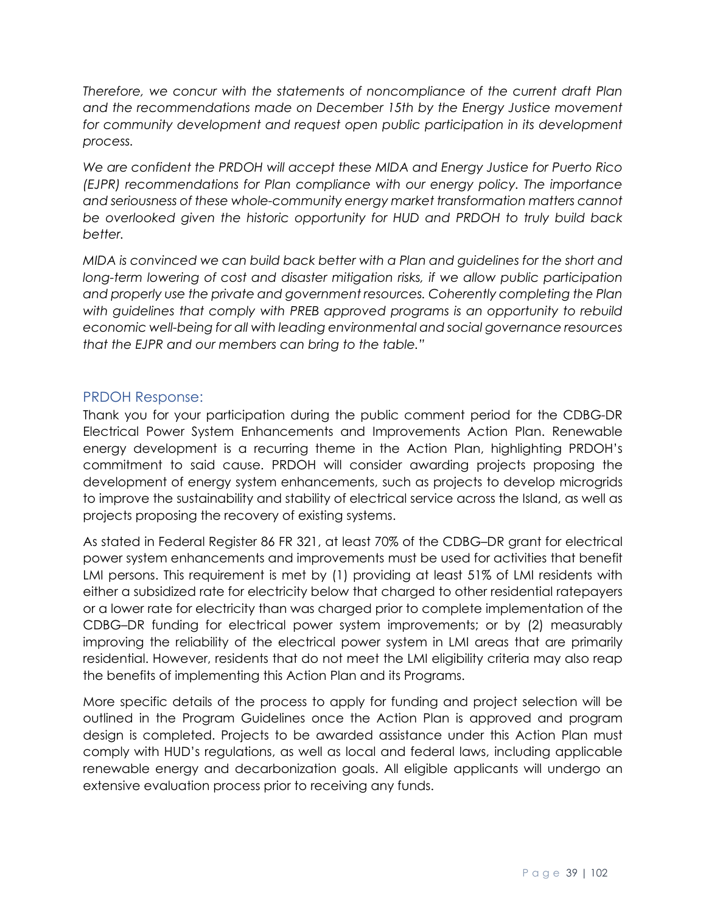*Therefore, we concur with the statements of noncompliance of the current draft Plan and the recommendations made on December 15th by the Energy Justice movement* for community development and request open public participation in its development *process.*

*We are confident the PRDOH will accept these MIDA and Energy Justice for Puerto Rico (EJPR) recommendations for Plan compliance with our energy policy. The importance and seriousness of these whole-community energy market transformation matters cannot be overlooked given the historic opportunity for HUD and PRDOH to truly build back better.* 

*MIDA is convinced we can build back better with a Plan and guidelines for the short and long-term lowering of cost and disaster mitigation risks, if we allow public participation and properly use the private and government resources. Coherently completing the Plan with guidelines that comply with PREB approved programs is an opportunity to rebuild economic well-being for all with leading environmental and social governance resources that the EJPR and our members can bring to the table."*

#### PRDOH Response:

Thank you for your participation during the public comment period for the CDBG-DR Electrical Power System Enhancements and Improvements Action Plan. Renewable energy development is a recurring theme in the Action Plan, highlighting PRDOH's commitment to said cause. PRDOH will consider awarding projects proposing the development of energy system enhancements, such as projects to develop microgrids to improve the sustainability and stability of electrical service across the Island, as well as projects proposing the recovery of existing systems.

As stated in Federal Register 86 FR 321, at least 70% of the CDBG–DR grant for electrical power system enhancements and improvements must be used for activities that benefit LMI persons. This requirement is met by (1) providing at least 51% of LMI residents with either a subsidized rate for electricity below that charged to other residential ratepayers or a lower rate for electricity than was charged prior to complete implementation of the CDBG–DR funding for electrical power system improvements; or by (2) measurably improving the reliability of the electrical power system in LMI areas that are primarily residential. However, residents that do not meet the LMI eligibility criteria may also reap the benefits of implementing this Action Plan and its Programs.

More specific details of the process to apply for funding and project selection will be outlined in the Program Guidelines once the Action Plan is approved and program design is completed. Projects to be awarded assistance under this Action Plan must comply with HUD's regulations, as well as local and federal laws, including applicable renewable energy and decarbonization goals. All eligible applicants will undergo an extensive evaluation process prior to receiving any funds.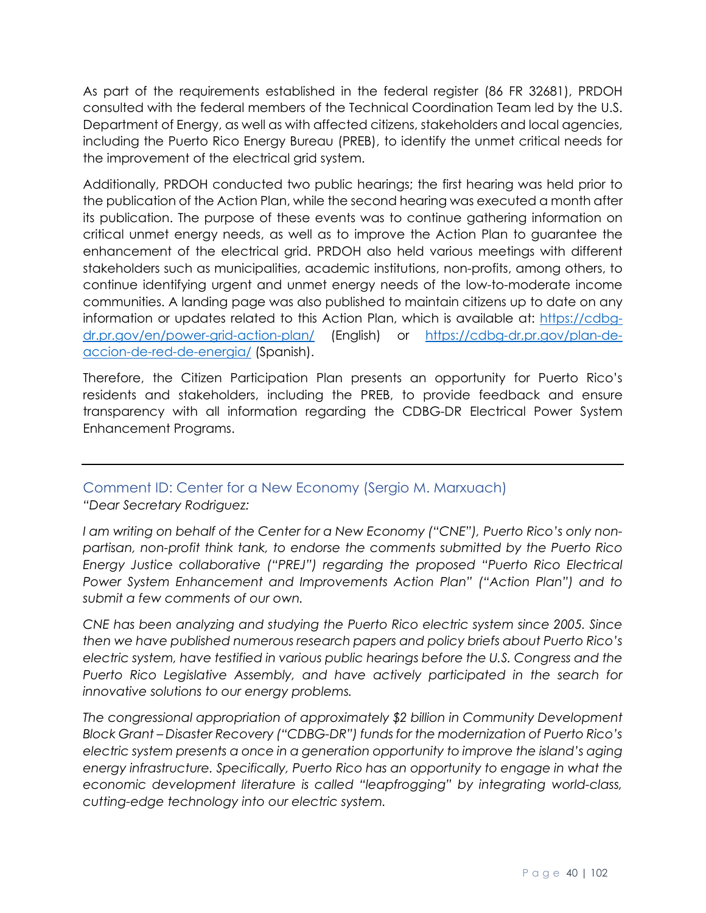As part of the requirements established in the federal register (86 FR 32681), PRDOH consulted with the federal members of the Technical Coordination Team led by the U.S. Department of Energy, as well as with affected citizens, stakeholders and local agencies, including the Puerto Rico Energy Bureau (PREB), to identify the unmet critical needs for the improvement of the electrical grid system.

Additionally, PRDOH conducted two public hearings; the first hearing was held prior to the publication of the Action Plan, while the second hearing was executed a month after its publication. The purpose of these events was to continue gathering information on critical unmet energy needs, as well as to improve the Action Plan to guarantee the enhancement of the electrical grid. PRDOH also held various meetings with different stakeholders such as municipalities, academic institutions, non-profits, among others, to continue identifying urgent and unmet energy needs of the low-to-moderate income communities. A landing page was also published to maintain citizens up to date on any information or updates related to this Action Plan, which is available at: [https://cdbg](https://cdbg-dr.pr.gov/en/power-grid-action-plan/)[dr.pr.gov/en/power-grid-action-plan/](https://cdbg-dr.pr.gov/en/power-grid-action-plan/) (English) or [https://cdbg-dr.pr.gov/plan-de](https://cdbg-dr.pr.gov/plan-de-accion-de-red-de-energia/)[accion-de-red-de-energia/](https://cdbg-dr.pr.gov/plan-de-accion-de-red-de-energia/) (Spanish).

Therefore, the Citizen Participation Plan presents an opportunity for Puerto Rico's residents and stakeholders, including the PREB, to provide feedback and ensure transparency with all information regarding the CDBG-DR Electrical Power System Enhancement Programs.

# Comment ID: Center for a New Economy (Sergio M. Marxuach)

*"Dear Secretary Rodriguez:* 

*I am writing on behalf of the Center for a New Economy ("CNE"), Puerto Rico's only nonpartisan, non-profit think tank, to endorse the comments submitted by the Puerto Rico Energy Justice collaborative ("PREJ") regarding the proposed "Puerto Rico Electrical Power System Enhancement and Improvements Action Plan" ("Action Plan") and to submit a few comments of our own.* 

*CNE has been analyzing and studying the Puerto Rico electric system since 2005. Since then we have published numerous research papers and policy briefs about Puerto Rico's electric system, have testified in various public hearings before the U.S. Congress and the Puerto Rico Legislative Assembly, and have actively participated in the search for innovative solutions to our energy problems.* 

*The congressional appropriation of approximately \$2 billion in Community Development Block Grant – Disaster Recovery ("CDBG-DR") funds for the modernization of Puerto Rico's electric system presents a once in a generation opportunity to improve the island's aging energy infrastructure. Specifically, Puerto Rico has an opportunity to engage in what the economic development literature is called "leapfrogging" by integrating world-class, cutting-edge technology into our electric system.*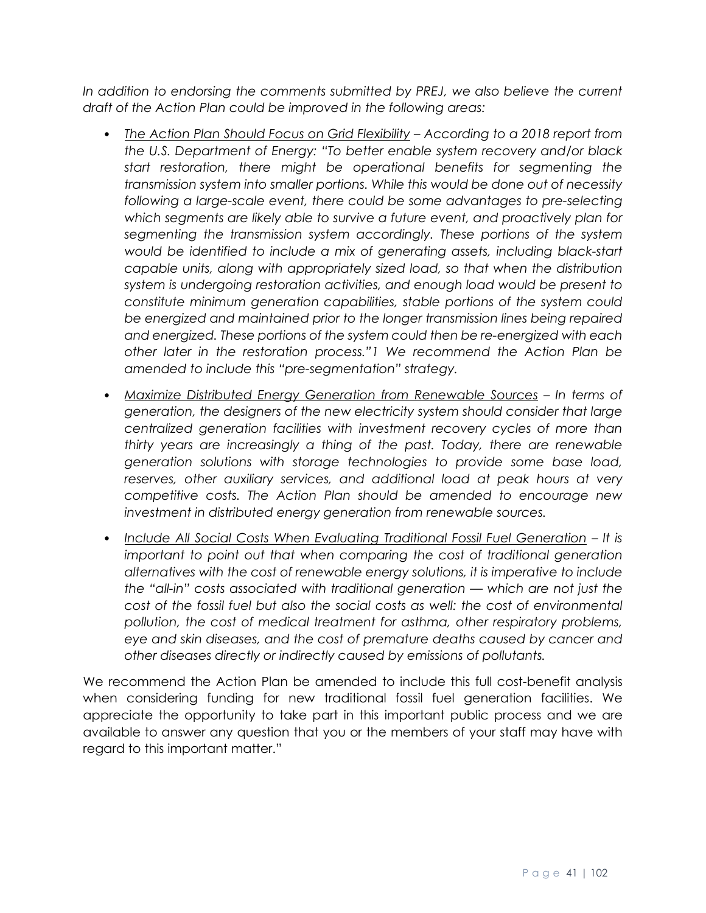In addition to endorsing the comments submitted by PREJ, we also believe the current *draft of the Action Plan could be improved in the following areas:* 

- *The Action Plan Should Focus on Grid Flexibility – According to a 2018 report from the U.S. Department of Energy: "To better enable system recovery and/or black start restoration, there might be operational benefits for segmenting the transmission system into smaller portions. While this would be done out of necessity following a large-scale event, there could be some advantages to pre-selecting which segments are likely able to survive a future event, and proactively plan for segmenting the transmission system accordingly. These portions of the system would be identified to include a mix of generating assets, including black-start capable units, along with appropriately sized load, so that when the distribution system is undergoing restoration activities, and enough load would be present to constitute minimum generation capabilities, stable portions of the system could be energized and maintained prior to the longer transmission lines being repaired and energized. These portions of the system could then be re-energized with each other later in the restoration process."1 We recommend the Action Plan be amended to include this "pre-segmentation" strategy.*
- *Maximize Distributed Energy Generation from Renewable Sources – In terms of generation, the designers of the new electricity system should consider that large centralized generation facilities with investment recovery cycles of more than thirty years are increasingly a thing of the past. Today, there are renewable generation solutions with storage technologies to provide some base load, reserves, other auxiliary services, and additional load at peak hours at very competitive costs. The Action Plan should be amended to encourage new investment in distributed energy generation from renewable sources.*
- Include All Social Costs When Evaluating Traditional Fossil Fuel Generation It is *important to point out that when comparing the cost of traditional generation alternatives with the cost of renewable energy solutions, it is imperative to include the "all-in" costs associated with traditional generation — which are not just the cost of the fossil fuel but also the social costs as well: the cost of environmental pollution, the cost of medical treatment for asthma, other respiratory problems, eye and skin diseases, and the cost of premature deaths caused by cancer and other diseases directly or indirectly caused by emissions of pollutants.*

We recommend the Action Plan be amended to include this full cost-benefit analysis when considering funding for new traditional fossil fuel generation facilities. We appreciate the opportunity to take part in this important public process and we are available to answer any question that you or the members of your staff may have with regard to this important matter."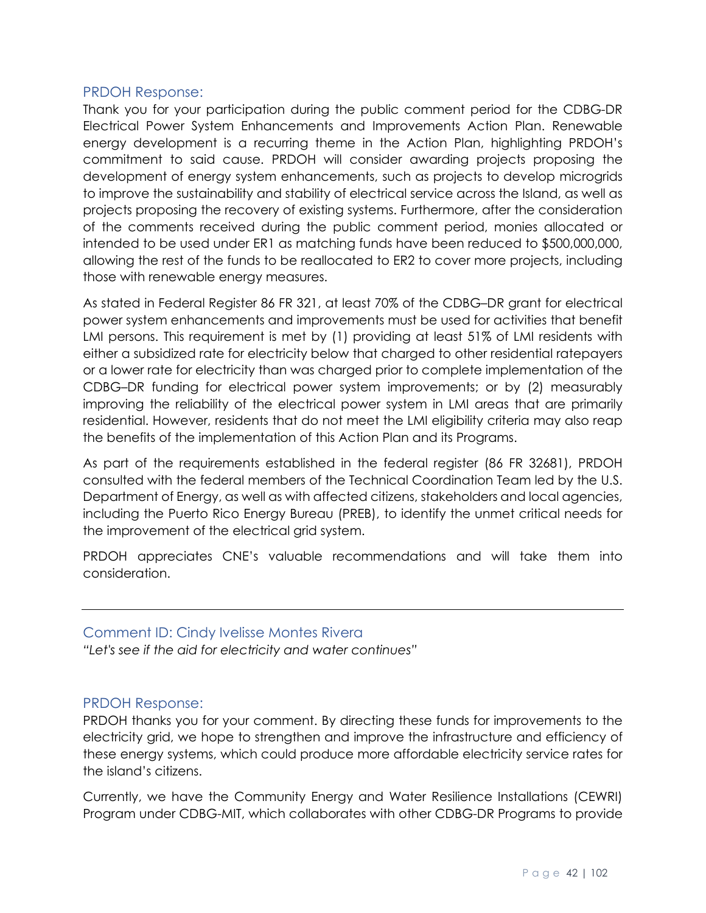#### PRDOH Response:

Thank you for your participation during the public comment period for the CDBG-DR Electrical Power System Enhancements and Improvements Action Plan. Renewable energy development is a recurring theme in the Action Plan, highlighting PRDOH's commitment to said cause. PRDOH will consider awarding projects proposing the development of energy system enhancements, such as projects to develop microgrids to improve the sustainability and stability of electrical service across the Island, as well as projects proposing the recovery of existing systems. Furthermore, after the consideration of the comments received during the public comment period, monies allocated or intended to be used under ER1 as matching funds have been reduced to \$500,000,000, allowing the rest of the funds to be reallocated to ER2 to cover more projects, including those with renewable energy measures.

As stated in Federal Register 86 FR 321, at least 70% of the CDBG–DR grant for electrical power system enhancements and improvements must be used for activities that benefit LMI persons. This requirement is met by (1) providing at least 51% of LMI residents with either a subsidized rate for electricity below that charged to other residential ratepayers or a lower rate for electricity than was charged prior to complete implementation of the CDBG–DR funding for electrical power system improvements; or by (2) measurably improving the reliability of the electrical power system in LMI areas that are primarily residential. However, residents that do not meet the LMI eligibility criteria may also reap the benefits of the implementation of this Action Plan and its Programs.

As part of the requirements established in the federal register (86 FR 32681), PRDOH consulted with the federal members of the Technical Coordination Team led by the U.S. Department of Energy, as well as with affected citizens, stakeholders and local agencies, including the Puerto Rico Energy Bureau (PREB), to identify the unmet critical needs for the improvement of the electrical grid system.

PRDOH appreciates CNE's valuable recommendations and will take them into consideration.

#### Comment ID: Cindy Ivelisse Montes Rivera

*"Let's see if the aid for electricity and water continues"* 

#### PRDOH Response:

PRDOH thanks you for your comment. By directing these funds for improvements to the electricity grid, we hope to strengthen and improve the infrastructure and efficiency of these energy systems, which could produce more affordable electricity service rates for the island's citizens.

Currently, we have the Community Energy and Water Resilience Installations (CEWRI) Program under CDBG-MIT, which collaborates with other CDBG-DR Programs to provide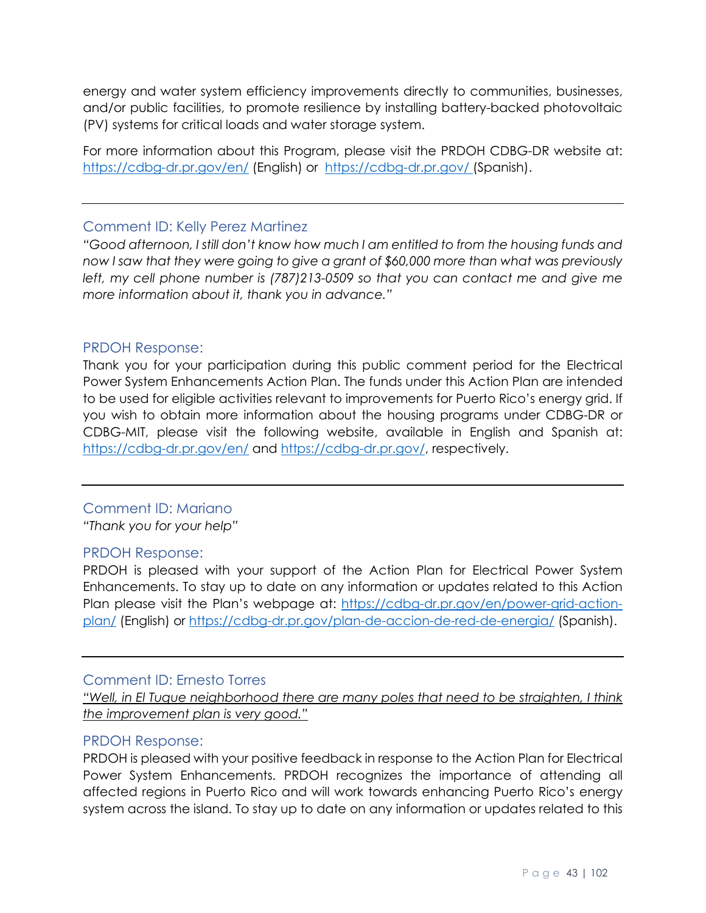energy and water system efficiency improvements directly to communities, businesses, and/or public facilities, to promote resilience by installing battery-backed photovoltaic (PV) systems for critical loads and water storage system.

For more information about this Program, please visit the PRDOH CDBG-DR website at: <https://cdbg-dr.pr.gov/en/> (English) or <https://cdbg-dr.pr.gov/> (Spanish).

#### Comment ID: Kelly Perez Martinez

*"Good afternoon, I still don't know how much I am entitled to from the housing funds and now I saw that they were going to give a grant of \$60,000 more than what was previously*  left, my cell phone number is (787)213-0509 so that you can contact me and give me *more information about it, thank you in advance."*

#### PRDOH Response:

Thank you for your participation during this public comment period for the Electrical Power System Enhancements Action Plan. The funds under this Action Plan are intended to be used for eligible activities relevant to improvements for Puerto Rico's energy grid. If you wish to obtain more information about the housing programs under CDBG-DR or CDBG-MIT, please visit the following website, available in English and Spanish at: <https://cdbg-dr.pr.gov/en/> and [https://cdbg-dr.pr.gov/,](https://cdbg-dr.pr.gov/) respectively.

#### Comment ID: Mariano

*"Thank you for your help"*

#### PRDOH Response:

PRDOH is pleased with your support of the Action Plan for Electrical Power System Enhancements. To stay up to date on any information or updates related to this Action Plan please visit the Plan's webpage at: [https://cdbg-dr.pr.gov/en/power-grid-action](https://cdbg-dr.pr.gov/en/power-grid-action-plan/)[plan/](https://cdbg-dr.pr.gov/en/power-grid-action-plan/) (English) or<https://cdbg-dr.pr.gov/plan-de-accion-de-red-de-energia/> (Spanish).

#### Comment ID: Ernesto Torres

*"Well, in El Tuque neighborhood there are many poles that need to be straighten, I think the improvement plan is very good."*

#### PRDOH Response:

PRDOH is pleased with your positive feedback in response to the Action Plan for Electrical Power System Enhancements. PRDOH recognizes the importance of attending all affected regions in Puerto Rico and will work towards enhancing Puerto Rico's energy system across the island. To stay up to date on any information or updates related to this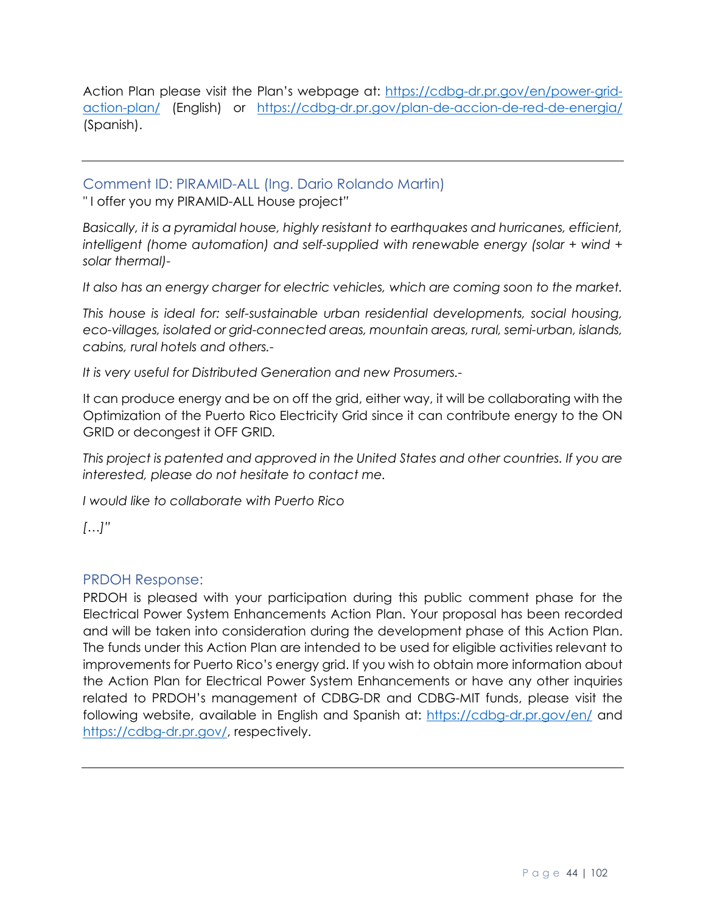Action Plan please visit the Plan's webpage at: [https://cdbg-dr.pr.gov/en/power-grid](https://cdbg-dr.pr.gov/en/power-grid-action-plan/)[action-plan/](https://cdbg-dr.pr.gov/en/power-grid-action-plan/) (English) or <https://cdbg-dr.pr.gov/plan-de-accion-de-red-de-energia/> (Spanish).

Comment ID: PIRAMID-ALL (Ing. Dario Rolando Martin)

*"* I offer you my PIRAMID-ALL House project*"*

*Basically, it is a pyramidal house, highly resistant to earthquakes and hurricanes, efficient, intelligent (home automation) and self-supplied with renewable energy (solar + wind + solar thermal)-*

*It also has an energy charger for electric vehicles, which are coming soon to the market.*

*This house is ideal for: self-sustainable urban residential developments, social housing, eco-villages, isolated or grid-connected areas, mountain areas, rural, semi-urban, islands, cabins, rural hotels and others.-*

*It is very useful for Distributed Generation and new Prosumers.-*

It can produce energy and be on off the grid, either way, it will be collaborating with the Optimization of the Puerto Rico Electricity Grid since it can contribute energy to the ON GRID or decongest it OFF GRID*.*

*This project is patented and approved in the United States and other countries. If you are interested, please do not hesitate to contact me.*

*I would like to collaborate with Puerto Rico*

*[…]"*

#### PRDOH Response:

PRDOH is pleased with your participation during this public comment phase for the Electrical Power System Enhancements Action Plan. Your proposal has been recorded and will be taken into consideration during the development phase of this Action Plan. The funds under this Action Plan are intended to be used for eligible activities relevant to improvements for Puerto Rico's energy grid. If you wish to obtain more information about the Action Plan for Electrical Power System Enhancements or have any other inquiries related to PRDOH's management of CDBG-DR and CDBG-MIT funds, please visit the following website, available in English and Spanish at:<https://cdbg-dr.pr.gov/en/> and [https://cdbg-dr.pr.gov/,](https://cdbg-dr.pr.gov/) respectively.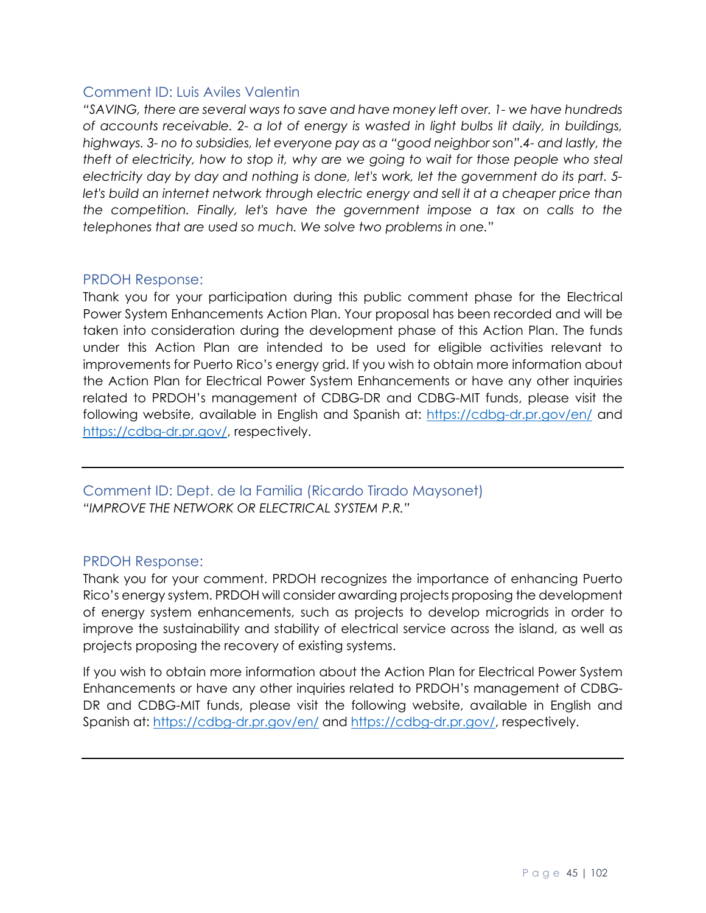#### Comment ID: Luis Aviles Valentin

*"SAVING, there are several ways to save and have money left over. 1- we have hundreds of accounts receivable. 2- a lot of energy is wasted in light bulbs lit daily, in buildings, highways. 3- no to subsidies, let everyone pay as a "good neighbor son".4- and lastly, the theft of electricity, how to stop it, why are we going to wait for those people who steal electricity day by day and nothing is done, let's work, let the government do its part. 5* let's build an internet network through electric energy and sell it at a cheaper price than *the competition. Finally, let's have the government impose a tax on calls to the telephones that are used so much. We solve two problems in one."*

#### PRDOH Response:

Thank you for your participation during this public comment phase for the Electrical Power System Enhancements Action Plan. Your proposal has been recorded and will be taken into consideration during the development phase of this Action Plan. The funds under this Action Plan are intended to be used for eligible activities relevant to improvements for Puerto Rico's energy grid. If you wish to obtain more information about the Action Plan for Electrical Power System Enhancements or have any other inquiries related to PRDOH's management of CDBG-DR and CDBG-MIT funds, please visit the following website, available in English and Spanish at:<https://cdbg-dr.pr.gov/en/> and [https://cdbg-dr.pr.gov/,](https://cdbg-dr.pr.gov/) respectively.

Comment ID: Dept. de la Familia (Ricardo Tirado Maysonet) *"IMPROVE THE NETWORK OR ELECTRICAL SYSTEM P.R."*

#### PRDOH Response:

Thank you for your comment. PRDOH recognizes the importance of enhancing Puerto Rico's energy system. PRDOH will consider awarding projects proposing the development of energy system enhancements, such as projects to develop microgrids in order to improve the sustainability and stability of electrical service across the island, as well as projects proposing the recovery of existing systems.

If you wish to obtain more information about the Action Plan for Electrical Power System Enhancements or have any other inquiries related to PRDOH's management of CDBG-DR and CDBG-MIT funds, please visit the following website, available in English and Spanish at:<https://cdbg-dr.pr.gov/en/> and [https://cdbg-dr.pr.gov/,](https://cdbg-dr.pr.gov/) respectively.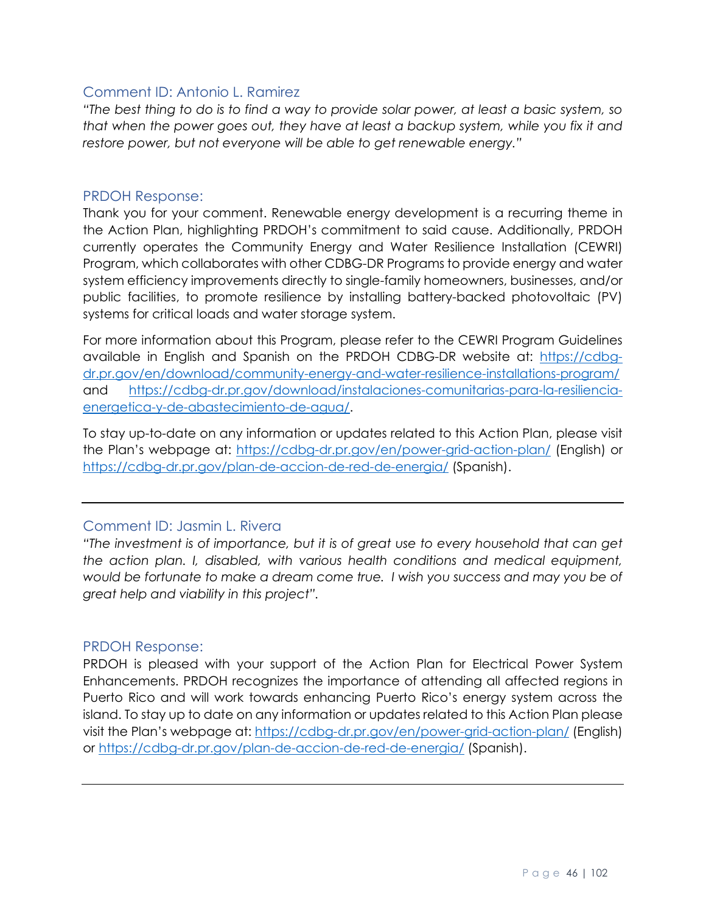#### Comment ID: Antonio L. Ramirez

*"The best thing to do is to find a way to provide solar power, at least a basic system, so that when the power goes out, they have at least a backup system, while you fix it and restore power, but not everyone will be able to get renewable energy."*

#### PRDOH Response:

Thank you for your comment. Renewable energy development is a recurring theme in the Action Plan, highlighting PRDOH's commitment to said cause. Additionally, PRDOH currently operates the Community Energy and Water Resilience Installation (CEWRI) Program, which collaborates with other CDBG-DR Programs to provide energy and water system efficiency improvements directly to single-family homeowners, businesses, and/or public facilities, to promote resilience by installing battery-backed photovoltaic (PV) systems for critical loads and water storage system.

For more information about this Program, please refer to the CEWRI Program Guidelines available in English and Spanish on the PRDOH CDBG-DR website at: [https://cdbg](https://cdbg-dr.pr.gov/en/download/community-energy-and-water-resilience-installations-program/)[dr.pr.gov/en/download/community-energy-and-water-resilience-installations-program/](https://cdbg-dr.pr.gov/en/download/community-energy-and-water-resilience-installations-program/) and [https://cdbg-dr.pr.gov/download/instalaciones-comunitarias-para-la-resiliencia](https://cdbg-dr.pr.gov/download/instalaciones-comunitarias-para-la-resiliencia-energetica-y-de-abastecimiento-de-agua/)[energetica-y-de-abastecimiento-de-agua/.](https://cdbg-dr.pr.gov/download/instalaciones-comunitarias-para-la-resiliencia-energetica-y-de-abastecimiento-de-agua/)

To stay up-to-date on any information or updates related to this Action Plan, please visit the Plan's webpage at:<https://cdbg-dr.pr.gov/en/power-grid-action-plan/> (English) or <https://cdbg-dr.pr.gov/plan-de-accion-de-red-de-energia/> (Spanish).

# Comment ID: Jasmin L. Rivera

*"The investment is of importance, but it is of great use to every household that can get the action plan. I, disabled, with various health conditions and medical equipment, would be fortunate to make a dream come true. I wish you success and may you be of great help and viability in this project".*

#### PRDOH Response:

PRDOH is pleased with your support of the Action Plan for Electrical Power System Enhancements. PRDOH recognizes the importance of attending all affected regions in Puerto Rico and will work towards enhancing Puerto Rico's energy system across the island. To stay up to date on any information or updates related to this Action Plan please visit the Plan's webpage at:<https://cdbg-dr.pr.gov/en/power-grid-action-plan/> (English) or<https://cdbg-dr.pr.gov/plan-de-accion-de-red-de-energia/> (Spanish).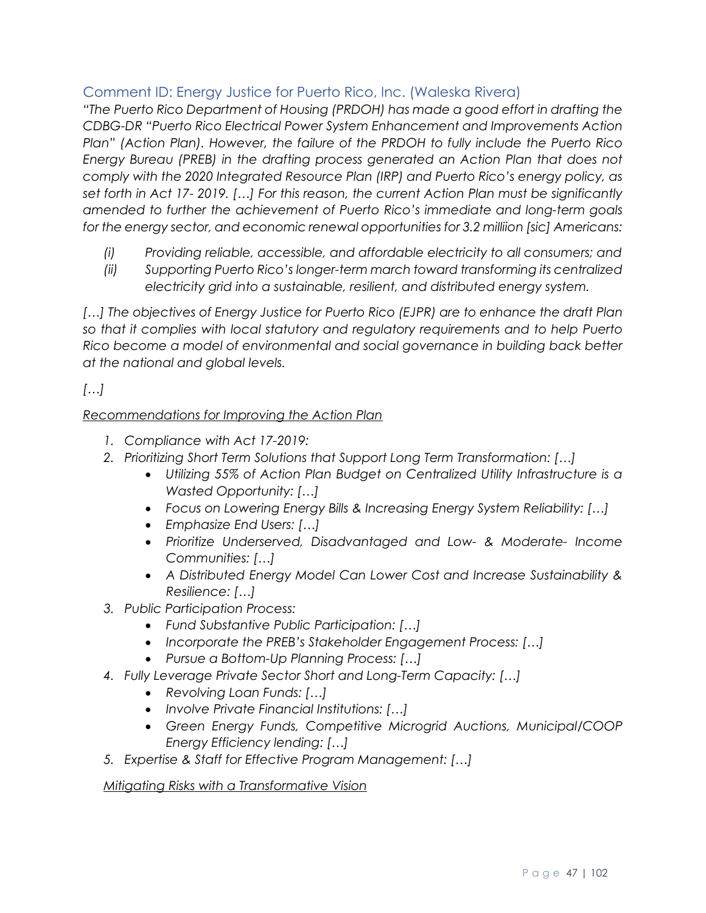# Comment ID: Energy Justice for Puerto Rico, Inc. (Waleska Rivera)

*"The Puerto Rico Department of Housing (PRDOH) has made a good effort in drafting the CDBG-DR "Puerto Rico Electrical Power System Enhancement and Improvements Action Plan" (Action Plan). However, the failure of the PRDOH to fully include the Puerto Rico Energy Bureau (PREB) in the drafting process generated an Action Plan that does not comply with the 2020 Integrated Resource Plan (IRP) and Puerto Rico's energy policy, as set forth in Act 17- 2019. […] For this reason, the current Action Plan must be significantly amended to further the achievement of Puerto Rico's immediate and long-term goals for the energy sector, and economic renewal opportunities for 3.2 milliion [sic] Americans:* 

- *(i) Providing reliable, accessible, and affordable electricity to all consumers; and*
- *(ii) Supporting Puerto Rico's longer-term march toward transforming its centralized electricity grid into a sustainable, resilient, and distributed energy system.*

[...] The objectives of Energy Justice for Puerto Rico (EJPR) are to enhance the draft Plan *so that it complies with local statutory and regulatory requirements and to help Puerto Rico become a model of environmental and social governance in building back better at the national and global levels.*

*[…]* 

#### *Recommendations for Improving the Action Plan*

- *1. Compliance with Act 17-2019:*
- *2. Prioritizing Short Term Solutions that Support Long Term Transformation: […]*
	- *Utilizing 55% of Action Plan Budget on Centralized Utility Infrastructure is a Wasted Opportunity: […]*
	- *Focus on Lowering Energy Bills & Increasing Energy System Reliability: […]*
	- *Emphasize End Users: […]*
	- *Prioritize Underserved, Disadvantaged and Low- & Moderate- Income Communities: […]*
	- *A Distributed Energy Model Can Lower Cost and Increase Sustainability & Resilience: […]*
- *3. Public Participation Process:*
	- *Fund Substantive Public Participation: […]*
	- *Incorporate the PREB's Stakeholder Engagement Process: […]*
	- *Pursue a Bottom-Up Planning Process: […]*
- *4. Fully Leverage Private Sector Short and Long-Term Capacity: […]*
	- *Revolving Loan Funds: […]*
	- *Involve Private Financial Institutions: […]*
	- *Green Energy Funds, Competitive Microgrid Auctions, Municipal/COOP Energy Efficiency lending: […]*
- *5. Expertise & Staff for Effective Program Management: […]*

#### *Mitigating Risks with a Transformative Vision*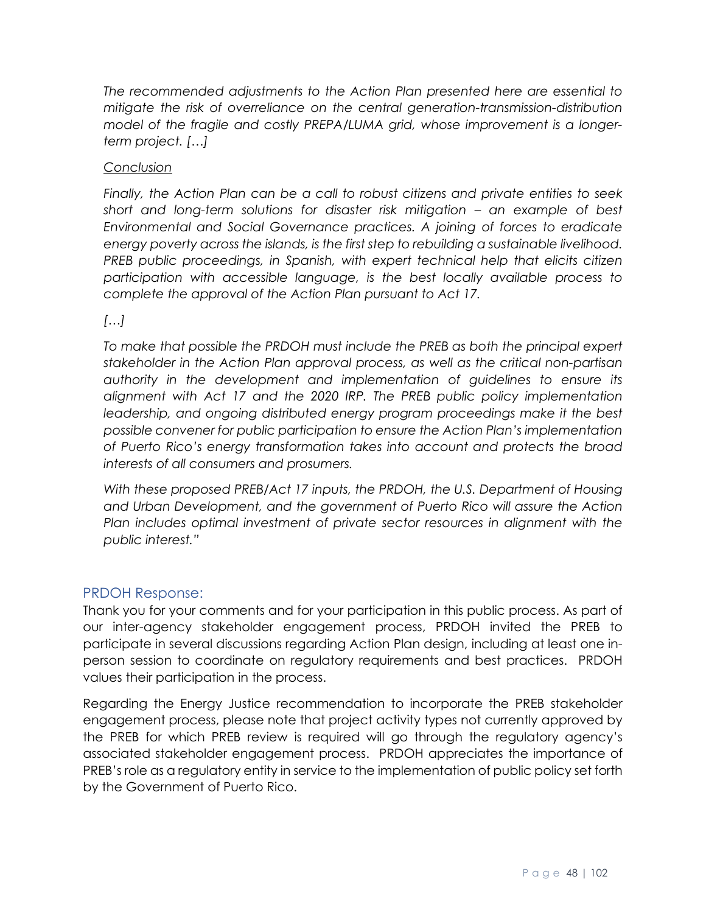*The recommended adjustments to the Action Plan presented here are essential to mitigate the risk of overreliance on the central generation-transmission-distribution model of the fragile and costly PREPA/LUMA grid, whose improvement is a longerterm project. […]*

#### *Conclusion*

*Finally, the Action Plan can be a call to robust citizens and private entities to seek short and long-term solutions for disaster risk mitigation – an example of best Environmental and Social Governance practices. A joining of forces to eradicate energy poverty across the islands, is the first step to rebuilding a sustainable livelihood. PREB public proceedings, in Spanish, with expert technical help that elicits citizen participation with accessible language, is the best locally available process to complete the approval of the Action Plan pursuant to Act 17.*

*[…]*

*To make that possible the PRDOH must include the PREB as both the principal expert stakeholder in the Action Plan approval process, as well as the critical non-partisan authority in the development and implementation of guidelines to ensure its alignment with Act 17 and the 2020 IRP. The PREB public policy implementation*  leadership, and ongoing distributed energy program proceedings make it the best *possible convener for public participation to ensure the Action Plan's implementation of Puerto Rico's energy transformation takes into account and protects the broad interests of all consumers and prosumers.*

*With these proposed PREB/Act 17 inputs, the PRDOH, the U.S. Department of Housing and Urban Development, and the government of Puerto Rico will assure the Action Plan includes optimal investment of private sector resources in alignment with the public interest."*

#### PRDOH Response:

Thank you for your comments and for your participation in this public process. As part of our inter-agency stakeholder engagement process, PRDOH invited the PREB to participate in several discussions regarding Action Plan design, including at least one inperson session to coordinate on regulatory requirements and best practices. PRDOH values their participation in the process.

Regarding the Energy Justice recommendation to incorporate the PREB stakeholder engagement process, please note that project activity types not currently approved by the PREB for which PREB review is required will go through the regulatory agency's associated stakeholder engagement process. PRDOH appreciates the importance of PREB's role as a regulatory entity in service to the implementation of public policy set forth by the Government of Puerto Rico.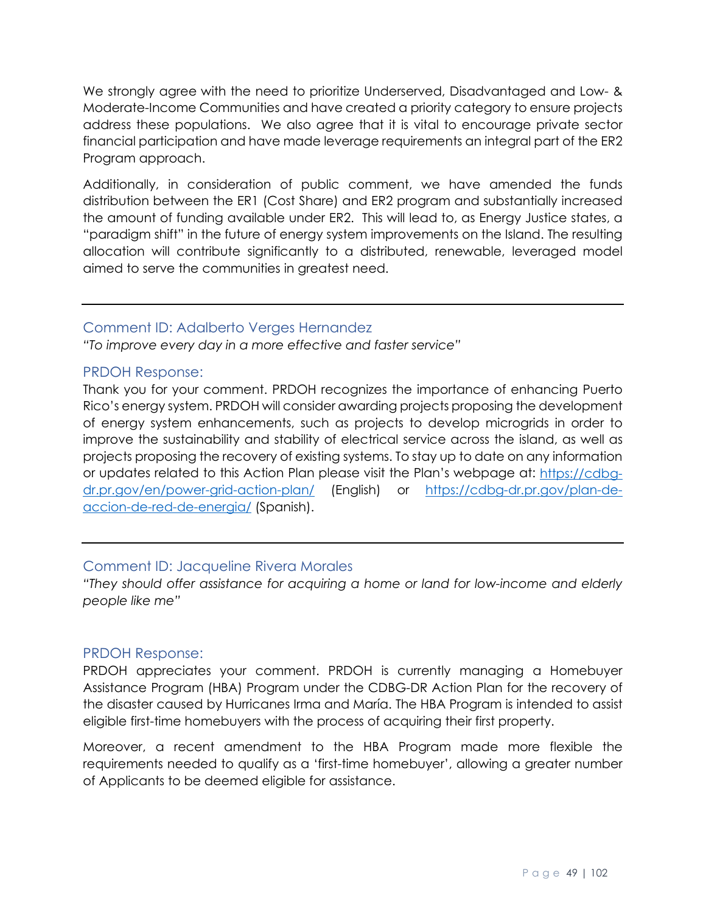We strongly agree with the need to prioritize Underserved, Disadvantaged and Low- & Moderate-Income Communities and have created a priority category to ensure projects address these populations. We also agree that it is vital to encourage private sector financial participation and have made leverage requirements an integral part of the ER2 Program approach.

Additionally, in consideration of public comment, we have amended the funds distribution between the ER1 (Cost Share) and ER2 program and substantially increased the amount of funding available under ER2. This will lead to, as Energy Justice states, a "paradigm shift" in the future of energy system improvements on the Island. The resulting allocation will contribute significantly to a distributed, renewable, leveraged model aimed to serve the communities in greatest need.

#### Comment ID: Adalberto Verges Hernandez

*"To improve every day in a more effective and faster service"*

#### PRDOH Response:

Thank you for your comment. PRDOH recognizes the importance of enhancing Puerto Rico's energy system. PRDOH will consider awarding projects proposing the development of energy system enhancements, such as projects to develop microgrids in order to improve the sustainability and stability of electrical service across the island, as well as projects proposing the recovery of existing systems. To stay up to date on any information or updates related to this Action Plan please visit the Plan's webpage at: [https://cdbg](https://cdbg-dr.pr.gov/en/power-grid-action-plan/)[dr.pr.gov/en/power-grid-action-plan/](https://cdbg-dr.pr.gov/en/power-grid-action-plan/) (English) or [https://cdbg-dr.pr.gov/plan-de](https://cdbg-dr.pr.gov/plan-de-accion-de-red-de-energia/)[accion-de-red-de-energia/](https://cdbg-dr.pr.gov/plan-de-accion-de-red-de-energia/) (Spanish).

#### Comment ID: Jacqueline Rivera Morales

*"They should offer assistance for acquiring a home or land for low-income and elderly people like me"*

#### PRDOH Response:

PRDOH appreciates your comment. PRDOH is currently managing a Homebuyer Assistance Program (HBA) Program under the CDBG-DR Action Plan for the recovery of the disaster caused by Hurricanes Irma and María. The HBA Program is intended to assist eligible first-time homebuyers with the process of acquiring their first property.

Moreover, a recent amendment to the HBA Program made more flexible the requirements needed to qualify as a 'first-time homebuyer', allowing a greater number of Applicants to be deemed eligible for assistance.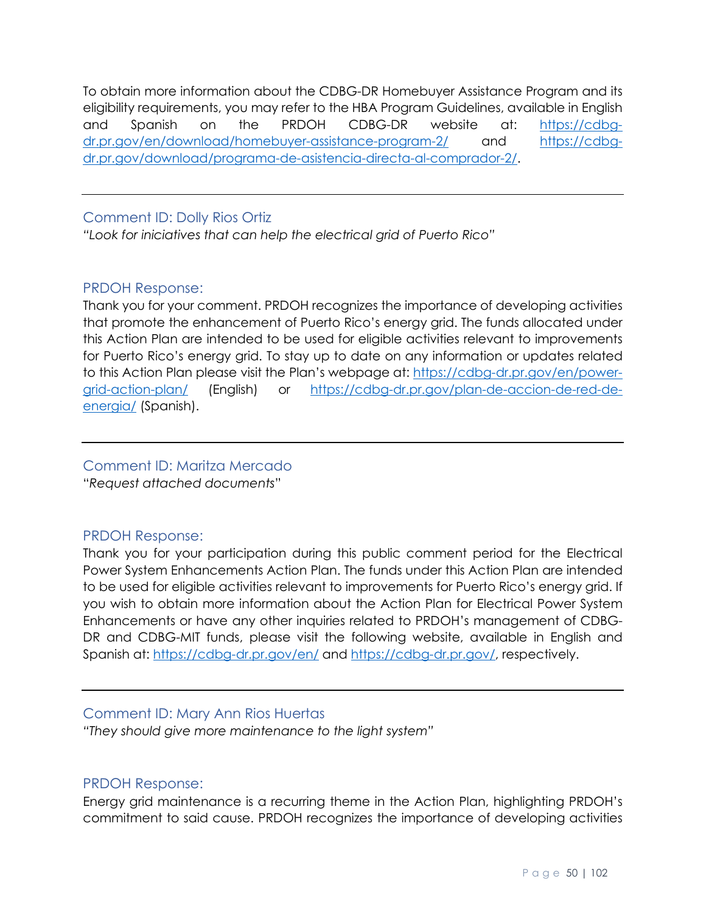To obtain more information about the CDBG-DR Homebuyer Assistance Program and its eligibility requirements, you may refer to the HBA Program Guidelines, available in English and Spanish on the PRDOH CDBG-DR website at: [https://cdbg](https://cdbg-dr.pr.gov/en/download/homebuyer-assistance-program-2/)[dr.pr.gov/en/download/homebuyer-assistance-program-2/](https://cdbg-dr.pr.gov/en/download/homebuyer-assistance-program-2/) and [https://cdbg](https://cdbg-dr.pr.gov/download/programa-de-asistencia-directa-al-comprador-2/)[dr.pr.gov/download/programa-de-asistencia-directa-al-comprador-2/.](https://cdbg-dr.pr.gov/download/programa-de-asistencia-directa-al-comprador-2/)

#### Comment ID: Dolly Rios Ortiz

*"Look for iniciatives that can help the electrical grid of Puerto Rico"*

## PRDOH Response:

Thank you for your comment. PRDOH recognizes the importance of developing activities that promote the enhancement of Puerto Rico's energy grid. The funds allocated under this Action Plan are intended to be used for eligible activities relevant to improvements for Puerto Rico's energy grid. To stay up to date on any information or updates related to this Action Plan please visit the Plan's webpage at: [https://cdbg-dr.pr.gov/en/power](https://cdbg-dr.pr.gov/en/power-grid-action-plan/)[grid-action-plan/](https://cdbg-dr.pr.gov/en/power-grid-action-plan/) (English) or [https://cdbg-dr.pr.gov/plan-de-accion-de-red-de](https://cdbg-dr.pr.gov/plan-de-accion-de-red-de-energia/)[energia/](https://cdbg-dr.pr.gov/plan-de-accion-de-red-de-energia/) (Spanish).

# Comment ID: Maritza Mercado

"*Request attached documents*"

# PRDOH Response:

Thank you for your participation during this public comment period for the Electrical Power System Enhancements Action Plan. The funds under this Action Plan are intended to be used for eligible activities relevant to improvements for Puerto Rico's energy grid. If you wish to obtain more information about the Action Plan for Electrical Power System Enhancements or have any other inquiries related to PRDOH's management of CDBG-DR and CDBG-MIT funds, please visit the following website, available in English and Spanish at: <https://cdbg-dr.pr.gov/en/> and [https://cdbg-dr.pr.gov/,](https://cdbg-dr.pr.gov/) respectively.

# Comment ID: Mary Ann Rios Huertas

*"They should give more maintenance to the light system"*

#### PRDOH Response:

Energy grid maintenance is a recurring theme in the Action Plan, highlighting PRDOH's commitment to said cause. PRDOH recognizes the importance of developing activities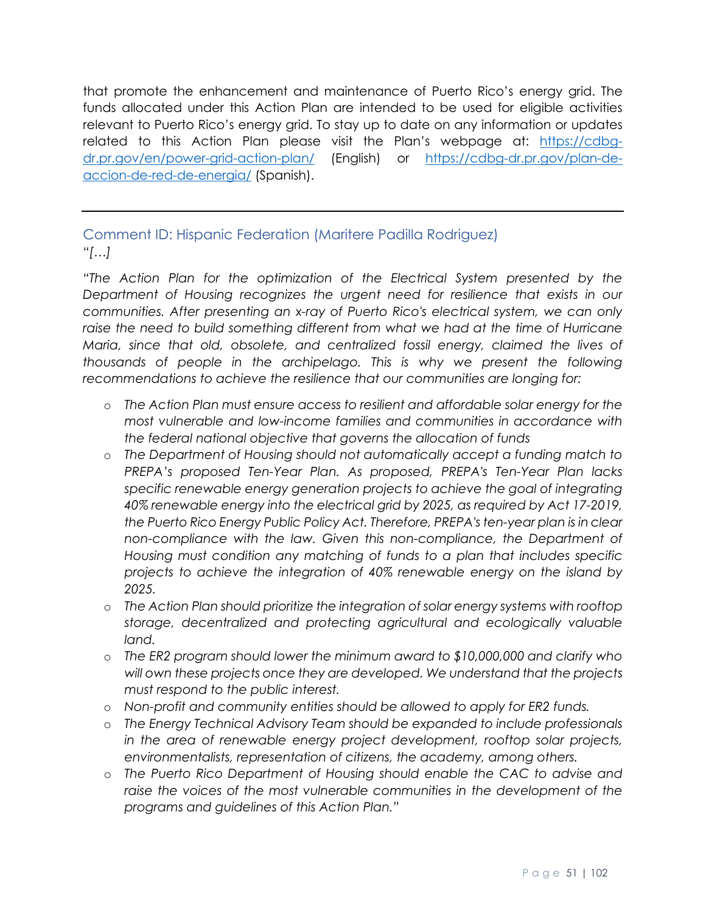that promote the enhancement and maintenance of Puerto Rico's energy grid. The funds allocated under this Action Plan are intended to be used for eligible activities relevant to Puerto Rico's energy grid. To stay up to date on any information or updates related to this Action Plan please visit the Plan's webpage at: [https://cdbg](https://cdbg-dr.pr.gov/en/power-grid-action-plan/)[dr.pr.gov/en/power-grid-action-plan/](https://cdbg-dr.pr.gov/en/power-grid-action-plan/) (English) or [https://cdbg-dr.pr.gov/plan-de](https://cdbg-dr.pr.gov/plan-de-accion-de-red-de-energia/)[accion-de-red-de-energia/](https://cdbg-dr.pr.gov/plan-de-accion-de-red-de-energia/) (Spanish).

# Comment ID: Hispanic Federation (Maritere Padilla Rodriguez) *"[…]*

*"The Action Plan for the optimization of the Electrical System presented by the Department of Housing recognizes the urgent need for resilience that exists in our communities. After presenting an x-ray of Puerto Rico's electrical system, we can only*  raise the need to build something different from what we had at the time of Hurricane *Maria, since that old, obsolete, and centralized fossil energy, claimed the lives of thousands of people in the archipelago. This is why we present the following recommendations to achieve the resilience that our communities are longing for:* 

- o *The Action Plan must ensure access to resilient and affordable solar energy for the most vulnerable and low-income families and communities in accordance with the federal national objective that governs the allocation of funds*
- o *The Department of Housing should not automatically accept a funding match to PREPA's proposed Ten-Year Plan. As proposed, PREPA's Ten-Year Plan lacks*  specific renewable energy generation projects to achieve the goal of integrating *40% renewable energy into the electrical grid by 2025, as required by Act 17-2019, the Puerto Rico Energy Public Policy Act. Therefore, PREPA's ten-year plan is in clear non-compliance with the law. Given this non-compliance, the Department of Housing must condition any matching of funds to a plan that includes specific projects to achieve the integration of 40% renewable energy on the island by 2025.*
- o *The Action Plan should prioritize the integration of solar energy systems with rooftop storage, decentralized and protecting agricultural and ecologically valuable land.*
- o *The ER2 program should lower the minimum award to \$10,000,000 and clarify who will own these projects once they are developed. We understand that the projects must respond to the public interest.*
- o *Non-profit and community entities should be allowed to apply for ER2 funds.*
- o *The Energy Technical Advisory Team should be expanded to include professionals in the area of renewable energy project development, rooftop solar projects, environmentalists, representation of citizens, the academy, among others.*
- o *The Puerto Rico Department of Housing should enable the CAC to advise and*  raise the voices of the most vulnerable communities in the development of the *programs and guidelines of this Action Plan."*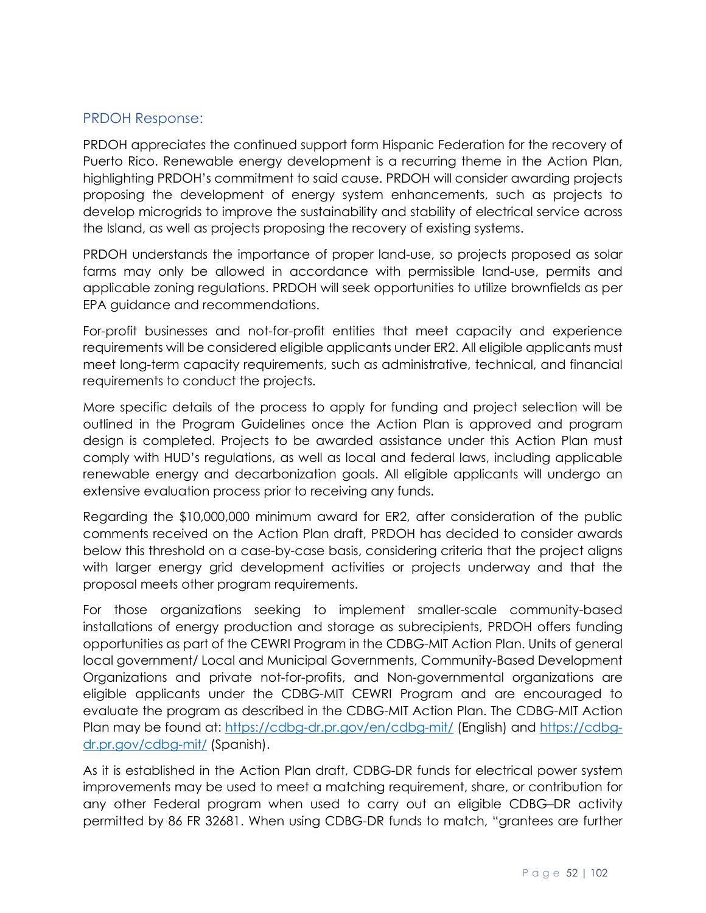## PRDOH Response:

PRDOH appreciates the continued support form Hispanic Federation for the recovery of Puerto Rico. Renewable energy development is a recurring theme in the Action Plan, highlighting PRDOH's commitment to said cause. PRDOH will consider awarding projects proposing the development of energy system enhancements, such as projects to develop microgrids to improve the sustainability and stability of electrical service across the Island, as well as projects proposing the recovery of existing systems.

PRDOH understands the importance of proper land-use, so projects proposed as solar farms may only be allowed in accordance with permissible land-use, permits and applicable zoning regulations. PRDOH will seek opportunities to utilize brownfields as per EPA guidance and recommendations.

For-profit businesses and not-for-profit entities that meet capacity and experience requirements will be considered eligible applicants under ER2. All eligible applicants must meet long-term capacity requirements, such as administrative, technical, and financial requirements to conduct the projects.

More specific details of the process to apply for funding and project selection will be outlined in the Program Guidelines once the Action Plan is approved and program design is completed. Projects to be awarded assistance under this Action Plan must comply with HUD's regulations, as well as local and federal laws, including applicable renewable energy and decarbonization goals. All eligible applicants will undergo an extensive evaluation process prior to receiving any funds.

Regarding the \$10,000,000 minimum award for ER2, after consideration of the public comments received on the Action Plan draft, PRDOH has decided to consider awards below this threshold on a case-by-case basis, considering criteria that the project aligns with larger energy grid development activities or projects underway and that the proposal meets other program requirements.

For those organizations seeking to implement smaller-scale community-based installations of energy production and storage as subrecipients, PRDOH offers funding opportunities as part of the CEWRI Program in the CDBG-MIT Action Plan. Units of general local government/ Local and Municipal Governments, Community-Based Development Organizations and private not-for-profits, and Non-governmental organizations are eligible applicants under the CDBG-MIT CEWRI Program and are encouraged to evaluate the program as described in the CDBG-MIT Action Plan. The CDBG-MIT Action Plan may be found at:<https://cdbg-dr.pr.gov/en/cdbg-mit/> (English) and [https://cdbg](https://cdbg-dr.pr.gov/cdbg-mit/)[dr.pr.gov/cdbg-mit/](https://cdbg-dr.pr.gov/cdbg-mit/) (Spanish).

As it is established in the Action Plan draft, CDBG-DR funds for electrical power system improvements may be used to meet a matching requirement, share, or contribution for any other Federal program when used to carry out an eligible CDBG–DR activity permitted by 86 FR 32681. When using CDBG-DR funds to match, "grantees are further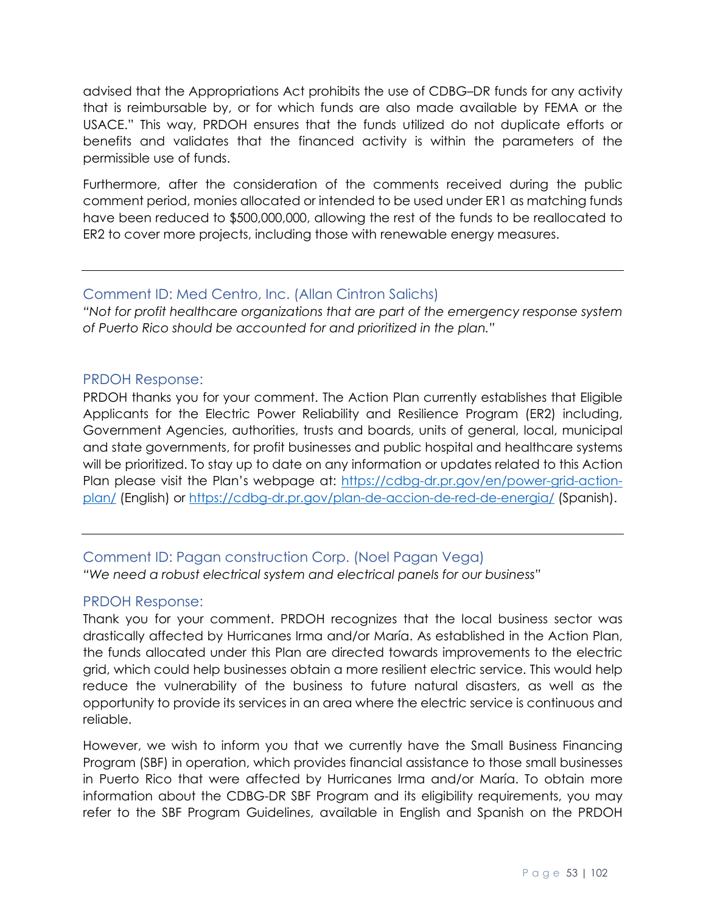advised that the Appropriations Act prohibits the use of CDBG–DR funds for any activity that is reimbursable by, or for which funds are also made available by FEMA or the USACE." This way, PRDOH ensures that the funds utilized do not duplicate efforts or benefits and validates that the financed activity is within the parameters of the permissible use of funds.

Furthermore, after the consideration of the comments received during the public comment period, monies allocated or intended to be used under ER1 as matching funds have been reduced to \$500,000,000, allowing the rest of the funds to be reallocated to ER2 to cover more projects, including those with renewable energy measures.

## Comment ID: Med Centro, Inc. (Allan Cintron Salichs)

*"Not for profit healthcare organizations that are part of the emergency response system of Puerto Rico should be accounted for and prioritized in the plan."*

## PRDOH Response:

PRDOH thanks you for your comment. The Action Plan currently establishes that Eligible Applicants for the Electric Power Reliability and Resilience Program (ER2) including, Government Agencies, authorities, trusts and boards, units of general, local, municipal and state governments, for profit businesses and public hospital and healthcare systems will be prioritized. To stay up to date on any information or updates related to this Action Plan please visit the Plan's webpage at: [https://cdbg-dr.pr.gov/en/power-grid-action](https://cdbg-dr.pr.gov/en/power-grid-action-plan/)[plan/](https://cdbg-dr.pr.gov/en/power-grid-action-plan/) (English) or<https://cdbg-dr.pr.gov/plan-de-accion-de-red-de-energia/> (Spanish).

# Comment ID: Pagan construction Corp. (Noel Pagan Vega) *"We need a robust electrical system and electrical panels for our business"*

#### PRDOH Response:

Thank you for your comment. PRDOH recognizes that the local business sector was drastically affected by Hurricanes Irma and/or María. As established in the Action Plan, the funds allocated under this Plan are directed towards improvements to the electric grid, which could help businesses obtain a more resilient electric service. This would help reduce the vulnerability of the business to future natural disasters, as well as the opportunity to provide its services in an area where the electric service is continuous and reliable.

However, we wish to inform you that we currently have the Small Business Financing Program (SBF) in operation, which provides financial assistance to those small businesses in Puerto Rico that were affected by Hurricanes Irma and/or María. To obtain more information about the CDBG-DR SBF Program and its eligibility requirements, you may refer to the SBF Program Guidelines, available in English and Spanish on the PRDOH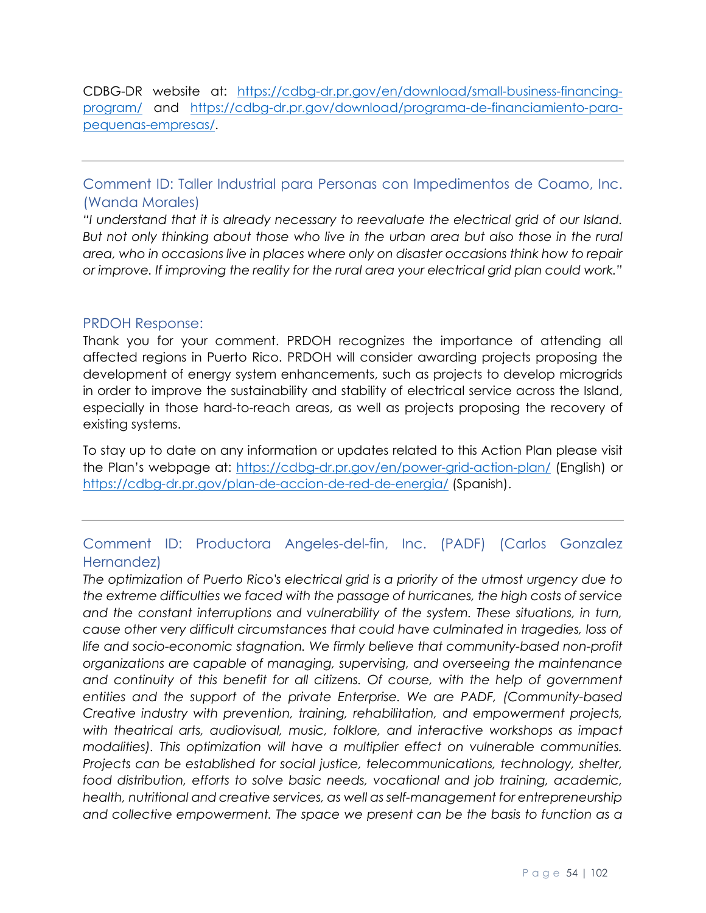CDBG-DR website at: [https://cdbg-dr.pr.gov/en/download/small-business-financing](https://cdbg-dr.pr.gov/en/download/small-business-financing-program/)[program/](https://cdbg-dr.pr.gov/en/download/small-business-financing-program/) and [https://cdbg-dr.pr.gov/download/programa-de-financiamiento-para](https://cdbg-dr.pr.gov/download/programa-de-financiamiento-para-pequenas-empresas/)[pequenas-empresas/.](https://cdbg-dr.pr.gov/download/programa-de-financiamiento-para-pequenas-empresas/)

Comment ID: Taller Industrial para Personas con Impedimentos de Coamo, Inc. (Wanda Morales)

*"I understand that it is already necessary to reevaluate the electrical grid of our Island. But not only thinking about those who live in the urban area but also those in the rural area, who in occasions live in places where only on disaster occasions think how to repair or improve. If improving the reality for the rural area your electrical grid plan could work."*

#### PRDOH Response:

Thank you for your comment. PRDOH recognizes the importance of attending all affected regions in Puerto Rico. PRDOH will consider awarding projects proposing the development of energy system enhancements, such as projects to develop microgrids in order to improve the sustainability and stability of electrical service across the Island, especially in those hard-to-reach areas, as well as projects proposing the recovery of existing systems.

To stay up to date on any information or updates related to this Action Plan please visit the Plan's webpage at:<https://cdbg-dr.pr.gov/en/power-grid-action-plan/> (English) or <https://cdbg-dr.pr.gov/plan-de-accion-de-red-de-energia/> (Spanish).

# Comment ID: Productora Angeles-del-fin, Inc. (PADF) (Carlos Gonzalez Hernandez)

*The optimization of Puerto Rico's electrical grid is a priority of the utmost urgency due to the extreme difficulties we faced with the passage of hurricanes, the high costs of service and the constant interruptions and vulnerability of the system. These situations, in turn, cause other very difficult circumstances that could have culminated in tragedies, loss of life and socio-economic stagnation. We firmly believe that community-based non-profit organizations are capable of managing, supervising, and overseeing the maintenance and continuity of this benefit for all citizens. Of course, with the help of government entities and the support of the private Enterprise. We are PADF, (Community-based Creative industry with prevention, training, rehabilitation, and empowerment projects, with theatrical arts, audiovisual, music, folklore, and interactive workshops as impact modalities). This optimization will have a multiplier effect on vulnerable communities. Projects can be established for social justice, telecommunications, technology, shelter, food distribution, efforts to solve basic needs, vocational and job training, academic, health, nutritional and creative services, as well as self-management for entrepreneurship and collective empowerment. The space we present can be the basis to function as a*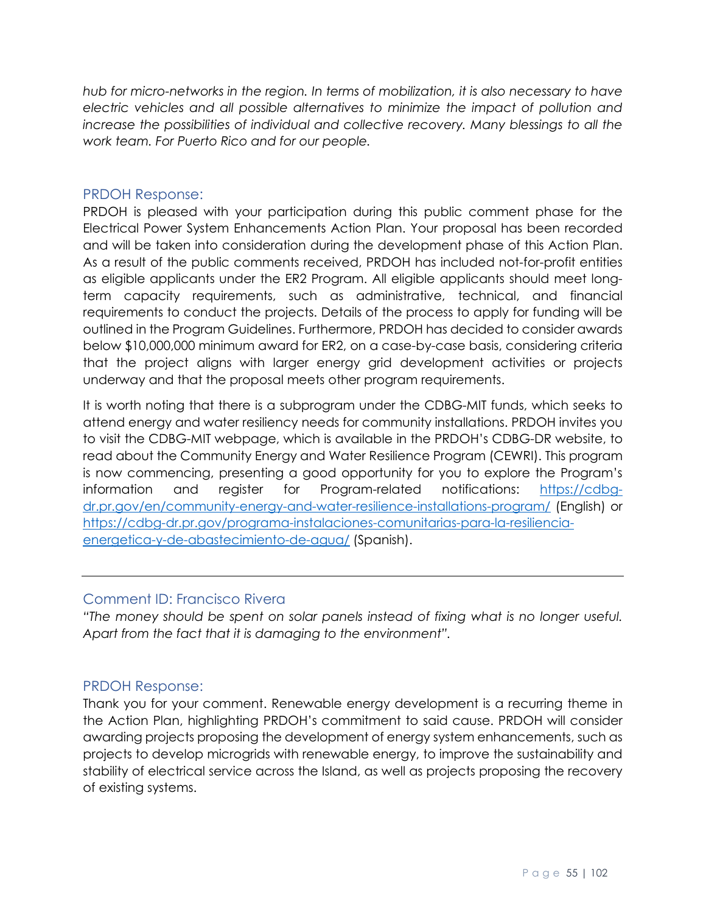*hub for micro-networks in the region. In terms of mobilization, it is also necessary to have electric vehicles and all possible alternatives to minimize the impact of pollution and increase the possibilities of individual and collective recovery. Many blessings to all the work team. For Puerto Rico and for our people.*

#### PRDOH Response:

PRDOH is pleased with your participation during this public comment phase for the Electrical Power System Enhancements Action Plan. Your proposal has been recorded and will be taken into consideration during the development phase of this Action Plan. As a result of the public comments received, PRDOH has included not-for-profit entities as eligible applicants under the ER2 Program. All eligible applicants should meet longterm capacity requirements, such as administrative, technical, and financial requirements to conduct the projects. Details of the process to apply for funding will be outlined in the Program Guidelines. Furthermore, PRDOH has decided to consider awards below \$10,000,000 minimum award for ER2, on a case-by-case basis, considering criteria that the project aligns with larger energy grid development activities or projects underway and that the proposal meets other program requirements.

It is worth noting that there is a subprogram under the CDBG-MIT funds, which seeks to attend energy and water resiliency needs for community installations. PRDOH invites you to visit the CDBG-MIT webpage, which is available in the PRDOH's CDBG-DR website, to read about the Community Energy and Water Resilience Program (CEWRI). This program is now commencing, presenting a good opportunity for you to explore the Program's information and register for Program-related notifications: [https://cdbg](https://cdbg-dr.pr.gov/en/community-energy-and-water-resilience-installations-program/)[dr.pr.gov/en/community-energy-and-water-resilience-installations-program/](https://cdbg-dr.pr.gov/en/community-energy-and-water-resilience-installations-program/) (English) or [https://cdbg-dr.pr.gov/programa-instalaciones-comunitarias-para-la-resiliencia](https://cdbg-dr.pr.gov/programa-instalaciones-comunitarias-para-la-resiliencia-energetica-y-de-abastecimiento-de-agua/)[energetica-y-de-abastecimiento-de-agua/](https://cdbg-dr.pr.gov/programa-instalaciones-comunitarias-para-la-resiliencia-energetica-y-de-abastecimiento-de-agua/) (Spanish).

#### Comment ID: Francisco Rivera

*"The money should be spent on solar panels instead of fixing what is no longer useful. Apart from the fact that it is damaging to the environment".*

#### PRDOH Response:

Thank you for your comment. Renewable energy development is a recurring theme in the Action Plan, highlighting PRDOH's commitment to said cause. PRDOH will consider awarding projects proposing the development of energy system enhancements, such as projects to develop microgrids with renewable energy, to improve the sustainability and stability of electrical service across the Island, as well as projects proposing the recovery of existing systems.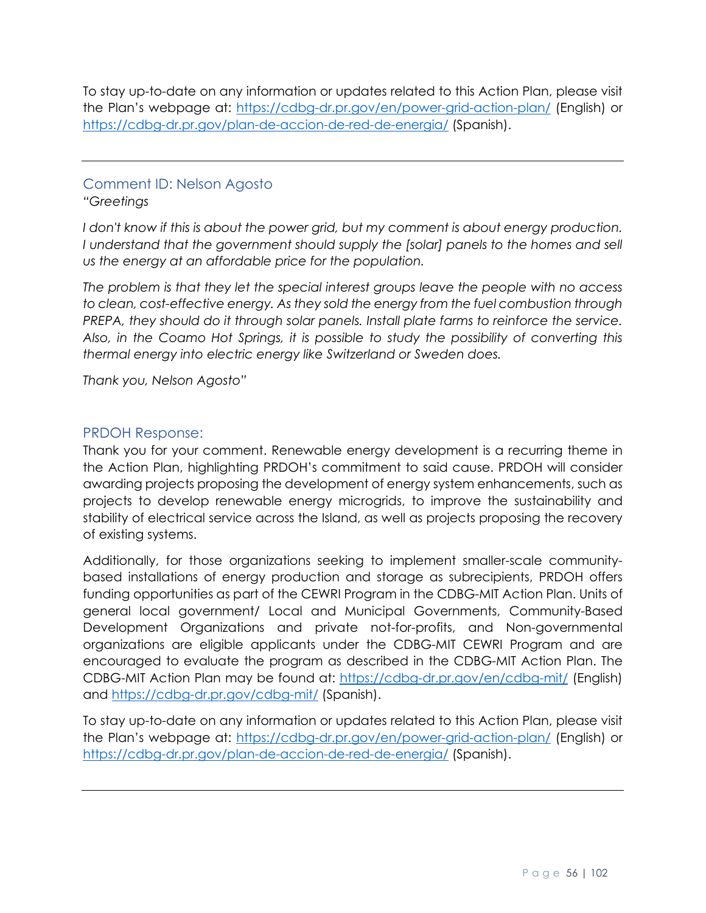To stay up-to-date on any information or updates related to this Action Plan, please visit the Plan's webpage at:<https://cdbg-dr.pr.gov/en/power-grid-action-plan/> (English) or <https://cdbg-dr.pr.gov/plan-de-accion-de-red-de-energia/> (Spanish).

# Comment ID: Nelson Agosto

#### *"Greetings*

I don't know if this is about the power grid, but my comment is about energy production. *I* understand that the government should supply the [solar] panels to the homes and sell *us the energy at an affordable price for the population.* 

*The problem is that they let the special interest groups leave the people with no access to clean, cost-effective energy. As they sold the energy from the fuel combustion through PREPA, they should do it through solar panels. Install plate farms to reinforce the service. Also, in the Coamo Hot Springs, it is possible to study the possibility of converting this thermal energy into electric energy like Switzerland or Sweden does.* 

*Thank you, Nelson Agosto"*

## PRDOH Response:

Thank you for your comment. Renewable energy development is a recurring theme in the Action Plan, highlighting PRDOH's commitment to said cause. PRDOH will consider awarding projects proposing the development of energy system enhancements, such as projects to develop renewable energy microgrids, to improve the sustainability and stability of electrical service across the Island, as well as projects proposing the recovery of existing systems.

Additionally, for those organizations seeking to implement smaller-scale communitybased installations of energy production and storage as subrecipients, PRDOH offers funding opportunities as part of the CEWRI Program in the CDBG-MIT Action Plan. Units of general local government/ Local and Municipal Governments, Community-Based Development Organizations and private not-for-profits, and Non-governmental organizations are eligible applicants under the CDBG-MIT CEWRI Program and are encouraged to evaluate the program as described in the CDBG-MIT Action Plan. The CDBG-MIT Action Plan may be found at:<https://cdbg-dr.pr.gov/en/cdbg-mit/> (English) and<https://cdbg-dr.pr.gov/cdbg-mit/> (Spanish).

To stay up-to-date on any information or updates related to this Action Plan, please visit the Plan's webpage at:<https://cdbg-dr.pr.gov/en/power-grid-action-plan/> (English) or <https://cdbg-dr.pr.gov/plan-de-accion-de-red-de-energia/> (Spanish).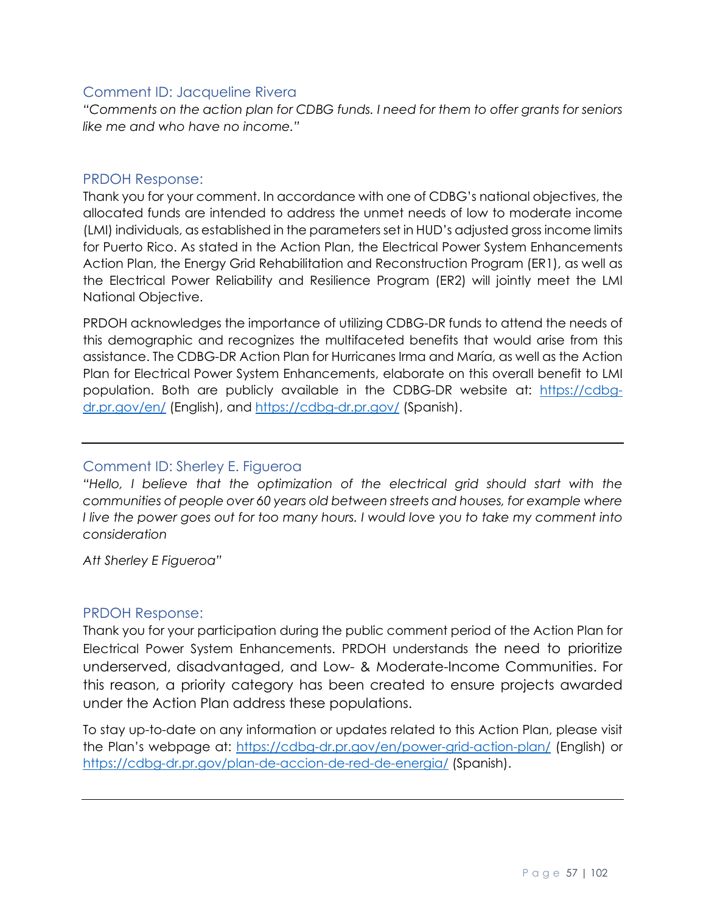#### Comment ID: Jacqueline Rivera

*"Comments on the action plan for CDBG funds. I need for them to offer grants for seniors like me and who have no income."*

#### PRDOH Response:

Thank you for your comment. In accordance with one of CDBG's national objectives, the allocated funds are intended to address the unmet needs of low to moderate income (LMI) individuals, as established in the parameters set in HUD's adjusted gross income limits for Puerto Rico. As stated in the Action Plan, the Electrical Power System Enhancements Action Plan, the Energy Grid Rehabilitation and Reconstruction Program (ER1), as well as the Electrical Power Reliability and Resilience Program (ER2) will jointly meet the LMI National Objective.

PRDOH acknowledges the importance of utilizing CDBG-DR funds to attend the needs of this demographic and recognizes the multifaceted benefits that would arise from this assistance. The CDBG-DR Action Plan for Hurricanes Irma and María, as well as the Action Plan for Electrical Power System Enhancements, elaborate on this overall benefit to LMI population. Both are publicly available in the CDBG-DR website at: [https://cdbg](https://cdbg-dr.pr.gov/en/)[dr.pr.gov/en/](https://cdbg-dr.pr.gov/en/) (English), and<https://cdbg-dr.pr.gov/> (Spanish).

# Comment ID: Sherley E. Figueroa

*"Hello, I believe that the optimization of the electrical grid should start with the communities of people over 60 years old between streets and houses, for example where I live the power goes out for too many hours. I would love you to take my comment into consideration*

*Att Sherley E Figueroa"*

#### PRDOH Response:

Thank you for your participation during the public comment period of the Action Plan for Electrical Power System Enhancements. PRDOH understands the need to prioritize underserved, disadvantaged, and Low- & Moderate-Income Communities. For this reason, a priority category has been created to ensure projects awarded under the Action Plan address these populations.

To stay up-to-date on any information or updates related to this Action Plan, please visit the Plan's webpage at:<https://cdbg-dr.pr.gov/en/power-grid-action-plan/> (English) or <https://cdbg-dr.pr.gov/plan-de-accion-de-red-de-energia/> (Spanish).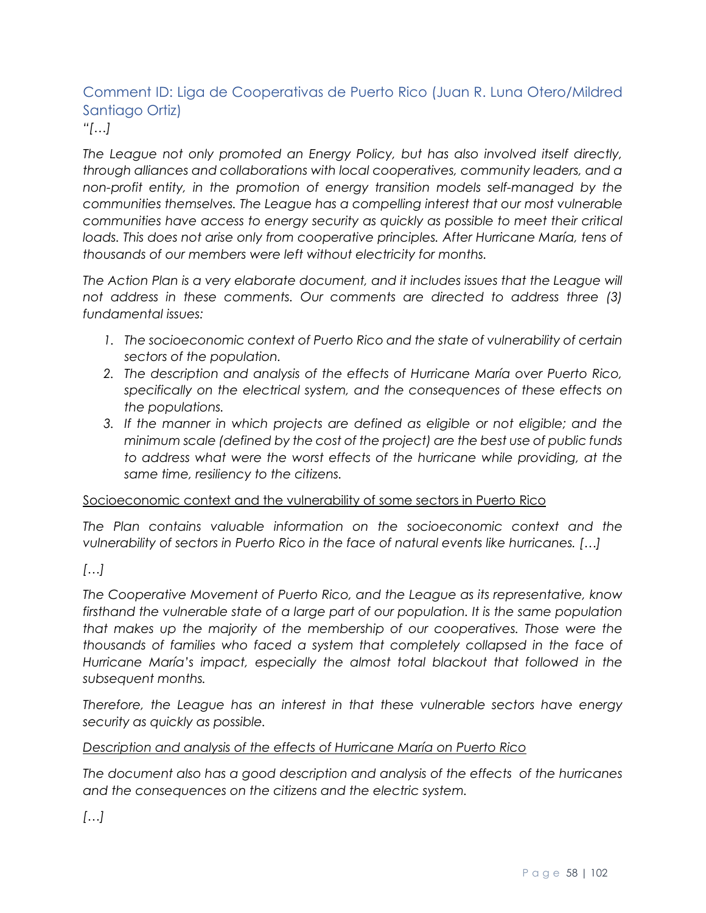# Comment ID: Liga de Cooperativas de Puerto Rico (Juan R. Luna Otero/Mildred Santiago Ortiz) *"[…]*

*The League not only promoted an Energy Policy, but has also involved itself directly, through alliances and collaborations with local cooperatives, community leaders, and a non-profit entity, in the promotion of energy transition models self-managed by the communities themselves. The League has a compelling interest that our most vulnerable communities have access to energy security as quickly as possible to meet their critical*  loads. This does not arise only from cooperative principles. After Hurricane María, tens of *thousands of our members were left without electricity for months.* 

The Action Plan is a very elaborate document, and it includes issues that the League will *not address in these comments. Our comments are directed to address three (3) fundamental issues:* 

- *1. The socioeconomic context of Puerto Rico and the state of vulnerability of certain sectors of the population.*
- *2. The description and analysis of the effects of Hurricane María over Puerto Rico, specifically on the electrical system, and the consequences of these effects on the populations.*
- *3. If the manner in which projects are defined as eligible or not eligible; and the minimum scale (defined by the cost of the project) are the best use of public funds*  to address what were the worst effects of the hurricane while providing, at the *same time, resiliency to the citizens.*

#### Socioeconomic context and the vulnerability of some sectors in Puerto Rico

*The Plan contains valuable information on the socioeconomic context and the vulnerability of sectors in Puerto Rico in the face of natural events like hurricanes. […]*

# *[…]*

*The Cooperative Movement of Puerto Rico, and the League as its representative, know firsthand the vulnerable state of a large part of our population. It is the same population that makes up the majority of the membership of our cooperatives. Those were the thousands of families who faced a system that completely collapsed in the face of Hurricane María's impact, especially the almost total blackout that followed in the subsequent months.*

*Therefore, the League has an interest in that these vulnerable sectors have energy security as quickly as possible.*

#### *Description and analysis of the effects of Hurricane María on Puerto Rico*

*The document also has a good description and analysis of the effects of the hurricanes and the consequences on the citizens and the electric system.*

*[…]*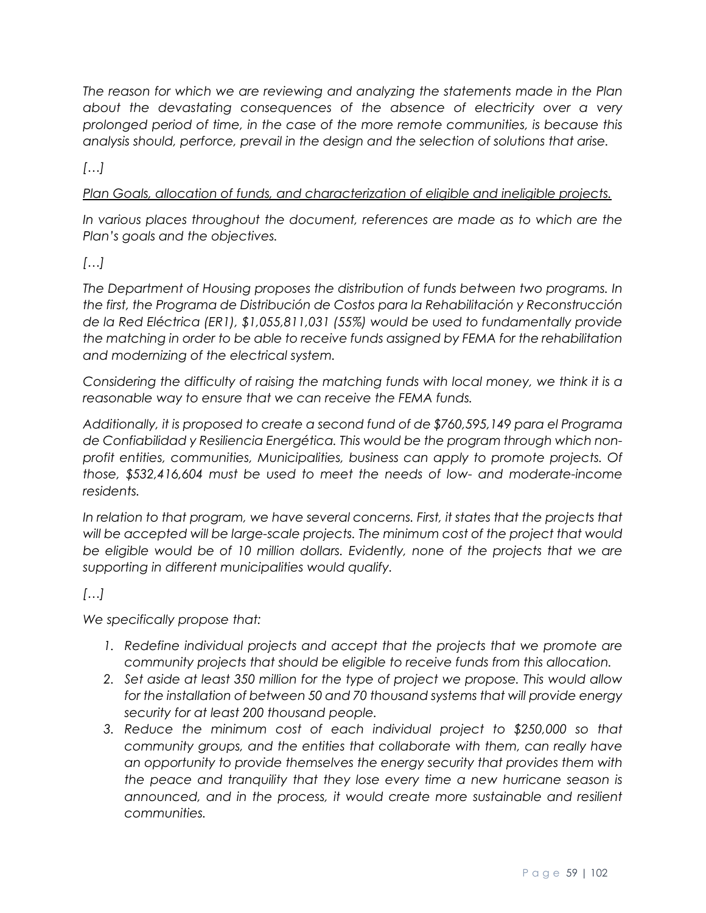*The reason for which we are reviewing and analyzing the statements made in the Plan about the devastating consequences of the absence of electricity over a very prolonged period of time, in the case of the more remote communities, is because this analysis should, perforce, prevail in the design and the selection of solutions that arise.*

*[…]*

*Plan Goals, allocation of funds, and characterization of eligible and ineligible projects.*

In various places throughout the document, references are made as to which are the *Plan's goals and the objectives.* 

# *[…]*

*The Department of Housing proposes the distribution of funds between two programs. In the first, the Programa de Distribución de Costos para la Rehabilitación y Reconstrucción de la Red Eléctrica (ER1), \$1,055,811,031 (55%) would be used to fundamentally provide the matching in order to be able to receive funds assigned by FEMA for the rehabilitation and modernizing of the electrical system.*

*Considering the difficulty of raising the matching funds with local money, we think it is a reasonable way to ensure that we can receive the FEMA funds.* 

*Additionally, it is proposed to create a second fund of de \$760,595,149 para el Programa de Confiabilidad y Resiliencia Energética. This would be the program through which nonprofit entities, communities, Municipalities, business can apply to promote projects. Of those, \$532,416,604 must be used to meet the needs of low- and moderate-income residents.* 

In relation to that program, we have several concerns. First, it states that the projects that *will be accepted will be large-scale projects. The minimum cost of the project that would*  be eligible would be of 10 million dollars. Evidently, none of the projects that we are *supporting in different municipalities would qualify.*

# *[…]*

*We specifically propose that:*

- 1. Redefine individual projects and accept that the projects that we promote are *community projects that should be eligible to receive funds from this allocation.*
- *2. Set aside at least 350 million for the type of project we propose. This would allow for the installation of between 50 and 70 thousand systems that will provide energy security for at least 200 thousand people.*
- *3. Reduce the minimum cost of each individual project to \$250,000 so that community groups, and the entities that collaborate with them, can really have an opportunity to provide themselves the energy security that provides them with the peace and tranquility that they lose every time a new hurricane season is announced, and in the process, it would create more sustainable and resilient communities.*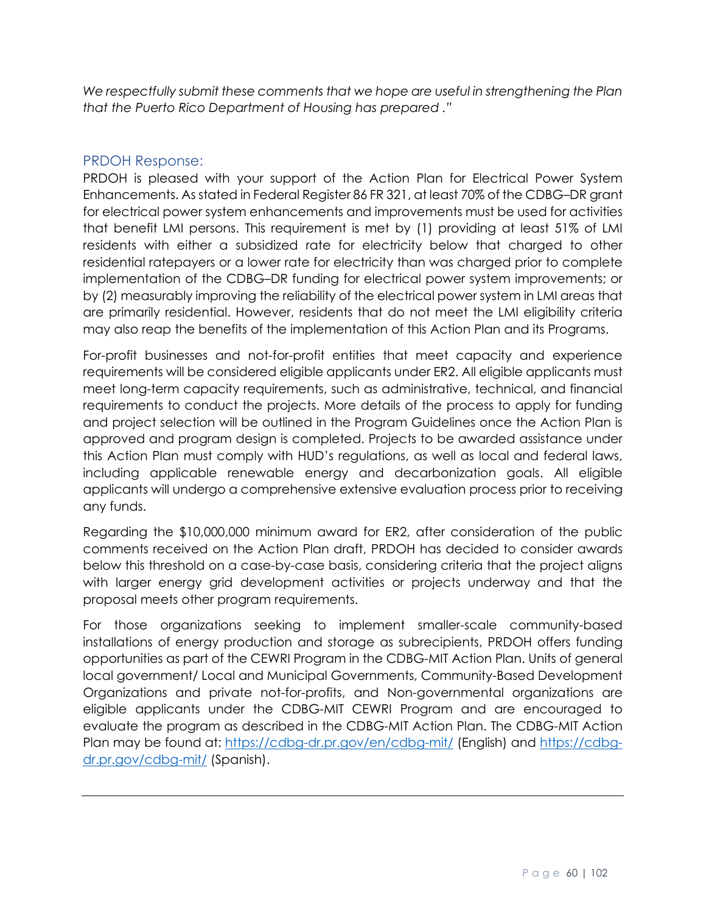*We respectfully submit these comments that we hope are useful in strengthening the Plan that the Puerto Rico Department of Housing has prepared ."*

#### PRDOH Response:

PRDOH is pleased with your support of the Action Plan for Electrical Power System Enhancements. As stated in Federal Register 86 FR 321, at least 70% of the CDBG–DR grant for electrical power system enhancements and improvements must be used for activities that benefit LMI persons. This requirement is met by (1) providing at least 51% of LMI residents with either a subsidized rate for electricity below that charged to other residential ratepayers or a lower rate for electricity than was charged prior to complete implementation of the CDBG–DR funding for electrical power system improvements; or by (2) measurably improving the reliability of the electrical power system in LMI areas that are primarily residential. However, residents that do not meet the LMI eligibility criteria may also reap the benefits of the implementation of this Action Plan and its Programs.

For-profit businesses and not-for-profit entities that meet capacity and experience requirements will be considered eligible applicants under ER2. All eligible applicants must meet long-term capacity requirements, such as administrative, technical, and financial requirements to conduct the projects. More details of the process to apply for funding and project selection will be outlined in the Program Guidelines once the Action Plan is approved and program design is completed. Projects to be awarded assistance under this Action Plan must comply with HUD's regulations, as well as local and federal laws, including applicable renewable energy and decarbonization goals. All eligible applicants will undergo a comprehensive extensive evaluation process prior to receiving any funds.

Regarding the \$10,000,000 minimum award for ER2, after consideration of the public comments received on the Action Plan draft, PRDOH has decided to consider awards below this threshold on a case-by-case basis, considering criteria that the project aligns with larger energy grid development activities or projects underway and that the proposal meets other program requirements.

For those organizations seeking to implement smaller-scale community-based installations of energy production and storage as subrecipients, PRDOH offers funding opportunities as part of the CEWRI Program in the CDBG-MIT Action Plan. Units of general local government/ Local and Municipal Governments, Community-Based Development Organizations and private not-for-profits, and Non-governmental organizations are eligible applicants under the CDBG-MIT CEWRI Program and are encouraged to evaluate the program as described in the CDBG-MIT Action Plan. The CDBG-MIT Action Plan may be found at:<https://cdbg-dr.pr.gov/en/cdbg-mit/> (English) and [https://cdbg](https://cdbg-dr.pr.gov/cdbg-mit/)[dr.pr.gov/cdbg-mit/](https://cdbg-dr.pr.gov/cdbg-mit/) (Spanish).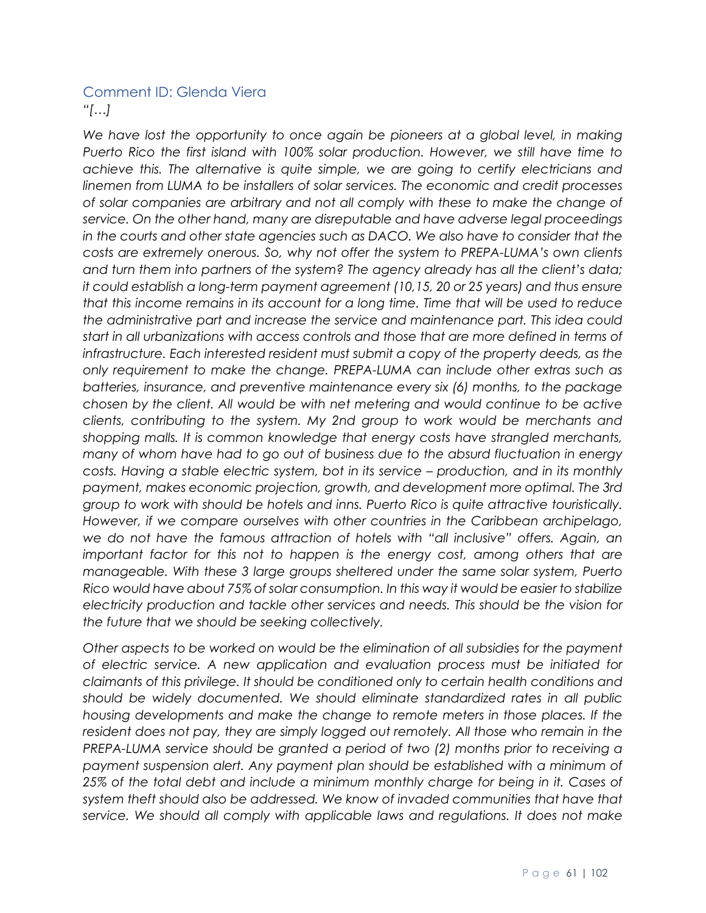# Comment ID: Glenda Viera *"[…]*

We have lost the opportunity to once again be pioneers at a global level, in making *Puerto Rico the first island with 100% solar production. However, we still have time to achieve this. The alternative is quite simple, we are going to certify electricians and linemen from LUMA to be installers of solar services. The economic and credit processes of solar companies are arbitrary and not all comply with these to make the change of service. On the other hand, many are disreputable and have adverse legal proceedings in the courts and other state agencies such as DACO. We also have to consider that the costs are extremely onerous. So, why not offer the system to PREPA-LUMA's own clients and turn them into partners of the system? The agency already has all the client's data; it could establish a long-term payment agreement (10,15, 20 or 25 years) and thus ensure that this income remains in its account for a long time. Time that will be used to reduce the administrative part and increase the service and maintenance part. This idea could start in all urbanizations with access controls and those that are more defined in terms of infrastructure. Each interested resident must submit a copy of the property deeds, as the only requirement to make the change. PREPA-LUMA can include other extras such as batteries, insurance, and preventive maintenance every six (6) months, to the package chosen by the client. All would be with net metering and would continue to be active clients, contributing to the system. My 2nd group to work would be merchants and shopping malls. It is common knowledge that energy costs have strangled merchants, many of whom have had to go out of business due to the absurd fluctuation in energy costs. Having a stable electric system, bot in its service – production, and in its monthly payment, makes economic projection, growth, and development more optimal. The 3rd group to work with should be hotels and inns. Puerto Rico is quite attractive touristically. However, if we compare ourselves with other countries in the Caribbean archipelago, we do not have the famous attraction of hotels with "all inclusive" offers. Again, an important factor for this not to happen is the energy cost, among others that are manageable. With these 3 large groups sheltered under the same solar system, Puerto Rico would have about 75% of solar consumption. In this way it would be easier to stabilize electricity production and tackle other services and needs. This should be the vision for the future that we should be seeking collectively.*

*Other aspects to be worked on would be the elimination of all subsidies for the payment of electric service. A new application and evaluation process must be initiated for claimants of this privilege. It should be conditioned only to certain health conditions and should be widely documented. We should eliminate standardized rates in all public housing developments and make the change to remote meters in those places. If the resident does not pay, they are simply logged out remotely. All those who remain in the PREPA-LUMA service should be granted a period of two (2) months prior to receiving a payment suspension alert. Any payment plan should be established with a minimum of 25% of the total debt and include a minimum monthly charge for being in it. Cases of system theft should also be addressed. We know of invaded communities that have that service. We should all comply with applicable laws and regulations. It does not make*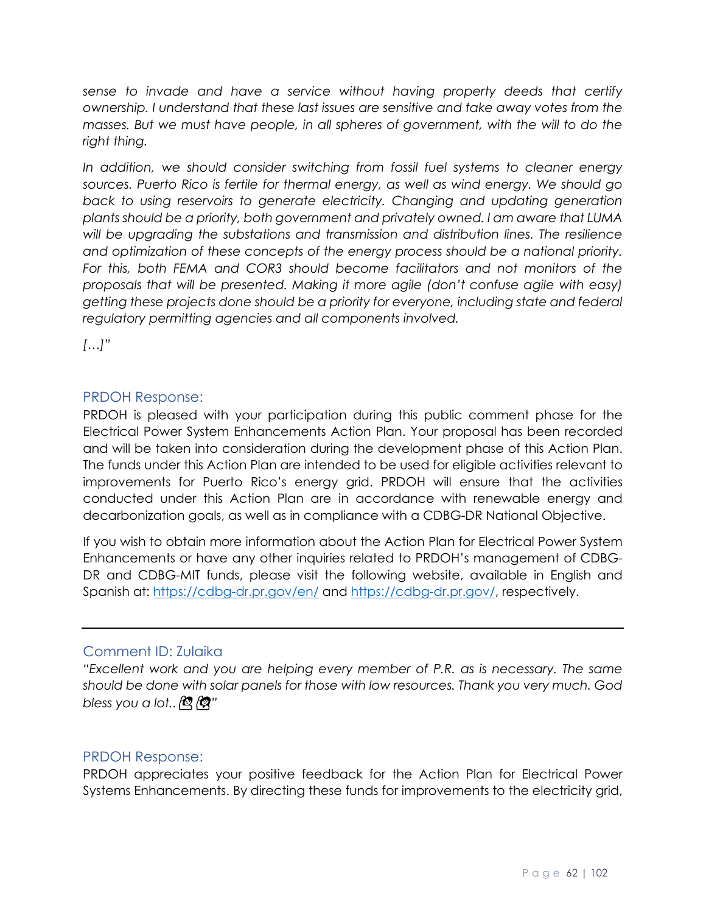*sense to invade and have a service without having property deeds that certify ownership. I understand that these last issues are sensitive and take away votes from the masses. But we must have people, in all spheres of government, with the will to do the right thing.*

*In addition, we should consider switching from fossil fuel systems to cleaner energy sources. Puerto Rico is fertile for thermal energy, as well as wind energy. We should go back to using reservoirs to generate electricity. Changing and updating generation plants should be a priority, both government and privately owned. I am aware that LUMA will be upgrading the substations and transmission and distribution lines. The resilience and optimization of these concepts of the energy process should be a national priority.*  For this, both FEMA and COR3 should become facilitators and not monitors of the *proposals that will be presented. Making it more agile (don't confuse agile with easy) getting these projects done should be a priority for everyone, including state and federal regulatory permitting agencies and all components involved.*

*[…]"*

#### PRDOH Response:

PRDOH is pleased with your participation during this public comment phase for the Electrical Power System Enhancements Action Plan. Your proposal has been recorded and will be taken into consideration during the development phase of this Action Plan. The funds under this Action Plan are intended to be used for eligible activities relevant to improvements for Puerto Rico's energy grid. PRDOH will ensure that the activities conducted under this Action Plan are in accordance with renewable energy and decarbonization goals, as well as in compliance with a CDBG-DR National Objective.

If you wish to obtain more information about the Action Plan for Electrical Power System Enhancements or have any other inquiries related to PRDOH's management of CDBG-DR and CDBG-MIT funds, please visit the following website, available in English and Spanish at:<https://cdbg-dr.pr.gov/en/> and [https://cdbg-dr.pr.gov/,](https://cdbg-dr.pr.gov/) respectively.

# Comment ID: Zulaika

*"Excellent work and you are helping every member of P.R. as is necessary. The same should be done with solar panels for those with low resources. Thank you very much. God bless you a lot..*  $\mathbb{Q}/\mathbb{Q}$ "

#### PRDOH Response:

PRDOH appreciates your positive feedback for the Action Plan for Electrical Power Systems Enhancements. By directing these funds for improvements to the electricity grid,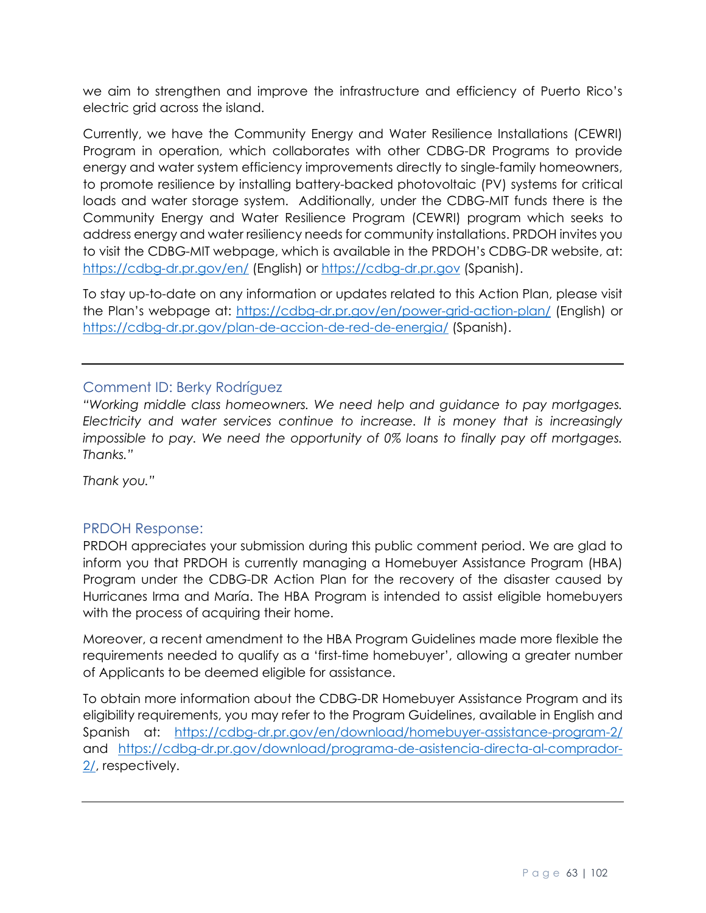we aim to strengthen and improve the infrastructure and efficiency of Puerto Rico's electric grid across the island.

Currently, we have the Community Energy and Water Resilience Installations (CEWRI) Program in operation, which collaborates with other CDBG-DR Programs to provide energy and water system efficiency improvements directly to single-family homeowners, to promote resilience by installing battery-backed photovoltaic (PV) systems for critical loads and water storage system. Additionally, under the CDBG-MIT funds there is the Community Energy and Water Resilience Program (CEWRI) program which seeks to address energy and water resiliency needs for community installations. PRDOH invites you to visit the CDBG-MIT webpage, which is available in the PRDOH's CDBG-DR website, at: <https://cdbg-dr.pr.gov/en/> (English) or [https://cdbg-dr.pr.gov](https://cdbg-dr.pr.gov/) (Spanish).

To stay up-to-date on any information or updates related to this Action Plan, please visit the Plan's webpage at:<https://cdbg-dr.pr.gov/en/power-grid-action-plan/> (English) or <https://cdbg-dr.pr.gov/plan-de-accion-de-red-de-energia/> (Spanish).

#### Comment ID: Berky Rodríguez

*"Working middle class homeowners. We need help and guidance to pay mortgages. Electricity and water services continue to increase. It is money that is increasingly impossible to pay. We need the opportunity of 0% loans to finally pay off mortgages. Thanks."*

*Thank you."*

#### PRDOH Response:

PRDOH appreciates your submission during this public comment period. We are glad to inform you that PRDOH is currently managing a Homebuyer Assistance Program (HBA) Program under the CDBG-DR Action Plan for the recovery of the disaster caused by Hurricanes Irma and María. The HBA Program is intended to assist eligible homebuyers with the process of acquiring their home.

Moreover, a recent amendment to the HBA Program Guidelines made more flexible the requirements needed to qualify as a 'first-time homebuyer', allowing a greater number of Applicants to be deemed eligible for assistance.

To obtain more information about the CDBG-DR Homebuyer Assistance Program and its eligibility requirements, you may refer to the Program Guidelines, available in English and Spanish at: <https://cdbg-dr.pr.gov/en/download/homebuyer-assistance-program-2/> and [https://cdbg-dr.pr.gov/download/programa-de-asistencia-directa-al-comprador-](https://cdbg-dr.pr.gov/download/programa-de-asistencia-directa-al-comprador-2/)[2/,](https://cdbg-dr.pr.gov/download/programa-de-asistencia-directa-al-comprador-2/) respectively.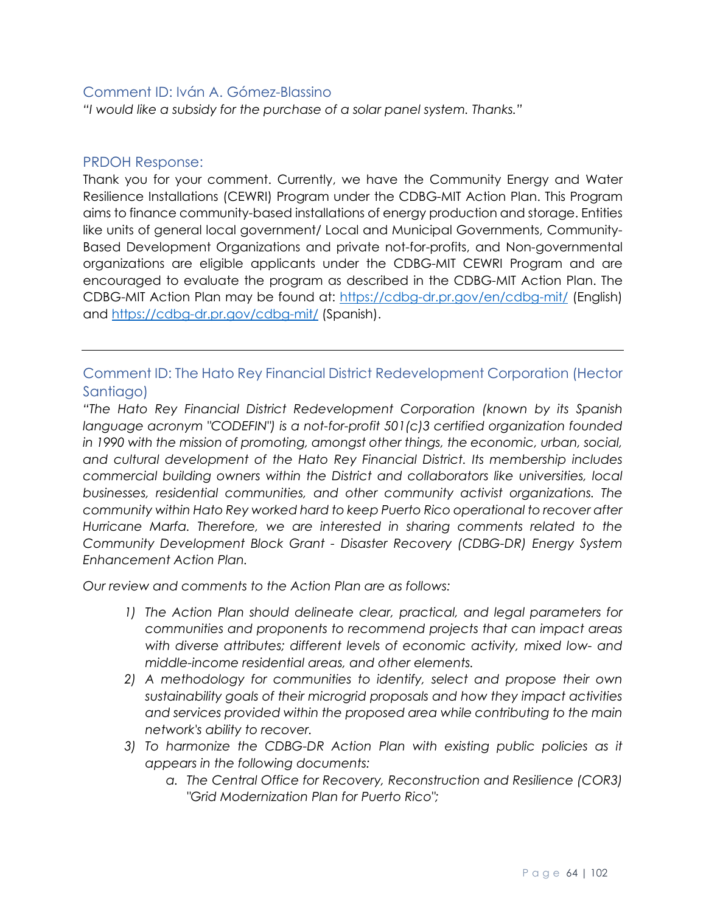#### Comment ID: Iván A. Gómez-Blassino

*"I would like a subsidy for the purchase of a solar panel system. Thanks."*

#### PRDOH Response:

Thank you for your comment. Currently, we have the Community Energy and Water Resilience Installations (CEWRI) Program under the CDBG-MIT Action Plan. This Program aims to finance community-based installations of energy production and storage. Entities like units of general local government/ Local and Municipal Governments, Community-Based Development Organizations and private not-for-profits, and Non-governmental organizations are eligible applicants under the CDBG-MIT CEWRI Program and are encouraged to evaluate the program as described in the CDBG-MIT Action Plan. The CDBG-MIT Action Plan may be found at:<https://cdbg-dr.pr.gov/en/cdbg-mit/> (English) and<https://cdbg-dr.pr.gov/cdbg-mit/> (Spanish).

# Comment ID: The Hato Rey Financial District Redevelopment Corporation (Hector Santiago)

*"The Hato Rey Financial District Redevelopment Corporation (known by its Spanish language acronym "CODEFIN") is a not-for-profit 501(c)3 certified organization founded in 1990 with the mission of promoting, amongst other things, the economic, urban, social, and cultural development of the Hato Rey Financial District. Its membership includes commercial building owners within the District and collaborators like universities, local businesses, residential communities, and other community activist organizations. The community within Hato Rey worked hard to keep Puerto Rico operational to recover after Hurricane Marfa. Therefore, we are interested in sharing comments related to the Community Development Block Grant - Disaster Recovery (CDBG-DR) Energy System Enhancement Action Plan.* 

*Our review and comments to the Action Plan are as follows:*

- *1) The Action Plan should delineate clear, practical, and legal parameters for communities and proponents to recommend projects that can impact areas with diverse attributes; different levels of economic activity, mixed low- and middle-income residential areas, and other elements.*
- *2) A methodology for communities to identify, select and propose their own sustainability goals of their microgrid proposals and how they impact activities and services provided within the proposed area while contributing to the main network's ability to recover.*
- *3) To harmonize the CDBG-DR Action Plan with existing public policies as it appears in the following documents:*
	- *a. The Central Office for Recovery, Reconstruction and Resilience (COR3) "Grid Modernization Plan for Puerto Rico";*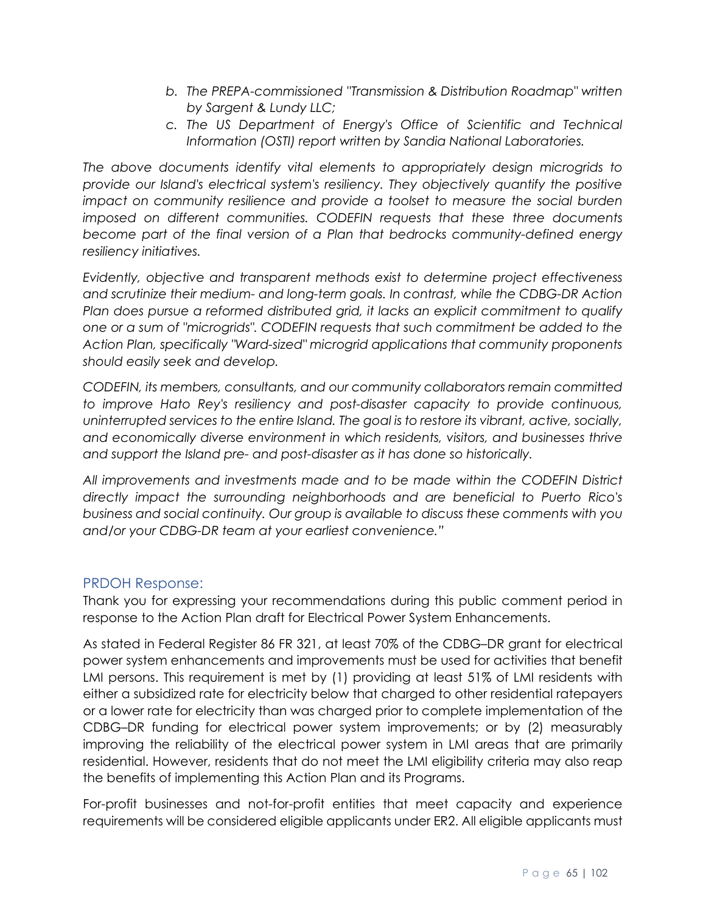- *b. The PREPA-commissioned ''Transmission & Distribution Roadmap" written by Sargent & Lundy LLC;*
- *c. The US Department of Energy's Office of Scientific and Technical Information (OSTI) report written by Sandia National Laboratories.*

*The above documents identify vital elements to appropriately design microgrids to provide our Island's electrical system's resiliency. They objectively quantify the positive impact on community resilience and provide a toolset to measure the social burden imposed on different communities. CODEFIN requests that these three documents become part of the final version of a Plan that bedrocks community-defined energy resiliency initiatives.* 

*Evidently, objective and transparent methods exist to determine project effectiveness and scrutinize their medium- and long-term goals. In contrast, while the CDBG-DR Action Plan does pursue a reformed distributed grid, it lacks an explicit commitment to qualify one or a sum of "microgrids". CODEFIN requests that such commitment be added to the Action Plan, specifically "Ward-sized" microgrid applications that community proponents should easily seek and develop.* 

*CODEFIN, its members, consultants, and our community collaborators remain committed to improve Hato Rey's resiliency and post-disaster capacity to provide continuous, uninterrupted services to the entire Island. The goal is to restore its vibrant, active, socially, and economically diverse environment in which residents, visitors, and businesses thrive and support the Island pre- and post-disaster as it has done so historically.* 

*All improvements and investments made and to be made within the CODEFIN District directly impact the surrounding neighborhoods and are beneficial to Puerto Rico's business and social continuity. Our group is available to discuss these comments with you and/or your CDBG-DR team at your earliest convenience."*

#### PRDOH Response:

Thank you for expressing your recommendations during this public comment period in response to the Action Plan draft for Electrical Power System Enhancements.

As stated in Federal Register 86 FR 321, at least 70% of the CDBG–DR grant for electrical power system enhancements and improvements must be used for activities that benefit LMI persons. This requirement is met by (1) providing at least 51% of LMI residents with either a subsidized rate for electricity below that charged to other residential ratepayers or a lower rate for electricity than was charged prior to complete implementation of the CDBG–DR funding for electrical power system improvements; or by (2) measurably improving the reliability of the electrical power system in LMI areas that are primarily residential. However, residents that do not meet the LMI eligibility criteria may also reap the benefits of implementing this Action Plan and its Programs.

For-profit businesses and not-for-profit entities that meet capacity and experience requirements will be considered eligible applicants under ER2. All eligible applicants must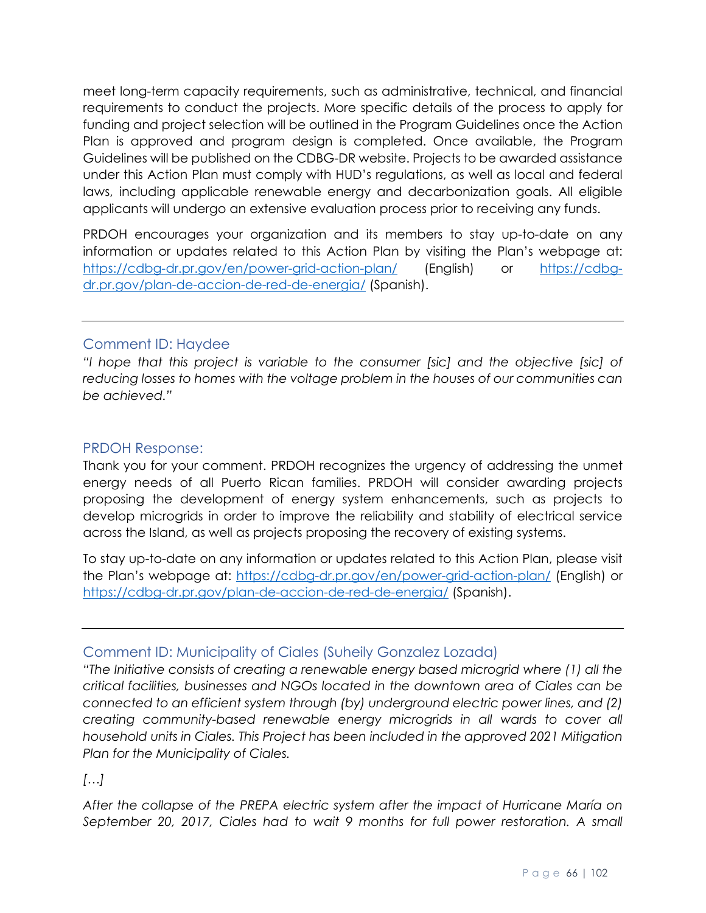meet long-term capacity requirements, such as administrative, technical, and financial requirements to conduct the projects. More specific details of the process to apply for funding and project selection will be outlined in the Program Guidelines once the Action Plan is approved and program design is completed. Once available, the Program Guidelines will be published on the CDBG-DR website. Projects to be awarded assistance under this Action Plan must comply with HUD's regulations, as well as local and federal laws, including applicable renewable energy and decarbonization goals. All eligible applicants will undergo an extensive evaluation process prior to receiving any funds.

PRDOH encourages your organization and its members to stay up-to-date on any information or updates related to this Action Plan by visiting the Plan's webpage at: <https://cdbg-dr.pr.gov/en/power-grid-action-plan/> (English) or [https://cdbg](https://cdbg-dr.pr.gov/plan-de-accion-de-red-de-energia/)[dr.pr.gov/plan-de-accion-de-red-de-energia/](https://cdbg-dr.pr.gov/plan-de-accion-de-red-de-energia/) (Spanish).

#### Comment ID: Haydee

*"I hope that this project is variable to the consumer [sic] and the objective [sic] of reducing losses to homes with the voltage problem in the houses of our communities can be achieved."*

#### PRDOH Response:

Thank you for your comment. PRDOH recognizes the urgency of addressing the unmet energy needs of all Puerto Rican families. PRDOH will consider awarding projects proposing the development of energy system enhancements, such as projects to develop microgrids in order to improve the reliability and stability of electrical service across the Island, as well as projects proposing the recovery of existing systems.

To stay up-to-date on any information or updates related to this Action Plan, please visit the Plan's webpage at:<https://cdbg-dr.pr.gov/en/power-grid-action-plan/> (English) or <https://cdbg-dr.pr.gov/plan-de-accion-de-red-de-energia/> (Spanish).

#### Comment ID: Municipality of Ciales (Suheily Gonzalez Lozada)

*"The Initiative consists of creating a renewable energy based microgrid where (1) all the critical facilities, businesses and NGOs located in the downtown area of Ciales can be connected to an efficient system through (by) underground electric power lines, and (2) creating community-based renewable energy microgrids in all wards to cover all household units in Ciales. This Project has been included in the approved 2021 Mitigation Plan for the Municipality of Ciales.*

*[…]*

*After the collapse of the PREPA electric system after the impact of Hurricane María on September 20, 2017, Ciales had to wait 9 months for full power restoration. A small*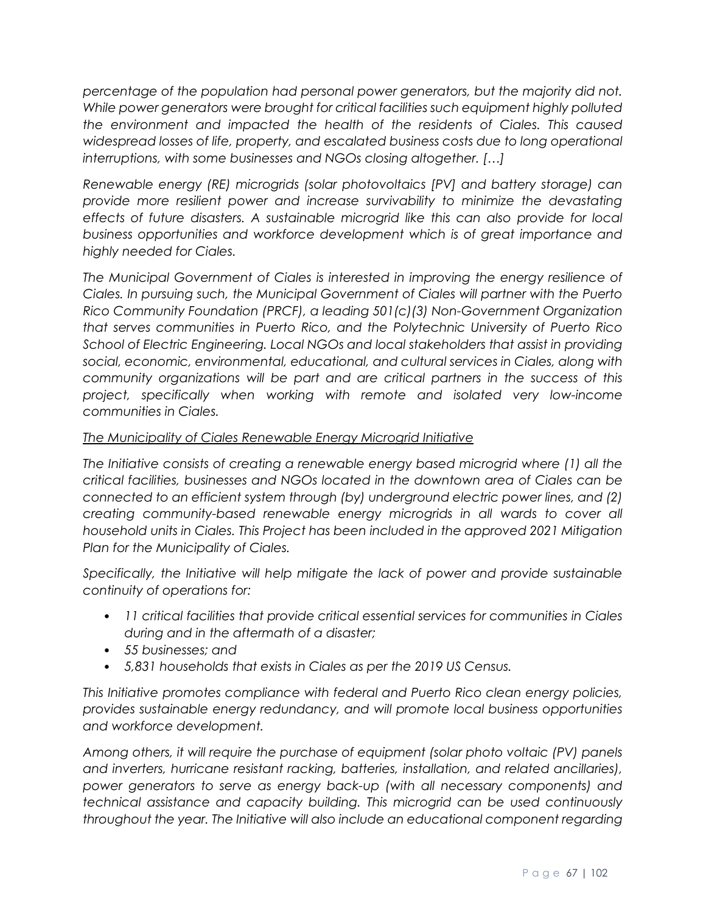*percentage of the population had personal power generators, but the majority did not. While power generators were brought for critical facilities such equipment highly polluted the environment and impacted the health of the residents of Ciales. This caused widespread losses of life, property, and escalated business costs due to long operational interruptions, with some businesses and NGOs closing altogether. […]*

*Renewable energy (RE) microgrids (solar photovoltaics [PV] and battery storage) can provide more resilient power and increase survivability to minimize the devastating effects of future disasters. A sustainable microgrid like this can also provide for local business opportunities and workforce development which is of great importance and highly needed for Ciales.* 

*The Municipal Government of Ciales is interested in improving the energy resilience of Ciales. In pursuing such, the Municipal Government of Ciales will partner with the Puerto Rico Community Foundation (PRCF), a leading 501(c)(3) Non-Government Organization that serves communities in Puerto Rico, and the Polytechnic University of Puerto Rico School of Electric Engineering. Local NGOs and local stakeholders that assist in providing social, economic, environmental, educational, and cultural services in Ciales, along with community organizations will be part and are critical partners in the success of this project, specifically when working with remote and isolated very low-income communities in Ciales.* 

## *The Municipality of Ciales Renewable Energy Microgrid Initiative*

*The Initiative consists of creating a renewable energy based microgrid where (1) all the critical facilities, businesses and NGOs located in the downtown area of Ciales can be connected to an efficient system through (by) underground electric power lines, and (2) creating community-based renewable energy microgrids in all wards to cover all household units in Ciales. This Project has been included in the approved 2021 Mitigation Plan for the Municipality of Ciales.* 

*Specifically, the Initiative will help mitigate the lack of power and provide sustainable continuity of operations for:* 

- *11 critical facilities that provide critical essential services for communities in Ciales during and in the aftermath of a disaster;*
- *55 businesses; and*
- *5,831 households that exists in Ciales as per the 2019 US Census.*

*This Initiative promotes compliance with federal and Puerto Rico clean energy policies, provides sustainable energy redundancy, and will promote local business opportunities and workforce development.* 

*Among others, it will require the purchase of equipment (solar photo voltaic (PV) panels and inverters, hurricane resistant racking, batteries, installation, and related ancillaries), power generators to serve as energy back-up (with all necessary components) and technical assistance and capacity building. This microgrid can be used continuously throughout the year. The Initiative will also include an educational component regarding*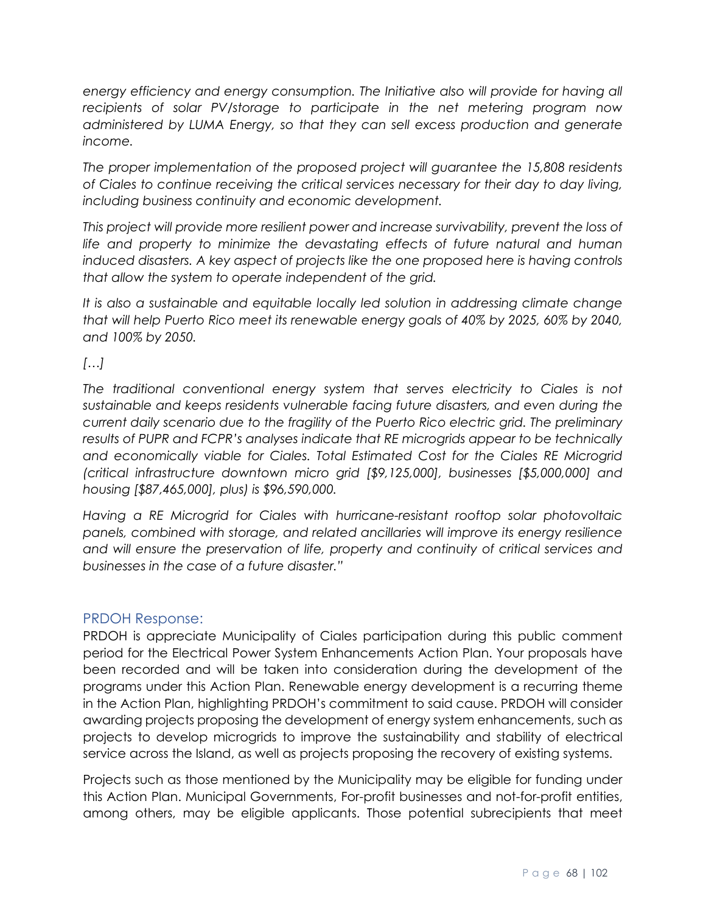*energy efficiency and energy consumption. The Initiative also will provide for having all recipients of solar PV/storage to participate in the net metering program now administered by LUMA Energy, so that they can sell excess production and generate income.* 

*The proper implementation of the proposed project will guarantee the 15,808 residents of Ciales to continue receiving the critical services necessary for their day to day living, including business continuity and economic development.* 

*This project will provide more resilient power and increase survivability, prevent the loss of life and property to minimize the devastating effects of future natural and human induced disasters. A key aspect of projects like the one proposed here is having controls that allow the system to operate independent of the grid.* 

*It is also a sustainable and equitable locally led solution in addressing climate change that will help Puerto Rico meet its renewable energy goals of 40% by 2025, 60% by 2040, and 100% by 2050.*

*[…]*

*The traditional conventional energy system that serves electricity to Ciales is not sustainable and keeps residents vulnerable facing future disasters, and even during the current daily scenario due to the fragility of the Puerto Rico electric grid. The preliminary results of PUPR and FCPR's analyses indicate that RE microgrids appear to be technically and economically viable for Ciales. Total Estimated Cost for the Ciales RE Microgrid (critical infrastructure downtown micro grid [\$9,125,000], businesses [\$5,000,000] and housing [\$87,465,000], plus) is \$96,590,000.* 

*Having a RE Microgrid for Ciales with hurricane-resistant rooftop solar photovoltaic panels, combined with storage, and related ancillaries will improve its energy resilience and will ensure the preservation of life, property and continuity of critical services and businesses in the case of a future disaster."*

#### PRDOH Response:

PRDOH is appreciate Municipality of Ciales participation during this public comment period for the Electrical Power System Enhancements Action Plan. Your proposals have been recorded and will be taken into consideration during the development of the programs under this Action Plan. Renewable energy development is a recurring theme in the Action Plan, highlighting PRDOH's commitment to said cause. PRDOH will consider awarding projects proposing the development of energy system enhancements, such as projects to develop microgrids to improve the sustainability and stability of electrical service across the Island, as well as projects proposing the recovery of existing systems.

Projects such as those mentioned by the Municipality may be eligible for funding under this Action Plan. Municipal Governments, For-profit businesses and not-for-profit entities, among others, may be eligible applicants. Those potential subrecipients that meet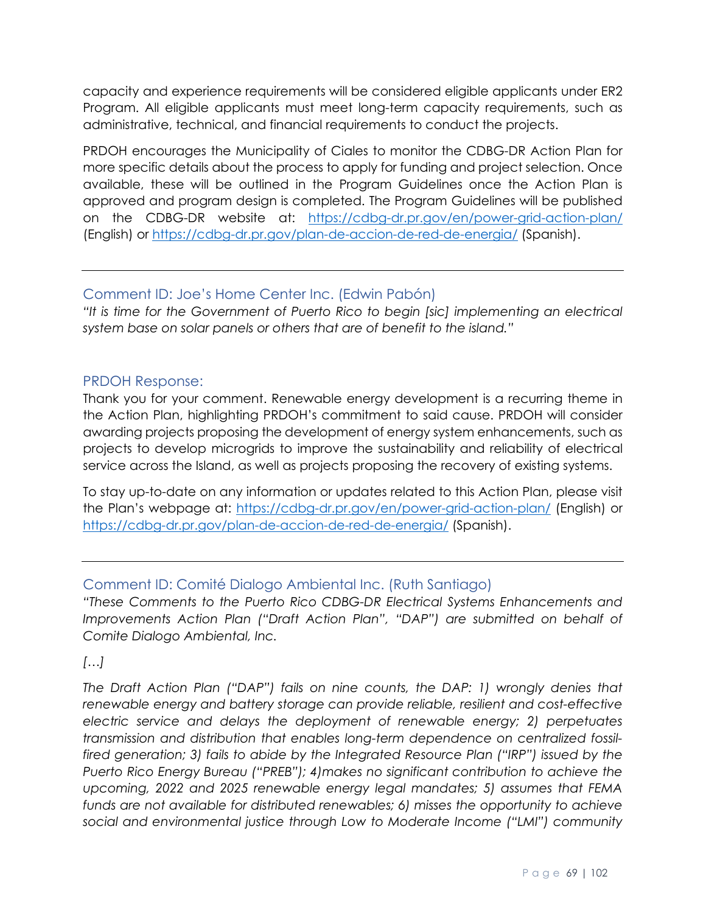capacity and experience requirements will be considered eligible applicants under ER2 Program. All eligible applicants must meet long-term capacity requirements, such as administrative, technical, and financial requirements to conduct the projects.

PRDOH encourages the Municipality of Ciales to monitor the CDBG-DR Action Plan for more specific details about the process to apply for funding and project selection. Once available, these will be outlined in the Program Guidelines once the Action Plan is approved and program design is completed. The Program Guidelines will be published on the CDBG-DR website at: <https://cdbg-dr.pr.gov/en/power-grid-action-plan/> (English) or<https://cdbg-dr.pr.gov/plan-de-accion-de-red-de-energia/> (Spanish).

# Comment ID: Joe's Home Center Inc. (Edwin Pabón)

*"It is time for the Government of Puerto Rico to begin [sic] implementing an electrical system base on solar panels or others that are of benefit to the island."*

#### PRDOH Response:

Thank you for your comment. Renewable energy development is a recurring theme in the Action Plan, highlighting PRDOH's commitment to said cause. PRDOH will consider awarding projects proposing the development of energy system enhancements, such as projects to develop microgrids to improve the sustainability and reliability of electrical service across the Island, as well as projects proposing the recovery of existing systems.

To stay up-to-date on any information or updates related to this Action Plan, please visit the Plan's webpage at:<https://cdbg-dr.pr.gov/en/power-grid-action-plan/> (English) or <https://cdbg-dr.pr.gov/plan-de-accion-de-red-de-energia/> (Spanish).

# Comment ID: Comité Dialogo Ambiental Inc. (Ruth Santiago)

*"These Comments to the Puerto Rico CDBG-DR Electrical Systems Enhancements and Improvements Action Plan ("Draft Action Plan", "DAP") are submitted on behalf of Comite Dialogo Ambiental, Inc.* 

#### *[…]*

*The Draft Action Plan ("DAP") fails on nine counts, the DAP: 1) wrongly denies that renewable energy and battery storage can provide reliable, resilient and cost-effective electric service and delays the deployment of renewable energy; 2) perpetuates transmission and distribution that enables long-term dependence on centralized fossilfired generation; 3) fails to abide by the Integrated Resource Plan ("IRP") issued by the Puerto Rico Energy Bureau ("PREB"); 4)makes no significant contribution to achieve the upcoming, 2022 and 2025 renewable energy legal mandates; 5) assumes that FEMA funds are not available for distributed renewables; 6) misses the opportunity to achieve social and environmental justice through Low to Moderate Income ("LMI") community*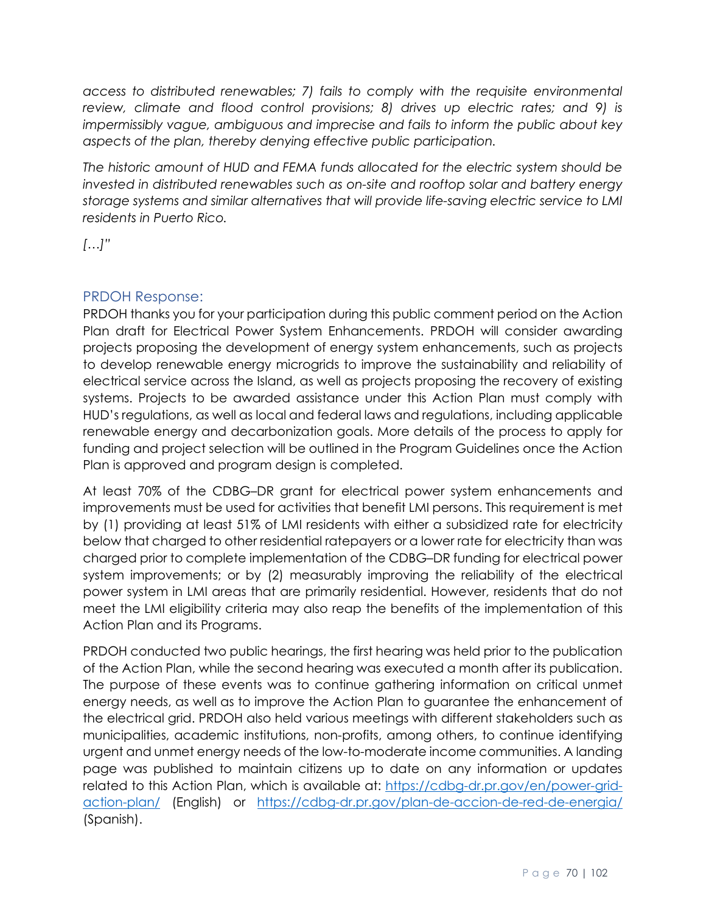*access to distributed renewables; 7) fails to comply with the requisite environmental review, climate and flood control provisions; 8) drives up electric rates; and 9) is impermissibly vague, ambiguous and imprecise and fails to inform the public about key aspects of the plan, thereby denying effective public participation.*

*The historic amount of HUD and FEMA funds allocated for the electric system should be invested in distributed renewables such as on-site and rooftop solar and battery energy storage systems and similar alternatives that will provide life-saving electric service to LMI residents in Puerto Rico.*

*[…]"*

# PRDOH Response:

PRDOH thanks you for your participation during this public comment period on the Action Plan draft for Electrical Power System Enhancements. PRDOH will consider awarding projects proposing the development of energy system enhancements, such as projects to develop renewable energy microgrids to improve the sustainability and reliability of electrical service across the Island, as well as projects proposing the recovery of existing systems. Projects to be awarded assistance under this Action Plan must comply with HUD's regulations, as well as local and federal laws and regulations, including applicable renewable energy and decarbonization goals. More details of the process to apply for funding and project selection will be outlined in the Program Guidelines once the Action Plan is approved and program design is completed.

At least 70% of the CDBG–DR grant for electrical power system enhancements and improvements must be used for activities that benefit LMI persons. This requirement is met by (1) providing at least 51% of LMI residents with either a subsidized rate for electricity below that charged to other residential ratepayers or a lower rate for electricity than was charged prior to complete implementation of the CDBG–DR funding for electrical power system improvements; or by (2) measurably improving the reliability of the electrical power system in LMI areas that are primarily residential. However, residents that do not meet the LMI eligibility criteria may also reap the benefits of the implementation of this Action Plan and its Programs.

PRDOH conducted two public hearings, the first hearing was held prior to the publication of the Action Plan, while the second hearing was executed a month after its publication. The purpose of these events was to continue gathering information on critical unmet energy needs, as well as to improve the Action Plan to guarantee the enhancement of the electrical grid. PRDOH also held various meetings with different stakeholders such as municipalities, academic institutions, non-profits, among others, to continue identifying urgent and unmet energy needs of the low-to-moderate income communities. A landing page was published to maintain citizens up to date on any information or updates related to this Action Plan, which is available at: [https://cdbg-dr.pr.gov/en/power-grid](https://cdbg-dr.pr.gov/en/power-grid-action-plan/)[action-plan/](https://cdbg-dr.pr.gov/en/power-grid-action-plan/) (English) or <https://cdbg-dr.pr.gov/plan-de-accion-de-red-de-energia/> (Spanish).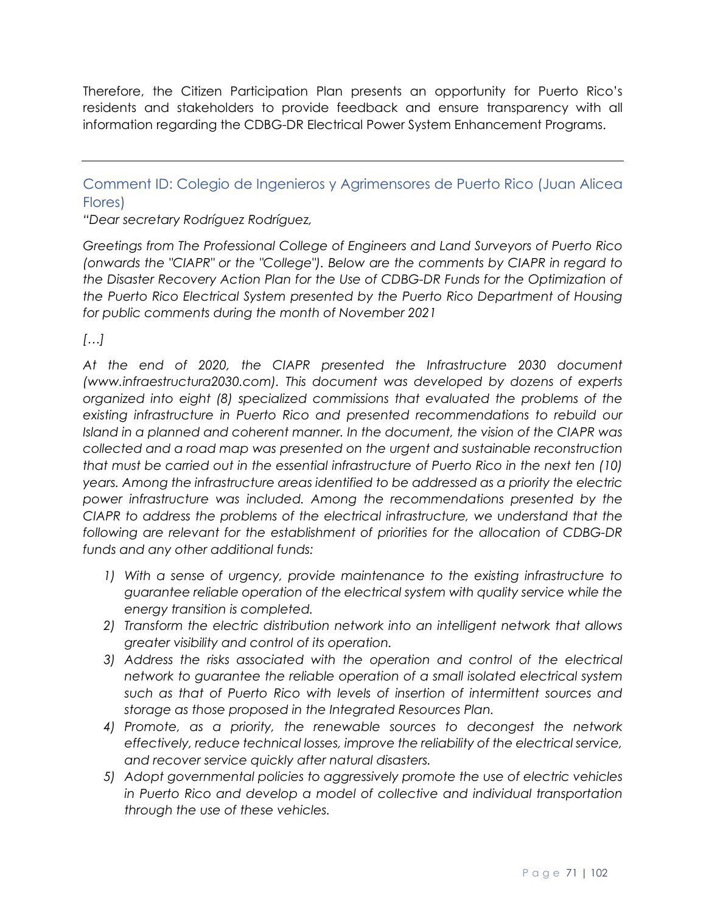Therefore, the Citizen Participation Plan presents an opportunity for Puerto Rico's residents and stakeholders to provide feedback and ensure transparency with all information regarding the CDBG-DR Electrical Power System Enhancement Programs.

Comment ID: Colegio de Ingenieros y Agrimensores de Puerto Rico (Juan Alicea Flores)

*"Dear secretary Rodríguez Rodríguez,* 

*Greetings from The Professional College of Engineers and Land Surveyors of Puerto Rico (onwards the "CIAPR" or the "College"). Below are the comments by CIAPR in regard to the Disaster Recovery Action Plan for the Use of CDBG-DR Funds for the Optimization of the Puerto Rico Electrical System presented by the Puerto Rico Department of Housing for public comments during the month of November 2021*

*[…]*

*At the end of 2020, the CIAPR presented the Infrastructure 2030 document (www.infraestructura2030.com). This document was developed by dozens of experts organized into eight (8) specialized commissions that evaluated the problems of the existing infrastructure in Puerto Rico and presented recommendations to rebuild our Island in a planned and coherent manner. In the document, the vision of the CIAPR was collected and a road map was presented on the urgent and sustainable reconstruction that must be carried out in the essential infrastructure of Puerto Rico in the next ten (10) years. Among the infrastructure areas identified to be addressed as a priority the electric power infrastructure was included. Among the recommendations presented by the CIAPR to address the problems of the electrical infrastructure, we understand that the following are relevant for the establishment of priorities for the allocation of CDBG-DR funds and any other additional funds:*

- *1) With a sense of urgency, provide maintenance to the existing infrastructure to guarantee reliable operation of the electrical system with quality service while the energy transition is completed.*
- *2) Transform the electric distribution network into an intelligent network that allows greater visibility and control of its operation.*
- 3) Address the risks associated with the operation and control of the electrical *network to guarantee the reliable operation of a small isolated electrical system such as that of Puerto Rico with levels of insertion of intermittent sources and storage as those proposed in the Integrated Resources Plan.*
- *4) Promote, as a priority, the renewable sources to decongest the network effectively, reduce technical losses, improve the reliability of the electrical service, and recover service quickly after natural disasters.*
- *5) Adopt governmental policies to aggressively promote the use of electric vehicles in Puerto Rico and develop a model of collective and individual transportation through the use of these vehicles.*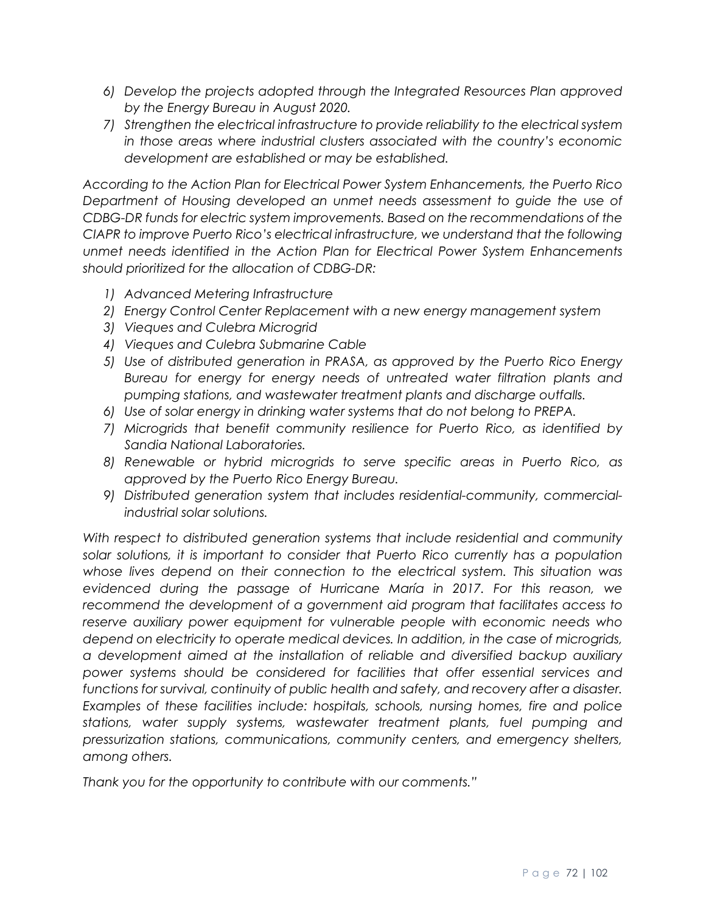- *6) Develop the projects adopted through the Integrated Resources Plan approved by the Energy Bureau in August 2020.*
- *7) Strengthen the electrical infrastructure to provide reliability to the electrical system in those areas where industrial clusters associated with the country's economic development are established or may be established.*

*According to the Action Plan for Electrical Power System Enhancements, the Puerto Rico Department of Housing developed an unmet needs assessment to guide the use of CDBG-DR funds for electric system improvements. Based on the recommendations of the CIAPR to improve Puerto Rico's electrical infrastructure, we understand that the following unmet needs identified in the Action Plan for Electrical Power System Enhancements should prioritized for the allocation of CDBG-DR:*

- *1) Advanced Metering Infrastructure*
- *2) Energy Control Center Replacement with a new energy management system*
- *3) Vieques and Culebra Microgrid*
- *4) Vieques and Culebra Submarine Cable*
- *5) Use of distributed generation in PRASA, as approved by the Puerto Rico Energy Bureau for energy for energy needs of untreated water filtration plants and pumping stations, and wastewater treatment plants and discharge outfalls.*
- *6) Use of solar energy in drinking water systems that do not belong to PREPA.*
- *7) Microgrids that benefit community resilience for Puerto Rico, as identified by Sandia National Laboratories.*
- *8) Renewable or hybrid microgrids to serve specific areas in Puerto Rico, as approved by the Puerto Rico Energy Bureau.*
- *9) Distributed generation system that includes residential-community, commercialindustrial solar solutions.*

*With respect to distributed generation systems that include residential and community solar solutions, it is important to consider that Puerto Rico currently has a population whose lives depend on their connection to the electrical system. This situation was evidenced during the passage of Hurricane María in 2017. For this reason, we recommend the development of a government aid program that facilitates access to reserve auxiliary power equipment for vulnerable people with economic needs who depend on electricity to operate medical devices. In addition, in the case of microgrids, a development aimed at the installation of reliable and diversified backup auxiliary power systems should be considered for facilities that offer essential services and functions for survival, continuity of public health and safety, and recovery after a disaster. Examples of these facilities include: hospitals, schools, nursing homes, fire and police stations, water supply systems, wastewater treatment plants, fuel pumping and pressurization stations, communications, community centers, and emergency shelters, among others.* 

*Thank you for the opportunity to contribute with our comments."*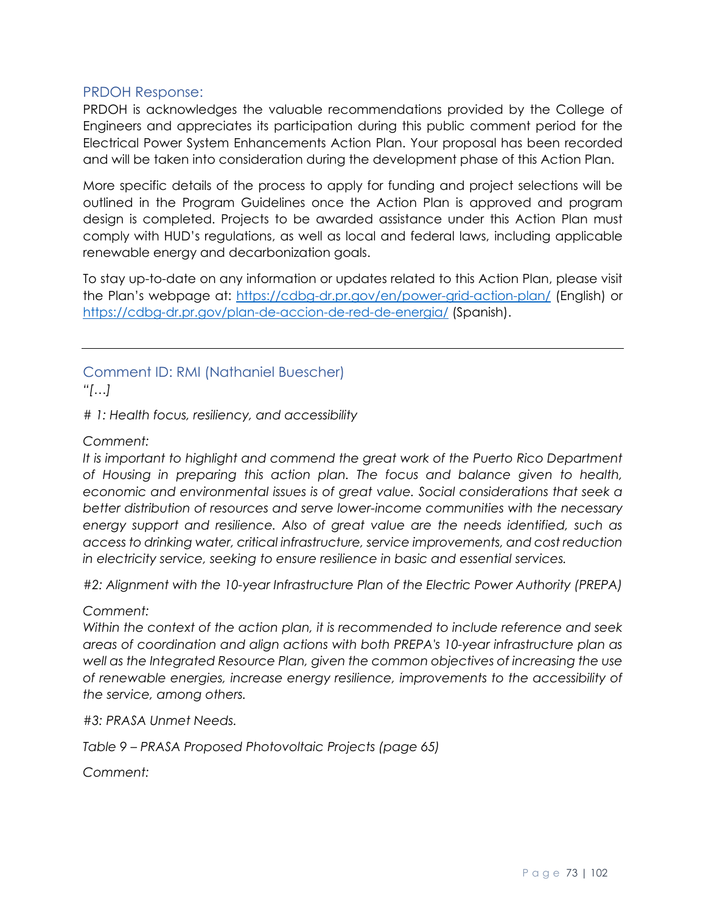## PRDOH Response:

PRDOH is acknowledges the valuable recommendations provided by the College of Engineers and appreciates its participation during this public comment period for the Electrical Power System Enhancements Action Plan. Your proposal has been recorded and will be taken into consideration during the development phase of this Action Plan.

More specific details of the process to apply for funding and project selections will be outlined in the Program Guidelines once the Action Plan is approved and program design is completed. Projects to be awarded assistance under this Action Plan must comply with HUD's regulations, as well as local and federal laws, including applicable renewable energy and decarbonization goals.

To stay up-to-date on any information or updates related to this Action Plan, please visit the Plan's webpage at:<https://cdbg-dr.pr.gov/en/power-grid-action-plan/> (English) or <https://cdbg-dr.pr.gov/plan-de-accion-de-red-de-energia/> (Spanish).

# Comment ID: RMI (Nathaniel Buescher)

*"[…]*

*# 1: Health focus, resiliency, and accessibility*

### *Comment:*

It is important to highlight and commend the great work of the Puerto Rico Department *of Housing in preparing this action plan. The focus and balance given to health, economic and environmental issues is of great value. Social considerations that seek a better distribution of resources and serve lower-income communities with the necessary energy support and resilience. Also of great value are the needs identified, such as access to drinking water, critical infrastructure, service improvements, and cost reduction in electricity service, seeking to ensure resilience in basic and essential services.* 

*#2: Alignment with the 10-year Infrastructure Plan of the Electric Power Authority (PREPA)*

#### *Comment:*

*Within the context of the action plan, it is recommended to include reference and seek areas of coordination and align actions with both PREPA's 10-year infrastructure plan as well as the Integrated Resource Plan, given the common objectives of increasing the use of renewable energies, increase energy resilience, improvements to the accessibility of the service, among others.* 

*#3: PRASA Unmet Needs.* 

*Table 9 – PRASA Proposed Photovoltaic Projects (page 65)*

*Comment:*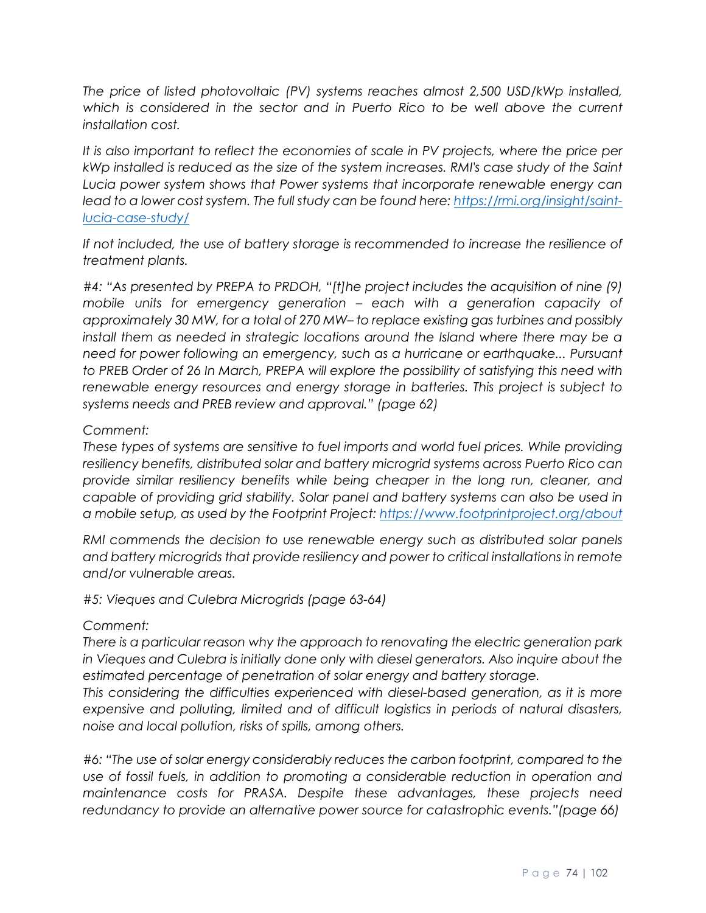*The price of listed photovoltaic (PV) systems reaches almost 2,500 USD/kWp installed,*  which is considered in the sector and in Puerto Rico to be well above the current *installation cost.* 

*It is also important to reflect the economies of scale in PV projects, where the price per kWp installed is reduced as the size of the system increases. RMI's case study of the Saint Lucia power system shows that Power systems that incorporate renewable energy can lead to a lower cost system. The full study can be found here[: https://rmi.org/insight/saint](https://rmi.org/insight/saint-lucia-case-study/)[lucia-case-study/](https://rmi.org/insight/saint-lucia-case-study/)*

*If not included, the use of battery storage is recommended to increase the resilience of treatment plants.*

*#4: "As presented by PREPA to PRDOH, "[t]he project includes the acquisition of nine (9) mobile units for emergency generation – each with a generation capacity of approximately 30 MW, for a total of 270 MW– to replace existing gas turbines and possibly install them as needed in strategic locations around the Island where there may be a need for power following an emergency, such as a hurricane or earthquake... Pursuant to PREB Order of 26 In March, PREPA will explore the possibility of satisfying this need with renewable energy resources and energy storage in batteries. This project is subject to systems needs and PREB review and approval." (page 62)* 

### *Comment:*

*These types of systems are sensitive to fuel imports and world fuel prices. While providing resiliency benefits, distributed solar and battery microgrid systems across Puerto Rico can provide similar resiliency benefits while being cheaper in the long run, cleaner, and capable of providing grid stability. Solar panel and battery systems can also be used in a mobile setup, as used by the Footprint Project:<https://www.footprintproject.org/about>*

*RMI commends the decision to use renewable energy such as distributed solar panels and battery microgrids that provide resiliency and power to critical installations in remote and/or vulnerable areas.* 

#### *#5: Vieques and Culebra Microgrids (page 63-64)*

#### *Comment:*

*There is a particular reason why the approach to renovating the electric generation park in Vieques and Culebra is initially done only with diesel generators. Also inquire about the estimated percentage of penetration of solar energy and battery storage.*

*This considering the difficulties experienced with diesel-based generation, as it is more expensive and polluting, limited and of difficult logistics in periods of natural disasters, noise and local pollution, risks of spills, among others.*

*#6: "The use of solar energy considerably reduces the carbon footprint, compared to the use of fossil fuels, in addition to promoting a considerable reduction in operation and maintenance costs for PRASA. Despite these advantages, these projects need redundancy to provide an alternative power source for catastrophic events."(page 66)*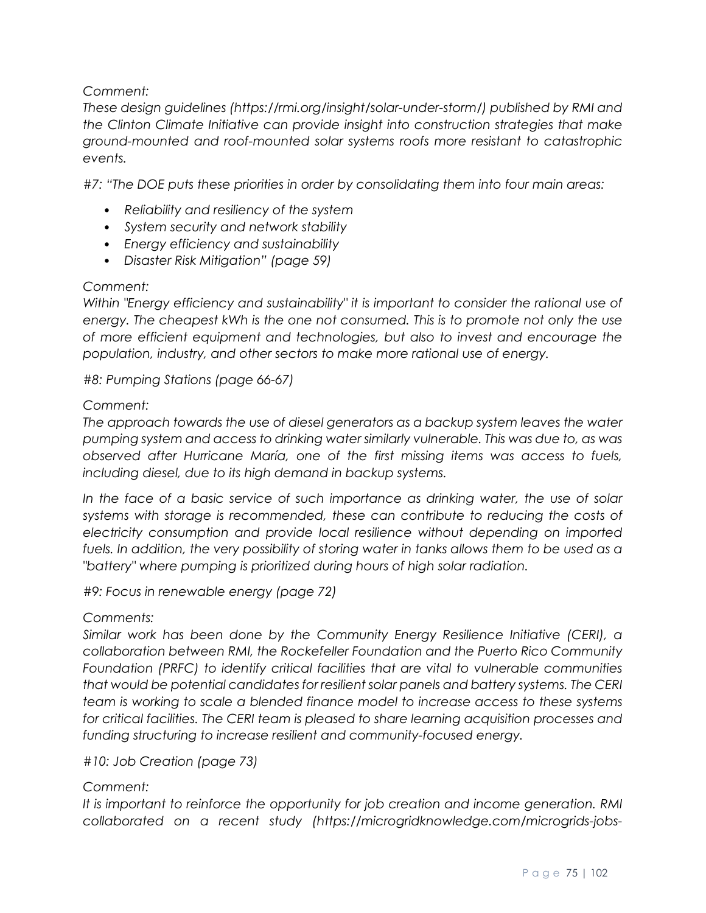# *Comment:*

*These design guidelines (https://rmi.org/insight/solar-under-storm/) published by RMI and the Clinton Climate Initiative can provide insight into construction strategies that make ground-mounted and roof-mounted solar systems roofs more resistant to catastrophic events.* 

*#7: "The DOE puts these priorities in order by consolidating them into four main areas:* 

- *Reliability and resiliency of the system*
- *System security and network stability*
- *Energy efficiency and sustainability*
- *Disaster Risk Mitigation" (page 59)*

### *Comment:*

*Within "Energy efficiency and sustainability" it is important to consider the rational use of energy. The cheapest kWh is the one not consumed. This is to promote not only the use of more efficient equipment and technologies, but also to invest and encourage the population, industry, and other sectors to make more rational use of energy.* 

*#8: Pumping Stations (page 66-67)* 

### *Comment:*

*The approach towards the use of diesel generators as a backup system leaves the water pumping system and access to drinking water similarly vulnerable. This was due to, as was observed after Hurricane María, one of the first missing items was access to fuels, including diesel, due to its high demand in backup systems.* 

*In the face of a basic service of such importance as drinking water, the use of solar*  systems with storage is recommended, these can contribute to reducing the costs of *electricity consumption and provide local resilience without depending on imported fuels. In addition, the very possibility of storing water in tanks allows them to be used as a "battery" where pumping is prioritized during hours of high solar radiation.* 

*#9: Focus in renewable energy (page 72)* 

# *Comments:*

*Similar work has been done by the Community Energy Resilience Initiative (CERI), a collaboration between RMI, the Rockefeller Foundation and the Puerto Rico Community Foundation (PRFC) to identify critical facilities that are vital to vulnerable communities that would be potential candidates for resilient solar panels and battery systems. The CERI team is working to scale a blended finance model to increase access to these systems for critical facilities. The CERI team is pleased to share learning acquisition processes and funding structuring to increase resilient and community-focused energy.* 

# *#10: Job Creation (page 73)*

# *Comment:*

*It is important to reinforce the opportunity for job creation and income generation. RMI collaborated on a recent study (https://microgridknowledge.com/microgrids-jobs-*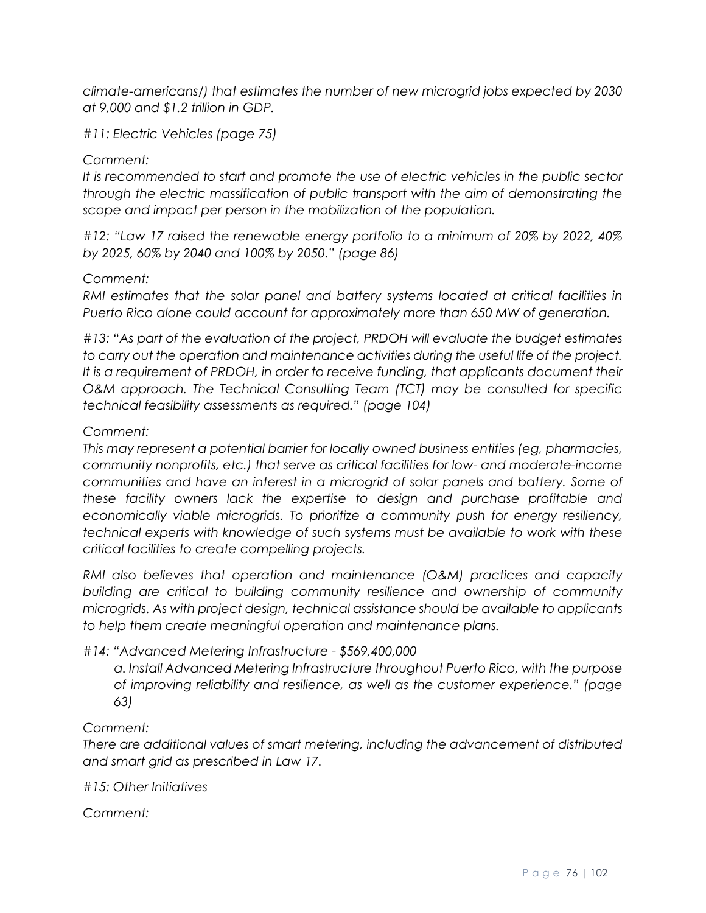*climate-americans/) that estimates the number of new microgrid jobs expected by 2030 at 9,000 and \$1.2 trillion in GDP.* 

*#11: Electric Vehicles (page 75)* 

## *Comment:*

*It is recommended to start and promote the use of electric vehicles in the public sector through the electric massification of public transport with the aim of demonstrating the scope and impact per person in the mobilization of the population.* 

*#12: "Law 17 raised the renewable energy portfolio to a minimum of 20% by 2022, 40% by 2025, 60% by 2040 and 100% by 2050." (page 86)* 

#### *Comment:*

*RMI estimates that the solar panel and battery systems located at critical facilities in Puerto Rico alone could account for approximately more than 650 MW of generation.*

*#13: "As part of the evaluation of the project, PRDOH will evaluate the budget estimates to carry out the operation and maintenance activities during the useful life of the project. It is a requirement of PRDOH, in order to receive funding, that applicants document their O&M approach. The Technical Consulting Team (TCT) may be consulted for specific technical feasibility assessments as required." (page 104)* 

### *Comment:*

*This may represent a potential barrier for locally owned business entities (eg, pharmacies, community nonprofits, etc.) that serve as critical facilities for low- and moderate-income communities and have an interest in a microgrid of solar panels and battery. Some of these facility owners lack the expertise to design and purchase profitable and economically viable microgrids. To prioritize a community push for energy resiliency, technical experts with knowledge of such systems must be available to work with these critical facilities to create compelling projects.*

*RMI also believes that operation and maintenance (O&M) practices and capacity building are critical to building community resilience and ownership of community microgrids. As with project design, technical assistance should be available to applicants to help them create meaningful operation and maintenance plans.* 

# *#14: "Advanced Metering Infrastructure - \$569,400,000*

*a. Install Advanced Metering Infrastructure throughout Puerto Rico, with the purpose of improving reliability and resilience, as well as the customer experience." (page 63)* 

#### *Comment:*

*There are additional values of smart metering, including the advancement of distributed and smart grid as prescribed in Law 17.* 

*#15: Other Initiatives*

*Comment:*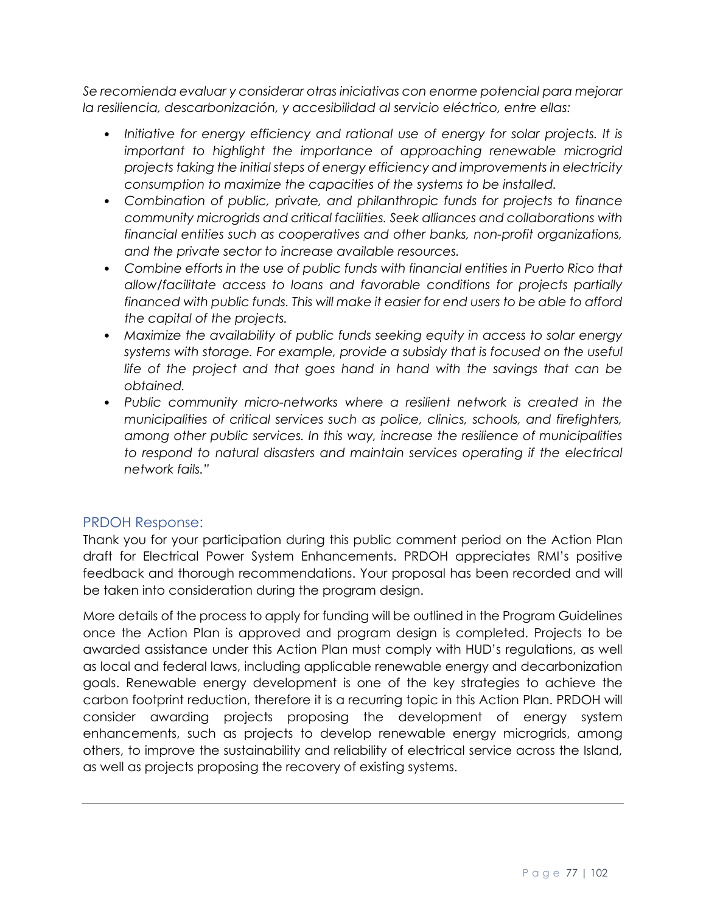*Se recomienda evaluar y considerar otras iniciativas con enorme potencial para mejorar la resiliencia, descarbonización, y accesibilidad al servicio eléctrico, entre ellas:* 

- *Initiative for energy efficiency and rational use of energy for solar projects. It is important to highlight the importance of approaching renewable microgrid projects taking the initial steps of energy efficiency and improvements in electricity consumption to maximize the capacities of the systems to be installed.*
- *Combination of public, private, and philanthropic funds for projects to finance community microgrids and critical facilities. Seek alliances and collaborations with financial entities such as cooperatives and other banks, non-profit organizations, and the private sector to increase available resources.*
- *Combine efforts in the use of public funds with financial entities in Puerto Rico that allow/facilitate access to loans and favorable conditions for projects partially financed with public funds. This will make it easier for end users to be able to afford the capital of the projects.*
- *Maximize the availability of public funds seeking equity in access to solar energy systems with storage. For example, provide a subsidy that is focused on the useful life of the project and that goes hand in hand with the savings that can be obtained.*
- *Public community micro-networks where a resilient network is created in the municipalities of critical services such as police, clinics, schools, and firefighters, among other public services. In this way, increase the resilience of municipalities*  to respond to natural disasters and maintain services operating if the electrical *network fails."*

# PRDOH Response:

Thank you for your participation during this public comment period on the Action Plan draft for Electrical Power System Enhancements. PRDOH appreciates RMI's positive feedback and thorough recommendations. Your proposal has been recorded and will be taken into consideration during the program design.

More details of the process to apply for funding will be outlined in the Program Guidelines once the Action Plan is approved and program design is completed. Projects to be awarded assistance under this Action Plan must comply with HUD's regulations, as well as local and federal laws, including applicable renewable energy and decarbonization goals. Renewable energy development is one of the key strategies to achieve the carbon footprint reduction, therefore it is a recurring topic in this Action Plan. PRDOH will consider awarding projects proposing the development of energy system enhancements, such as projects to develop renewable energy microgrids, among others, to improve the sustainability and reliability of electrical service across the Island, as well as projects proposing the recovery of existing systems.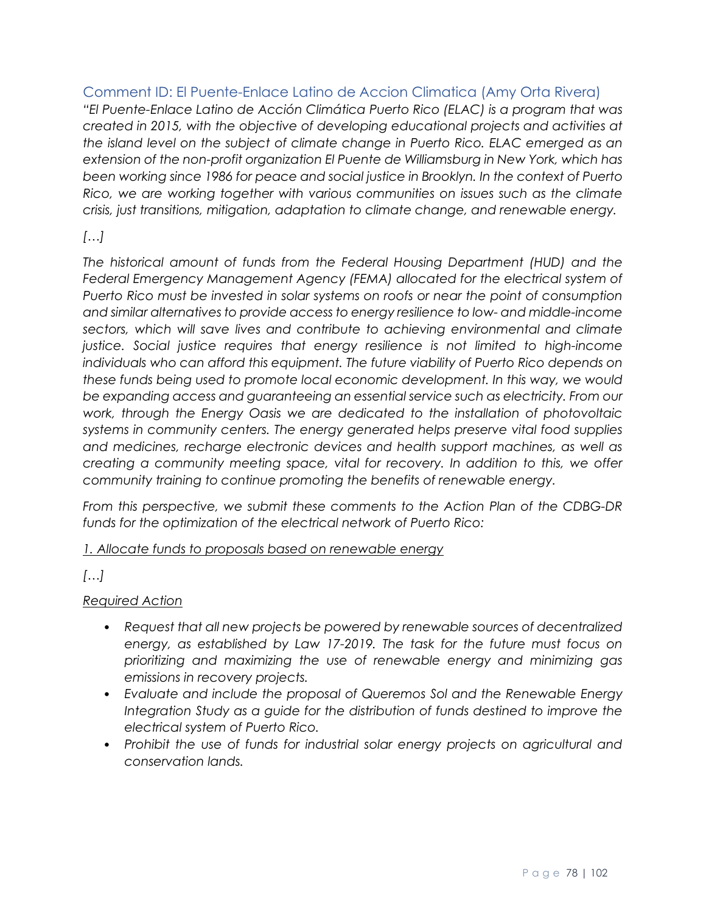Comment ID: El Puente-Enlace Latino de Accion Climatica (Amy Orta Rivera)

*"El Puente-Enlace Latino de Acción Climática Puerto Rico (ELAC) is a program that was created in 2015, with the objective of developing educational projects and activities at the island level on the subject of climate change in Puerto Rico. ELAC emerged as an extension of the non-profit organization El Puente de Williamsburg in New York, which has been working since 1986 for peace and social justice in Brooklyn. In the context of Puerto Rico, we are working together with various communities on issues such as the climate crisis, just transitions, mitigation, adaptation to climate change, and renewable energy.*

# *[…]*

*The historical amount of funds from the Federal Housing Department (HUD) and the*  Federal Emergency Management Agency (FEMA) allocated for the electrical system of *Puerto Rico must be invested in solar systems on roofs or near the point of consumption and similar alternatives to provide access to energy resilience to low- and middle-income sectors, which will save lives and contribute to achieving environmental and climate justice. Social justice requires that energy resilience is not limited to high-income individuals who can afford this equipment. The future viability of Puerto Rico depends on these funds being used to promote local economic development. In this way, we would be expanding access and guaranteeing an essential service such as electricity. From our work, through the Energy Oasis we are dedicated to the installation of photovoltaic systems in community centers. The energy generated helps preserve vital food supplies and medicines, recharge electronic devices and health support machines, as well as creating a community meeting space, vital for recovery. In addition to this, we offer community training to continue promoting the benefits of renewable energy.*

*From this perspective, we submit these comments to the Action Plan of the CDBG-DR funds for the optimization of the electrical network of Puerto Rico:*

*1. Allocate funds to proposals based on renewable energy*

# *[…]*

# *Required Action*

- *Request that all new projects be powered by renewable sources of decentralized energy, as established by Law 17-2019. The task for the future must focus on prioritizing and maximizing the use of renewable energy and minimizing gas emissions in recovery projects.*
- *Evaluate and include the proposal of Queremos Sol and the Renewable Energy Integration Study as a guide for the distribution of funds destined to improve the electrical system of Puerto Rico.*
- *Prohibit the use of funds for industrial solar energy projects on agricultural and conservation lands.*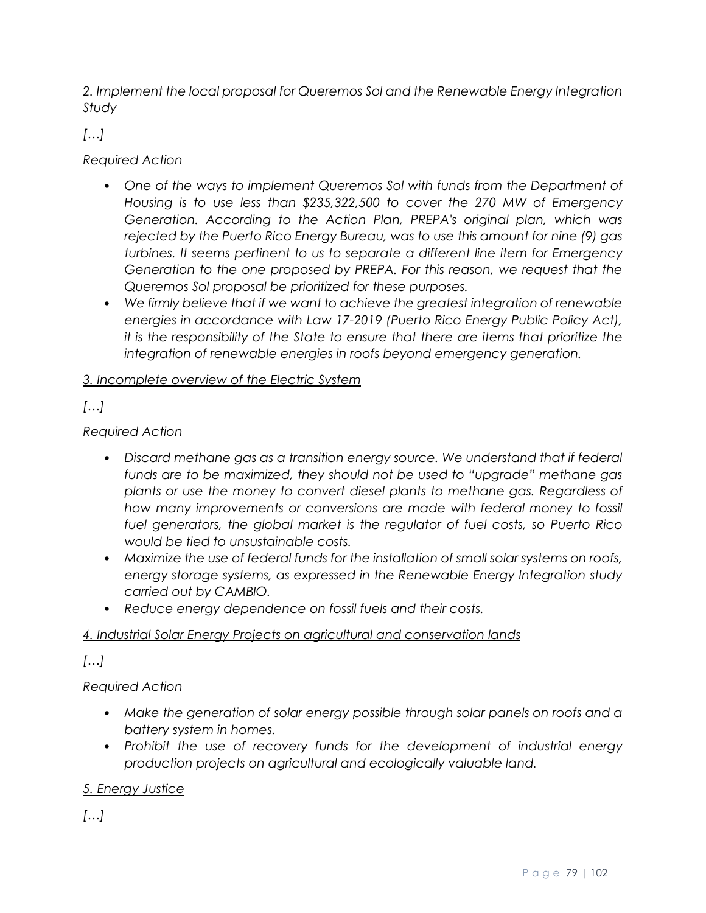# *2. Implement the local proposal for Queremos Sol and the Renewable Energy Integration Study*

*[…]*

# *Required Action*

- One of the ways to implement Queremos Sol with funds from the Department of *Housing is to use less than \$235,322,500 to cover the 270 MW of Emergency Generation. According to the Action Plan, PREPA's original plan, which was rejected by the Puerto Rico Energy Bureau, was to use this amount for nine (9) gas turbines. It seems pertinent to us to separate a different line item for Emergency Generation to the one proposed by PREPA. For this reason, we request that the Queremos Sol proposal be prioritized for these purposes.*
- *We firmly believe that if we want to achieve the greatest integration of renewable energies in accordance with Law 17-2019 (Puerto Rico Energy Public Policy Act), it is the responsibility of the State to ensure that there are items that prioritize the integration of renewable energies in roofs beyond emergency generation.*

# *3. Incomplete overview of the Electric System*

*[…]*

# *Required Action*

- Discard methane gas as a transition energy source. We understand that if federal *funds are to be maximized, they should not be used to "upgrade" methane gas plants or use the money to convert diesel plants to methane gas. Regardless of how many improvements or conversions are made with federal money to fossil fuel generators, the global market is the regulator of fuel costs, so Puerto Rico would be tied to unsustainable costs.*
- *Maximize the use of federal funds for the installation of small solar systems on roofs, energy storage systems, as expressed in the Renewable Energy Integration study carried out by CAMBIO.*
- *Reduce energy dependence on fossil fuels and their costs.*

# *4. Industrial Solar Energy Projects on agricultural and conservation lands*

*[…]*

# *Required Action*

- *Make the generation of solar energy possible through solar panels on roofs and a battery system in homes.*
- *Prohibit the use of recovery funds for the development of industrial energy production projects on agricultural and ecologically valuable land.*

# *5. Energy Justice*

*[…]*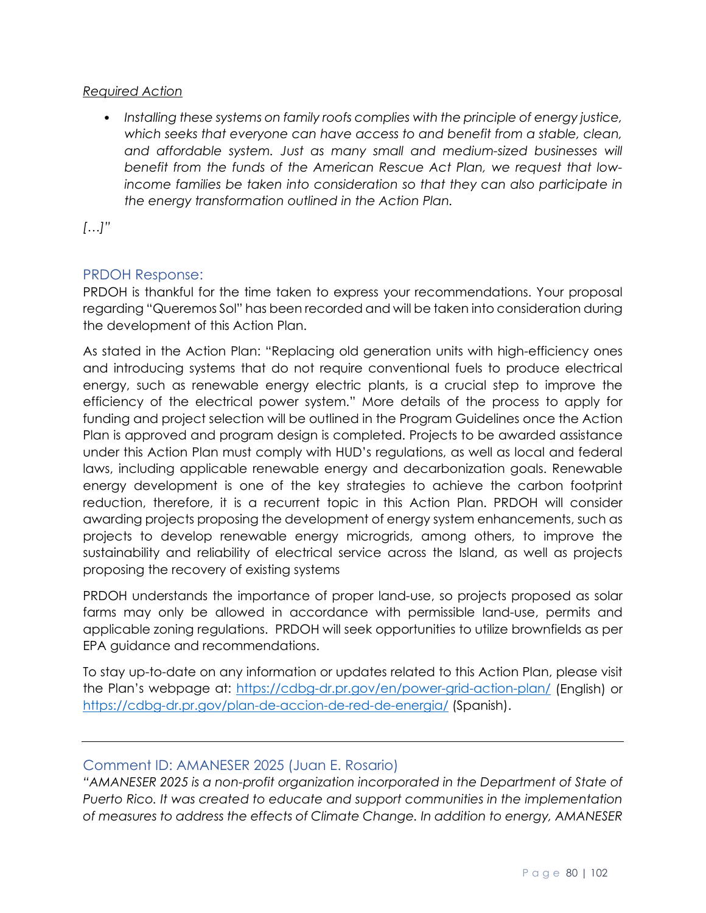## *Required Action*

• *Installing these systems on family roofs complies with the principle of energy justice, which seeks that everyone can have access to and benefit from a stable, clean, and affordable system. Just as many small and medium-sized businesses will benefit from the funds of the American Rescue Act Plan, we request that lowincome families be taken into consideration so that they can also participate in the energy transformation outlined in the Action Plan.*

*[…]"*

# PRDOH Response:

PRDOH is thankful for the time taken to express your recommendations. Your proposal regarding "Queremos Sol" has been recorded and will be taken into consideration during the development of this Action Plan.

As stated in the Action Plan: "Replacing old generation units with high-efficiency ones and introducing systems that do not require conventional fuels to produce electrical energy, such as renewable energy electric plants, is a crucial step to improve the efficiency of the electrical power system." More details of the process to apply for funding and project selection will be outlined in the Program Guidelines once the Action Plan is approved and program design is completed. Projects to be awarded assistance under this Action Plan must comply with HUD's regulations, as well as local and federal laws, including applicable renewable energy and decarbonization goals. Renewable energy development is one of the key strategies to achieve the carbon footprint reduction, therefore, it is a recurrent topic in this Action Plan. PRDOH will consider awarding projects proposing the development of energy system enhancements, such as projects to develop renewable energy microgrids, among others, to improve the sustainability and reliability of electrical service across the Island, as well as projects proposing the recovery of existing systems

PRDOH understands the importance of proper land-use, so projects proposed as solar farms may only be allowed in accordance with permissible land-use, permits and applicable zoning regulations. PRDOH will seek opportunities to utilize brownfields as per EPA guidance and recommendations.

To stay up-to-date on any information or updates related to this Action Plan, please visit the Plan's webpage at:<https://cdbg-dr.pr.gov/en/power-grid-action-plan/> (English) or <https://cdbg-dr.pr.gov/plan-de-accion-de-red-de-energia/> (Spanish).

# Comment ID: AMANESER 2025 (Juan E. Rosario)

*"AMANESER 2025 is a non-profit organization incorporated in the Department of State of Puerto Rico. It was created to educate and support communities in the implementation of measures to address the effects of Climate Change. In addition to energy, AMANESER*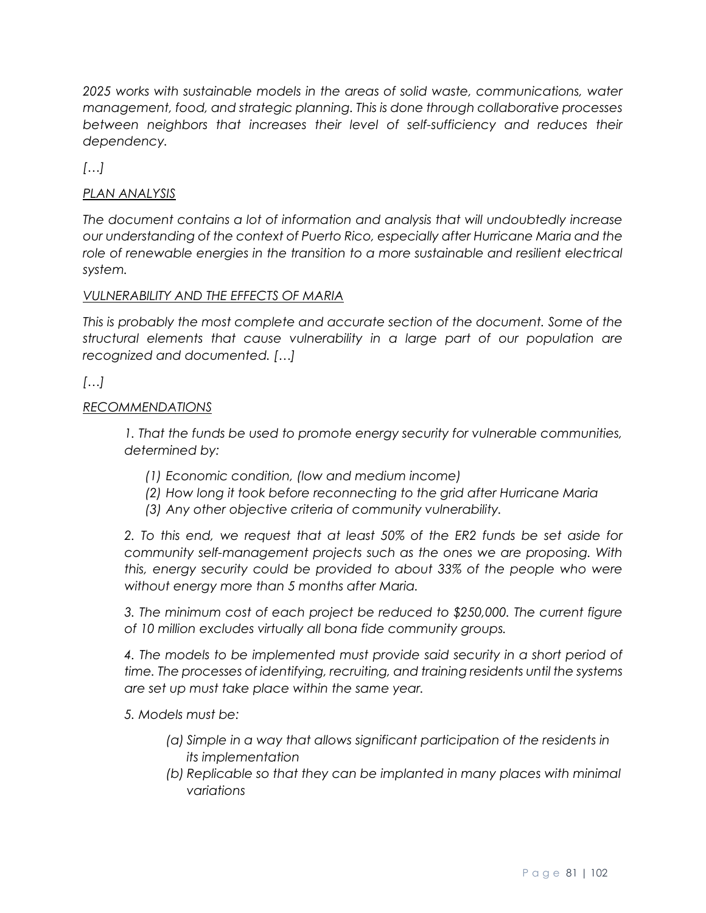*2025 works with sustainable models in the areas of solid waste, communications, water management, food, and strategic planning. This is done through collaborative processes*  between neighbors that increases their level of self-sufficiency and reduces their *dependency.*

*[…]*

# *PLAN ANALYSIS*

*The document contains a lot of information and analysis that will undoubtedly increase our understanding of the context of Puerto Rico, especially after Hurricane Maria and the*  role of renewable energies in the transition to a more sustainable and resilient electrical *system.*

# *VULNERABILITY AND THE EFFECTS OF MARIA*

*This is probably the most complete and accurate section of the document. Some of the structural elements that cause vulnerability in a large part of our population are recognized and documented. […]*

# *[…]*

### *RECOMMENDATIONS*

*1. That the funds be used to promote energy security for vulnerable communities, determined by:*

- *(1) Economic condition, (low and medium income)*
- *(2) How long it took before reconnecting to the grid after Hurricane Maria*
- *(3) Any other objective criteria of community vulnerability.*

*2. To this end, we request that at least 50% of the ER2 funds be set aside for community self-management projects such as the ones we are proposing. With this, energy security could be provided to about 33% of the people who were without energy more than 5 months after Maria.*

*3. The minimum cost of each project be reduced to \$250,000. The current figure of 10 million excludes virtually all bona fide community groups.*

*4. The models to be implemented must provide said security in a short period of time. The processes of identifying, recruiting, and training residents until the systems are set up must take place within the same year.*

*5. Models must be:*

- *(a) Simple in a way that allows significant participation of the residents in its implementation*
- *(b) Replicable so that they can be implanted in many places with minimal variations*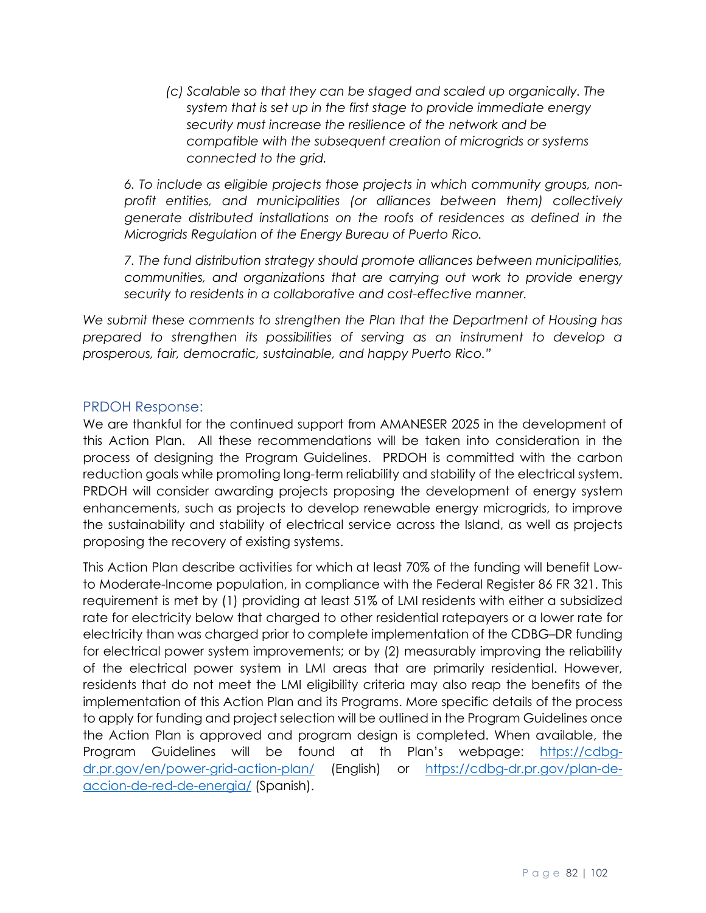*(c) Scalable so that they can be staged and scaled up organically. The system that is set up in the first stage to provide immediate energy security must increase the resilience of the network and be compatible with the subsequent creation of microgrids or systems connected to the grid.*

*6. To include as eligible projects those projects in which community groups, nonprofit entities, and municipalities (or alliances between them) collectively generate distributed installations on the roofs of residences as defined in the Microgrids Regulation of the Energy Bureau of Puerto Rico.*

*7. The fund distribution strategy should promote alliances between municipalities, communities, and organizations that are carrying out work to provide energy security to residents in a collaborative and cost-effective manner.*

*We submit these comments to strengthen the Plan that the Department of Housing has prepared to strengthen its possibilities of serving as an instrument to develop a prosperous, fair, democratic, sustainable, and happy Puerto Rico."*

# PRDOH Response:

We are thankful for the continued support from AMANESER 2025 in the development of this Action Plan. All these recommendations will be taken into consideration in the process of designing the Program Guidelines. PRDOH is committed with the carbon reduction goals while promoting long-term reliability and stability of the electrical system. PRDOH will consider awarding projects proposing the development of energy system enhancements, such as projects to develop renewable energy microgrids, to improve the sustainability and stability of electrical service across the Island, as well as projects proposing the recovery of existing systems.

This Action Plan describe activities for which at least 70% of the funding will benefit Lowto Moderate-Income population, in compliance with the Federal Register 86 FR 321. This requirement is met by (1) providing at least 51% of LMI residents with either a subsidized rate for electricity below that charged to other residential ratepayers or a lower rate for electricity than was charged prior to complete implementation of the CDBG–DR funding for electrical power system improvements; or by (2) measurably improving the reliability of the electrical power system in LMI areas that are primarily residential. However, residents that do not meet the LMI eligibility criteria may also reap the benefits of the implementation of this Action Plan and its Programs. More specific details of the process to apply for funding and project selection will be outlined in the Program Guidelines once the Action Plan is approved and program design is completed. When available, the Program Guidelines will be found at th Plan's webpage: [https://cdbg](https://cdbg-dr.pr.gov/en/power-grid-action-plan/)[dr.pr.gov/en/power-grid-action-plan/](https://cdbg-dr.pr.gov/en/power-grid-action-plan/) (English) or [https://cdbg-dr.pr.gov/plan-de](https://cdbg-dr.pr.gov/plan-de-accion-de-red-de-energia/)[accion-de-red-de-energia/](https://cdbg-dr.pr.gov/plan-de-accion-de-red-de-energia/) (Spanish).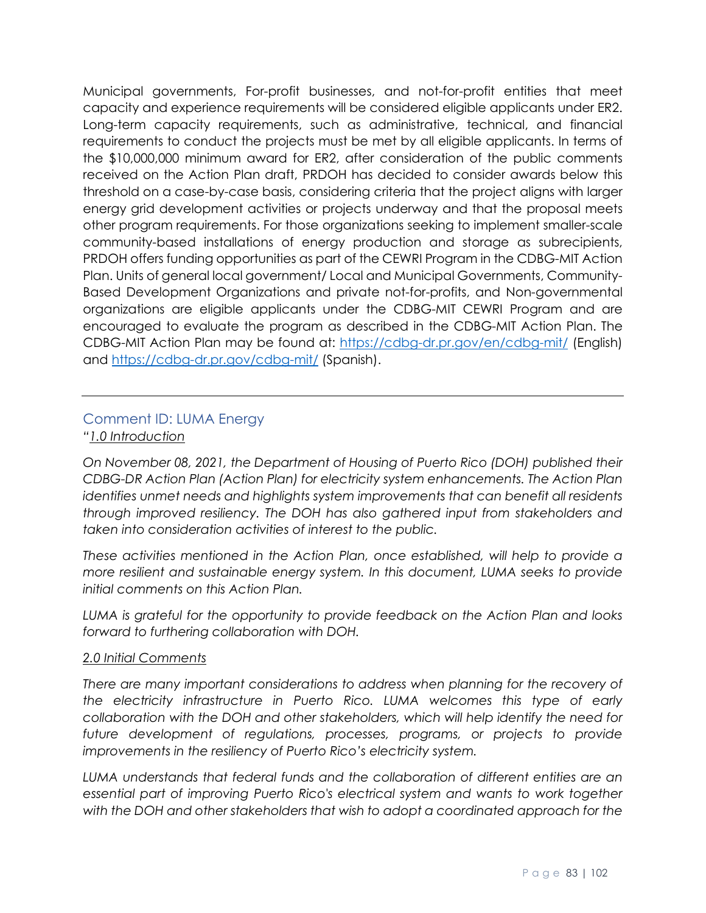Municipal governments, For-profit businesses, and not-for-profit entities that meet capacity and experience requirements will be considered eligible applicants under ER2. Long-term capacity requirements, such as administrative, technical, and financial requirements to conduct the projects must be met by all eligible applicants. In terms of the \$10,000,000 minimum award for ER2, after consideration of the public comments received on the Action Plan draft, PRDOH has decided to consider awards below this threshold on a case-by-case basis, considering criteria that the project aligns with larger energy grid development activities or projects underway and that the proposal meets other program requirements. For those organizations seeking to implement smaller-scale community-based installations of energy production and storage as subrecipients, PRDOH offers funding opportunities as part of the CEWRI Program in the CDBG-MIT Action Plan. Units of general local government/ Local and Municipal Governments, Community-Based Development Organizations and private not-for-profits, and Non-governmental organizations are eligible applicants under the CDBG-MIT CEWRI Program and are encouraged to evaluate the program as described in the CDBG-MIT Action Plan. The CDBG-MIT Action Plan may be found at:<https://cdbg-dr.pr.gov/en/cdbg-mit/> (English) and<https://cdbg-dr.pr.gov/cdbg-mit/> (Spanish).

# Comment ID: LUMA Energy

### *"1.0 Introduction*

*On November 08, 2021, the Department of Housing of Puerto Rico (DOH) published their CDBG-DR Action Plan (Action Plan) for electricity system enhancements. The Action Plan identifies unmet needs and highlights system improvements that can benefit all residents through improved resiliency. The DOH has also gathered input from stakeholders and taken into consideration activities of interest to the public.*

*These activities mentioned in the Action Plan, once established, will help to provide a more resilient and sustainable energy system. In this document, LUMA seeks to provide initial comments on this Action Plan.*

*LUMA is grateful for the opportunity to provide feedback on the Action Plan and looks forward to furthering collaboration with DOH.*

#### *2.0 Initial Comments*

There are many important considerations to address when planning for the recovery of *the electricity infrastructure in Puerto Rico. LUMA welcomes this type of early collaboration with the DOH and other stakeholders, which will help identify the need for*  future development of regulations, processes, programs, or projects to provide *improvements in the resiliency of Puerto Rico's electricity system.*

*LUMA understands that federal funds and the collaboration of different entities are an essential part of improving Puerto Rico's electrical system and wants to work together with the DOH and other stakeholders that wish to adopt a coordinated approach for the*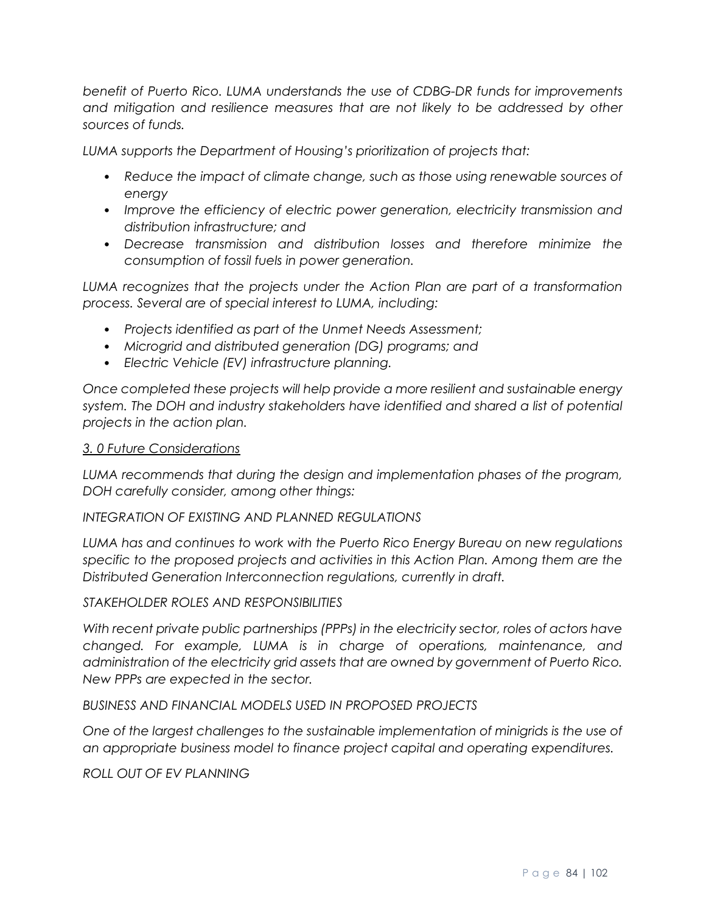*benefit of Puerto Rico. LUMA understands the use of CDBG-DR funds for improvements*  and mitigation and resilience measures that are not likely to be addressed by other *sources of funds.*

*LUMA supports the Department of Housing's prioritization of projects that:*

- *Reduce the impact of climate change, such as those using renewable sources of energy*
- *Improve the efficiency of electric power generation, electricity transmission and distribution infrastructure; and*
- *Decrease transmission and distribution losses and therefore minimize the consumption of fossil fuels in power generation.*

*LUMA recognizes that the projects under the Action Plan are part of a transformation process. Several are of special interest to LUMA, including:*

- *Projects identified as part of the Unmet Needs Assessment;*
- *Microgrid and distributed generation (DG) programs; and*
- *Electric Vehicle (EV) infrastructure planning.*

*Once completed these projects will help provide a more resilient and sustainable energy system. The DOH and industry stakeholders have identified and shared a list of potential projects in the action plan.*

#### *3. 0 Future Considerations*

*LUMA recommends that during the design and implementation phases of the program, DOH carefully consider, among other things:*

#### *INTEGRATION OF EXISTING AND PLANNED REGULATIONS*

*LUMA has and continues to work with the Puerto Rico Energy Bureau on new regulations specific to the proposed projects and activities in this Action Plan. Among them are the Distributed Generation Interconnection regulations, currently in draft.*

#### *STAKEHOLDER ROLES AND RESPONSIBILITIES*

*With recent private public partnerships (PPPs) in the electricity sector, roles of actors have changed. For example, LUMA is in charge of operations, maintenance, and administration of the electricity grid assets that are owned by government of Puerto Rico. New PPPs are expected in the sector.*

#### *BUSINESS AND FINANCIAL MODELS USED IN PROPOSED PROJECTS*

*One of the largest challenges to the sustainable implementation of minigrids is the use of an appropriate business model to finance project capital and operating expenditures.*

#### *ROLL OUT OF EV PLANNING*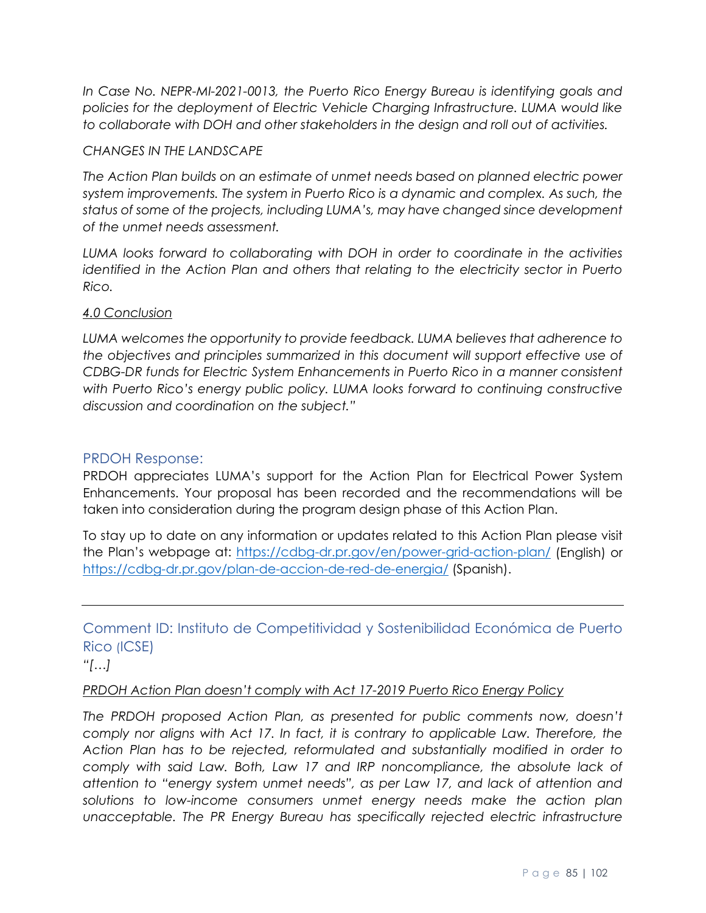*In Case No. NEPR-MI-2021-0013, the Puerto Rico Energy Bureau is identifying goals and policies for the deployment of Electric Vehicle Charging Infrastructure. LUMA would like to collaborate with DOH and other stakeholders in the design and roll out of activities.*

#### *CHANGES IN THE LANDSCAPE*

*The Action Plan builds on an estimate of unmet needs based on planned electric power system improvements. The system in Puerto Rico is a dynamic and complex. As such, the status of some of the projects, including LUMA's, may have changed since development of the unmet needs assessment.*

*LUMA looks forward to collaborating with DOH in order to coordinate in the activities identified in the Action Plan and others that relating to the electricity sector in Puerto Rico.*

### *4.0 Conclusion*

*LUMA welcomes the opportunity to provide feedback. LUMA believes that adherence to the objectives and principles summarized in this document will support effective use of CDBG-DR funds for Electric System Enhancements in Puerto Rico in a manner consistent with Puerto Rico's energy public policy. LUMA looks forward to continuing constructive discussion and coordination on the subject."*

## PRDOH Response:

PRDOH appreciates LUMA's support for the Action Plan for Electrical Power System Enhancements. Your proposal has been recorded and the recommendations will be taken into consideration during the program design phase of this Action Plan.

To stay up to date on any information or updates related to this Action Plan please visit the Plan's webpage at:<https://cdbg-dr.pr.gov/en/power-grid-action-plan/> (English) or <https://cdbg-dr.pr.gov/plan-de-accion-de-red-de-energia/> (Spanish).

Comment ID: Instituto de Competitividad y Sostenibilidad Económica de Puerto Rico (ICSE)

*"[…]*

#### *PRDOH Action Plan doesn't comply with Act 17-2019 Puerto Rico Energy Policy*

*The PRDOH proposed Action Plan, as presented for public comments now, doesn't comply nor aligns with Act 17. In fact, it is contrary to applicable Law. Therefore, the Action Plan has to be rejected, reformulated and substantially modified in order to comply with said Law. Both, Law 17 and IRP noncompliance, the absolute lack of attention to "energy system unmet needs", as per Law 17, and lack of attention and solutions to low-income consumers unmet energy needs make the action plan*  unacceptable. The PR Energy Bureau has specifically rejected electric infrastructure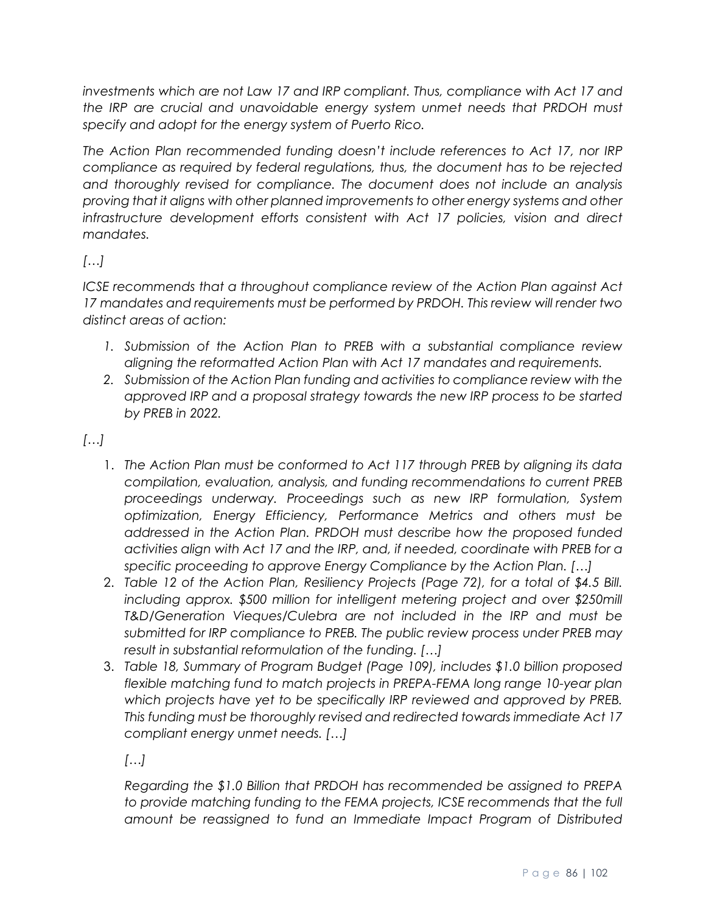investments which are not Law 17 and IRP compliant. Thus, compliance with Act 17 and *the IRP are crucial and unavoidable energy system unmet needs that PRDOH must specify and adopt for the energy system of Puerto Rico.*

*The Action Plan recommended funding doesn't include references to Act 17, nor IRP compliance as required by federal regulations, thus, the document has to be rejected and thoroughly revised for compliance. The document does not include an analysis proving that it aligns with other planned improvements to other energy systems and other infrastructure development efforts consistent with Act 17 policies, vision and direct mandates.*

*[…]*

*ICSE recommends that a throughout compliance review of the Action Plan against Act 17 mandates and requirements must be performed by PRDOH. This review will render two distinct areas of action:* 

- *1. Submission of the Action Plan to PREB with a substantial compliance review aligning the reformatted Action Plan with Act 17 mandates and requirements.*
- *2. Submission of the Action Plan funding and activities to compliance review with the approved IRP and a proposal strategy towards the new IRP process to be started by PREB in 2022.*

*[…]*

- 1. *The Action Plan must be conformed to Act 117 through PREB by aligning its data compilation, evaluation, analysis, and funding recommendations to current PREB proceedings underway. Proceedings such as new IRP formulation, System optimization, Energy Efficiency, Performance Metrics and others must be addressed in the Action Plan. PRDOH must describe how the proposed funded activities align with Act 17 and the IRP, and, if needed, coordinate with PREB for a specific proceeding to approve Energy Compliance by the Action Plan. […]*
- 2. *Table 12 of the Action Plan, Resiliency Projects (Page 72), for a total of \$4.5 Bill. including approx.* \$500 million for intelligent metering project and over \$250mill *T&D/Generation Vieques/Culebra are not included in the IRP and must be submitted for IRP compliance to PREB. The public review process under PREB may result in substantial reformulation of the funding. […]*
- 3. *Table 18, Summary of Program Budget (Page 109), includes \$1.0 billion proposed flexible matching fund to match projects in PREPA-FEMA long range 10-year plan which projects have yet to be specifically IRP reviewed and approved by PREB. This funding must be thoroughly revised and redirected towards immediate Act 17 compliant energy unmet needs. […]*

*[…]*

*Regarding the \$1.0 Billion that PRDOH has recommended be assigned to PREPA*  to provide matching funding to the FEMA projects, ICSE recommends that the full *amount be reassigned to fund an Immediate Impact Program of Distributed*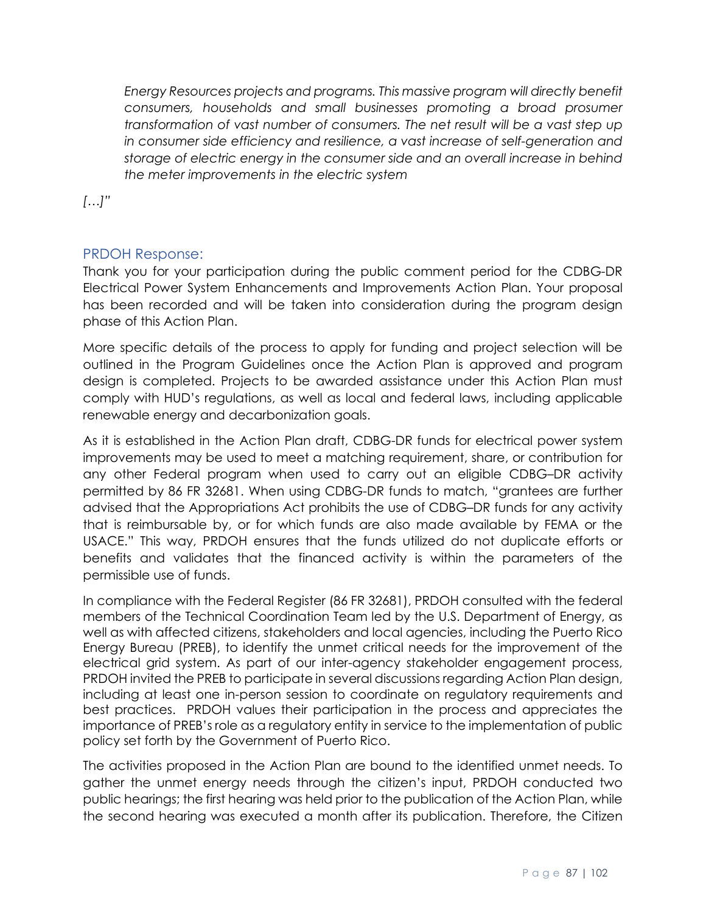*Energy Resources projects and programs. This massive program will directly benefit consumers, households and small businesses promoting a broad prosumer transformation of vast number of consumers. The net result will be a vast step up in consumer side efficiency and resilience, a vast increase of self-generation and storage of electric energy in the consumer side and an overall increase in behind the meter improvements in the electric system* 

*[…]"*

# PRDOH Response:

Thank you for your participation during the public comment period for the CDBG-DR Electrical Power System Enhancements and Improvements Action Plan. Your proposal has been recorded and will be taken into consideration during the program design phase of this Action Plan.

More specific details of the process to apply for funding and project selection will be outlined in the Program Guidelines once the Action Plan is approved and program design is completed. Projects to be awarded assistance under this Action Plan must comply with HUD's regulations, as well as local and federal laws, including applicable renewable energy and decarbonization goals.

As it is established in the Action Plan draft, CDBG-DR funds for electrical power system improvements may be used to meet a matching requirement, share, or contribution for any other Federal program when used to carry out an eligible CDBG–DR activity permitted by 86 FR 32681. When using CDBG-DR funds to match, "grantees are further advised that the Appropriations Act prohibits the use of CDBG–DR funds for any activity that is reimbursable by, or for which funds are also made available by FEMA or the USACE." This way, PRDOH ensures that the funds utilized do not duplicate efforts or benefits and validates that the financed activity is within the parameters of the permissible use of funds.

In compliance with the Federal Register (86 FR 32681), PRDOH consulted with the federal members of the Technical Coordination Team led by the U.S. Department of Energy, as well as with affected citizens, stakeholders and local agencies, including the Puerto Rico Energy Bureau (PREB), to identify the unmet critical needs for the improvement of the electrical grid system. As part of our inter-agency stakeholder engagement process, PRDOH invited the PREB to participate in several discussions regarding Action Plan design, including at least one in-person session to coordinate on regulatory requirements and best practices. PRDOH values their participation in the process and appreciates the importance of PREB's role as a regulatory entity in service to the implementation of public policy set forth by the Government of Puerto Rico.

The activities proposed in the Action Plan are bound to the identified unmet needs. To gather the unmet energy needs through the citizen's input, PRDOH conducted two public hearings; the first hearing was held prior to the publication of the Action Plan, while the second hearing was executed a month after its publication. Therefore, the Citizen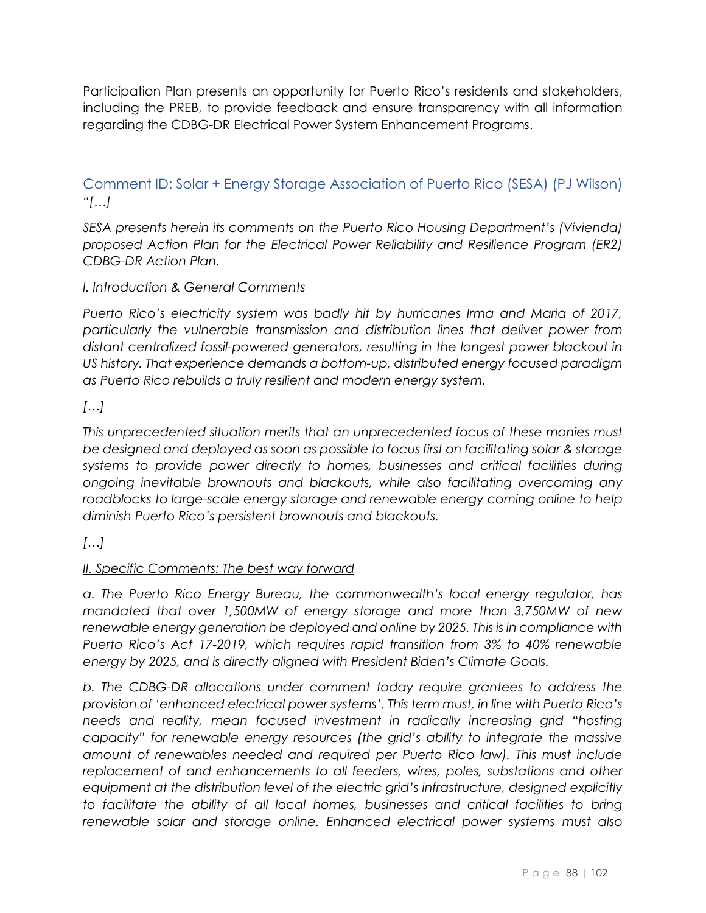Participation Plan presents an opportunity for Puerto Rico's residents and stakeholders, including the PREB, to provide feedback and ensure transparency with all information regarding the CDBG-DR Electrical Power System Enhancement Programs.

Comment ID: Solar + Energy Storage Association of Puerto Rico (SESA) (PJ Wilson) *"[…]*

*SESA presents herein its comments on the Puerto Rico Housing Department's (Vivienda) proposed Action Plan for the Electrical Power Reliability and Resilience Program (ER2) CDBG-DR Action Plan.* 

# *I. Introduction & General Comments*

*Puerto Rico's electricity system was badly hit by hurricanes Irma and Maria of 2017, particularly the vulnerable transmission and distribution lines that deliver power from distant centralized fossil-powered generators, resulting in the longest power blackout in US history. That experience demands a bottom-up, distributed energy focused paradigm as Puerto Rico rebuilds a truly resilient and modern energy system.*

# *[…]*

*This unprecedented situation merits that an unprecedented focus of these monies must be designed and deployed as soon as possible to focus first on facilitating solar & storage systems to provide power directly to homes, businesses and critical facilities during ongoing inevitable brownouts and blackouts, while also facilitating overcoming any*  roadblocks to large-scale energy storage and renewable energy coming online to help *diminish Puerto Rico's persistent brownouts and blackouts.*

*[…]*

# *II. Specific Comments: The best way forward*

*a. The Puerto Rico Energy Bureau, the commonwealth's local energy regulator, has mandated that over 1,500MW of energy storage and more than 3,750MW of new renewable energy generation be deployed and online by 2025. This is in compliance with Puerto Rico's Act 17-2019, which requires rapid transition from 3% to 40% renewable energy by 2025, and is directly aligned with President Biden's Climate Goals.* 

*b. The CDBG-DR allocations under comment today require grantees to address the provision of 'enhanced electrical power systems'. This term must, in line with Puerto Rico's needs and reality, mean focused investment in radically increasing grid "hosting capacity" for renewable energy resources (the grid's ability to integrate the massive amount of renewables needed and required per Puerto Rico law). This must include replacement of and enhancements to all feeders, wires, poles, substations and other equipment at the distribution level of the electric grid's infrastructure, designed explicitly*  to facilitate the ability of all local homes, businesses and critical facilities to bring *renewable solar and storage online. Enhanced electrical power systems must also*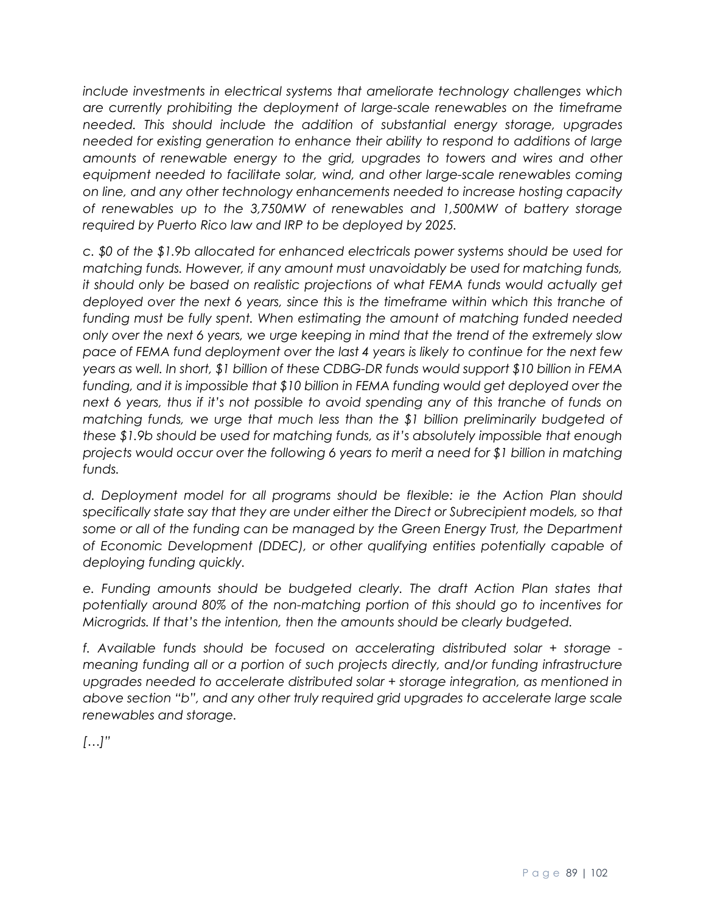*include investments in electrical systems that ameliorate technology challenges which are currently prohibiting the deployment of large-scale renewables on the timeframe needed. This should include the addition of substantial energy storage, upgrades needed for existing generation to enhance their ability to respond to additions of large amounts of renewable energy to the grid, upgrades to towers and wires and other equipment needed to facilitate solar, wind, and other large-scale renewables coming on line, and any other technology enhancements needed to increase hosting capacity of renewables up to the 3,750MW of renewables and 1,500MW of battery storage required by Puerto Rico law and IRP to be deployed by 2025.* 

*c. \$0 of the \$1.9b allocated for enhanced electricals power systems should be used for matching funds. However, if any amount must unavoidably be used for matching funds,*  it should only be based on realistic projections of what FEMA funds would actually get deployed over the next 6 years, since this is the timeframe within which this tranche of *funding must be fully spent. When estimating the amount of matching funded needed only over the next 6 years, we urge keeping in mind that the trend of the extremely slow pace of FEMA fund deployment over the last 4 years is likely to continue for the next few years as well. In short, \$1 billion of these CDBG-DR funds would support \$10 billion in FEMA funding, and it is impossible that \$10 billion in FEMA funding would get deployed over the next 6 years, thus if it's not possible to avoid spending any of this tranche of funds on matching funds, we urge that much less than the \$1 billion preliminarily budgeted of these \$1.9b should be used for matching funds, as it's absolutely impossible that enough projects would occur over the following 6 years to merit a need for \$1 billion in matching funds.* 

*d. Deployment model for all programs should be flexible: ie the Action Plan should specifically state say that they are under either the Direct or Subrecipient models, so that*  some or all of the funding can be managed by the Green Energy Trust, the Department *of Economic Development (DDEC), or other qualifying entities potentially capable of deploying funding quickly.*

*e. Funding amounts should be budgeted clearly. The draft Action Plan states that potentially around 80% of the non-matching portion of this should go to incentives for Microgrids. If that's the intention, then the amounts should be clearly budgeted.* 

*f. Available funds should be focused on accelerating distributed solar + storage meaning funding all or a portion of such projects directly, and/or funding infrastructure upgrades needed to accelerate distributed solar + storage integration, as mentioned in above section "b", and any other truly required grid upgrades to accelerate large scale renewables and storage.*

*[…]"*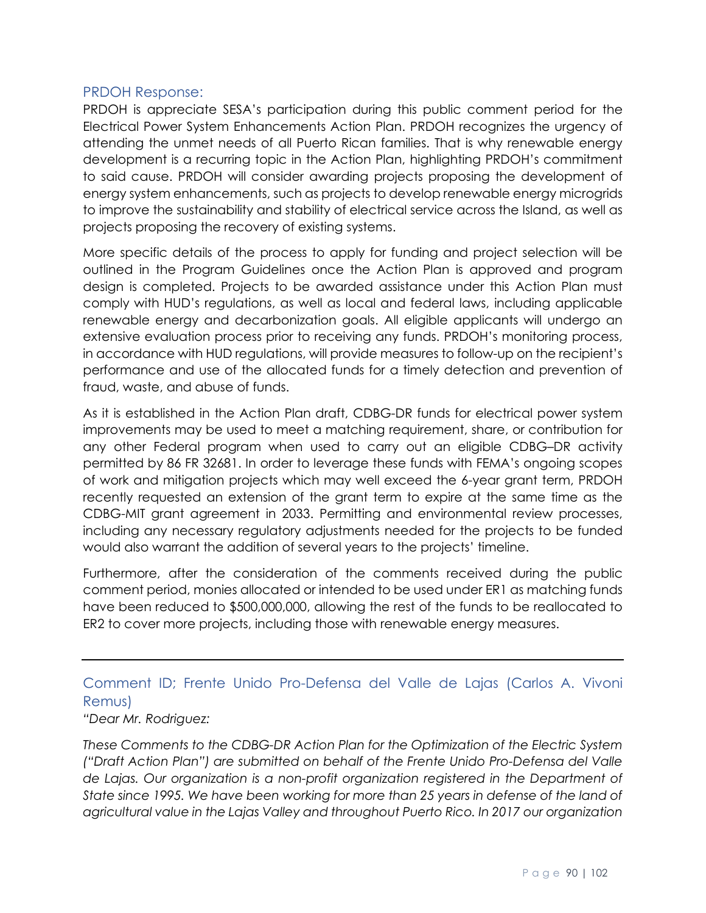## PRDOH Response:

PRDOH is appreciate SESA's participation during this public comment period for the Electrical Power System Enhancements Action Plan. PRDOH recognizes the urgency of attending the unmet needs of all Puerto Rican families. That is why renewable energy development is a recurring topic in the Action Plan, highlighting PRDOH's commitment to said cause. PRDOH will consider awarding projects proposing the development of energy system enhancements, such as projects to develop renewable energy microgrids to improve the sustainability and stability of electrical service across the Island, as well as projects proposing the recovery of existing systems.

More specific details of the process to apply for funding and project selection will be outlined in the Program Guidelines once the Action Plan is approved and program design is completed. Projects to be awarded assistance under this Action Plan must comply with HUD's regulations, as well as local and federal laws, including applicable renewable energy and decarbonization goals. All eligible applicants will undergo an extensive evaluation process prior to receiving any funds. PRDOH's monitoring process, in accordance with HUD regulations, will provide measures to follow-up on the recipient's performance and use of the allocated funds for a timely detection and prevention of fraud, waste, and abuse of funds.

As it is established in the Action Plan draft, CDBG-DR funds for electrical power system improvements may be used to meet a matching requirement, share, or contribution for any other Federal program when used to carry out an eligible CDBG–DR activity permitted by 86 FR 32681. In order to leverage these funds with FEMA's ongoing scopes of work and mitigation projects which may well exceed the 6-year grant term, PRDOH recently requested an extension of the grant term to expire at the same time as the CDBG-MIT grant agreement in 2033. Permitting and environmental review processes, including any necessary regulatory adjustments needed for the projects to be funded would also warrant the addition of several years to the projects' timeline.

Furthermore, after the consideration of the comments received during the public comment period, monies allocated or intended to be used under ER1 as matching funds have been reduced to \$500,000,000, allowing the rest of the funds to be reallocated to ER2 to cover more projects, including those with renewable energy measures.

# Comment ID; Frente Unido Pro-Defensa del Valle de Lajas (Carlos A. Vivoni Remus)

#### *"Dear Mr. Rodriguez:*

*These Comments to the CDBG-DR Action Plan for the Optimization of the Electric System ("Draft Action Plan") are submitted on behalf of the Frente Unido Pro-Defensa del Valle*  de Lajas. Our organization is a non-profit organization registered in the Department of *State since 1995. We have been working for more than 25 years in defense of the land of agricultural value in the Lajas Valley and throughout Puerto Rico. In 2017 our organization*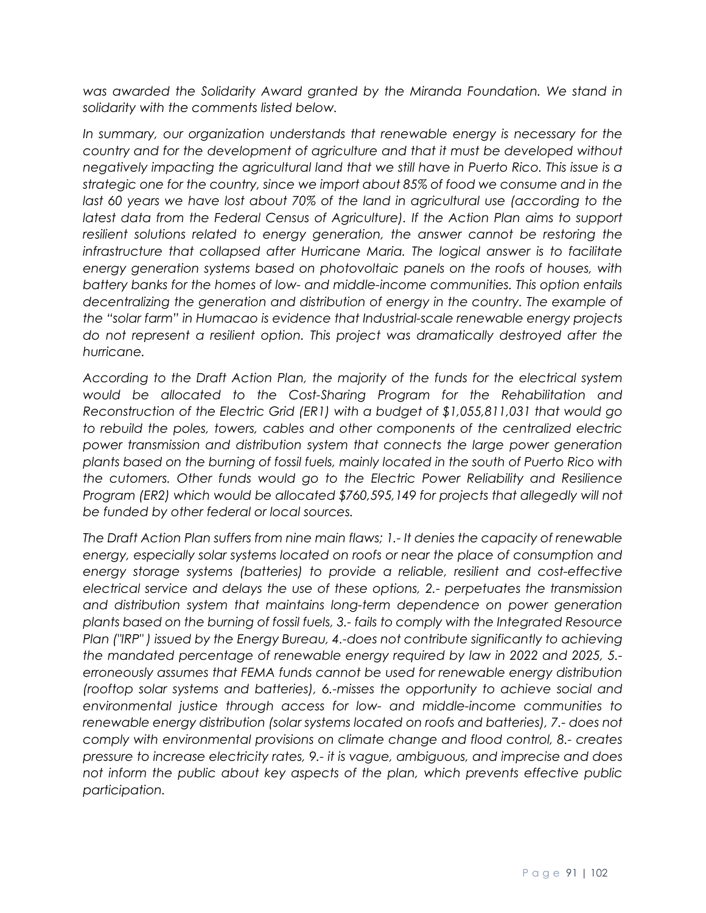*was awarded the Solidarity Award granted by the Miranda Foundation. We stand in solidarity with the comments listed below.*

In summary, our organization understands that renewable energy is necessary for the *country and for the development of agriculture and that it must be developed without negatively impacting the agricultural land that we still have in Puerto Rico. This issue is a strategic one for the country, since we import about 85% of food we consume and in the*  last 60 years we have lost about 70% of the land in agricultural use (according to the *latest data from the Federal Census of Agriculture). If the Action Plan aims to support resilient solutions related to energy generation, the answer cannot be restoring the infrastructure that collapsed after Hurricane Maria. The logical answer is to facilitate energy generation systems based on photovoltaic panels on the roofs of houses, with battery banks for the homes of low- and middle-income communities. This option entails*  decentralizing the generation and distribution of energy in the country. The example of *the "solar farm" in Humacao is evidence that Industrial-scale renewable energy projects do not represent a resilient option. This project was dramatically destroyed after the hurricane.*

*According to the Draft Action Plan, the majority of the funds for the electrical system would be allocated to the Cost-Sharing Program for the Rehabilitation and Reconstruction of the Electric Grid (ER1) with a budget of \$1,055,811,031 that would go to rebuild the poles, towers, cables and other components of the centralized electric power transmission and distribution system that connects the large power generation plants based on the burning of fossil fuels, mainly located in the south of Puerto Rico with the cutomers. Other funds would go to the Electric Power Reliability and Resilience Program (ER2) which would be allocated \$760,595,149 for projects that allegedly will not be funded by other federal or local sources.*

*The Draft Action Plan suffers from nine main flaws; 1.- It denies the capacity of renewable energy, especially solar systems located on roofs or near the place of consumption and energy storage systems (batteries) to provide a reliable, resilient and cost-effective electrical service and delays the use of these options, 2.- perpetuates the transmission and distribution system that maintains long-term dependence on power generation plants based on the burning of fossil fuels, 3.- fails to comply with the Integrated Resource Plan ("IRP" ) issued by the Energy Bureau, 4.-does not contribute significantly to achieving the mandated percentage of renewable energy required by law in 2022 and 2025, 5. erroneously assumes that FEMA funds cannot be used for renewable energy distribution (rooftop solar systems and batteries), 6.-misses the opportunity to achieve social and environmental justice through access for low- and middle-income communities to renewable energy distribution (solar systems located on roofs and batteries), 7.- does not comply with environmental provisions on climate change and flood control, 8.- creates pressure to increase electricity rates, 9.- it is vague, ambiguous, and imprecise and does not inform the public about key aspects of the plan, which prevents effective public participation.*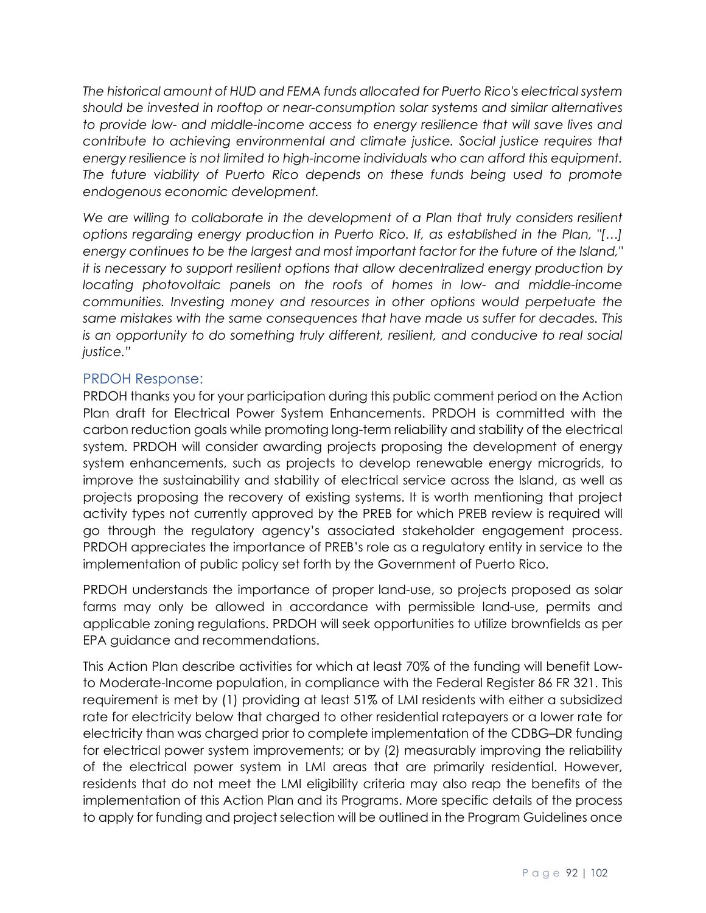*The historical amount of HUD and FEMA funds allocated for Puerto Rico's electrical system should be invested in rooftop or near-consumption solar systems and similar alternatives to provide low- and middle-income access to energy resilience that will save lives and contribute to achieving environmental and climate justice. Social justice requires that energy resilience is not limited to high-income individuals who can afford this equipment. The future viability of Puerto Rico depends on these funds being used to promote endogenous economic development.*

We are willing to collaborate in the development of a Plan that truly considers resilient *options regarding energy production in Puerto Rico. If, as established in the Plan, "[…] energy continues to be the largest and most important factor for the future of the Island," it is necessary to support resilient options that allow decentralized energy production by locating photovoltaic panels on the roofs of homes in low- and middle-income communities. Investing money and resources in other options would perpetuate the same mistakes with the same consequences that have made us suffer for decades. This*  is an opportunity to do something truly different, resilient, and conducive to real social *justice."*

# PRDOH Response:

PRDOH thanks you for your participation during this public comment period on the Action Plan draft for Electrical Power System Enhancements. PRDOH is committed with the carbon reduction goals while promoting long-term reliability and stability of the electrical system. PRDOH will consider awarding projects proposing the development of energy system enhancements, such as projects to develop renewable energy microgrids, to improve the sustainability and stability of electrical service across the Island, as well as projects proposing the recovery of existing systems. It is worth mentioning that project activity types not currently approved by the PREB for which PREB review is required will go through the regulatory agency's associated stakeholder engagement process. PRDOH appreciates the importance of PREB's role as a regulatory entity in service to the implementation of public policy set forth by the Government of Puerto Rico.

PRDOH understands the importance of proper land-use, so projects proposed as solar farms may only be allowed in accordance with permissible land-use, permits and applicable zoning regulations. PRDOH will seek opportunities to utilize brownfields as per EPA guidance and recommendations.

This Action Plan describe activities for which at least 70% of the funding will benefit Lowto Moderate-Income population, in compliance with the Federal Register 86 FR 321. This requirement is met by (1) providing at least 51% of LMI residents with either a subsidized rate for electricity below that charged to other residential ratepayers or a lower rate for electricity than was charged prior to complete implementation of the CDBG–DR funding for electrical power system improvements; or by (2) measurably improving the reliability of the electrical power system in LMI areas that are primarily residential. However, residents that do not meet the LMI eligibility criteria may also reap the benefits of the implementation of this Action Plan and its Programs. More specific details of the process to apply for funding and project selection will be outlined in the Program Guidelines once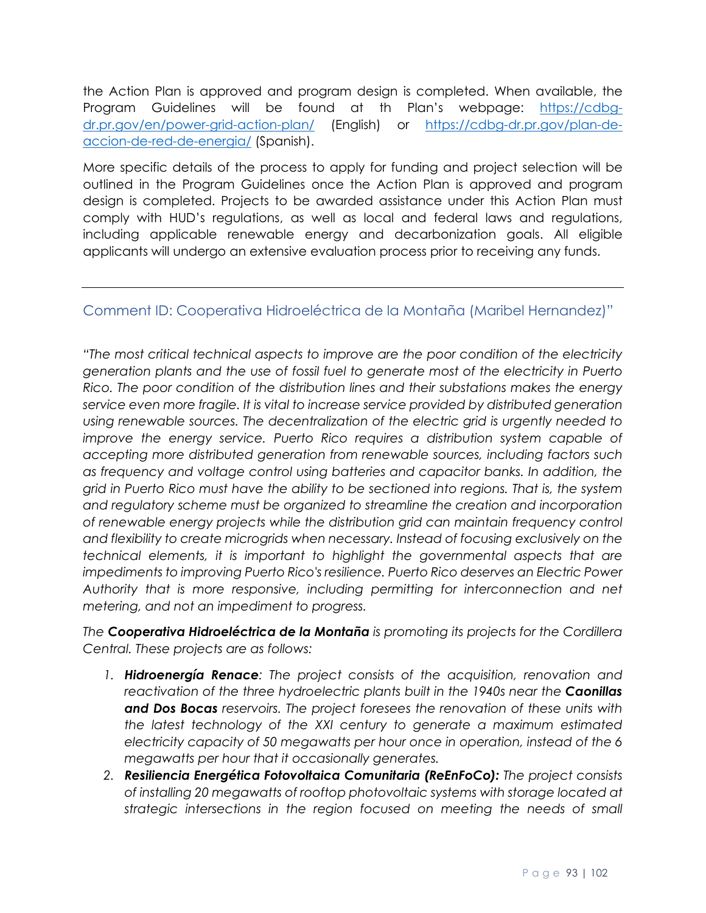the Action Plan is approved and program design is completed. When available, the Program Guidelines will be found at th Plan's webpage: [https://cdbg](https://cdbg-dr.pr.gov/en/power-grid-action-plan/)[dr.pr.gov/en/power-grid-action-plan/](https://cdbg-dr.pr.gov/en/power-grid-action-plan/) (English) or [https://cdbg-dr.pr.gov/plan-de](https://cdbg-dr.pr.gov/plan-de-accion-de-red-de-energia/)[accion-de-red-de-energia/](https://cdbg-dr.pr.gov/plan-de-accion-de-red-de-energia/) (Spanish).

More specific details of the process to apply for funding and project selection will be outlined in the Program Guidelines once the Action Plan is approved and program design is completed. Projects to be awarded assistance under this Action Plan must comply with HUD's regulations, as well as local and federal laws and regulations, including applicable renewable energy and decarbonization goals. All eligible applicants will undergo an extensive evaluation process prior to receiving any funds.

# Comment ID: Cooperativa Hidroeléctrica de la Montaña (Maribel Hernandez)"

*"The most critical technical aspects to improve are the poor condition of the electricity generation plants and the use of fossil fuel to generate most of the electricity in Puerto Rico. The poor condition of the distribution lines and their substations makes the energy service even more fragile. It is vital to increase service provided by distributed generation using renewable sources. The decentralization of the electric grid is urgently needed to improve the energy service. Puerto Rico requires a distribution system capable of accepting more distributed generation from renewable sources, including factors such as frequency and voltage control using batteries and capacitor banks. In addition, the grid in Puerto Rico must have the ability to be sectioned into regions. That is, the system and regulatory scheme must be organized to streamline the creation and incorporation of renewable energy projects while the distribution grid can maintain frequency control and flexibility to create microgrids when necessary. Instead of focusing exclusively on the technical elements, it is important to highlight the governmental aspects that are impediments to improving Puerto Rico's resilience. Puerto Rico deserves an Electric Power Authority that is more responsive, including permitting for interconnection and net metering, and not an impediment to progress.*

*The Cooperativa Hidroeléctrica de la Montaña is promoting its projects for the Cordillera Central. These projects are as follows:* 

- *1. Hidroenergía Renace: The project consists of the acquisition, renovation and reactivation of the three hydroelectric plants built in the 1940s near the Caonillas and Dos Bocas reservoirs. The project foresees the renovation of these units with the latest technology of the XXI century to generate a maximum estimated electricity capacity of 50 megawatts per hour once in operation, instead of the 6 megawatts per hour that it occasionally generates.*
- *2. Resiliencia Energética Fotovoltaica Comunitaria (ReEnFoCo): The project consists of installing 20 megawatts of rooftop photovoltaic systems with storage located at strategic intersections in the region focused on meeting the needs of small*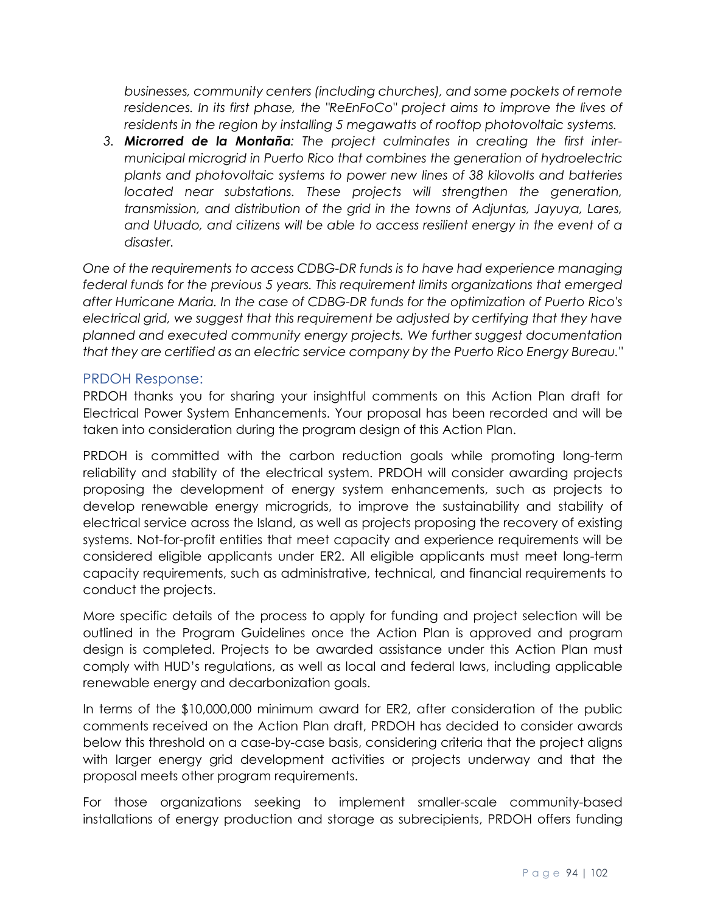*businesses, community centers (including churches), and some pockets of remote residences. In its first phase, the "ReEnFoCo" project aims to improve the lives of residents in the region by installing 5 megawatts of rooftop photovoltaic systems.*

*3. Microrred de la Montaña: The project culminates in creating the first intermunicipal microgrid in Puerto Rico that combines the generation of hydroelectric plants and photovoltaic systems to power new lines of 38 kilovolts and batteries located near substations. These projects will strengthen the generation, transmission, and distribution of the grid in the towns of Adjuntas, Jayuya, Lares, and Utuado, and citizens will be able to access resilient energy in the event of a disaster.*

*One of the requirements to access CDBG-DR funds is to have had experience managing federal funds for the previous 5 years. This requirement limits organizations that emerged after Hurricane Maria. In the case of CDBG-DR funds for the optimization of Puerto Rico's electrical grid, we suggest that this requirement be adjusted by certifying that they have planned and executed community energy projects. We further suggest documentation that they are certified as an electric service company by the Puerto Rico Energy Bureau."*

# PRDOH Response:

PRDOH thanks you for sharing your insightful comments on this Action Plan draft for Electrical Power System Enhancements. Your proposal has been recorded and will be taken into consideration during the program design of this Action Plan.

PRDOH is committed with the carbon reduction goals while promoting long-term reliability and stability of the electrical system. PRDOH will consider awarding projects proposing the development of energy system enhancements, such as projects to develop renewable energy microgrids, to improve the sustainability and stability of electrical service across the Island, as well as projects proposing the recovery of existing systems. Not-for-profit entities that meet capacity and experience requirements will be considered eligible applicants under ER2. All eligible applicants must meet long-term capacity requirements, such as administrative, technical, and financial requirements to conduct the projects.

More specific details of the process to apply for funding and project selection will be outlined in the Program Guidelines once the Action Plan is approved and program design is completed. Projects to be awarded assistance under this Action Plan must comply with HUD's regulations, as well as local and federal laws, including applicable renewable energy and decarbonization goals.

In terms of the \$10,000,000 minimum award for ER2, after consideration of the public comments received on the Action Plan draft, PRDOH has decided to consider awards below this threshold on a case-by-case basis, considering criteria that the project aligns with larger energy grid development activities or projects underway and that the proposal meets other program requirements.

For those organizations seeking to implement smaller-scale community-based installations of energy production and storage as subrecipients, PRDOH offers funding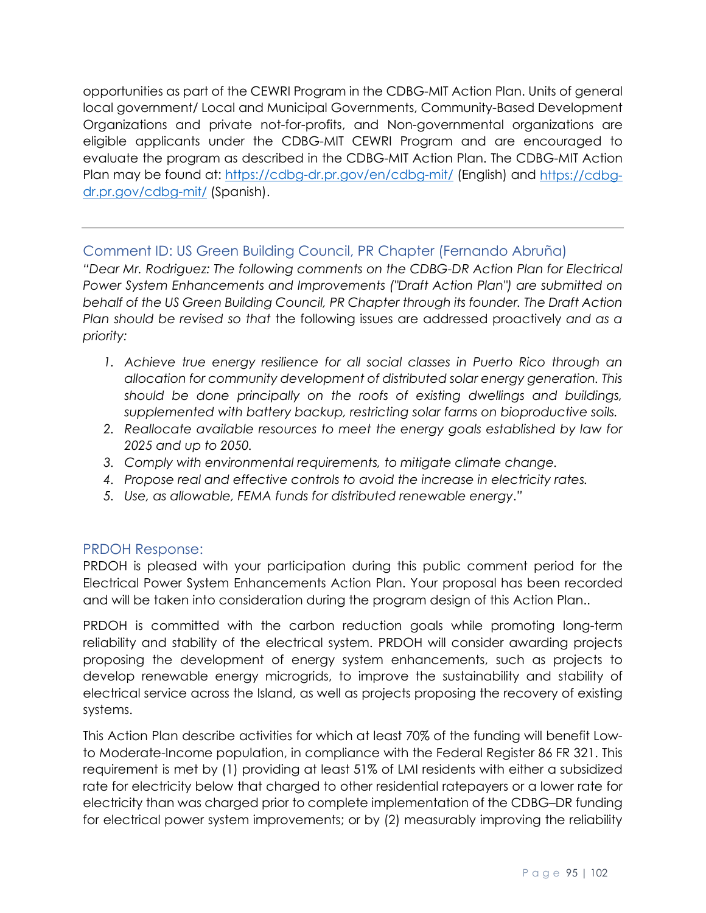opportunities as part of the CEWRI Program in the CDBG-MIT Action Plan. Units of general local government/ Local and Municipal Governments, Community-Based Development Organizations and private not-for-profits, and Non-governmental organizations are eligible applicants under the CDBG-MIT CEWRI Program and are encouraged to evaluate the program as described in the CDBG-MIT Action Plan. The CDBG-MIT Action Plan may be found at:<https://cdbg-dr.pr.gov/en/cdbg-mit/> (English) and [https://cdbg](https://cdbg-dr.pr.gov/cdbg-mit/)[dr.pr.gov/cdbg-mit/](https://cdbg-dr.pr.gov/cdbg-mit/) (Spanish).

# Comment ID: US Green Building Council, PR Chapter (Fernando Abruña)

*"Dear Mr. Rodriguez: The following comments on the CDBG-DR Action Plan for Electrical Power System Enhancements and Improvements ("Draft Action Plan") are submitted on behalf of the US Green Building Council, PR Chapter through its founder. The Draft Action Plan should be revised so that* the following issues are addressed proactively *and as a priority:*

- *1.* Achieve true energy resilience for all social classes in Puerto Rico through an *allocation for community development of distributed solar energy generation. This should be done principally on the roofs of existing dwellings and buildings, supplemented with battery backup, restricting solar farms on bioproductive soils.*
- *2. Reallocate available resources to meet the energy goals established by law for 2025 and up to 2050.*
- *3. Comply with environmental requirements, to mitigate climate change.*
- *4. Propose real and effective controls to avoid the increase in electricity rates.*
- *5. Use, as allowable, FEMA funds for distributed renewable energy*.*"*

# PRDOH Response:

PRDOH is pleased with your participation during this public comment period for the Electrical Power System Enhancements Action Plan. Your proposal has been recorded and will be taken into consideration during the program design of this Action Plan..

PRDOH is committed with the carbon reduction goals while promoting long-term reliability and stability of the electrical system. PRDOH will consider awarding projects proposing the development of energy system enhancements, such as projects to develop renewable energy microgrids, to improve the sustainability and stability of electrical service across the Island, as well as projects proposing the recovery of existing systems.

This Action Plan describe activities for which at least 70% of the funding will benefit Lowto Moderate-Income population, in compliance with the Federal Register 86 FR 321. This requirement is met by (1) providing at least 51% of LMI residents with either a subsidized rate for electricity below that charged to other residential ratepayers or a lower rate for electricity than was charged prior to complete implementation of the CDBG–DR funding for electrical power system improvements; or by (2) measurably improving the reliability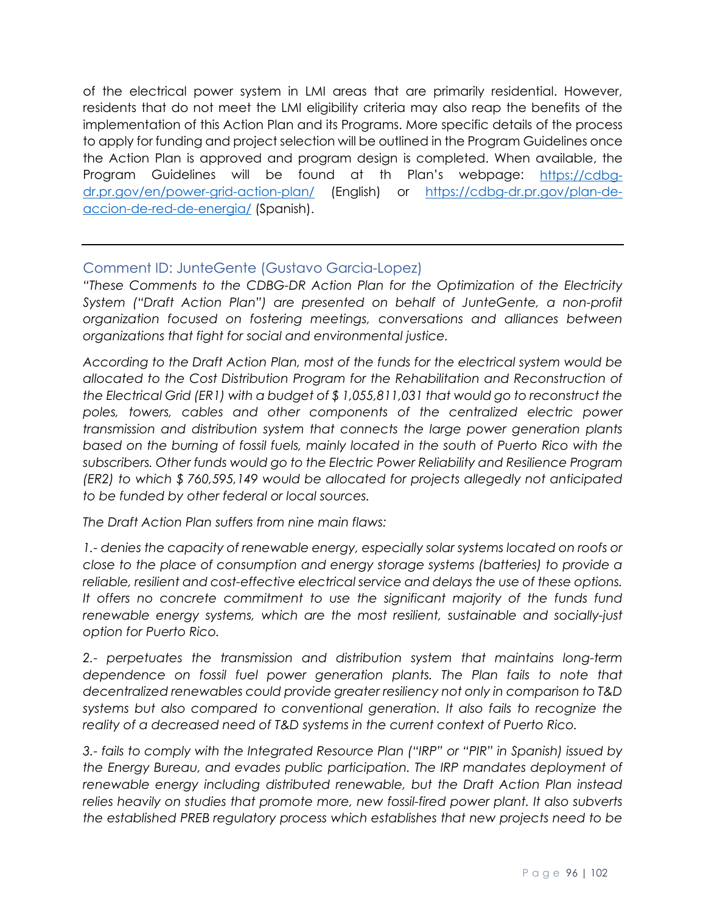of the electrical power system in LMI areas that are primarily residential. However, residents that do not meet the LMI eligibility criteria may also reap the benefits of the implementation of this Action Plan and its Programs. More specific details of the process to apply for funding and project selection will be outlined in the Program Guidelines once the Action Plan is approved and program design is completed. When available, the Program Guidelines will be found at th Plan's webpage: [https://cdbg](https://cdbg-dr.pr.gov/en/power-grid-action-plan/)[dr.pr.gov/en/power-grid-action-plan/](https://cdbg-dr.pr.gov/en/power-grid-action-plan/) (English) or [https://cdbg-dr.pr.gov/plan-de](https://cdbg-dr.pr.gov/plan-de-accion-de-red-de-energia/)[accion-de-red-de-energia/](https://cdbg-dr.pr.gov/plan-de-accion-de-red-de-energia/) (Spanish).

# Comment ID: JunteGente (Gustavo Garcia-Lopez)

*"These Comments to the CDBG-DR Action Plan for the Optimization of the Electricity System ("Draft Action Plan") are presented on behalf of JunteGente, a non-profit organization focused on fostering meetings, conversations and alliances between organizations that fight for social and environmental justice.*

*According to the Draft Action Plan, most of the funds for the electrical system would be allocated to the Cost Distribution Program for the Rehabilitation and Reconstruction of the Electrical Grid (ER1) with a budget of \$ 1,055,811,031 that would go to reconstruct the*  poles, towers, cables and other components of the centralized electric power *transmission and distribution system that connects the large power generation plants based on the burning of fossil fuels, mainly located in the south of Puerto Rico with the subscribers. Other funds would go to the Electric Power Reliability and Resilience Program (ER2) to which \$ 760,595,149 would be allocated for projects allegedly not anticipated to be funded by other federal or local sources.*

*The Draft Action Plan suffers from nine main flaws:*

*1.- denies the capacity of renewable energy, especially solar systems located on roofs or close to the place of consumption and energy storage systems (batteries) to provide a reliable, resilient and cost-effective electrical service and delays the use of these options.*  It offers no concrete commitment to use the significant majority of the funds fund *renewable energy systems, which are the most resilient, sustainable and socially-just option for Puerto Rico.*

*2.- perpetuates the transmission and distribution system that maintains long-term dependence on fossil fuel power generation plants. The Plan fails to note that decentralized renewables could provide greater resiliency not only in comparison to T&D systems but also compared to conventional generation. It also fails to recognize the reality of a decreased need of T&D systems in the current context of Puerto Rico.*

*3.- fails to comply with the Integrated Resource Plan ("IRP" or "PIR" in Spanish) issued by the Energy Bureau, and evades public participation. The IRP mandates deployment of renewable energy including distributed renewable, but the Draft Action Plan instead*  relies heavily on studies that promote more, new fossil-fired power plant. It also subverts *the established PREB regulatory process which establishes that new projects need to be*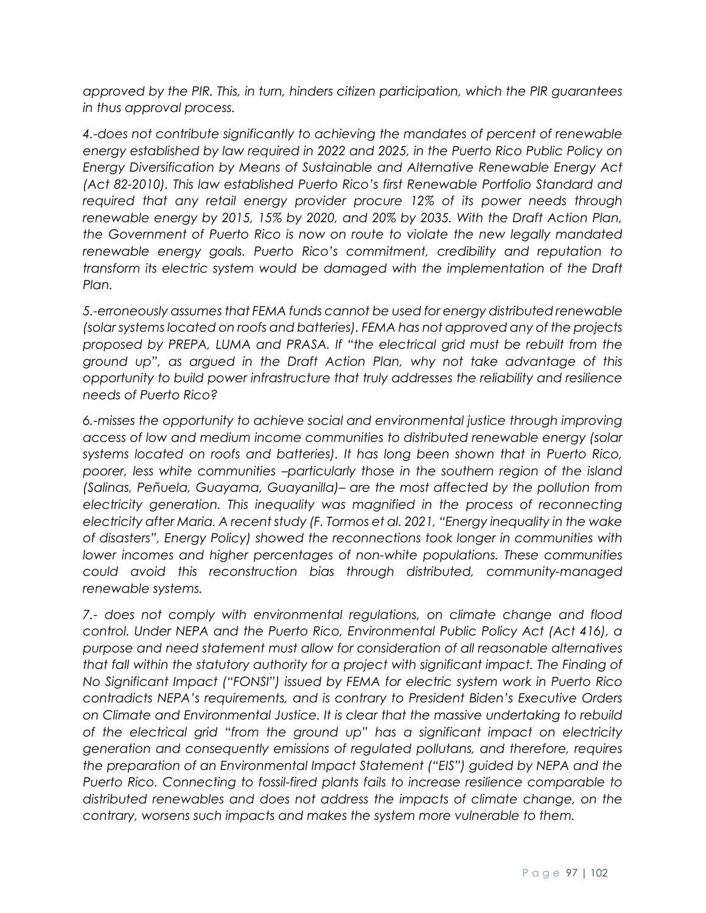*approved by the PIR. This, in turn, hinders citizen participation, which the PIR guarantees in thus approval process.*

*4.-does not contribute significantly to achieving the mandates of percent of renewable energy established by law required in 2022 and 2025, in the Puerto Rico Public Policy on Energy Diversification by Means of Sustainable and Alternative Renewable Energy Act (Act 82-2010). This law established Puerto Rico's first Renewable Portfolio Standard and required that any retail energy provider procure 12% of its power needs through renewable energy by 2015, 15% by 2020, and 20% by 2035. With the Draft Action Plan, the Government of Puerto Rico is now on route to violate the new legally mandated renewable energy goals. Puerto Rico's commitment, credibility and reputation to transform its electric system would be damaged with the implementation of the Draft Plan.*

*5.-erroneously assumes that FEMA funds cannot be used for energy distributed renewable (solar systems located on roofs and batteries). FEMA has not approved any of the projects proposed by PREPA, LUMA and PRASA. If "the electrical grid must be rebuilt from the ground up", as argued in the Draft Action Plan, why not take advantage of this opportunity to build power infrastructure that truly addresses the reliability and resilience needs of Puerto Rico?*

*6.-misses the opportunity to achieve social and environmental justice through improving access of low and medium income communities to distributed renewable energy (solar systems located on roofs and batteries). It has long been shown that in Puerto Rico, poorer, less white communities –particularly those in the southern region of the island (Salinas, Peñuela, Guayama, Guayanilla)– are the most affected by the pollution from*  electricity generation. This inequality was magnified in the process of reconnecting *electricity after Maria. A recent study (F. Tormos et al. 2021, "Energy inequality in the wake of disasters", Energy Policy) showed the reconnections took longer in communities with lower incomes and higher percentages of non-white populations. These communities could avoid this reconstruction bias through distributed, community-managed renewable systems.*

*7.- does not comply with environmental regulations, on climate change and flood control. Under NEPA and the Puerto Rico, Environmental Public Policy Act (Act 416), a purpose and need statement must allow for consideration of all reasonable alternatives that fall within the statutory authority for a project with significant impact. The Finding of No Significant Impact ("FONSI") issued by FEMA for electric system work in Puerto Rico contradicts NEPA's requirements, and is contrary to President Biden's Executive Orders on Climate and Environmental Justice. It is clear that the massive undertaking to rebuild of the electrical grid "from the ground up" has a significant impact on electricity generation and consequently emissions of regulated pollutans, and therefore, requires the preparation of an Environmental Impact Statement ("EIS") guided by NEPA and the Puerto Rico. Connecting to fossil-fired plants fails to increase resilience comparable to distributed renewables and does not address the impacts of climate change, on the contrary, worsens such impacts and makes the system more vulnerable to them.*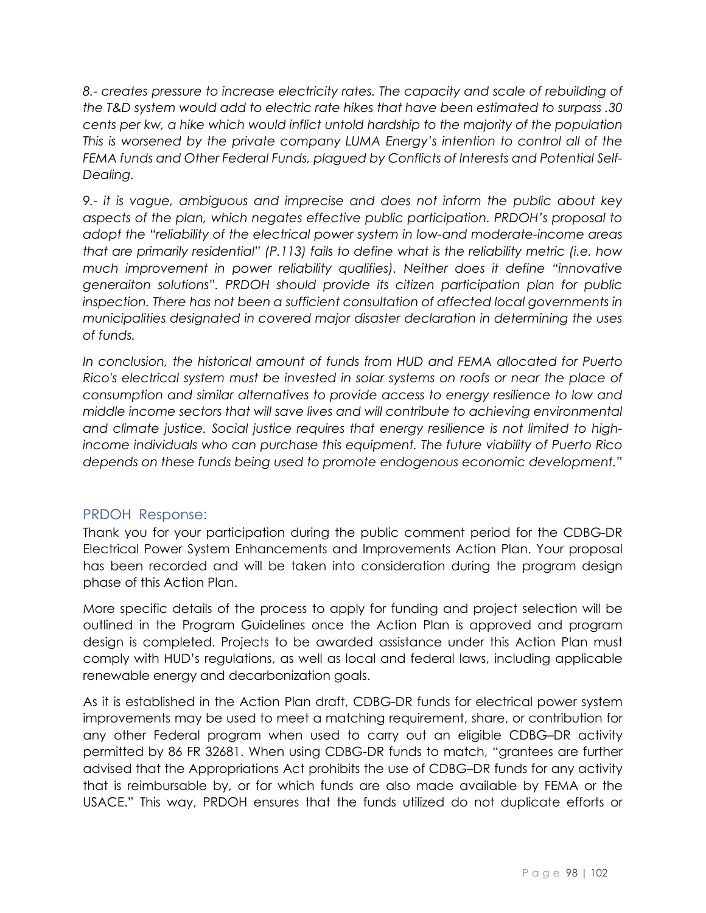*8.- creates pressure to increase electricity rates. The capacity and scale of rebuilding of the T&D system would add to electric rate hikes that have been estimated to surpass .30 cents per kw, a hike which would inflict untold hardship to the majority of the population This is worsened by the private company LUMA Energy's intention to control all of the FEMA funds and Other Federal Funds, plagued by Conflicts of Interests and Potential Self-Dealing.*

*9.- it is vague, ambiguous and imprecise and does not inform the public about key aspects of the plan, which negates effective public participation. PRDOH's proposal to adopt the "reliability of the electrical power system in low-and moderate-income areas that are primarily residential" (P.113) fails to define what is the reliability metric (i.e. how much improvement in power reliability qualifies). Neither does it define "innovative generaiton solutions". PRDOH should provide its citizen participation plan for public inspection. There has not been a sufficient consultation of affected local governments in municipalities designated in covered major disaster declaration in determining the uses of funds.*

*In conclusion, the historical amount of funds from HUD and FEMA allocated for Puerto Rico's electrical system must be invested in solar systems on roofs or near the place of consumption and similar alternatives to provide access to energy resilience to low and middle income sectors that will save lives and will contribute to achieving environmental and climate justice. Social justice requires that energy resilience is not limited to highincome individuals who can purchase this equipment. The future viability of Puerto Rico depends on these funds being used to promote endogenous economic development."*

# PRDOH Response:

Thank you for your participation during the public comment period for the CDBG-DR Electrical Power System Enhancements and Improvements Action Plan. Your proposal has been recorded and will be taken into consideration during the program design phase of this Action Plan.

More specific details of the process to apply for funding and project selection will be outlined in the Program Guidelines once the Action Plan is approved and program design is completed. Projects to be awarded assistance under this Action Plan must comply with HUD's regulations, as well as local and federal laws, including applicable renewable energy and decarbonization goals.

As it is established in the Action Plan draft, CDBG-DR funds for electrical power system improvements may be used to meet a matching requirement, share, or contribution for any other Federal program when used to carry out an eligible CDBG–DR activity permitted by 86 FR 32681. When using CDBG-DR funds to match, "grantees are further advised that the Appropriations Act prohibits the use of CDBG–DR funds for any activity that is reimbursable by, or for which funds are also made available by FEMA or the USACE." This way, PRDOH ensures that the funds utilized do not duplicate efforts or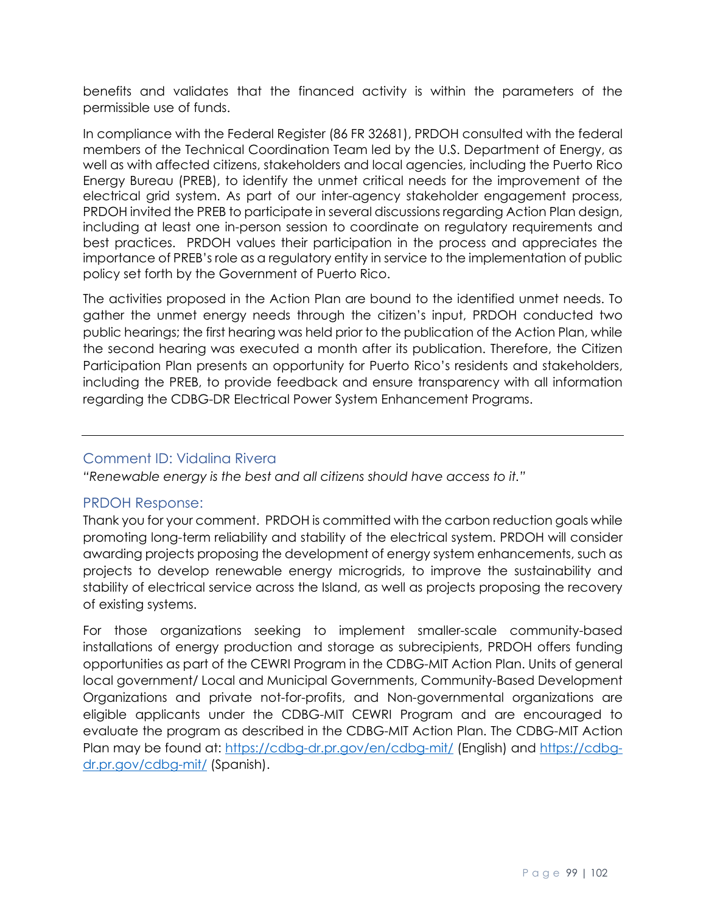benefits and validates that the financed activity is within the parameters of the permissible use of funds.

In compliance with the Federal Register (86 FR 32681), PRDOH consulted with the federal members of the Technical Coordination Team led by the U.S. Department of Energy, as well as with affected citizens, stakeholders and local agencies, including the Puerto Rico Energy Bureau (PREB), to identify the unmet critical needs for the improvement of the electrical grid system. As part of our inter-agency stakeholder engagement process, PRDOH invited the PREB to participate in several discussions regarding Action Plan design, including at least one in-person session to coordinate on regulatory requirements and best practices. PRDOH values their participation in the process and appreciates the importance of PREB's role as a regulatory entity in service to the implementation of public policy set forth by the Government of Puerto Rico.

The activities proposed in the Action Plan are bound to the identified unmet needs. To gather the unmet energy needs through the citizen's input, PRDOH conducted two public hearings; the first hearing was held prior to the publication of the Action Plan, while the second hearing was executed a month after its publication. Therefore, the Citizen Participation Plan presents an opportunity for Puerto Rico's residents and stakeholders, including the PREB, to provide feedback and ensure transparency with all information regarding the CDBG-DR Electrical Power System Enhancement Programs.

#### Comment ID: Vidalina Rivera

*"Renewable energy is the best and all citizens should have access to it."*

# PRDOH Response:

Thank you for your comment. PRDOH is committed with the carbon reduction goals while promoting long-term reliability and stability of the electrical system. PRDOH will consider awarding projects proposing the development of energy system enhancements, such as projects to develop renewable energy microgrids, to improve the sustainability and stability of electrical service across the Island, as well as projects proposing the recovery of existing systems.

For those organizations seeking to implement smaller-scale community-based installations of energy production and storage as subrecipients, PRDOH offers funding opportunities as part of the CEWRI Program in the CDBG-MIT Action Plan. Units of general local government/ Local and Municipal Governments, Community-Based Development Organizations and private not-for-profits, and Non-governmental organizations are eligible applicants under the CDBG-MIT CEWRI Program and are encouraged to evaluate the program as described in the CDBG-MIT Action Plan. The CDBG-MIT Action Plan may be found at:<https://cdbg-dr.pr.gov/en/cdbg-mit/> (English) and [https://cdbg](https://cdbg-dr.pr.gov/cdbg-mit/)[dr.pr.gov/cdbg-mit/](https://cdbg-dr.pr.gov/cdbg-mit/) (Spanish).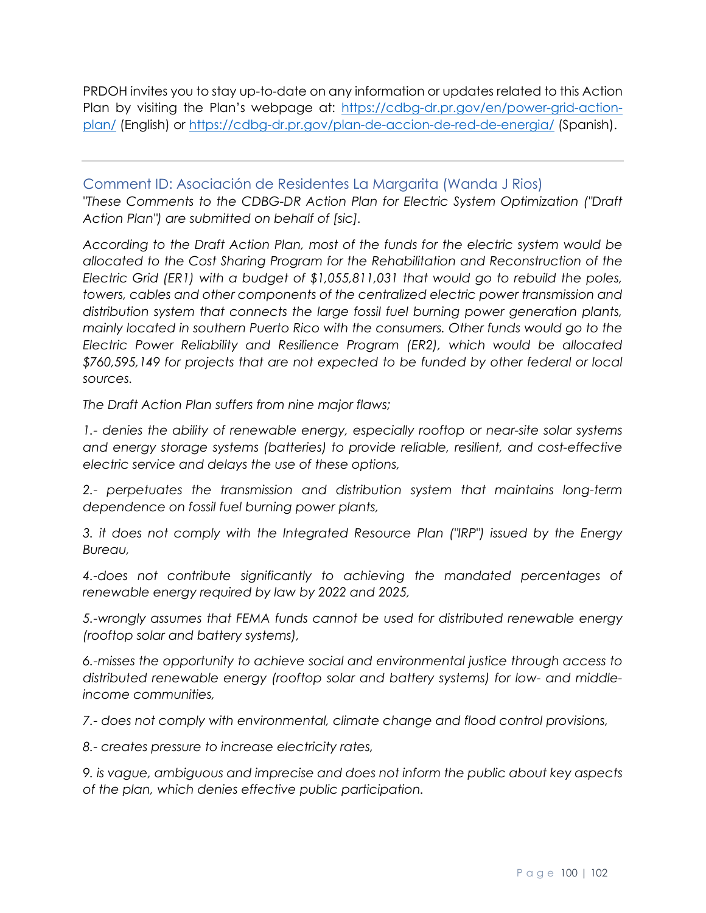PRDOH invites you to stay up-to-date on any information or updates related to this Action Plan by visiting the Plan's webpage at: [https://cdbg-dr.pr.gov/en/power-grid-action](https://cdbg-dr.pr.gov/en/power-grid-action-plan/)[plan/](https://cdbg-dr.pr.gov/en/power-grid-action-plan/) (English) or<https://cdbg-dr.pr.gov/plan-de-accion-de-red-de-energia/> (Spanish).

Comment ID: Asociación de Residentes La Margarita (Wanda J Rios) *"These Comments to the CDBG-DR Action Plan for Electric System Optimization ("Draft Action Plan") are submitted on behalf of [sic].*

*According to the Draft Action Plan, most of the funds for the electric system would be allocated to the Cost Sharing Program for the Rehabilitation and Reconstruction of the Electric Grid (ER1) with a budget of \$1,055,811,031 that would go to rebuild the poles, towers, cables and other components of the centralized electric power transmission and distribution system that connects the large fossil fuel burning power generation plants, mainly located in southern Puerto Rico with the consumers. Other funds would go to the Electric Power Reliability and Resilience Program (ER2), which would be allocated \$760,595,149 for projects that are not expected to be funded by other federal or local sources.* 

*The Draft Action Plan suffers from nine major flaws;* 

*1.- denies the ability of renewable energy, especially rooftop or near-site solar systems and energy storage systems (batteries) to provide reliable, resilient, and cost-effective electric service and delays the use of these options,* 

*2.- perpetuates the transmission and distribution system that maintains long-term dependence on fossil fuel burning power plants,*

*3. it does not comply with the Integrated Resource Plan ("IRP") issued by the Energy Bureau,* 

*4.-does not contribute significantly to achieving the mandated percentages of renewable energy required by law by 2022 and 2025,* 

*5.-wrongly assumes that FEMA funds cannot be used for distributed renewable energy (rooftop solar and battery systems),* 

*6.-misses the opportunity to achieve social and environmental justice through access to distributed renewable energy (rooftop solar and battery systems) for low- and middleincome communities,* 

*7.- does not comply with environmental, climate change and flood control provisions,* 

*8.- creates pressure to increase electricity rates,* 

*9. is vague, ambiguous and imprecise and does not inform the public about key aspects of the plan, which denies effective public participation.*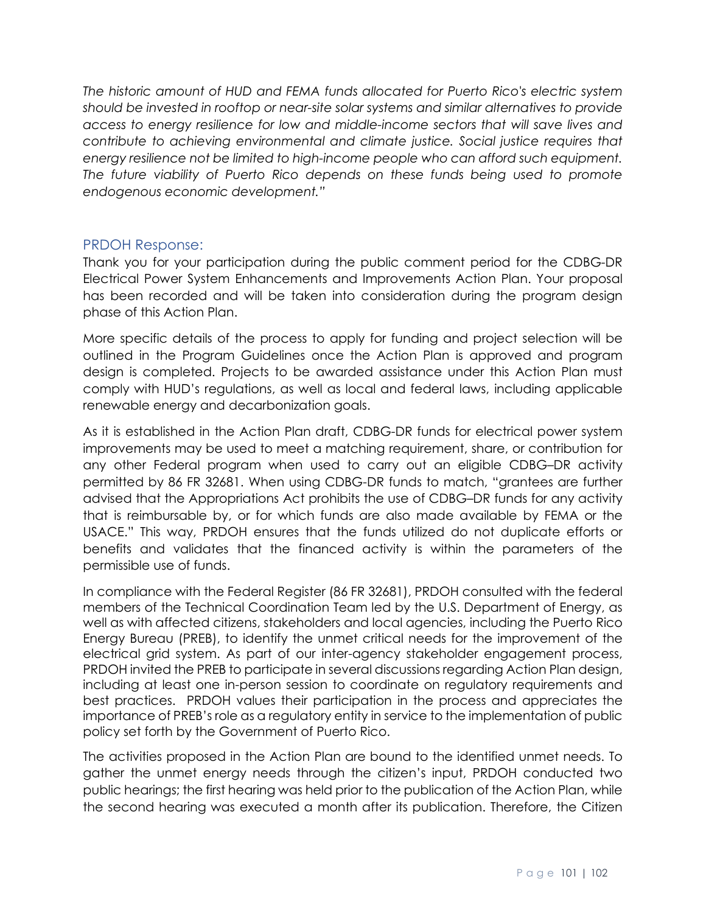*The historic amount of HUD and FEMA funds allocated for Puerto Rico's electric system should be invested in rooftop or near-site solar systems and similar alternatives to provide access to energy resilience for low and middle-income sectors that will save lives and contribute to achieving environmental and climate justice. Social justice requires that energy resilience not be limited to high-income people who can afford such equipment. The future viability of Puerto Rico depends on these funds being used to promote endogenous economic development."*

### PRDOH Response:

Thank you for your participation during the public comment period for the CDBG-DR Electrical Power System Enhancements and Improvements Action Plan. Your proposal has been recorded and will be taken into consideration during the program design phase of this Action Plan.

More specific details of the process to apply for funding and project selection will be outlined in the Program Guidelines once the Action Plan is approved and program design is completed. Projects to be awarded assistance under this Action Plan must comply with HUD's regulations, as well as local and federal laws, including applicable renewable energy and decarbonization goals.

As it is established in the Action Plan draft, CDBG-DR funds for electrical power system improvements may be used to meet a matching requirement, share, or contribution for any other Federal program when used to carry out an eligible CDBG–DR activity permitted by 86 FR 32681. When using CDBG-DR funds to match, "grantees are further advised that the Appropriations Act prohibits the use of CDBG–DR funds for any activity that is reimbursable by, or for which funds are also made available by FEMA or the USACE." This way, PRDOH ensures that the funds utilized do not duplicate efforts or benefits and validates that the financed activity is within the parameters of the permissible use of funds.

In compliance with the Federal Register (86 FR 32681), PRDOH consulted with the federal members of the Technical Coordination Team led by the U.S. Department of Energy, as well as with affected citizens, stakeholders and local agencies, including the Puerto Rico Energy Bureau (PREB), to identify the unmet critical needs for the improvement of the electrical grid system. As part of our inter-agency stakeholder engagement process, PRDOH invited the PREB to participate in several discussions regarding Action Plan design, including at least one in-person session to coordinate on regulatory requirements and best practices. PRDOH values their participation in the process and appreciates the importance of PREB's role as a regulatory entity in service to the implementation of public policy set forth by the Government of Puerto Rico.

The activities proposed in the Action Plan are bound to the identified unmet needs. To gather the unmet energy needs through the citizen's input, PRDOH conducted two public hearings; the first hearing was held prior to the publication of the Action Plan, while the second hearing was executed a month after its publication. Therefore, the Citizen